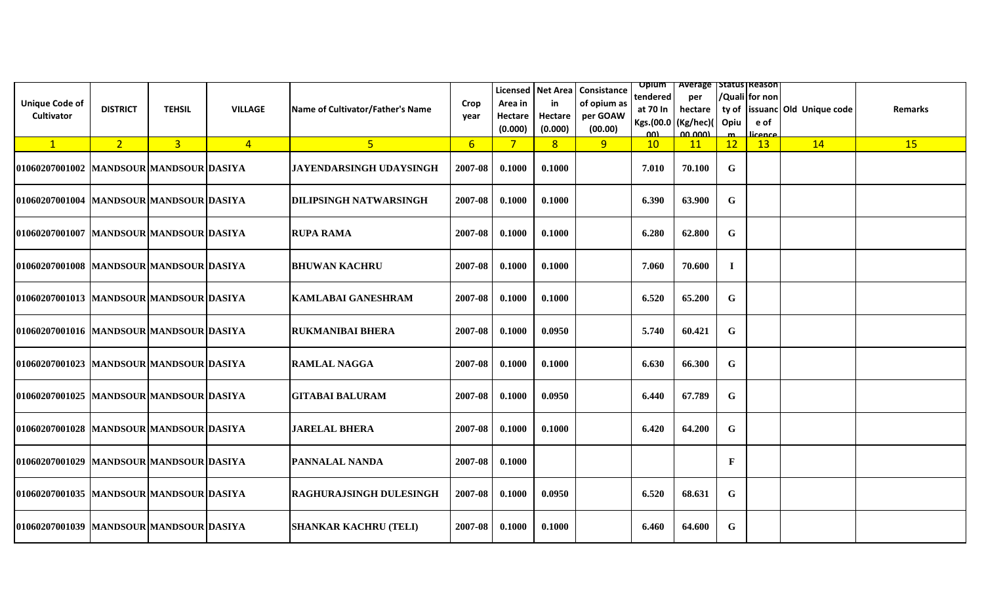| <b>Unique Code of</b><br><b>Cultivator</b> | <b>DISTRICT</b> | <b>TEHSIL</b>  | <b>VILLAGE</b> | Name of Cultivator/Father's Name | Crop<br>year   | Area in<br>Hectare<br>(0.000) | in<br>Hectare<br>(0.000) | Licensed   Net Area   Consistance<br>of opium as<br>per GOAW<br>(00.00) | tendered<br>Kgs.(00.0   (Kg/hec)(<br>ωυ | <b>Opium</b>   Average   Status   Reason  <br>per<br>at 70 In $\vert$ hectare<br>00,000 | Opiu        | /Quali for non<br>e of<br>عممعنا | ty of   issuanc   Old Unique code | <b>Remarks</b> |
|--------------------------------------------|-----------------|----------------|----------------|----------------------------------|----------------|-------------------------------|--------------------------|-------------------------------------------------------------------------|-----------------------------------------|-----------------------------------------------------------------------------------------|-------------|----------------------------------|-----------------------------------|----------------|
| $\mathbf{1}$                               | 2 <sup>1</sup>  | 3 <sup>1</sup> | $\overline{4}$ | 5 <sub>o</sub>                   | 6 <sup>1</sup> | $7\phantom{.0}$               | 8 <sup>2</sup>           | 9                                                                       | 10                                      | 11                                                                                      | 12          | 13                               | 14                                | <b>15</b>      |
| 01060207001002  MANDSOUR MANDSOUR DASIYA   |                 |                |                | <b>JAYENDARSINGH UDAYSINGH</b>   | 2007-08        | 0.1000                        | 0.1000                   |                                                                         | 7.010                                   | 70.100                                                                                  | G           |                                  |                                   |                |
| 01060207001004  MANDSOUR MANDSOUR DASIYA   |                 |                |                | DILIPSINGH NATWARSINGH           | 2007-08        | 0.1000                        | 0.1000                   |                                                                         | 6.390                                   | 63.900                                                                                  | $\mathbf G$ |                                  |                                   |                |
| 01060207001007 MANDSOUR MANDSOUR DASIYA    |                 |                |                | <b>RUPA RAMA</b>                 | 2007-08        | 0.1000                        | 0.1000                   |                                                                         | 6.280                                   | 62.800                                                                                  | $\mathbf G$ |                                  |                                   |                |
| 01060207001008  MANDSOUR MANDSOUR DASIYA   |                 |                |                | <b>BHUWAN KACHRU</b>             | 2007-08        | 0.1000                        | 0.1000                   |                                                                         | 7.060                                   | 70.600                                                                                  | $\bf{I}$    |                                  |                                   |                |
| 01060207001013  MANDSOUR MANDSOUR DASIYA   |                 |                |                | <b>KAMLABAI GANESHRAM</b>        | 2007-08        | 0.1000                        | 0.1000                   |                                                                         | 6.520                                   | 65.200                                                                                  | G           |                                  |                                   |                |
| 01060207001016  MANDSOUR MANDSOUR DASIYA   |                 |                |                | <b>RUKMANIBAI BHERA</b>          | 2007-08        | 0.1000                        | 0.0950                   |                                                                         | 5.740                                   | 60.421                                                                                  | G           |                                  |                                   |                |
| 01060207001023  MANDSOUR MANDSOUR DASIYA   |                 |                |                | <b>RAMLAL NAGGA</b>              | 2007-08        | 0.1000                        | 0.1000                   |                                                                         | 6.630                                   | 66.300                                                                                  | G           |                                  |                                   |                |
| 01060207001025  MANDSOUR MANDSOUR DASIYA   |                 |                |                | <b>GITABAI BALURAM</b>           | 2007-08        | 0.1000                        | 0.0950                   |                                                                         | 6.440                                   | 67.789                                                                                  | G           |                                  |                                   |                |
| 01060207001028 MANDSOUR MANDSOUR DASIYA    |                 |                |                | <b>JARELAL BHERA</b>             | 2007-08        | 0.1000                        | 0.1000                   |                                                                         | 6.420                                   | 64.200                                                                                  | $\mathbf G$ |                                  |                                   |                |
| 01060207001029  MANDSOUR MANDSOUR DASIYA   |                 |                |                | PANNALAL NANDA                   | 2007-08        | 0.1000                        |                          |                                                                         |                                         |                                                                                         | $\mathbf F$ |                                  |                                   |                |
| 01060207001035  MANDSOUR MANDSOUR DASIYA   |                 |                |                | <b>RAGHURAJSINGH DULESINGH</b>   | 2007-08        | 0.1000                        | 0.0950                   |                                                                         | 6.520                                   | 68.631                                                                                  | $\mathbf G$ |                                  |                                   |                |
| 01060207001039  MANDSOUR MANDSOUR DASIYA   |                 |                |                | <b>SHANKAR KACHRU (TELI)</b>     | 2007-08        | 0.1000                        | 0.1000                   |                                                                         | 6.460                                   | 64.600                                                                                  | G           |                                  |                                   |                |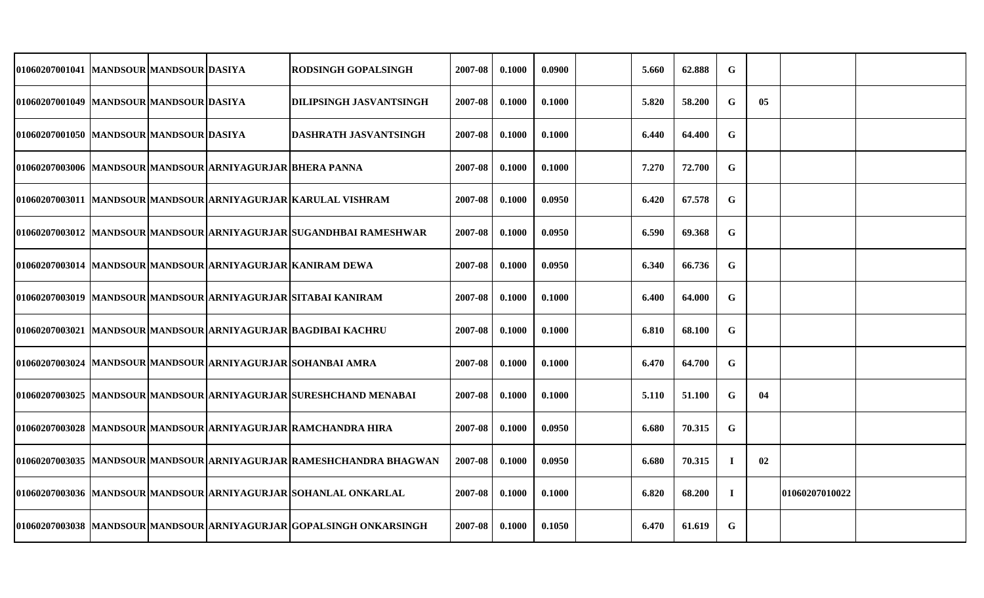| 01060207001041  MANDSOUR MANDSOUR DASIYA |  |                                                           | <b>RODSINGH GOPALSINGH</b>                                          | 2007-08 | 0.1000 | 0.0900 | 5.660 | 62.888 | G           |    |                |  |
|------------------------------------------|--|-----------------------------------------------------------|---------------------------------------------------------------------|---------|--------|--------|-------|--------|-------------|----|----------------|--|
| 01060207001049  MANDSOUR MANDSOUR DASIYA |  |                                                           | <b>DILIPSINGH JASVANTSINGH</b>                                      | 2007-08 | 0.1000 | 0.1000 | 5.820 | 58.200 | $\mathbf G$ | 05 |                |  |
| 01060207001050 MANDSOUR MANDSOUR DASIYA  |  |                                                           | <b>DASHRATH JASVANTSINGH</b>                                        | 2007-08 | 0.1000 | 0.1000 | 6.440 | 64.400 | $\mathbf G$ |    |                |  |
|                                          |  | 01060207003006 MANDSOUR MANDSOUR ARNIYAGURJAR BHERA PANNA |                                                                     | 2007-08 | 0.1000 | 0.1000 | 7.270 | 72.700 | $\mathbf G$ |    |                |  |
|                                          |  |                                                           | 01060207003011  MANDSOUR MANDSOUR ARNIYAGURJAR KARULAL VISHRAM      | 2007-08 | 0.1000 | 0.0950 | 6.420 | 67.578 | $\mathbf G$ |    |                |  |
|                                          |  |                                                           | 01060207003012  MANDSOUR MANDSOUR ARNIYAGURJAR SUGANDHBAI RAMESHWAR | 2007-08 | 0.1000 | 0.0950 | 6.590 | 69.368 | $\mathbf G$ |    |                |  |
|                                          |  |                                                           | 01060207003014 MANDSOUR MANDSOUR ARNIYAGURJAR KANIRAM DEWA          | 2007-08 | 0.1000 | 0.0950 | 6.340 | 66.736 | G           |    |                |  |
|                                          |  |                                                           | 01060207003019  MANDSOUR MANDSOUR ARNIYAGURJAR SITABAI KANIRAM      | 2007-08 | 0.1000 | 0.1000 | 6.400 | 64.000 | G           |    |                |  |
|                                          |  |                                                           | 01060207003021 MANDSOUR MANDSOUR ARNIYAGURJAR BAGDIBAI KACHRU       | 2007-08 | 0.1000 | 0.1000 | 6.810 | 68.100 | G           |    |                |  |
|                                          |  |                                                           | 01060207003024 MANDSOUR MANDSOUR ARNIYAGURJAR SOHANBAI AMRA         | 2007-08 | 0.1000 | 0.1000 | 6.470 | 64.700 | $\mathbf G$ |    |                |  |
|                                          |  |                                                           | 01060207003025 MANDSOUR MANDSOUR ARNIYAGURJAR SURESHCHAND MENABAI   | 2007-08 | 0.1000 | 0.1000 | 5.110 | 51.100 | $\mathbf G$ | 04 |                |  |
|                                          |  |                                                           | 01060207003028 MANDSOUR MANDSOUR ARNIYAGURJAR RAMCHANDRA HIRA       | 2007-08 | 0.1000 | 0.0950 | 6.680 | 70.315 | $\mathbf G$ |    |                |  |
|                                          |  |                                                           | 01060207003035 MANDSOUR MANDSOUR ARNIYAGURJAR RAMESHCHANDRA BHAGWAN | 2007-08 | 0.1000 | 0.0950 | 6.680 | 70.315 | $\bf{I}$    | 02 |                |  |
|                                          |  |                                                           | 01060207003036  MANDSOUR MANDSOUR ARNIYAGURJAR SOHANLAL ONKARLAL    | 2007-08 | 0.1000 | 0.1000 | 6.820 | 68.200 | $\bf{I}$    |    | 01060207010022 |  |
|                                          |  |                                                           | 01060207003038 MANDSOUR MANDSOUR ARNIYAGURJAR GOPALSINGH ONKARSINGH | 2007-08 | 0.1000 | 0.1050 | 6.470 | 61.619 | $\mathbf G$ |    |                |  |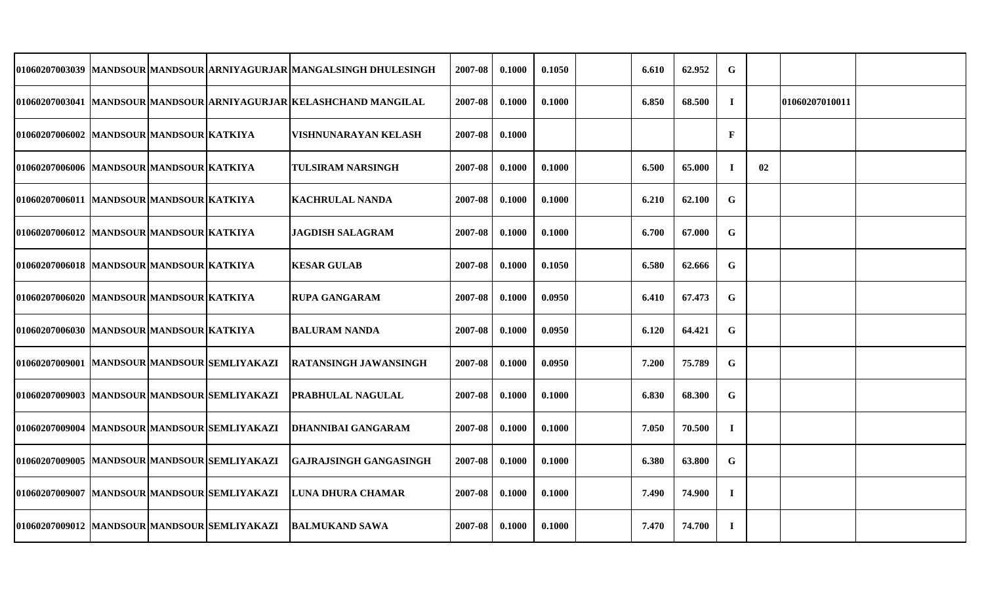|                                               |  | 01060207003039 MANDSOUR MANDSOUR ARNIYAGURJAR MANGALSINGH DHULESINGH | 2007-08 | 0.1000 | 0.1050 | 6.610 | 62.952 | $\mathbf G$  |    |                |  |
|-----------------------------------------------|--|----------------------------------------------------------------------|---------|--------|--------|-------|--------|--------------|----|----------------|--|
|                                               |  | 01060207003041  MANDSOUR MANDSOUR ARNIYAGURJAR KELASHCHAND MANGILAL  | 2007-08 | 0.1000 | 0.1000 | 6.850 | 68.500 | $\mathbf I$  |    | 01060207010011 |  |
| 01060207006002 MANDSOUR MANDSOUR KATKIYA      |  | VISHNUNARAYAN KELASH                                                 | 2007-08 | 0.1000 |        |       |        | $\mathbf{F}$ |    |                |  |
| 01060207006006 MANDSOUR MANDSOUR KATKIYA      |  | TULSIRAM NARSINGH                                                    | 2007-08 | 0.1000 | 0.1000 | 6.500 | 65.000 | $\bf{I}$     | 02 |                |  |
| 01060207006011  MANDSOUR MANDSOUR KATKIYA     |  | <b>KACHRULAL NANDA</b>                                               | 2007-08 | 0.1000 | 0.1000 | 6.210 | 62.100 | $\mathbf G$  |    |                |  |
| 01060207006012 MANDSOUR MANDSOUR KATKIYA      |  | <b>JAGDISH SALAGRAM</b>                                              | 2007-08 | 0.1000 | 0.1000 | 6.700 | 67.000 | $\mathbf G$  |    |                |  |
| 01060207006018  MANDSOUR MANDSOUR KATKIYA     |  | <b>KESAR GULAB</b>                                                   | 2007-08 | 0.1000 | 0.1050 | 6.580 | 62.666 | $\mathbf G$  |    |                |  |
| 01060207006020  MANDSOUR MANDSOUR KATKIYA     |  | <b>RUPA GANGARAM</b>                                                 | 2007-08 | 0.1000 | 0.0950 | 6.410 | 67.473 | $\mathbf G$  |    |                |  |
| 01060207006030 MANDSOUR MANDSOUR KATKIYA      |  | <b>BALURAM NANDA</b>                                                 | 2007-08 | 0.1000 | 0.0950 | 6.120 | 64.421 | G            |    |                |  |
| 01060207009001 MANDSOURMANDSOUR SEMLIYAKAZI   |  | RATANSINGH JAWANSINGH                                                | 2007-08 | 0.1000 | 0.0950 | 7.200 | 75.789 | $\mathbf G$  |    |                |  |
| 01060207009003 MANDSOURMANDSOURISEMLIYAKAZI   |  | PRABHULAL NAGULAL                                                    | 2007-08 | 0.1000 | 0.1000 | 6.830 | 68.300 | G            |    |                |  |
| 01060207009004  MANDSOUR MANDSOUR SEMLIYAKAZI |  | DHANNIBAI GANGARAM                                                   | 2007-08 | 0.1000 | 0.1000 | 7.050 | 70.500 | $\bf{I}$     |    |                |  |
| 01060207009005  MANDSOUR MANDSOUR SEMLIYAKAZI |  | <b>GAJRAJSINGH GANGASINGH</b>                                        | 2007-08 | 0.1000 | 0.1000 | 6.380 | 63.800 | $\mathbf G$  |    |                |  |
| 01060207009007  MANDSOUR MANDSOUR SEMLIYAKAZI |  | <b>LUNA DHURA CHAMAR</b>                                             | 2007-08 | 0.1000 | 0.1000 | 7.490 | 74.900 | $\mathbf I$  |    |                |  |
| 01060207009012  MANDSOUR MANDSOUR SEMLIYAKAZI |  | BALMUKAND SAWA                                                       | 2007-08 | 0.1000 | 0.1000 | 7.470 | 74.700 | $\bf{I}$     |    |                |  |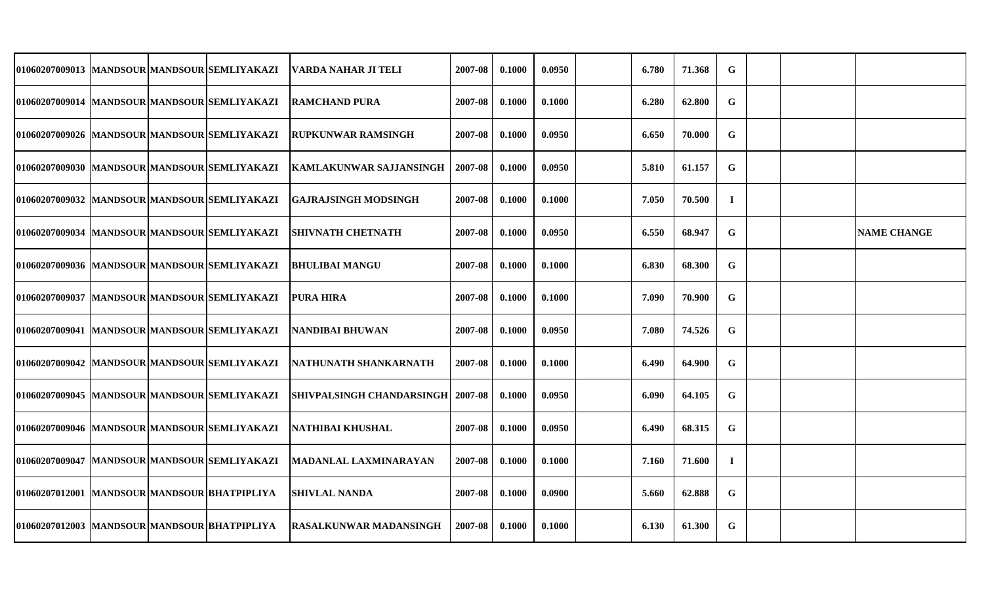| 01060207009013  MANDSOUR MANDSOUR SEMLIYAKAZI |  | VARDA NAHAR JI TELI              | 2007-08 | 0.1000 | 0.0950 | 6.780 | 71.368 | G           |  |                    |
|-----------------------------------------------|--|----------------------------------|---------|--------|--------|-------|--------|-------------|--|--------------------|
| 01060207009014  MANDSOUR MANDSOUR SEMLIYAKAZI |  | <b>RAMCHAND PURA</b>             | 2007-08 | 0.1000 | 0.1000 | 6.280 | 62.800 | G           |  |                    |
| 01060207009026  MANDSOUR MANDSOUR SEMLIYAKAZI |  | <b>RUPKUNWAR RAMSINGH</b>        | 2007-08 | 0.1000 | 0.0950 | 6.650 | 70.000 | G           |  |                    |
| 01060207009030 MANDSOUR MANDSOUR SEMLIYAKAZI  |  | <b>KAMLAKUNWAR SAJJANSINGH</b>   | 2007-08 | 0.1000 | 0.0950 | 5.810 | 61.157 | G           |  |                    |
| 01060207009032 MANDSOUR MANDSOUR SEMLIYAKAZI  |  | <b>GAJRAJSINGH MODSINGH</b>      | 2007-08 | 0.1000 | 0.1000 | 7.050 | 70.500 | $\bf{I}$    |  |                    |
| 01060207009034  MANDSOUR MANDSOUR SEMLIYAKAZI |  | <b>SHIVNATH CHETNATH</b>         | 2007-08 | 0.1000 | 0.0950 | 6.550 | 68.947 | $\mathbf G$ |  | <b>NAME CHANGE</b> |
| 01060207009036 MANDSOUR MANDSOUR SEMLIYAKAZI  |  | <b>BHULIBAI MANGU</b>            | 2007-08 | 0.1000 | 0.1000 | 6.830 | 68.300 | G           |  |                    |
| 01060207009037  MANDSOUR MANDSOUR SEMLIYAKAZI |  | <b>PURA HIRA</b>                 | 2007-08 | 0.1000 | 0.1000 | 7.090 | 70.900 | G           |  |                    |
| 01060207009041  MANDSOUR MANDSOUR SEMLIYAKAZI |  | <b>NANDIBAI BHUWAN</b>           | 2007-08 | 0.1000 | 0.0950 | 7.080 | 74.526 | G           |  |                    |
| 01060207009042  MANDSOUR MANDSOUR SEMLIYAKAZI |  | NATHUNATH SHANKARNATH            | 2007-08 | 0.1000 | 0.1000 | 6.490 | 64.900 | G           |  |                    |
| 01060207009045  MANDSOUR MANDSOUR SEMLIYAKAZI |  | <b>SHIVPALSINGH CHANDARSINGH</b> | 2007-08 | 0.1000 | 0.0950 | 6.090 | 64.105 | G           |  |                    |
| 01060207009046 MANDSOUR MANDSOUR SEMLIYAKAZI  |  | <b>NATHIBAI KHUSHAL</b>          | 2007-08 | 0.1000 | 0.0950 | 6.490 | 68.315 | $\mathbf G$ |  |                    |
| 01060207009047  MANDSOUR MANDSOUR SEMLIYAKAZI |  | MADANLAL LAXMINARAYAN            | 2007-08 | 0.1000 | 0.1000 | 7.160 | 71.600 | $\bf{I}$    |  |                    |
| 01060207012001  MANDSOUR MANDSOUR BHATPIPLIYA |  | <b>SHIVLAL NANDA</b>             | 2007-08 | 0.1000 | 0.0900 | 5.660 | 62.888 | G           |  |                    |
| 01060207012003  MANDSOUR MANDSOUR BHATPIPLIYA |  | <b>RASALKUNWAR MADANSINGH</b>    | 2007-08 | 0.1000 | 0.1000 | 6.130 | 61.300 | G           |  |                    |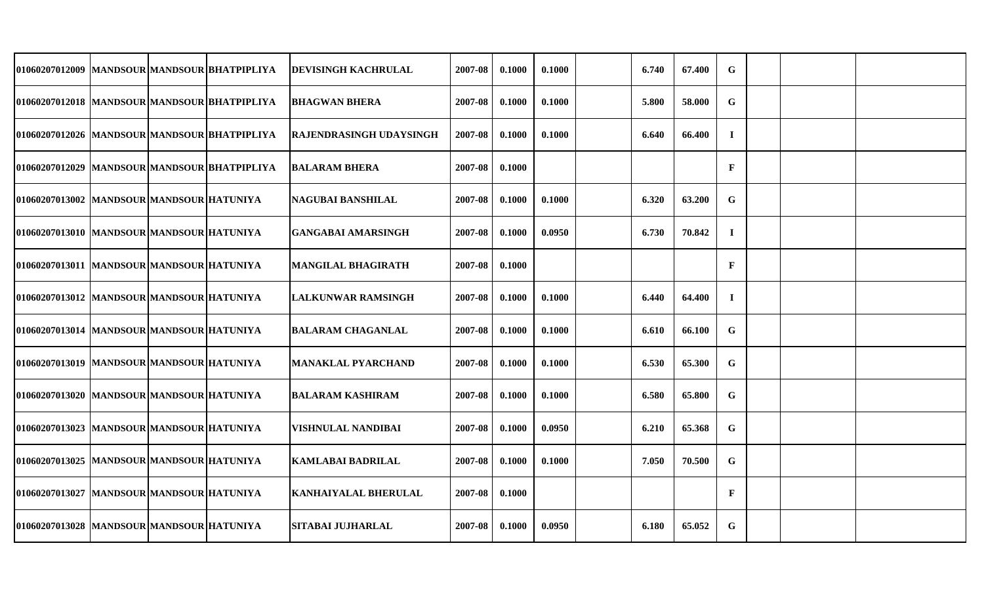| 01060207012009  MANDSOUR MANDSOUR BHATPIPLIYA |  | <b>DEVISINGH KACHRULAL</b>     | 2007-08 | 0.1000 | 0.1000 | 6.740 | 67.400 | G            |  |  |
|-----------------------------------------------|--|--------------------------------|---------|--------|--------|-------|--------|--------------|--|--|
| 01060207012018  MANDSOUR MANDSOUR BHATPIPLIYA |  | <b>BHAGWAN BHERA</b>           | 2007-08 | 0.1000 | 0.1000 | 5.800 | 58.000 | $\mathbf G$  |  |  |
| 01060207012026 MANDSOUR MANDSOUR BHATPIPLIYA  |  | <b>RAJENDRASINGH UDAYSINGH</b> | 2007-08 | 0.1000 | 0.1000 | 6.640 | 66.400 | $\bf{I}$     |  |  |
| 01060207012029 MANDSOUR MANDSOUR BHATPIPLIYA  |  | <b>BALARAM BHERA</b>           | 2007-08 | 0.1000 |        |       |        | $\mathbf F$  |  |  |
| 01060207013002 MANDSOUR MANDSOUR HATUNIYA     |  | <b>NAGUBAI BANSHILAL</b>       | 2007-08 | 0.1000 | 0.1000 | 6.320 | 63.200 | $\mathbf G$  |  |  |
| 01060207013010 MANDSOUR MANDSOUR HATUNIYA     |  | GANGABAI AMARSINGH             | 2007-08 | 0.1000 | 0.0950 | 6.730 | 70.842 | $\mathbf I$  |  |  |
| 01060207013011  MANDSOUR MANDSOUR HATUNIYA    |  | <b>MANGILAL BHAGIRATH</b>      | 2007-08 | 0.1000 |        |       |        | $\mathbf{F}$ |  |  |
| 01060207013012  MANDSOUR MANDSOUR HATUNIYA    |  | <b>LALKUNWAR RAMSINGH</b>      | 2007-08 | 0.1000 | 0.1000 | 6.440 | 64.400 | $\bf{I}$     |  |  |
| 01060207013014  MANDSOUR MANDSOUR HATUNIYA    |  | BALARAM CHAGANLAL              | 2007-08 | 0.1000 | 0.1000 | 6.610 | 66.100 | G            |  |  |
| 01060207013019  MANDSOUR MANDSOUR HATUNIYA    |  | <b>MANAKLAL PYARCHAND</b>      | 2007-08 | 0.1000 | 0.1000 | 6.530 | 65.300 | $\mathbf G$  |  |  |
| 01060207013020  MANDSOUR MANDSOUR HATUNIYA    |  | IBALARAM KASHIRAM              | 2007-08 | 0.1000 | 0.1000 | 6.580 | 65.800 | G            |  |  |
| 01060207013023  MANDSOUR MANDSOUR HATUNIYA    |  | VISHNULAL NANDIBAI             | 2007-08 | 0.1000 | 0.0950 | 6.210 | 65.368 | $\mathbf G$  |  |  |
| 01060207013025  MANDSOUR MANDSOUR HATUNIYA    |  | <b>KAMLABAI BADRILAL</b>       | 2007-08 | 0.1000 | 0.1000 | 7.050 | 70.500 | G            |  |  |
| 01060207013027  MANDSOUR MANDSOUR HATUNIYA    |  | <b>KANHAIYALAL BHERULAL</b>    | 2007-08 | 0.1000 |        |       |        | $\mathbf{F}$ |  |  |
| 01060207013028 MANDSOUR MANDSOUR HATUNIYA     |  | SITABAI JUJHARLAL              | 2007-08 | 0.1000 | 0.0950 | 6.180 | 65.052 | G            |  |  |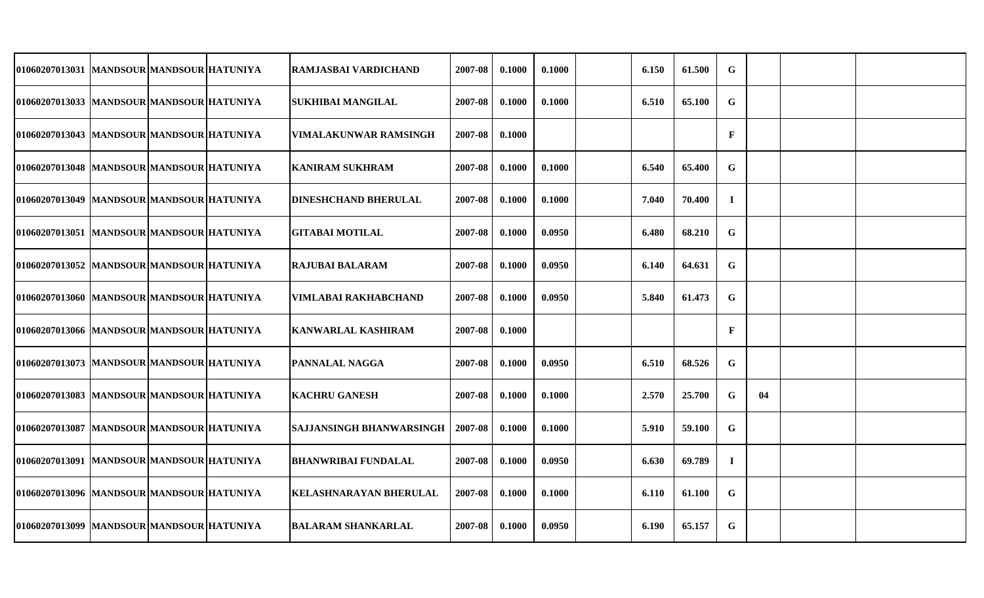| 01060207013031  MANDSOUR MANDSOUR HATUNIYA  |  | RAMJASBAI VARDICHAND            | 2007-08 | 0.1000 | 0.1000 | 6.150 | 61.500 | $\mathbf G$  |    |  |
|---------------------------------------------|--|---------------------------------|---------|--------|--------|-------|--------|--------------|----|--|
| 01060207013033  MANDSOUR MANDSOUR HATUNIYA  |  | <b>SUKHIBAI MANGILAL</b>        | 2007-08 | 0.1000 | 0.1000 | 6.510 | 65.100 | G            |    |  |
| 01060207013043  MANDSOUR MANDSOUR HATUNIYA  |  | <b>VIMALAKUNWAR RAMSINGH</b>    | 2007-08 | 0.1000 |        |       |        | $\mathbf F$  |    |  |
| 01060207013048   MANDSOUR MANDSOUR HATUNIYA |  | <b>KANIRAM SUKHRAM</b>          | 2007-08 | 0.1000 | 0.1000 | 6.540 | 65.400 | G            |    |  |
| 01060207013049  MANDSOUR MANDSOUR HATUNIYA  |  | <b>DINESHCHAND BHERULAL</b>     | 2007-08 | 0.1000 | 0.1000 | 7.040 | 70.400 | $\bf{I}$     |    |  |
| 01060207013051  MANDSOUR MANDSOUR HATUNIYA  |  | GITABAI MOTILAL                 | 2007-08 | 0.1000 | 0.0950 | 6.480 | 68.210 | G            |    |  |
| 01060207013052 MANDSOUR MANDSOUR HATUNIYA   |  | <b>RAJUBAI BALARAM</b>          | 2007-08 | 0.1000 | 0.0950 | 6.140 | 64.631 | $\mathbf G$  |    |  |
| 01060207013060 MANDSOUR MANDSOUR HATUNIYA   |  | VIMLABAI RAKHABCHAND            | 2007-08 | 0.1000 | 0.0950 | 5.840 | 61.473 | G            |    |  |
| 01060207013066 MANDSOUR MANDSOUR HATUNIYA   |  | <b>KANWARLAL KASHIRAM</b>       | 2007-08 | 0.1000 |        |       |        | $\mathbf{F}$ |    |  |
| 01060207013073  MANDSOUR MANDSOUR HATUNIYA  |  | <b>PANNALAL NAGGA</b>           | 2007-08 | 0.1000 | 0.0950 | 6.510 | 68.526 | $\mathbf G$  |    |  |
| 01060207013083 MANDSOUR MANDSOUR HATUNIYA   |  | <b>KACHRU GANESH</b>            | 2007-08 | 0.1000 | 0.1000 | 2.570 | 25.700 | G            | 04 |  |
| 01060207013087  MANDSOUR MANDSOUR HATUNIYA  |  | <b>SAJJANSINGH BHANWARSINGH</b> | 2007-08 | 0.1000 | 0.1000 | 5.910 | 59.100 | G            |    |  |
| 01060207013091  MANDSOUR MANDSOUR HATUNIYA  |  | <b>BHANWRIBAI FUNDALAL</b>      | 2007-08 | 0.1000 | 0.0950 | 6.630 | 69.789 | $\bf{I}$     |    |  |
| 01060207013096  MANDSOUR MANDSOUR HATUNIYA  |  | <b>KELASHNARAYAN BHERULAL</b>   | 2007-08 | 0.1000 | 0.1000 | 6.110 | 61.100 | G            |    |  |
| 01060207013099 MANDSOUR MANDSOUR HATUNIYA   |  | <b>BALARAM SHANKARLAL</b>       | 2007-08 | 0.1000 | 0.0950 | 6.190 | 65.157 | G            |    |  |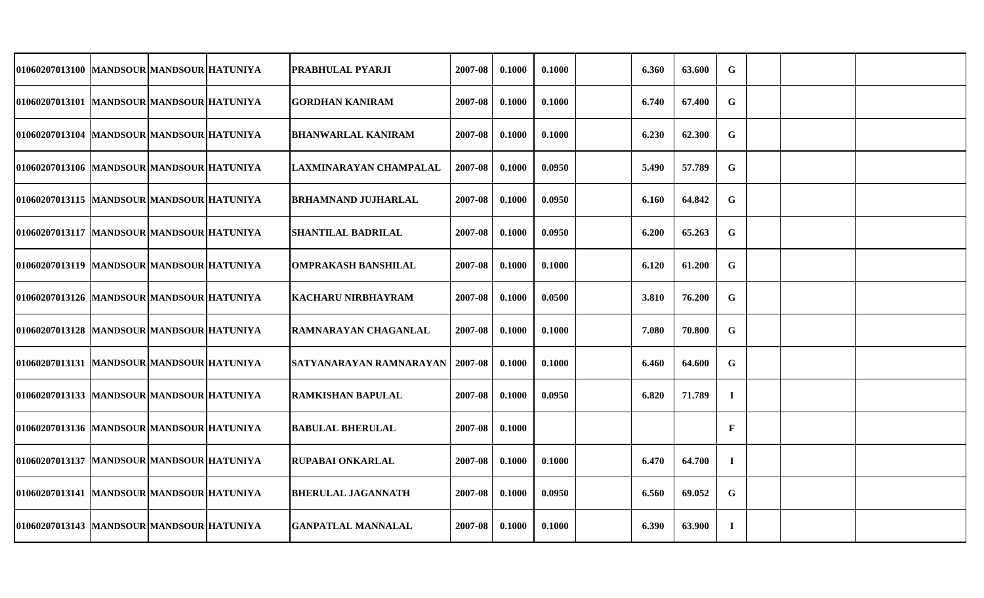| 01060207013100 MANDSOUR MANDSOUR HATUNIYA  |  | PRABHULAL PYARJI           | 2007-08 | 0.1000 | 0.1000 | 6.360 | 63.600 | $\mathbf G$ |  |  |
|--------------------------------------------|--|----------------------------|---------|--------|--------|-------|--------|-------------|--|--|
| 01060207013101 MANDSOUR MANDSOUR HATUNIYA  |  | <b>GORDHAN KANIRAM</b>     | 2007-08 | 0.1000 | 0.1000 | 6.740 | 67.400 | $\mathbf G$ |  |  |
| 01060207013104  MANDSOUR MANDSOUR HATUNIYA |  | <b>BHANWARLAL KANIRAM</b>  | 2007-08 | 0.1000 | 0.1000 | 6.230 | 62.300 | G           |  |  |
| 01060207013106  MANDSOUR MANDSOUR HATUNIYA |  | LAXMINARAYAN CHAMPALAL     | 2007-08 | 0.1000 | 0.0950 | 5.490 | 57.789 | $\mathbf G$ |  |  |
| 01060207013115  MANDSOUR MANDSOUR HATUNIYA |  | BRHAMNAND JUJHARLAL        | 2007-08 | 0.1000 | 0.0950 | 6.160 | 64.842 | $\mathbf G$ |  |  |
| 01060207013117 MANDSOUR MANDSOUR HATUNIYA  |  | <b>SHANTILAL BADRILAL</b>  | 2007-08 | 0.1000 | 0.0950 | 6.200 | 65.263 | $\mathbf G$ |  |  |
| 01060207013119  MANDSOUR MANDSOUR HATUNIYA |  | <b>OMPRAKASH BANSHILAL</b> | 2007-08 | 0.1000 | 0.1000 | 6.120 | 61.200 | G           |  |  |
| 01060207013126  MANDSOUR MANDSOUR HATUNIYA |  | KACHARU NIRBHAYRAM         | 2007-08 | 0.1000 | 0.0500 | 3.810 | 76.200 | $\mathbf G$ |  |  |
| 01060207013128  MANDSOUR MANDSOUR HATUNIYA |  | RAMNARAYAN CHAGANLAL       | 2007-08 | 0.1000 | 0.1000 | 7.080 | 70.800 | $\mathbf G$ |  |  |
| 01060207013131  MANDSOUR MANDSOUR HATUNIYA |  | SATYANARAYAN RAMNARAYAN    | 2007-08 | 0.1000 | 0.1000 | 6.460 | 64.600 | $\mathbf G$ |  |  |
| 01060207013133  MANDSOUR MANDSOUR HATUNIYA |  | <b>RAMKISHAN BAPULAL</b>   | 2007-08 | 0.1000 | 0.0950 | 6.820 | 71.789 | $\bf{I}$    |  |  |
| 01060207013136  MANDSOUR MANDSOUR HATUNIYA |  | <b>BABULAL BHERULAL</b>    | 2007-08 | 0.1000 |        |       |        | $\mathbf F$ |  |  |
| 01060207013137  MANDSOUR MANDSOUR HATUNIYA |  | <b>RUPABAI ONKARLAL</b>    | 2007-08 | 0.1000 | 0.1000 | 6.470 | 64.700 | $\bf I$     |  |  |
| 01060207013141  MANDSOUR MANDSOUR HATUNIYA |  | <b>BHERULAL JAGANNATH</b>  | 2007-08 | 0.1000 | 0.0950 | 6.560 | 69.052 | $\mathbf G$ |  |  |
| 01060207013143  MANDSOUR MANDSOUR HATUNIYA |  | <b>GANPATLAL MANNALAL</b>  | 2007-08 | 0.1000 | 0.1000 | 6.390 | 63.900 | $\mathbf I$ |  |  |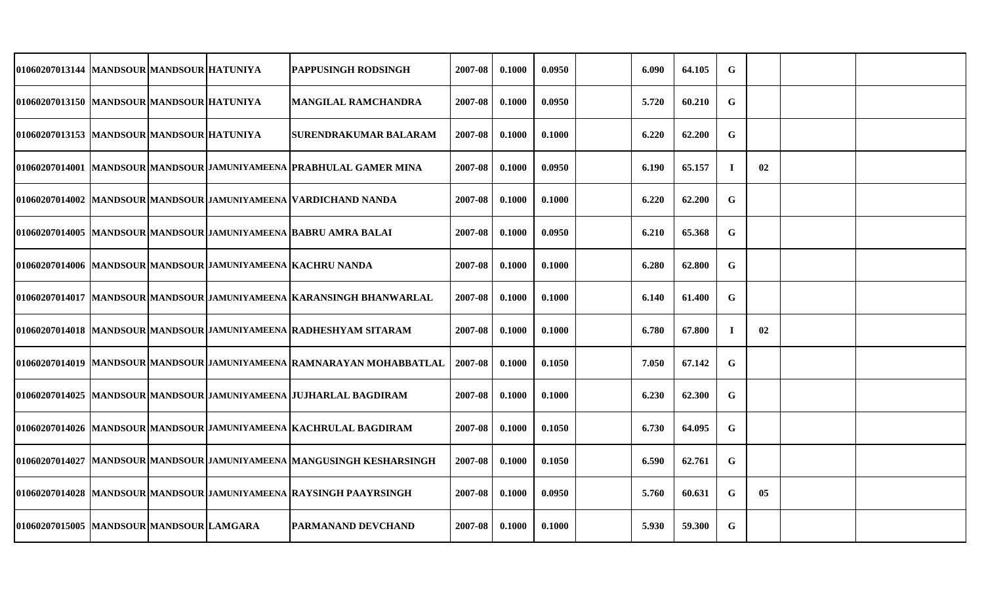| 01060207013144 MANDSOUR MANDSOUR HATUNIYA   |  | PAPPUSINGH RODSINGH                                                     | 2007-08 | 0.1000 | 0.0950 | 6.090 | 64.105 | G           |    |  |
|---------------------------------------------|--|-------------------------------------------------------------------------|---------|--------|--------|-------|--------|-------------|----|--|
| 01060207013150   MANDSOUR MANDSOUR HATUNIYA |  | <b>MANGILAL RAMCHANDRA</b>                                              | 2007-08 | 0.1000 | 0.0950 | 5.720 | 60.210 | G           |    |  |
| 01060207013153 MANDSOUR MANDSOUR HATUNIYA   |  | <b>SURENDRAKUMAR BALARAM</b>                                            | 2007-08 | 0.1000 | 0.1000 | 6.220 | 62.200 | $\mathbf G$ |    |  |
|                                             |  | 01060207014001 MANDSOUR MANDSOUR JAMUNIYAMEENA PRABHULAL GAMER MINA     | 2007-08 | 0.1000 | 0.0950 | 6.190 | 65.157 | $\bf{I}$    | 02 |  |
|                                             |  | 01060207014002 MANDSOUR MANDSOUR JAMUNIYAMEENA VARDICHAND NANDA         | 2007-08 | 0.1000 | 0.1000 | 6.220 | 62.200 | $\mathbf G$ |    |  |
|                                             |  | 01060207014005  MANDSOUR MANDSOUR JAMUNIYAMEENA  BABRU AMRA BALAI       | 2007-08 | 0.1000 | 0.0950 | 6.210 | 65.368 | G           |    |  |
|                                             |  | 01060207014006 MANDSOUR MANDSOUR JAMUNIYAMEENA KACHRU NANDA             | 2007-08 | 0.1000 | 0.1000 | 6.280 | 62.800 | G           |    |  |
|                                             |  | 01060207014017 MANDSOUR MANDSOUR JAMUNIYAMEENA KARANSINGH BHANWARLAL    | 2007-08 | 0.1000 | 0.1000 | 6.140 | 61.400 | G           |    |  |
|                                             |  | 01060207014018 MANDSOUR MANDSOUR JAMUNIYAMEENA RADHESHYAM SITARAM       | 2007-08 | 0.1000 | 0.1000 | 6.780 | 67.800 | $\mathbf I$ | 02 |  |
|                                             |  | 01060207014019  MANDSOUR MANDSOUR JAMUNIYAMEENA  RAMNARAYAN MOHABBATLAL | 2007-08 | 0.1000 | 0.1050 | 7.050 | 67.142 | G           |    |  |
|                                             |  | 01060207014025  MANDSOUR MANDSOUR JAMUNIYAMEENA  JUJHARLAL BAGDIRAM     | 2007-08 | 0.1000 | 0.1000 | 6.230 | 62.300 | G           |    |  |
|                                             |  | 01060207014026 MANDSOUR MANDSOUR JAMUNIYAMEENA KACHRULAL BAGDIRAM       | 2007-08 | 0.1000 | 0.1050 | 6.730 | 64.095 | G           |    |  |
|                                             |  | 01060207014027 MANDSOUR MANDSOUR JAMUNIYAMEENA MANGUSINGH KESHARSINGH   | 2007-08 | 0.1000 | 0.1050 | 6.590 | 62.761 | G           |    |  |
|                                             |  | 01060207014028  MANDSOUR MANDSOUR JAMUNIYAMEENA  RAYSINGH PAAYRSINGH    | 2007-08 | 0.1000 | 0.0950 | 5.760 | 60.631 | G           | 05 |  |
| 01060207015005 MANDSOUR MANDSOUR LAMGARA    |  | IPARMANAND DEVCHAND                                                     | 2007-08 | 0.1000 | 0.1000 | 5.930 | 59.300 | G           |    |  |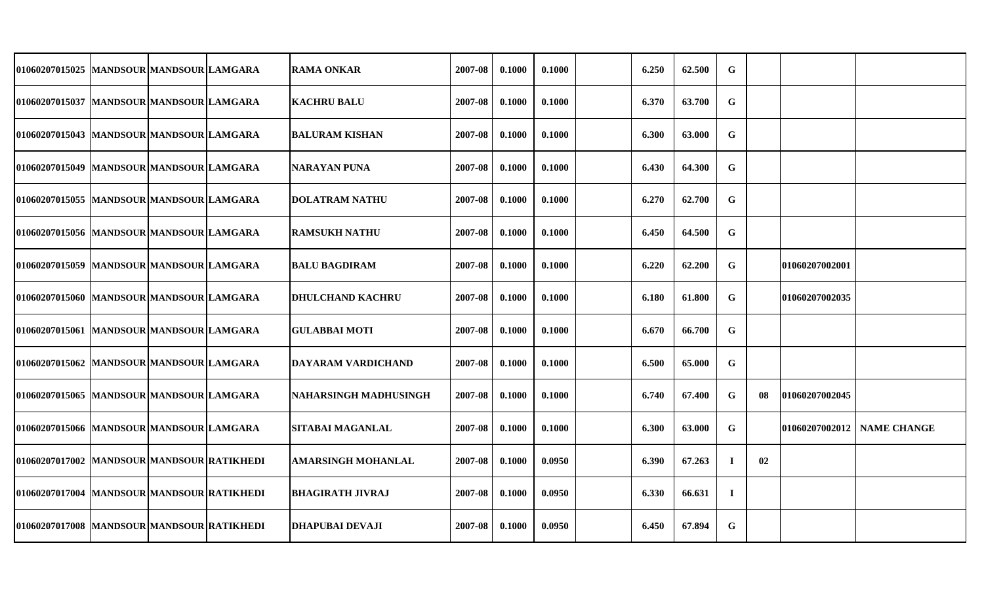| 01060207015025  MANDSOUR MANDSOUR LAMGARA  |  | RAMA ONKAR                | 2007-08 | 0.1000 | 0.1000 | 6.250 | 62.500 | $\mathbf G$ |     |                |                    |
|--------------------------------------------|--|---------------------------|---------|--------|--------|-------|--------|-------------|-----|----------------|--------------------|
| 01060207015037  MANDSOUR MANDSOUR LAMGARA  |  | <b>KACHRU BALU</b>        | 2007-08 | 0.1000 | 0.1000 | 6.370 | 63.700 | $\mathbf G$ |     |                |                    |
| 01060207015043  MANDSOUR MANDSOUR LAMGARA  |  | <b>BALURAM KISHAN</b>     | 2007-08 | 0.1000 | 0.1000 | 6.300 | 63.000 | G           |     |                |                    |
| 01060207015049  MANDSOUR MANDSOUR LAMGARA  |  | <b>NARAYAN PUNA</b>       | 2007-08 | 0.1000 | 0.1000 | 6.430 | 64.300 | $\mathbf G$ |     |                |                    |
| 01060207015055 MANDSOUR MANDSOUR LAMGARA   |  | <b>DOLATRAM NATHU</b>     | 2007-08 | 0.1000 | 0.1000 | 6.270 | 62.700 | $\mathbf G$ |     |                |                    |
| 01060207015056 MANDSOUR MANDSOUR LAMGARA   |  | RAMSUKH NATHU             | 2007-08 | 0.1000 | 0.1000 | 6.450 | 64.500 | $\mathbf G$ |     |                |                    |
| 01060207015059 MANDSOUR MANDSOUR LAMGARA   |  | <b>BALU BAGDIRAM</b>      | 2007-08 | 0.1000 | 0.1000 | 6.220 | 62.200 | G           |     | 01060207002001 |                    |
| 01060207015060 MANDSOUR MANDSOUR LAMGARA   |  | <b>DHULCHAND KACHRU</b>   | 2007-08 | 0.1000 | 0.1000 | 6.180 | 61.800 | G           |     | 01060207002035 |                    |
| 01060207015061 MANDSOUR MANDSOUR LAMGARA   |  | <b>GULABBAI MOTI</b>      | 2007-08 | 0.1000 | 0.1000 | 6.670 | 66.700 | G           |     |                |                    |
| 01060207015062 MANDSOUR MANDSOUR LAMGARA   |  | DAYARAM VARDICHAND        | 2007-08 | 0.1000 | 0.1000 | 6.500 | 65.000 | $\mathbf G$ |     |                |                    |
| 01060207015065 MANDSOUR MANDSOUR LAMGARA   |  | NAHARSINGH MADHUSINGH     | 2007-08 | 0.1000 | 0.1000 | 6.740 | 67.400 | $\mathbf G$ | -08 | 01060207002045 |                    |
| 01060207015066  MANDSOUR MANDSOUR LAMGARA  |  | SITABAI MAGANLAL          | 2007-08 | 0.1000 | 0.1000 | 6.300 | 63.000 | G           |     | 01060207002012 | <b>NAME CHANGE</b> |
| 01060207017002 MANDSOUR MANDSOUR RATIKHEDI |  | <b>AMARSINGH MOHANLAL</b> | 2007-08 | 0.1000 | 0.0950 | 6.390 | 67.263 | $\bf I$     | 02  |                |                    |
| 01060207017004 MANDSOUR MANDSOUR RATIKHEDI |  | <b>BHAGIRATH JIVRAJ</b>   | 2007-08 | 0.1000 | 0.0950 | 6.330 | 66.631 | $\bf{I}$    |     |                |                    |
| 01060207017008 MANDSOUR MANDSOUR RATIKHEDI |  | <b>DHAPUBAI DEVAJI</b>    | 2007-08 | 0.1000 | 0.0950 | 6.450 | 67.894 | G           |     |                |                    |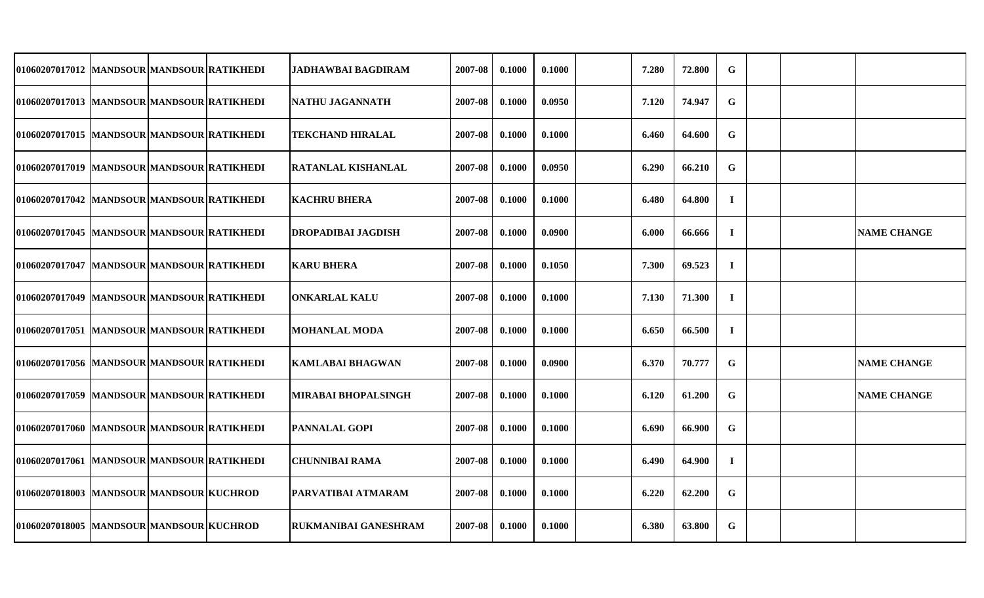| 01060207017012 MANDSOUR MANDSOUR RATIKHEDI  |  | <b>JADHAWBAI BAGDIRAM</b>   | 2007-08 | 0.1000 | 0.1000 | 7.280 | 72.800 | G           |  |                    |
|---------------------------------------------|--|-----------------------------|---------|--------|--------|-------|--------|-------------|--|--------------------|
| 01060207017013 MANDSOUR MANDSOUR RATIKHEDI  |  | NATHU JAGANNATH             | 2007-08 | 0.1000 | 0.0950 | 7.120 | 74.947 | $\mathbf G$ |  |                    |
| 01060207017015 MANDSOUR MANDSOUR RATIKHEDI  |  | <b>TEKCHAND HIRALAL</b>     | 2007-08 | 0.1000 | 0.1000 | 6.460 | 64.600 | G           |  |                    |
| 01060207017019 MANDSOUR MANDSOUR RATIKHEDI  |  | RATANLAL KISHANLAL          | 2007-08 | 0.1000 | 0.0950 | 6.290 | 66.210 | G           |  |                    |
| 01060207017042  MANDSOUR MANDSOUR RATIKHEDI |  | <b>KACHRU BHERA</b>         | 2007-08 | 0.1000 | 0.1000 | 6.480 | 64.800 | $\bf{I}$    |  |                    |
| 01060207017045  MANDSOUR MANDSOUR RATIKHEDI |  | DROPADIBAI JAGDISH          | 2007-08 | 0.1000 | 0.0900 | 6.000 | 66.666 | $\bf{I}$    |  | <b>NAME CHANGE</b> |
| 01060207017047  MANDSOUR MANDSOUR RATIKHEDI |  | <b>KARU BHERA</b>           | 2007-08 | 0.1000 | 0.1050 | 7.300 | 69.523 | $\mathbf I$ |  |                    |
| 01060207017049 MANDSOUR MANDSOUR RATIKHEDI  |  | <b>ONKARLAL KALU</b>        | 2007-08 | 0.1000 | 0.1000 | 7.130 | 71.300 | $\bf{I}$    |  |                    |
| 01060207017051 MANDSOUR MANDSOUR RATIKHEDI  |  | MOHANLAL MODA               | 2007-08 | 0.1000 | 0.1000 | 6.650 | 66.500 | $\bf{I}$    |  |                    |
| 01060207017056 MANDSOUR MANDSOUR RATIKHEDI  |  | KAMLABAI BHAGWAN            | 2007-08 | 0.1000 | 0.0900 | 6.370 | 70.777 | G           |  | <b>NAME CHANGE</b> |
| 01060207017059 MANDSOUR MANDSOUR RATIKHEDI  |  | MIRABAI BHOPALSINGH         | 2007-08 | 0.1000 | 0.1000 | 6.120 | 61.200 | G           |  | <b>NAME CHANGE</b> |
| 01060207017060 MANDSOUR MANDSOUR RATIKHEDI  |  | <b>PANNALAL GOPI</b>        | 2007-08 | 0.1000 | 0.1000 | 6.690 | 66.900 | G           |  |                    |
| 01060207017061 MANDSOUR MANDSOUR RATIKHEDI  |  | CHUNNIBAI RAMA              | 2007-08 | 0.1000 | 0.1000 | 6.490 | 64.900 | $\bf{I}$    |  |                    |
| 01060207018003 MANDSOUR MANDSOUR KUCHROD    |  | PARVATIBAI ATMARAM          | 2007-08 | 0.1000 | 0.1000 | 6.220 | 62.200 | G           |  |                    |
| 01060207018005 MANDSOUR MANDSOUR KUCHROD    |  | <b>RUKMANIBAI GANESHRAM</b> | 2007-08 | 0.1000 | 0.1000 | 6.380 | 63.800 | G           |  |                    |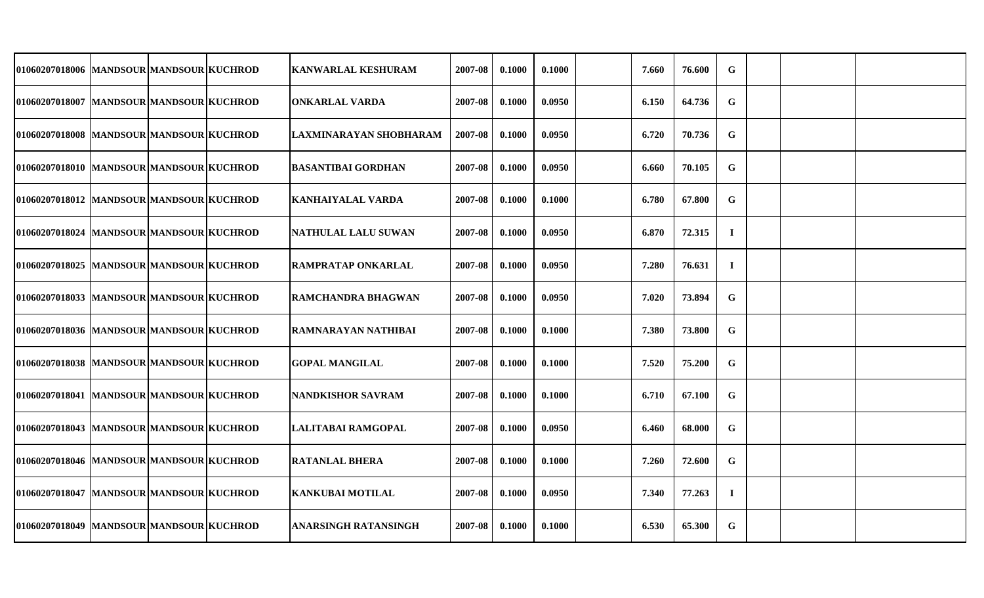| 01060207018006 MANDSOUR MANDSOUR KUCHROD  |  | <b>KANWARLAL KESHURAM</b>   | 2007-08 | 0.1000 | 0.1000 | 7.660 | 76.600 | $\mathbf G$ |  |  |
|-------------------------------------------|--|-----------------------------|---------|--------|--------|-------|--------|-------------|--|--|
| 01060207018007 MANDSOUR MANDSOUR KUCHROD  |  | <b>ONKARLAL VARDA</b>       | 2007-08 | 0.1000 | 0.0950 | 6.150 | 64.736 | $\mathbf G$ |  |  |
| 01060207018008 MANDSOUR MANDSOUR KUCHROD  |  | LAXMINARAYAN SHOBHARAM      | 2007-08 | 0.1000 | 0.0950 | 6.720 | 70.736 | G           |  |  |
| 01060207018010 MANDSOUR MANDSOUR KUCHROD  |  | <b>BASANTIBAI GORDHAN</b>   | 2007-08 | 0.1000 | 0.0950 | 6.660 | 70.105 | G           |  |  |
| 01060207018012  MANDSOUR MANDSOUR KUCHROD |  | KANHAIYALAL VARDA           | 2007-08 | 0.1000 | 0.1000 | 6.780 | 67.800 | $\mathbf G$ |  |  |
| 01060207018024 MANDSOUR MANDSOUR KUCHROD  |  | NATHULAL LALU SUWAN         | 2007-08 | 0.1000 | 0.0950 | 6.870 | 72.315 | $\bf{I}$    |  |  |
| 01060207018025 MANDSOUR MANDSOUR KUCHROD  |  | <b>RAMPRATAP ONKARLAL</b>   | 2007-08 | 0.1000 | 0.0950 | 7.280 | 76.631 | $\bf{I}$    |  |  |
| 01060207018033  MANDSOUR MANDSOUR KUCHROD |  | <b>RAMCHANDRA BHAGWAN</b>   | 2007-08 | 0.1000 | 0.0950 | 7.020 | 73.894 | G           |  |  |
| 01060207018036 MANDSOUR MANDSOUR KUCHROD  |  | RAMNARAYAN NATHIBAI         | 2007-08 | 0.1000 | 0.1000 | 7.380 | 73.800 | $\mathbf G$ |  |  |
| 01060207018038 MANDSOUR MANDSOUR KUCHROD  |  | <b>GOPAL MANGILAL</b>       | 2007-08 | 0.1000 | 0.1000 | 7.520 | 75.200 | $\mathbf G$ |  |  |
| 01060207018041 MANDSOUR MANDSOUR KUCHROD  |  | NANDKISHOR SAVRAM           | 2007-08 | 0.1000 | 0.1000 | 6.710 | 67.100 | G           |  |  |
| 01060207018043  MANDSOUR MANDSOUR KUCHROD |  | LALITABAI RAMGOPAL          | 2007-08 | 0.1000 | 0.0950 | 6.460 | 68.000 | $\mathbf G$ |  |  |
| 01060207018046 MANDSOUR MANDSOUR KUCHROD  |  | <b>RATANLAL BHERA</b>       | 2007-08 | 0.1000 | 0.1000 | 7.260 | 72.600 | G           |  |  |
| 01060207018047 MANDSOUR MANDSOUR KUCHROD  |  | <b>KANKUBAI MOTILAL</b>     | 2007-08 | 0.1000 | 0.0950 | 7.340 | 77.263 | $\mathbf I$ |  |  |
| 01060207018049 MANDSOUR MANDSOUR KUCHROD  |  | <b>ANARSINGH RATANSINGH</b> | 2007-08 | 0.1000 | 0.1000 | 6.530 | 65.300 | $\mathbf G$ |  |  |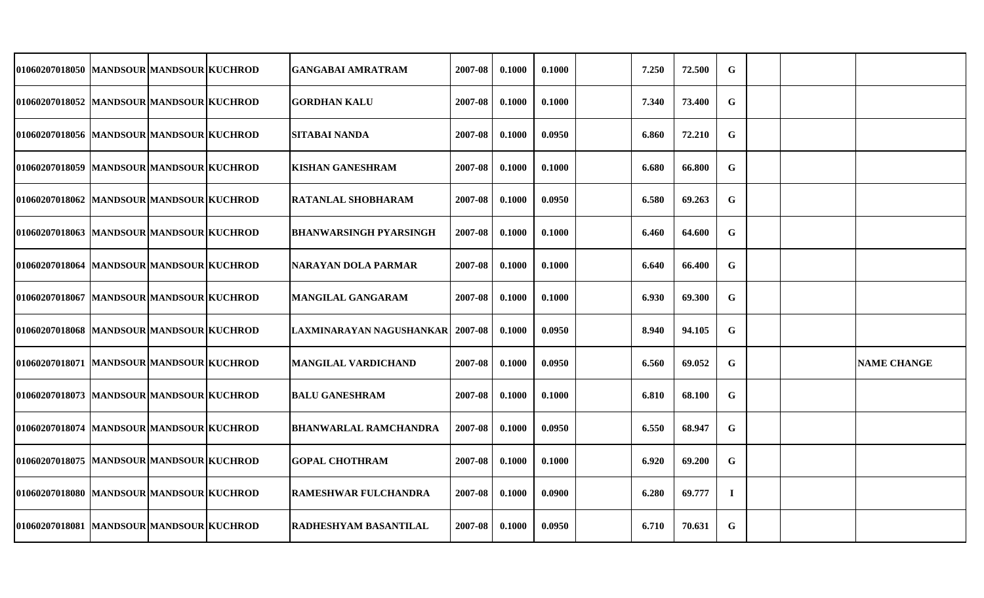| 01060207018050 MANDSOUR MANDSOUR KUCHROD  |  | GANGABAI AMRATRAM                  | 2007-08 | 0.1000 | 0.1000 | 7.250 | 72.500 | $\mathbf G$ |  |                    |
|-------------------------------------------|--|------------------------------------|---------|--------|--------|-------|--------|-------------|--|--------------------|
| 01060207018052 MANDSOUR MANDSOUR KUCHROD  |  | <b>GORDHAN KALU</b>                | 2007-08 | 0.1000 | 0.1000 | 7.340 | 73.400 | G           |  |                    |
| 01060207018056 MANDSOUR MANDSOUR KUCHROD  |  | ISITABAI NANDA                     | 2007-08 | 0.1000 | 0.0950 | 6.860 | 72.210 | G           |  |                    |
| 01060207018059 MANDSOUR MANDSOUR KUCHROD  |  | <b>KISHAN GANESHRAM</b>            | 2007-08 | 0.1000 | 0.1000 | 6.680 | 66.800 | $\mathbf G$ |  |                    |
| 01060207018062 MANDSOUR MANDSOUR KUCHROD  |  | <b>RATANLAL SHOBHARAM</b>          | 2007-08 | 0.1000 | 0.0950 | 6.580 | 69.263 | $\mathbf G$ |  |                    |
| 01060207018063 MANDSOUR MANDSOUR KUCHROD  |  | BHANWARSINGH PYARSINGH             | 2007-08 | 0.1000 | 0.1000 | 6.460 | 64.600 | G           |  |                    |
| 01060207018064 MANDSOUR MANDSOUR KUCHROD  |  | NARAYAN DOLA PARMAR                | 2007-08 | 0.1000 | 0.1000 | 6.640 | 66.400 | $\mathbf G$ |  |                    |
| 01060207018067  MANDSOUR MANDSOUR KUCHROD |  | MANGILAL GANGARAM                  | 2007-08 | 0.1000 | 0.1000 | 6.930 | 69.300 | $\mathbf G$ |  |                    |
| 01060207018068  MANDSOUR MANDSOUR KUCHROD |  | LAXMINARAYAN NAGUSHANKAR   2007-08 |         | 0.1000 | 0.0950 | 8.940 | 94.105 | $\mathbf G$ |  |                    |
| 01060207018071  MANDSOUR MANDSOUR KUCHROD |  | MANGILAL VARDICHAND                | 2007-08 | 0.1000 | 0.0950 | 6.560 | 69.052 | $\mathbf G$ |  | <b>NAME CHANGE</b> |
| 01060207018073 MANDSOUR MANDSOUR KUCHROD  |  | <b>BALU GANESHRAM</b>              | 2007-08 | 0.1000 | 0.1000 | 6.810 | 68.100 | $\mathbf G$ |  |                    |
| 01060207018074  MANDSOUR MANDSOUR KUCHROD |  | <b>BHANWARLAL RAMCHANDRA</b>       | 2007-08 | 0.1000 | 0.0950 | 6.550 | 68.947 | $\mathbf G$ |  |                    |
| 01060207018075  MANDSOUR MANDSOUR KUCHROD |  | <b>GOPAL CHOTHRAM</b>              | 2007-08 | 0.1000 | 0.1000 | 6.920 | 69.200 | G           |  |                    |
| 01060207018080 MANDSOUR MANDSOUR KUCHROD  |  | <b>RAMESHWAR FULCHANDRA</b>        | 2007-08 | 0.1000 | 0.0900 | 6.280 | 69.777 | $\mathbf I$ |  |                    |
| 01060207018081 MANDSOUR MANDSOUR KUCHROD  |  | IRADHESHYAM BASANTILAL             | 2007-08 | 0.1000 | 0.0950 | 6.710 | 70.631 | G           |  |                    |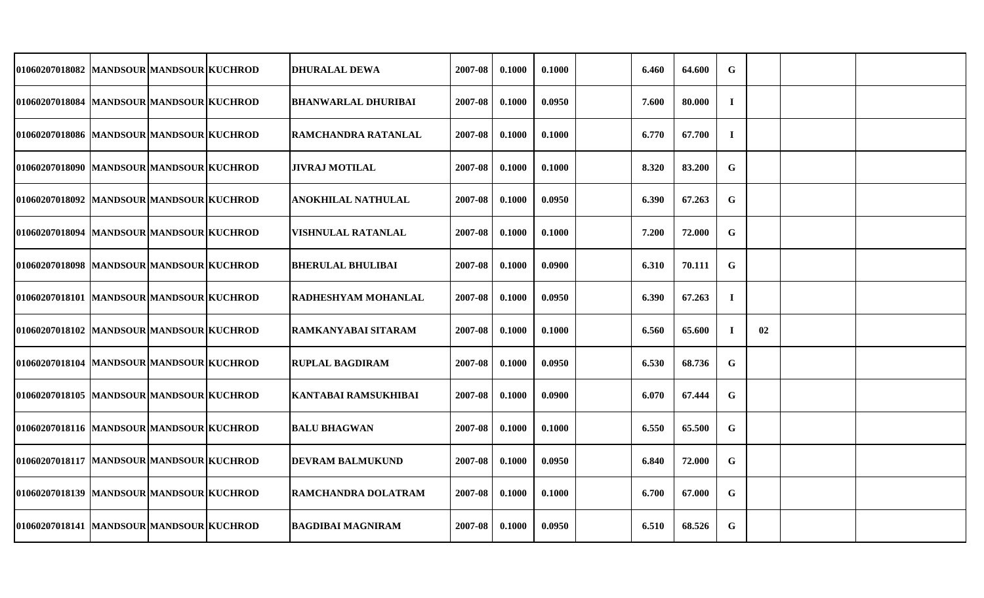| 01060207018082  MANDSOUR MANDSOUR KUCHROD    |  | DHURALAL DEWA              | 2007-08 | 0.1000 | 0.1000 | 6.460 | 64.600 | $\mathbf G$ |    |  |
|----------------------------------------------|--|----------------------------|---------|--------|--------|-------|--------|-------------|----|--|
| 01060207018084  MANDSOUR MANDSOUR KUCHROD    |  | <b>BHANWARLAL DHURIBAI</b> | 2007-08 | 0.1000 | 0.0950 | 7.600 | 80.000 | $\bf{I}$    |    |  |
| 01060207018086 MANDSOUR MANDSOUR KUCHROD     |  | <b>RAMCHANDRA RATANLAL</b> | 2007-08 | 0.1000 | 0.1000 | 6.770 | 67.700 | $\bf{I}$    |    |  |
| 01060207018090 MANDSOUR MANDSOUR KUCHROD     |  | JIVRAJ MOTILAL             | 2007-08 | 0.1000 | 0.1000 | 8.320 | 83.200 | $\mathbf G$ |    |  |
| 01060207018092 MANDSOUR MANDSOUR KUCHROD     |  | ANOKHILAL NATHULAL         | 2007-08 | 0.1000 | 0.0950 | 6.390 | 67.263 | G           |    |  |
| 01060207018094   MANDSOUR   MANDSOUR KUCHROD |  | VISHNULAL RATANLAL         | 2007-08 | 0.1000 | 0.1000 | 7.200 | 72.000 | G           |    |  |
| 01060207018098  MANDSOUR MANDSOUR KUCHROD    |  | <b>BHERULAL BHULIBAI</b>   | 2007-08 | 0.1000 | 0.0900 | 6.310 | 70.111 | G           |    |  |
| 01060207018101  MANDSOUR MANDSOUR KUCHROD    |  | <b>RADHESHYAM MOHANLAL</b> | 2007-08 | 0.1000 | 0.0950 | 6.390 | 67.263 | $\bf{I}$    |    |  |
| 01060207018102  MANDSOUR MANDSOUR KUCHROD    |  | IRAMKANYABAI SITARAM       | 2007-08 | 0.1000 | 0.1000 | 6.560 | 65.600 | $\bf{I}$    | 02 |  |
| 01060207018104  MANDSOUR MANDSOUR KUCHROD    |  | <b>RUPLAL BAGDIRAM</b>     | 2007-08 | 0.1000 | 0.0950 | 6.530 | 68.736 | $\mathbf G$ |    |  |
| 01060207018105  MANDSOUR MANDSOUR KUCHROD    |  | KANTABAI RAMSUKHIBAI       | 2007-08 | 0.1000 | 0.0900 | 6.070 | 67.444 | G           |    |  |
| 01060207018116  MANDSOUR MANDSOUR KUCHROD    |  | <b>BALU BHAGWAN</b>        | 2007-08 | 0.1000 | 0.1000 | 6.550 | 65.500 | G           |    |  |
| 01060207018117  MANDSOUR MANDSOUR KUCHROD    |  | <b>DEVRAM BALMUKUND</b>    | 2007-08 | 0.1000 | 0.0950 | 6.840 | 72.000 | G           |    |  |
| 01060207018139  MANDSOUR MANDSOUR KUCHROD    |  | RAMCHANDRA DOLATRAM        | 2007-08 | 0.1000 | 0.1000 | 6.700 | 67.000 | G           |    |  |
| 01060207018141 MANDSOUR MANDSOUR KUCHROD     |  | BAGDIBAI MAGNIRAM          | 2007-08 | 0.1000 | 0.0950 | 6.510 | 68.526 | G           |    |  |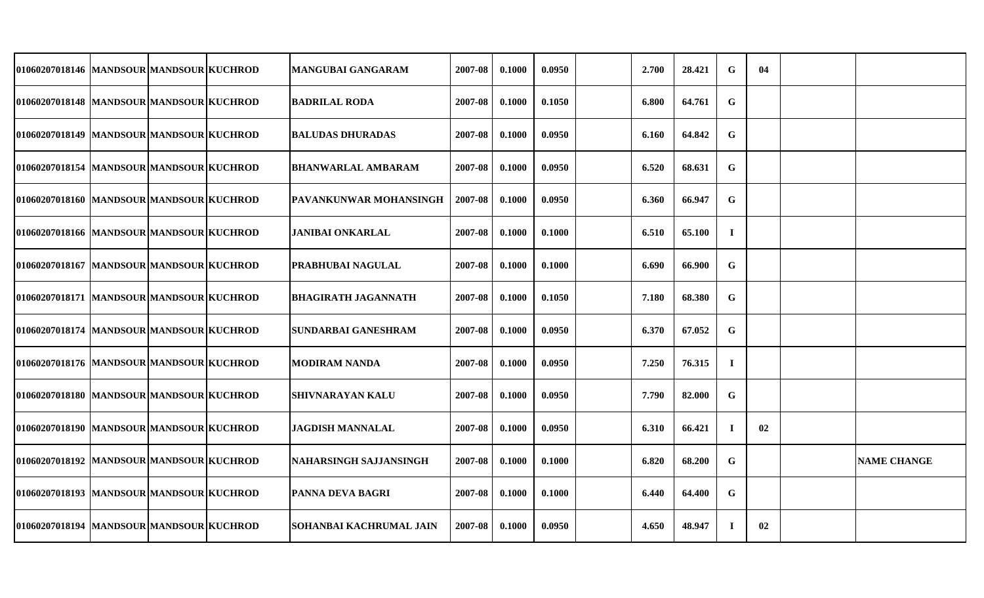| 01060207018146  MANDSOUR MANDSOUR KUCHROD |  | MANGUBAI GANGARAM             | 2007-08 | 0.1000 | 0.0950 | 2.700 | 28.421 | $\mathbf G$ | 04 |                    |
|-------------------------------------------|--|-------------------------------|---------|--------|--------|-------|--------|-------------|----|--------------------|
| 01060207018148  MANDSOUR MANDSOUR KUCHROD |  | <b>BADRILAL RODA</b>          | 2007-08 | 0.1000 | 0.1050 | 6.800 | 64.761 | G           |    |                    |
| 01060207018149 MANDSOUR MANDSOUR KUCHROD  |  | <b>BALUDAS DHURADAS</b>       | 2007-08 | 0.1000 | 0.0950 | 6.160 | 64.842 | G           |    |                    |
| 01060207018154 MANDSOUR MANDSOUR KUCHROD  |  | <b>BHANWARLAL AMBARAM</b>     | 2007-08 | 0.1000 | 0.0950 | 6.520 | 68.631 | G           |    |                    |
| 01060207018160 MANDSOUR MANDSOUR KUCHROD  |  | <b>PAVANKUNWAR MOHANSINGH</b> | 2007-08 | 0.1000 | 0.0950 | 6.360 | 66.947 | G           |    |                    |
| 01060207018166 MANDSOUR MANDSOUR KUCHROD  |  | JANIBAI ONKARLAL              | 2007-08 | 0.1000 | 0.1000 | 6.510 | 65.100 | $\bf{I}$    |    |                    |
| 01060207018167  MANDSOUR MANDSOUR KUCHROD |  | PRABHUBAI NAGULAL             | 2007-08 | 0.1000 | 0.1000 | 6.690 | 66.900 | G           |    |                    |
| 01060207018171 MANDSOUR MANDSOUR KUCHROD  |  | <b>BHAGIRATH JAGANNATH</b>    | 2007-08 | 0.1000 | 0.1050 | 7.180 | 68.380 | G           |    |                    |
| 01060207018174  MANDSOUR MANDSOUR KUCHROD |  | SUNDARBAI GANESHRAM           | 2007-08 | 0.1000 | 0.0950 | 6.370 | 67.052 | G           |    |                    |
| 01060207018176  MANDSOUR MANDSOUR KUCHROD |  | MODIRAM NANDA                 | 2007-08 | 0.1000 | 0.0950 | 7.250 | 76.315 | $\bf{I}$    |    |                    |
| 01060207018180 MANDSOUR MANDSOUR KUCHROD  |  | <b>SHIVNARAYAN KALU</b>       | 2007-08 | 0.1000 | 0.0950 | 7.790 | 82.000 | G           |    |                    |
| 01060207018190 MANDSOUR MANDSOUR KUCHROD  |  | <b>JAGDISH MANNALAL</b>       | 2007-08 | 0.1000 | 0.0950 | 6.310 | 66.421 | $\mathbf I$ | 02 |                    |
| 01060207018192 MANDSOUR MANDSOUR KUCHROD  |  | NAHARSINGH SAJJANSINGH        | 2007-08 | 0.1000 | 0.1000 | 6.820 | 68.200 | G           |    | <b>NAME CHANGE</b> |
| 01060207018193 MANDSOUR MANDSOUR KUCHROD  |  | PANNA DEVA BAGRI              | 2007-08 | 0.1000 | 0.1000 | 6.440 | 64.400 | G           |    |                    |
| 01060207018194 MANDSOUR MANDSOUR KUCHROD  |  | SOHANBAI KACHRUMAL JAIN       | 2007-08 | 0.1000 | 0.0950 | 4.650 | 48.947 | $\bf{I}$    | 02 |                    |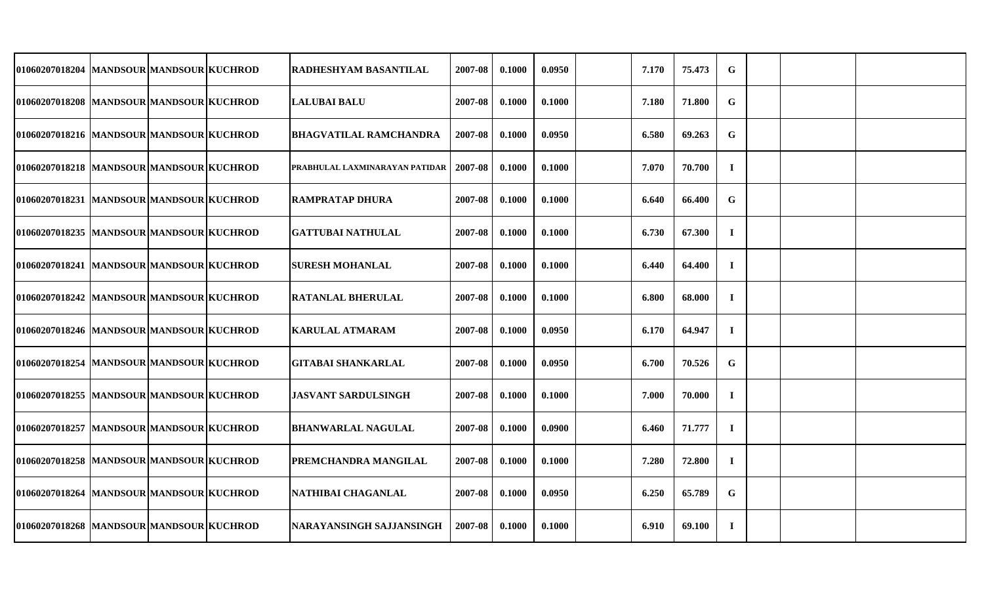| 01060207018204   MANDSOUR   MANDSOUR KUCHROD |  | RADHESHYAM BASANTILAL           | 2007-08 | 0.1000 | 0.0950 | 7.170 | 75.473 | G           |  |  |
|----------------------------------------------|--|---------------------------------|---------|--------|--------|-------|--------|-------------|--|--|
| 01060207018208  MANDSOUR MANDSOUR KUCHROD    |  | <b>LALUBAI BALU</b>             | 2007-08 | 0.1000 | 0.1000 | 7.180 | 71.800 | $\mathbf G$ |  |  |
| 01060207018216  MANDSOUR MANDSOUR KUCHROD    |  | <b>BHAGVATILAL RAMCHANDRA</b>   | 2007-08 | 0.1000 | 0.0950 | 6.580 | 69.263 | G           |  |  |
| 01060207018218 MANDSOUR MANDSOUR KUCHROD     |  | PRABHULAL LAXMINARAYAN PATIDAR  | 2007-08 | 0.1000 | 0.1000 | 7.070 | 70.700 | $\mathbf I$ |  |  |
| 01060207018231 MANDSOUR MANDSOUR KUCHROD     |  | <b>RAMPRATAP DHURA</b>          | 2007-08 | 0.1000 | 0.1000 | 6.640 | 66.400 | G           |  |  |
| 01060207018235 MANDSOUR MANDSOUR KUCHROD     |  | <b>GATTUBAI NATHULAL</b>        | 2007-08 | 0.1000 | 0.1000 | 6.730 | 67.300 | $\mathbf I$ |  |  |
| 01060207018241  MANDSOUR MANDSOUR KUCHROD    |  | <b>SURESH MOHANLAL</b>          | 2007-08 | 0.1000 | 0.1000 | 6.440 | 64.400 | $\bf I$     |  |  |
| 01060207018242  MANDSOUR MANDSOUR KUCHROD    |  | <b>RATANLAL BHERULAL</b>        | 2007-08 | 0.1000 | 0.1000 | 6.800 | 68.000 | $\bf{I}$    |  |  |
| 01060207018246  MANDSOUR MANDSOUR KUCHROD    |  | <b>KARULAL ATMARAM</b>          | 2007-08 | 0.1000 | 0.0950 | 6.170 | 64.947 | $\bf{I}$    |  |  |
| 01060207018254  MANDSOUR MANDSOUR KUCHROD    |  | <b>GITABAI SHANKARLAL</b>       | 2007-08 | 0.1000 | 0.0950 | 6.700 | 70.526 | $\mathbf G$ |  |  |
| 01060207018255 MANDSOUR MANDSOUR KUCHROD     |  | JASVANT SARDULSINGH             | 2007-08 | 0.1000 | 0.1000 | 7.000 | 70.000 | $\bf{I}$    |  |  |
| 01060207018257 MANDSOUR MANDSOUR KUCHROD     |  | <b>BHANWARLAL NAGULAL</b>       | 2007-08 | 0.1000 | 0.0900 | 6.460 | 71.777 | $\mathbf I$ |  |  |
| 01060207018258  MANDSOUR MANDSOUR KUCHROD    |  | PREMCHANDRA MANGILAL            | 2007-08 | 0.1000 | 0.1000 | 7.280 | 72.800 | $\bf{I}$    |  |  |
| 01060207018264  MANDSOUR MANDSOUR KUCHROD    |  | NATHIBAI CHAGANLAL              | 2007-08 | 0.1000 | 0.0950 | 6.250 | 65.789 | G           |  |  |
| 01060207018268 MANDSOUR MANDSOUR KUCHROD     |  | <b>NARAYANSINGH SAJJANSINGH</b> | 2007-08 | 0.1000 | 0.1000 | 6.910 | 69.100 | $\bf{I}$    |  |  |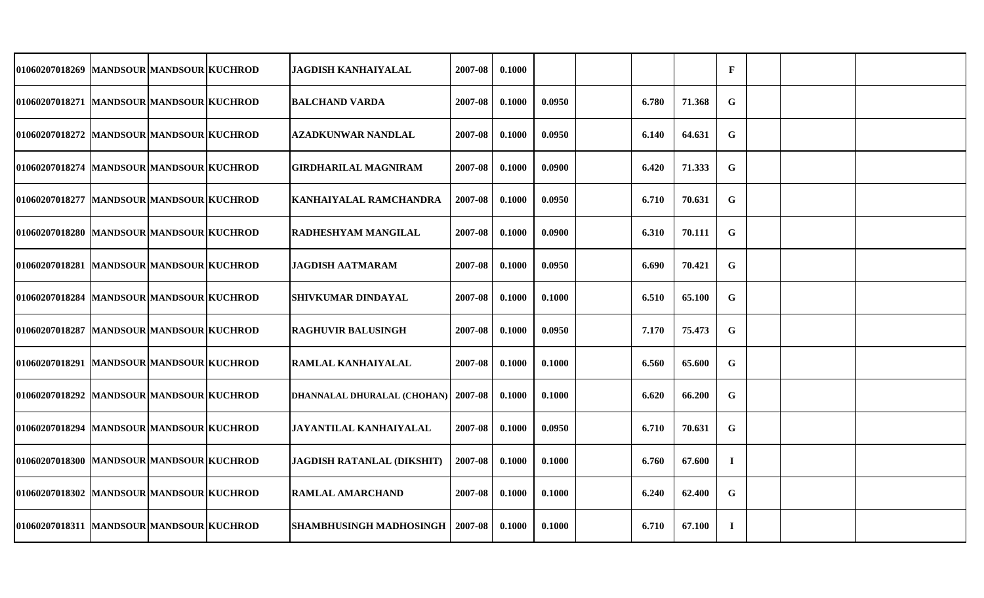| 01060207018269 MANDSOUR MANDSOUR KUCHROD  |  | <b>JAGDISH KANHAIYALAL</b>               | 2007-08 | 0.1000 |        |       |        | $\mathbf{F}$ |  |  |
|-------------------------------------------|--|------------------------------------------|---------|--------|--------|-------|--------|--------------|--|--|
| 01060207018271 MANDSOUR MANDSOUR KUCHROD  |  | <b>BALCHAND VARDA</b>                    | 2007-08 | 0.1000 | 0.0950 | 6.780 | 71.368 | $\mathbf G$  |  |  |
| 01060207018272 MANDSOUR MANDSOUR KUCHROD  |  | <b>AZADKUNWAR NANDLAL</b>                | 2007-08 | 0.1000 | 0.0950 | 6.140 | 64.631 | $\mathbf G$  |  |  |
| 01060207018274  MANDSOUR MANDSOUR KUCHROD |  | <b>GIRDHARILAL MAGNIRAM</b>              | 2007-08 | 0.1000 | 0.0900 | 6.420 | 71.333 | G            |  |  |
| 01060207018277  MANDSOUR MANDSOUR KUCHROD |  | KANHAIYALAL RAMCHANDRA                   | 2007-08 | 0.1000 | 0.0950 | 6.710 | 70.631 | G            |  |  |
| 01060207018280 MANDSOUR MANDSOUR KUCHROD  |  | RADHESHYAM MANGILAL                      | 2007-08 | 0.1000 | 0.0900 | 6.310 | 70.111 | G            |  |  |
| 01060207018281 MANDSOUR MANDSOUR KUCHROD  |  | <b>JAGDISH AATMARAM</b>                  | 2007-08 | 0.1000 | 0.0950 | 6.690 | 70.421 | G            |  |  |
| 01060207018284  MANDSOUR MANDSOUR KUCHROD |  | <b>SHIVKUMAR DINDAYAL</b>                | 2007-08 | 0.1000 | 0.1000 | 6.510 | 65.100 | $\mathbf G$  |  |  |
| 01060207018287  MANDSOUR MANDSOUR KUCHROD |  | RAGHUVIR BALUSINGH                       | 2007-08 | 0.1000 | 0.0950 | 7.170 | 75.473 | $\mathbf G$  |  |  |
| 01060207018291  MANDSOUR MANDSOUR KUCHROD |  | RAMLAL KANHAIYALAL                       | 2007-08 | 0.1000 | 0.1000 | 6.560 | 65.600 | G            |  |  |
| 01060207018292 MANDSOUR MANDSOUR KUCHROD  |  | DHANNALAL DHURALAL (CHOHAN)              | 2007-08 | 0.1000 | 0.1000 | 6.620 | 66.200 | G            |  |  |
| 01060207018294  MANDSOUR MANDSOUR KUCHROD |  | JAYANTILAL KANHAIYALAL                   | 2007-08 | 0.1000 | 0.0950 | 6.710 | 70.631 | G            |  |  |
| 01060207018300 MANDSOUR MANDSOUR KUCHROD  |  | <b>JAGDISH RATANLAL (DIKSHIT)</b>        | 2007-08 | 0.1000 | 0.1000 | 6.760 | 67.600 | $\bf{I}$     |  |  |
| 01060207018302 MANDSOUR MANDSOUR KUCHROD  |  | <b>RAMLAL AMARCHAND</b>                  | 2007-08 | 0.1000 | 0.1000 | 6.240 | 62.400 | G            |  |  |
| 01060207018311 MANDSOUR MANDSOUR KUCHROD  |  | <b>SHAMBHUSINGH MADHOSINGH   2007-08</b> |         | 0.1000 | 0.1000 | 6.710 | 67.100 | $\bf{I}$     |  |  |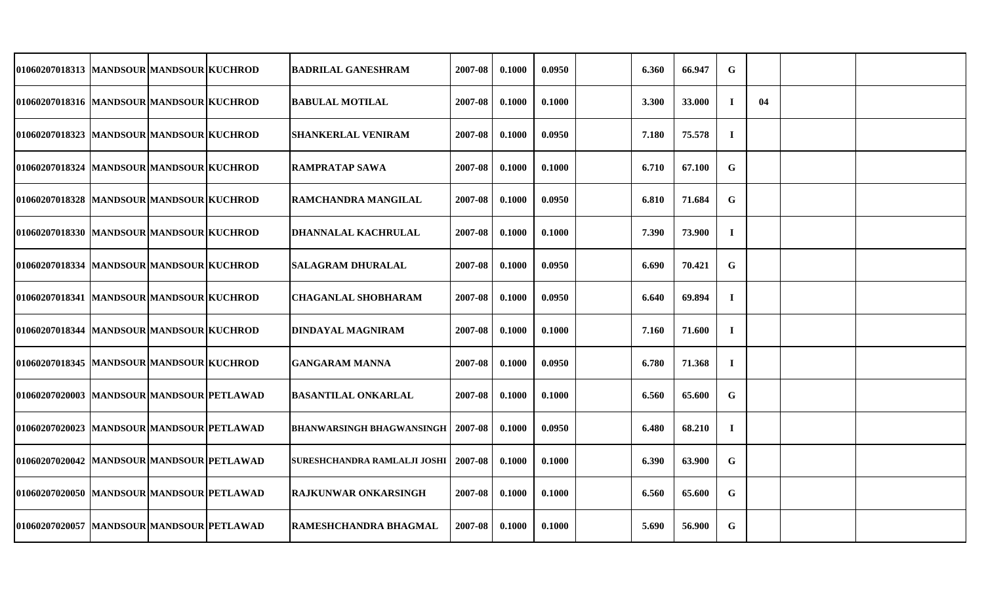| 01060207018313  MANDSOUR MANDSOUR KUCHROD  |  | <b>BADRILAL GANESHRAM</b>        | 2007-08      | 0.1000 | 0.0950 | 6.360 | 66.947 | $\mathbf G$ |    |  |
|--------------------------------------------|--|----------------------------------|--------------|--------|--------|-------|--------|-------------|----|--|
| 01060207018316  MANDSOUR MANDSOUR KUCHROD  |  | <b>BABULAL MOTILAL</b>           | 2007-08      | 0.1000 | 0.1000 | 3.300 | 33.000 | $\bf{I}$    | 04 |  |
| 01060207018323 MANDSOUR MANDSOUR KUCHROD   |  | <b>SHANKERLAL VENIRAM</b>        | 2007-08      | 0.1000 | 0.0950 | 7.180 | 75.578 | $\mathbf I$ |    |  |
| 01060207018324  MANDSOUR MANDSOUR KUCHROD  |  | <b>RAMPRATAP SAWA</b>            | 2007-08      | 0.1000 | 0.1000 | 6.710 | 67.100 | $\mathbf G$ |    |  |
| 01060207018328 MANDSOUR MANDSOUR KUCHROD   |  | <b>RAMCHANDRA MANGILAL</b>       | 2007-08      | 0.1000 | 0.0950 | 6.810 | 71.684 | G           |    |  |
| 01060207018330 MANDSOUR MANDSOUR KUCHROD   |  | <b>DHANNALAL KACHRULAL</b>       | 2007-08      | 0.1000 | 0.1000 | 7.390 | 73.900 | $\bf{I}$    |    |  |
| 01060207018334  MANDSOUR MANDSOUR KUCHROD  |  | <b>SALAGRAM DHURALAL</b>         | 2007-08      | 0.1000 | 0.0950 | 6.690 | 70.421 | G           |    |  |
| 01060207018341  MANDSOUR MANDSOUR KUCHROD  |  | <b>CHAGANLAL SHOBHARAM</b>       | 2007-08      | 0.1000 | 0.0950 | 6.640 | 69.894 | $\mathbf I$ |    |  |
| 01060207018344  MANDSOUR MANDSOUR KUCHROD  |  | DINDAYAL MAGNIRAM                | 2007-08      | 0.1000 | 0.1000 | 7.160 | 71.600 | $\bf{I}$    |    |  |
| 01060207018345  MANDSOUR MANDSOUR KUCHROD  |  | <b>GANGARAM MANNA</b>            | 2007-08      | 0.1000 | 0.0950 | 6.780 | 71.368 | $\bf{I}$    |    |  |
| 01060207020003 MANDSOUR MANDSOUR PETLAWAD  |  | <b>BASANTILAL ONKARLAL</b>       | 2007-08      | 0.1000 | 0.1000 | 6.560 | 65.600 | G           |    |  |
| 01060207020023 MANDSOUR MANDSOUR PETLAWAD  |  | <b>BHANWARSINGH BHAGWANSINGH</b> | $12007 - 08$ | 0.1000 | 0.0950 | 6.480 | 68.210 | $\bf{I}$    |    |  |
| 01060207020042  MANDSOUR MANDSOUR PETLAWAD |  | SURESHCHANDRA RAMLALJI JOSHI     | $12007 - 08$ | 0.1000 | 0.1000 | 6.390 | 63.900 | G           |    |  |
| 01060207020050 MANDSOUR MANDSOUR PETLAWAD  |  | <b>RAJKUNWAR ONKARSINGH</b>      | 2007-08      | 0.1000 | 0.1000 | 6.560 | 65.600 | $\mathbf G$ |    |  |
| 01060207020057  MANDSOUR MANDSOUR PETLAWAD |  | <b>RAMESHCHANDRA BHAGMAL</b>     | 2007-08      | 0.1000 | 0.1000 | 5.690 | 56.900 | $\mathbf G$ |    |  |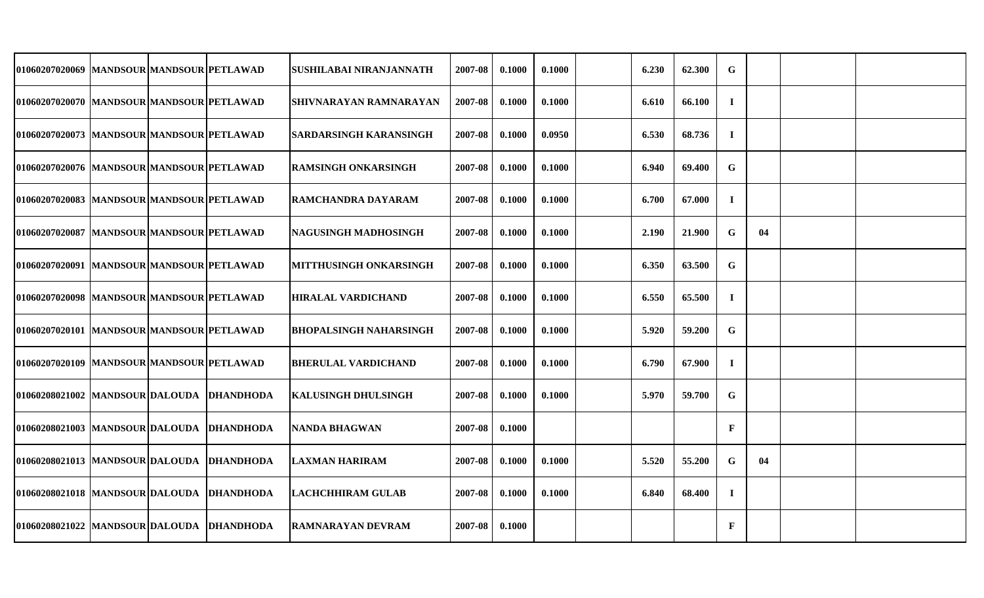| 01060207020069 MANDSOUR MANDSOUR PETLAWAD  |  | SUSHILABAI NIRANJANNATH       | 2007-08 | 0.1000 | 0.1000 | 6.230 | 62.300 | G            |    |  |
|--------------------------------------------|--|-------------------------------|---------|--------|--------|-------|--------|--------------|----|--|
| 01060207020070 MANDSOUR MANDSOUR PETLAWAD  |  | SHIVNARAYAN RAMNARAYAN        | 2007-08 | 0.1000 | 0.1000 | 6.610 | 66.100 | $\mathbf I$  |    |  |
| 01060207020073 MANDSOUR MANDSOUR PETLAWAD  |  | <b>SARDARSINGH KARANSINGH</b> | 2007-08 | 0.1000 | 0.0950 | 6.530 | 68.736 | $\bf{I}$     |    |  |
| 01060207020076 MANDSOUR MANDSOUR PETLAWAD  |  | <b>RAMSINGH ONKARSINGH</b>    | 2007-08 | 0.1000 | 0.1000 | 6.940 | 69.400 | G            |    |  |
| 01060207020083 MANDSOUR MANDSOUR PETLAWAD  |  | RAMCHANDRA DAYARAM            | 2007-08 | 0.1000 | 0.1000 | 6.700 | 67.000 | $\bf{I}$     |    |  |
| 01060207020087 MANDSOUR MANDSOUR PETLAWAD  |  | NAGUSINGH MADHOSINGH          | 2007-08 | 0.1000 | 0.1000 | 2.190 | 21.900 | G            | 04 |  |
| 01060207020091  MANDSOUR MANDSOUR PETLAWAD |  | MITTHUSINGH ONKARSINGH        | 2007-08 | 0.1000 | 0.1000 | 6.350 | 63.500 | $\mathbf G$  |    |  |
| 01060207020098 MANDSOUR MANDSOUR PETLAWAD  |  | <b>HIRALAL VARDICHAND</b>     | 2007-08 | 0.1000 | 0.1000 | 6.550 | 65.500 | $\mathbf I$  |    |  |
| 01060207020101  MANDSOUR MANDSOUR PETLAWAD |  | <b>BHOPALSINGH NAHARSINGH</b> | 2007-08 | 0.1000 | 0.1000 | 5.920 | 59.200 | G            |    |  |
| 01060207020109 MANDSOUR MANDSOUR PETLAWAD  |  | BHERULAL VARDICHAND           | 2007-08 | 0.1000 | 0.1000 | 6.790 | 67.900 | $\mathbf I$  |    |  |
| 01060208021002 MANDSOUR DALOUDA DHANDHODA  |  | KALUSINGH DHULSINGH           | 2007-08 | 0.1000 | 0.1000 | 5.970 | 59.700 | G            |    |  |
| 01060208021003  MANDSOUR DALOUDA DHANDHODA |  | NANDA BHAGWAN                 | 2007-08 | 0.1000 |        |       |        | $\mathbf{F}$ |    |  |
| 01060208021013  MANDSOUR DALOUDA DHANDHODA |  | <b>LAXMAN HARIRAM</b>         | 2007-08 | 0.1000 | 0.1000 | 5.520 | 55.200 | G            | 04 |  |
| 01060208021018 MANDSOUR DALOUDA DHANDHODA  |  | <b>LACHCHHIRAM GULAB</b>      | 2007-08 | 0.1000 | 0.1000 | 6.840 | 68.400 | $\mathbf I$  |    |  |
| 01060208021022 MANDSOUR DALOUDA DHANDHODA  |  | <b>RAMNARAYAN DEVRAM</b>      | 2007-08 | 0.1000 |        |       |        | $\mathbf{F}$ |    |  |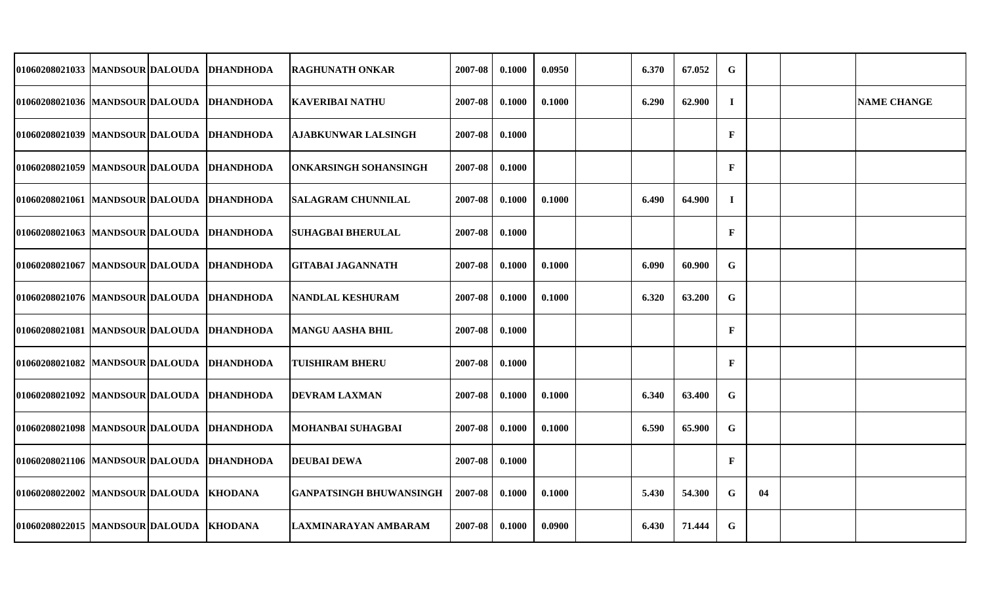| 01060208021033 MANDSOUR DALOUDA DHANDHODA   |  | <b>RAGHUNATH ONKAR</b>         | 2007-08 | 0.1000 | 0.0950 | 6.370 | 67.052 | $\mathbf G$  |    |                    |
|---------------------------------------------|--|--------------------------------|---------|--------|--------|-------|--------|--------------|----|--------------------|
| 01060208021036 MANDSOUR DALOUDA DHANDHODA   |  | <b>KAVERIBAI NATHU</b>         | 2007-08 | 0.1000 | 0.1000 | 6.290 | 62.900 | $\mathbf I$  |    | <b>NAME CHANGE</b> |
| 01060208021039 MANDSOUR DALOUDA DHANDHODA   |  | <b>AJABKUNWAR LALSINGH</b>     | 2007-08 | 0.1000 |        |       |        | $\mathbf{F}$ |    |                    |
| 01060208021059 MANDSOUR DALOUDA DHANDHODA   |  | <b>ONKARSINGH SOHANSINGH</b>   | 2007-08 | 0.1000 |        |       |        | $\mathbf{F}$ |    |                    |
| 01060208021061 MANDSOUR DALOUDA DHANDHODA   |  | <b>SALAGRAM CHUNNILAL</b>      | 2007-08 | 0.1000 | 0.1000 | 6.490 | 64.900 | $\bf{I}$     |    |                    |
| 01060208021063 MANDSOUR DALOUDA DHANDHODA   |  | <b>SUHAGBAI BHERULAL</b>       | 2007-08 | 0.1000 |        |       |        | $\mathbf{F}$ |    |                    |
| 01060208021067 MANDSOUR DALOUDA DHANDHODA   |  | <b>GITABAI JAGANNATH</b>       | 2007-08 | 0.1000 | 0.1000 | 6.090 | 60.900 | $\mathbf G$  |    |                    |
| 01060208021076  MANDSOUR DALOUDA  DHANDHODA |  | <b>NANDLAL KESHURAM</b>        | 2007-08 | 0.1000 | 0.1000 | 6.320 | 63.200 | $\mathbf G$  |    |                    |
| 01060208021081 MANDSOUR DALOUDA DHANDHODA   |  | <b>MANGU AASHA BHIL</b>        | 2007-08 | 0.1000 |        |       |        | $\mathbf{F}$ |    |                    |
| 01060208021082 MANDSOUR DALOUDA DHANDHODA   |  | TUISHIRAM BHERU                | 2007-08 | 0.1000 |        |       |        | $\mathbf{F}$ |    |                    |
| 01060208021092 MANDSOUR DALOUDA DHANDHODA   |  | <b>DEVRAM LAXMAN</b>           | 2007-08 | 0.1000 | 0.1000 | 6.340 | 63.400 | $\mathbf G$  |    |                    |
| 01060208021098 MANDSOUR DALOUDA DHANDHODA   |  | MOHANBAI SUHAGBAI              | 2007-08 | 0.1000 | 0.1000 | 6.590 | 65.900 | $\mathbf G$  |    |                    |
| 01060208021106 MANDSOUR DALOUDA DHANDHODA   |  | DEUBAI DEWA                    | 2007-08 | 0.1000 |        |       |        | $\mathbf{F}$ |    |                    |
| 01060208022002 MANDSOUR DALOUDA KHODANA     |  | <b>GANPATSINGH BHUWANSINGH</b> | 2007-08 | 0.1000 | 0.1000 | 5.430 | 54.300 | G            | 04 |                    |
| 01060208022015 MANDSOUR DALOUDA KHODANA     |  | LAXMINARAYAN AMBARAM           | 2007-08 | 0.1000 | 0.0900 | 6.430 | 71.444 | G            |    |                    |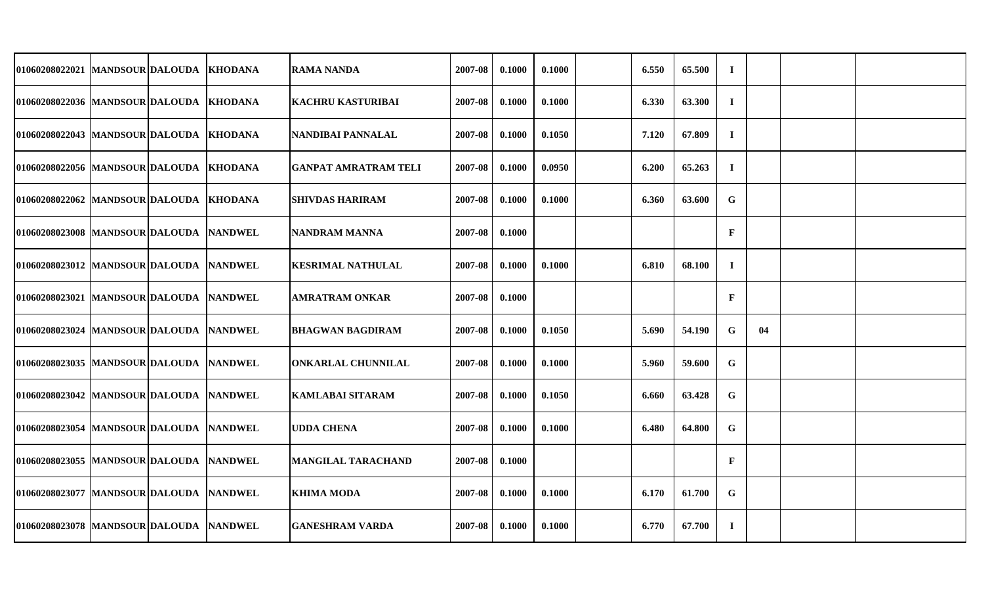| 01060208022021   MANDSOUR DALOUDA       |  | <b>KHODANA</b> | <b>RAMA NANDA</b>           | 2007-08 | 0.1000 | 0.1000 | 6.550 | 65.500 | $\bf{I}$     |    |  |
|-----------------------------------------|--|----------------|-----------------------------|---------|--------|--------|-------|--------|--------------|----|--|
| 01060208022036   MANDSOUR DALOUDA       |  | <b>KHODANA</b> | <b>KACHRU KASTURIBAI</b>    | 2007-08 | 0.1000 | 0.1000 | 6.330 | 63.300 | $\bf{I}$     |    |  |
| 01060208022043 MANDSOUR DALOUDA         |  | <b>KHODANA</b> | <b>NANDIBAI PANNALAL</b>    | 2007-08 | 0.1000 | 0.1050 | 7.120 | 67.809 | $\mathbf I$  |    |  |
| 01060208022056 MANDSOUR DALOUDA         |  | <b>KHODANA</b> | <b>GANPAT AMRATRAM TELI</b> | 2007-08 | 0.1000 | 0.0950 | 6.200 | 65.263 | $\bf{I}$     |    |  |
| 01060208022062  MANDSOUR DALOUDA        |  | KHODANA        | <b>SHIVDAS HARIRAM</b>      | 2007-08 | 0.1000 | 0.1000 | 6.360 | 63.600 | $\mathbf G$  |    |  |
| 01060208023008   MANDSOUR DALOUDA       |  | <b>NANDWEL</b> | NANDRAM MANNA               | 2007-08 | 0.1000 |        |       |        | $\mathbf{F}$ |    |  |
| 01060208023012 MANDSOUR DALOUDA         |  | <b>NANDWEL</b> | <b>KESRIMAL NATHULAL</b>    | 2007-08 | 0.1000 | 0.1000 | 6.810 | 68.100 | $\bf{I}$     |    |  |
| 01060208023021  MANDSOUR DALOUDA        |  | <b>NANDWEL</b> | AMRATRAM ONKAR              | 2007-08 | 0.1000 |        |       |        | $\mathbf{F}$ |    |  |
| 01060208023024   MANDSOUR DALOUDA       |  | <b>NANDWEL</b> | <b>BHAGWAN BAGDIRAM</b>     | 2007-08 | 0.1000 | 0.1050 | 5.690 | 54.190 | $\mathbf G$  | 04 |  |
| 01060208023035 MANDSOUR DALOUDA NANDWEL |  |                | <b>ONKARLAL CHUNNILAL</b>   | 2007-08 | 0.1000 | 0.1000 | 5.960 | 59.600 | G            |    |  |
| 01060208023042 MANDSOUR DALOUDA         |  | <b>NANDWEL</b> | <b>KAMLABAI SITARAM</b>     | 2007-08 | 0.1000 | 0.1050 | 6.660 | 63.428 | G            |    |  |
| 01060208023054  MANDSOUR DALOUDA        |  | <b>NANDWEL</b> | <b>UDDA CHENA</b>           | 2007-08 | 0.1000 | 0.1000 | 6.480 | 64.800 | G            |    |  |
| 01060208023055  MANDSOUR DALOUDA        |  | <b>NANDWEL</b> | <b>MANGILAL TARACHAND</b>   | 2007-08 | 0.1000 |        |       |        | $\mathbf F$  |    |  |
| 01060208023077 MANDSOUR DALOUDA NANDWEL |  |                | <b>KHIMA MODA</b>           | 2007-08 | 0.1000 | 0.1000 | 6.170 | 61.700 | G            |    |  |
| 01060208023078 MANDSOUR DALOUDA NANDWEL |  |                | <b>GANESHRAM VARDA</b>      | 2007-08 | 0.1000 | 0.1000 | 6.770 | 67.700 | $\bf{I}$     |    |  |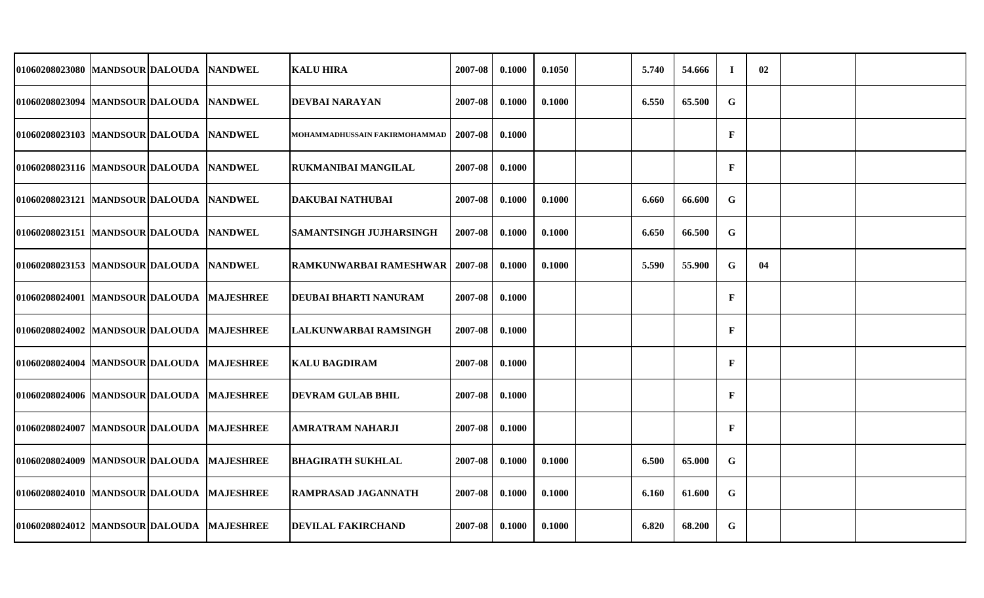| 01060208023080 MANDSOUR DALOUDA NANDWEL     |  | <b>KALU HIRA</b>               | 2007-08 | 0.1000 | 0.1050 | 5.740 | 54.666 | $\bf{I}$     | 02 |  |
|---------------------------------------------|--|--------------------------------|---------|--------|--------|-------|--------|--------------|----|--|
| 01060208023094  MANDSOUR DALOUDA  NANDWEL   |  | <b>DEVBAI NARAYAN</b>          | 2007-08 | 0.1000 | 0.1000 | 6.550 | 65.500 | G            |    |  |
| 01060208023103 MANDSOUR DALOUDA NANDWEL     |  | MOHAMMADHUSSAIN FAKIRMOHAMMAD  | 2007-08 | 0.1000 |        |       |        | $\mathbf{F}$ |    |  |
| 01060208023116 MANDSOUR DALOUDA NANDWEL     |  | RUKMANIBAI MANGILAL            | 2007-08 | 0.1000 |        |       |        | $\mathbf{F}$ |    |  |
| 01060208023121 MANDSOUR DALOUDA NANDWEL     |  | <b>DAKUBAI NATHUBAI</b>        | 2007-08 | 0.1000 | 0.1000 | 6.660 | 66.600 | G            |    |  |
| 01060208023151 MANDSOUR DALOUDA NANDWEL     |  | <b>SAMANTSINGH JUJHARSINGH</b> | 2007-08 | 0.1000 | 0.1000 | 6.650 | 66.500 | $\mathbf G$  |    |  |
| 01060208023153 MANDSOUR DALOUDA NANDWEL     |  | <b>RAMKUNWARBAI RAMESHWAR</b>  | 2007-08 | 0.1000 | 0.1000 | 5.590 | 55.900 | G            | 04 |  |
| 01060208024001  MANDSOUR DALOUDA  MAJESHREE |  | DEUBAI BHARTI NANURAM          | 2007-08 | 0.1000 |        |       |        | $\mathbf{F}$ |    |  |
| 01060208024002 MANDSOUR DALOUDA MAJESHREE   |  | LALKUNWARBAI RAMSINGH          | 2007-08 | 0.1000 |        |       |        | $\mathbf{F}$ |    |  |
| 01060208024004 MANDSOUR DALOUDA MAJESHREE   |  | KALU BAGDIRAM                  | 2007-08 | 0.1000 |        |       |        | $\mathbf{F}$ |    |  |
| 01060208024006 MANDSOUR DALOUDA MAJESHREE   |  | <b>DEVRAM GULAB BHIL</b>       | 2007-08 | 0.1000 |        |       |        | $\mathbf{F}$ |    |  |
| 01060208024007 MANDSOUR DALOUDA MAJESHREE   |  | AMRATRAM NAHARJI               | 2007-08 | 0.1000 |        |       |        | $\mathbf{F}$ |    |  |
| 01060208024009 MANDSOUR DALOUDA MAJESHREE   |  | <b>BHAGIRATH SUKHLAL</b>       | 2007-08 | 0.1000 | 0.1000 | 6.500 | 65.000 | G            |    |  |
| 01060208024010 MANDSOUR DALOUDA MAJESHREE   |  | RAMPRASAD JAGANNATH            | 2007-08 | 0.1000 | 0.1000 | 6.160 | 61.600 | G            |    |  |
| 01060208024012 MANDSOUR DALOUDA MAJESHREE   |  | <b>DEVILAL FAKIRCHAND</b>      | 2007-08 | 0.1000 | 0.1000 | 6.820 | 68.200 | G            |    |  |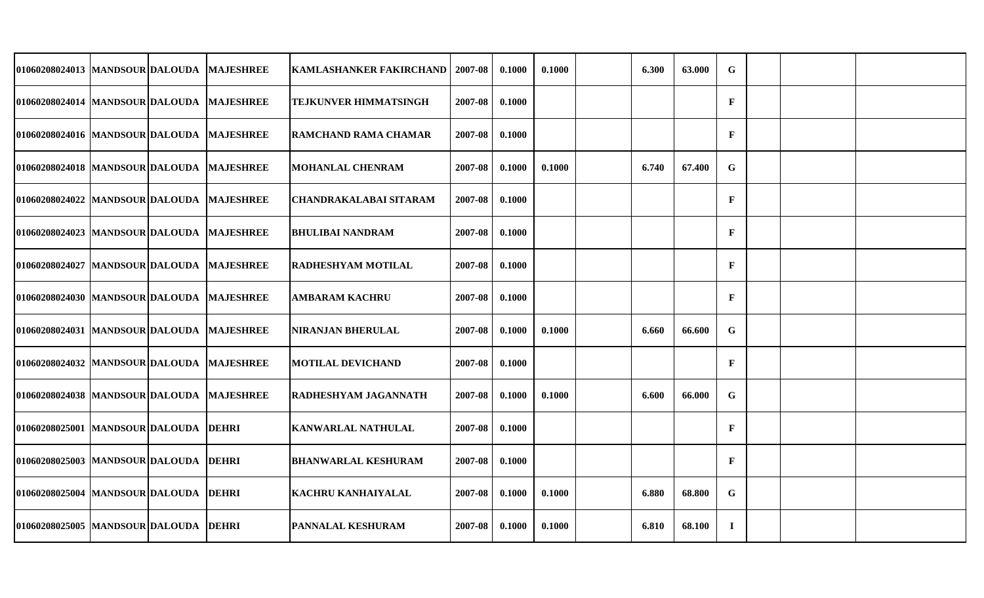| 01060208024013 MANDSOUR DALOUDA MAJESHREE   |  | <b>KAMLASHANKER FAKIRCHAND</b> | 2007-08 | 0.1000 | 0.1000 | 6.300 | 63.000 | $\mathbf G$  |  |  |
|---------------------------------------------|--|--------------------------------|---------|--------|--------|-------|--------|--------------|--|--|
| 01060208024014 MANDSOUR DALOUDA MAJESHREE   |  | TEJKUNVER HIMMATSINGH          | 2007-08 | 0.1000 |        |       |        | $\mathbf{F}$ |  |  |
| 01060208024016 MANDSOUR DALOUDA MAJESHREE   |  | <b>RAMCHAND RAMA CHAMAR</b>    | 2007-08 | 0.1000 |        |       |        | $\mathbf{F}$ |  |  |
| 01060208024018 MANDSOUR DALOUDA MAJESHREE   |  | <b>MOHANLAL CHENRAM</b>        | 2007-08 | 0.1000 | 0.1000 | 6.740 | 67.400 | G            |  |  |
| 01060208024022 MANDSOUR DALOUDA MAJESHREE   |  | <b>CHANDRAKALABAI SITARAM</b>  | 2007-08 | 0.1000 |        |       |        | $\mathbf{F}$ |  |  |
| 01060208024023 MANDSOUR DALOUDA MAJESHREE   |  | <b>BHULIBAI NANDRAM</b>        | 2007-08 | 0.1000 |        |       |        | $\mathbf{F}$ |  |  |
| 01060208024027 MANDSOUR DALOUDA MAJESHREE   |  | <b>RADHESHYAM MOTILAL</b>      | 2007-08 | 0.1000 |        |       |        | $\mathbf F$  |  |  |
| 01060208024030  MANDSOUR DALOUDA  MAJESHREE |  | <b>AMBARAM KACHRU</b>          | 2007-08 | 0.1000 |        |       |        | $\mathbf{F}$ |  |  |
| 01060208024031 MANDSOUR DALOUDA MAJESHREE   |  | NIRANJAN BHERULAL              | 2007-08 | 0.1000 | 0.1000 | 6.660 | 66.600 | $\mathbf G$  |  |  |
| 01060208024032 MANDSOUR DALOUDA MAJESHREE   |  | <b>MOTILAL DEVICHAND</b>       | 2007-08 | 0.1000 |        |       |        | $\mathbf{F}$ |  |  |
| 01060208024038 MANDSOUR DALOUDA MAJESHREE   |  | RADHESHYAM JAGANNATH           | 2007-08 | 0.1000 | 0.1000 | 6.600 | 66.000 | $\mathbf G$  |  |  |
| 01060208025001 MANDSOUR DALOUDA DEHRI       |  | KANWARLAL NATHULAL             | 2007-08 | 0.1000 |        |       |        | $\mathbf F$  |  |  |
| 01060208025003 MANDSOUR DALOUDA DEHRI       |  | <b>BHANWARLAL KESHURAM</b>     | 2007-08 | 0.1000 |        |       |        | $\mathbf{F}$ |  |  |
| 01060208025004 MANDSOUR DALOUDA DEHRI       |  | KACHRU KANHAIYALAL             | 2007-08 | 0.1000 | 0.1000 | 6.880 | 68.800 | G            |  |  |
| 01060208025005 MANDSOUR DALOUDA DEHRI       |  | PANNALAL KESHURAM              | 2007-08 | 0.1000 | 0.1000 | 6.810 | 68.100 | $\bf{I}$     |  |  |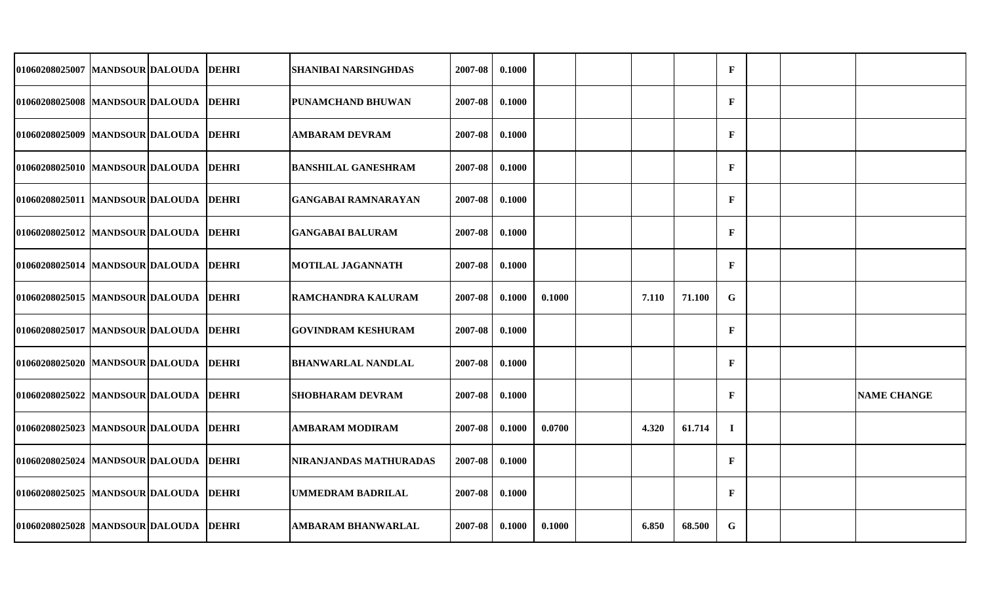| 01060208025007 MANDSOUR DALOUDA       |  | <b>DEHRI</b> | <b>SHANIBAI NARSINGHDAS</b> | 2007-08 | 0.1000 |        |       |        | $\mathbf{F}$ |  |                    |
|---------------------------------------|--|--------------|-----------------------------|---------|--------|--------|-------|--------|--------------|--|--------------------|
| 01060208025008 MANDSOUR DALOUDA DEHRI |  |              | PUNAMCHAND BHUWAN           | 2007-08 | 0.1000 |        |       |        | $\mathbf{F}$ |  |                    |
| 01060208025009 MANDSOUR DALOUDA       |  | <b>DEHRI</b> | <b>AMBARAM DEVRAM</b>       | 2007-08 | 0.1000 |        |       |        | $\mathbf{F}$ |  |                    |
| 01060208025010 MANDSOUR DALOUDA       |  | <b>DEHRI</b> | <b>BANSHILAL GANESHRAM</b>  | 2007-08 | 0.1000 |        |       |        | $\mathbf{F}$ |  |                    |
| 01060208025011 MANDSOUR DALOUDA       |  | <b>DEHRI</b> | <b>GANGABAI RAMNARAYAN</b>  | 2007-08 | 0.1000 |        |       |        | $\mathbf{F}$ |  |                    |
| 01060208025012 MANDSOUR DALOUDA       |  | <b>DEHRI</b> | <b>GANGABAI BALURAM</b>     | 2007-08 | 0.1000 |        |       |        | $\mathbf{F}$ |  |                    |
| 01060208025014 MANDSOUR DALOUDA DEHRI |  |              | <b>MOTILAL JAGANNATH</b>    | 2007-08 | 0.1000 |        |       |        | $\mathbf{F}$ |  |                    |
| 01060208025015 MANDSOUR DALOUDA       |  | <b>DEHRI</b> | RAMCHANDRA KALURAM          | 2007-08 | 0.1000 | 0.1000 | 7.110 | 71.100 | $\mathbf G$  |  |                    |
| 01060208025017 MANDSOUR DALOUDA       |  | <b>DEHRI</b> | <b>GOVINDRAM KESHURAM</b>   | 2007-08 | 0.1000 |        |       |        | $\mathbf{F}$ |  |                    |
| 01060208025020   MANDSOUR DALOUDA     |  | <b>DEHRI</b> | <b>BHANWARLAL NANDLAL</b>   | 2007-08 | 0.1000 |        |       |        | $\mathbf{F}$ |  |                    |
| 01060208025022 MANDSOUR DALOUDA       |  | <b>DEHRI</b> | <b>SHOBHARAM DEVRAM</b>     | 2007-08 | 0.1000 |        |       |        | $\mathbf{F}$ |  | <b>NAME CHANGE</b> |
| 01060208025023 MANDSOUR DALOUDA       |  | <b>DEHRI</b> | AMBARAM MODIRAM             | 2007-08 | 0.1000 | 0.0700 | 4.320 | 61.714 | $\mathbf I$  |  |                    |
| 01060208025024 MANDSOUR DALOUDA       |  | <b>DEHRI</b> | NIRANJANDAS MATHURADAS      | 2007-08 | 0.1000 |        |       |        | $\mathbf F$  |  |                    |
| 01060208025025  MANDSOUR DALOUDA      |  | <b>DEHRI</b> | <b>UMMEDRAM BADRILAL</b>    | 2007-08 | 0.1000 |        |       |        | $\mathbf{F}$ |  |                    |
| 01060208025028 MANDSOUR DALOUDA DEHRI |  |              | <b>AMBARAM BHANWARLAL</b>   | 2007-08 | 0.1000 | 0.1000 | 6.850 | 68.500 | $\mathbf G$  |  |                    |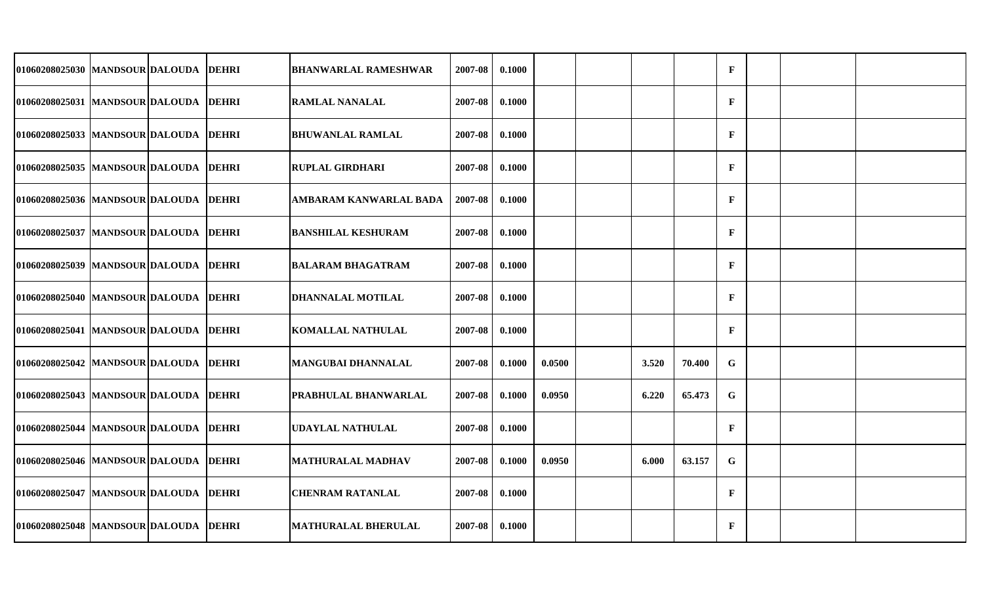| 01060208025030 MANDSOUR DALOUDA DEHRI  |  | <b>BHANWARLAL RAMESHWAR</b> | 2007-08 | 0.1000 |        |       |        | $\mathbf F$  |  |  |
|----------------------------------------|--|-----------------------------|---------|--------|--------|-------|--------|--------------|--|--|
| 01060208025031 MANDSOUR DALOUDA DEHRI  |  | <b>RAMLAL NANALAL</b>       | 2007-08 | 0.1000 |        |       |        | $\mathbf{F}$ |  |  |
| 01060208025033 MANDSOUR DALOUDA DEHRI  |  | <b>BHUWANLAL RAMLAL</b>     | 2007-08 | 0.1000 |        |       |        | $\mathbf F$  |  |  |
| 01060208025035  MANDSOUR DALOUDA DEHRI |  | <b>RUPLAL GIRDHARI</b>      | 2007-08 | 0.1000 |        |       |        | $\mathbf{F}$ |  |  |
| 01060208025036 MANDSOUR DALOUDA DEHRI  |  | AMBARAM KANWARLAL BADA      | 2007-08 | 0.1000 |        |       |        | $\mathbf F$  |  |  |
| 01060208025037 MANDSOUR DALOUDA DEHRI  |  | <b>BANSHILAL KESHURAM</b>   | 2007-08 | 0.1000 |        |       |        | $\mathbf F$  |  |  |
| 01060208025039 MANDSOUR DALOUDA DEHRI  |  | <b>BALARAM BHAGATRAM</b>    | 2007-08 | 0.1000 |        |       |        | $\mathbf F$  |  |  |
| 01060208025040 MANDSOUR DALOUDA DEHRI  |  | <b>DHANNALAL MOTILAL</b>    | 2007-08 | 0.1000 |        |       |        | $\mathbf{F}$ |  |  |
| 01060208025041 MANDSOUR DALOUDA DEHRI  |  | <b>KOMALLAL NATHULAL</b>    | 2007-08 | 0.1000 |        |       |        | $\mathbf{F}$ |  |  |
| 01060208025042 MANDSOUR DALOUDA DEHRI  |  | <b>MANGUBAI DHANNALAL</b>   | 2007-08 | 0.1000 | 0.0500 | 3.520 | 70.400 | $\mathbf G$  |  |  |
| 01060208025043 MANDSOUR DALOUDA DEHRI  |  | PRABHULAL BHANWARLAL        | 2007-08 | 0.1000 | 0.0950 | 6.220 | 65.473 | G            |  |  |
| 01060208025044  MANDSOUR DALOUDA DEHRI |  | UDAYLAL NATHULAL            | 2007-08 | 0.1000 |        |       |        | $\mathbf{F}$ |  |  |
| 01060208025046 MANDSOUR DALOUDA DEHRI  |  | <b>MATHURALAL MADHAV</b>    | 2007-08 | 0.1000 | 0.0950 | 6.000 | 63.157 | $\mathbf G$  |  |  |
| 01060208025047 MANDSOUR DALOUDA DEHRI  |  | <b>CHENRAM RATANLAL</b>     | 2007-08 | 0.1000 |        |       |        | $\mathbf{F}$ |  |  |
| 01060208025048 MANDSOUR DALOUDA DEHRI  |  | <b>MATHURALAL BHERULAL</b>  | 2007-08 | 0.1000 |        |       |        | $\mathbf{F}$ |  |  |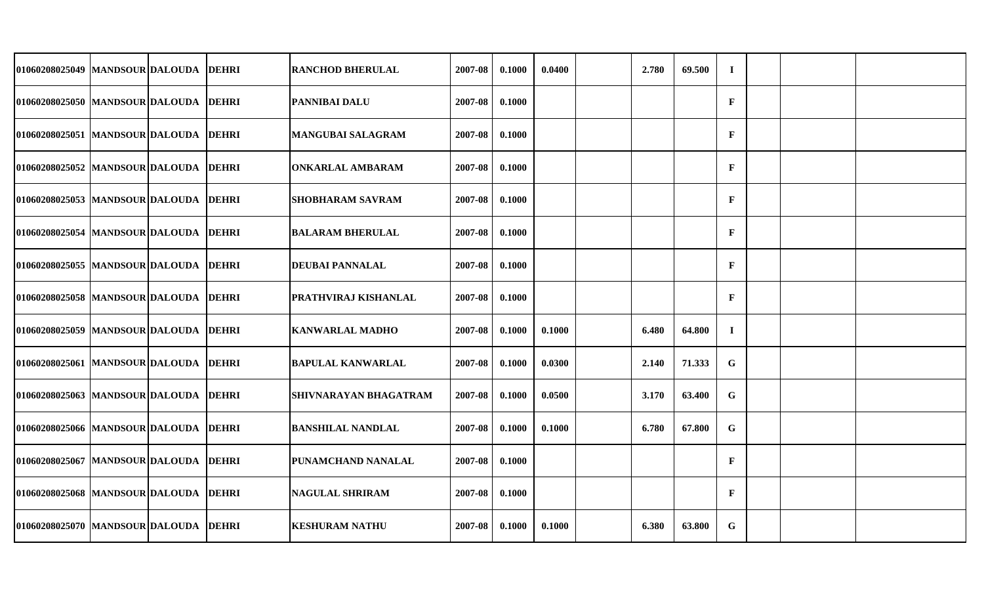| 01060208025049 MANDSOUR DALOUDA        |  | <b>DEHRI</b> | <b>RANCHOD BHERULAL</b>  | 2007-08 | 0.1000 | 0.0400 | 2.780 | 69.500 | $\mathbf I$  |  |  |
|----------------------------------------|--|--------------|--------------------------|---------|--------|--------|-------|--------|--------------|--|--|
| 01060208025050  MANDSOUR DALOUDA DEHRI |  |              | <b>PANNIBAI DALU</b>     | 2007-08 | 0.1000 |        |       |        | $\mathbf{F}$ |  |  |
| 01060208025051 MANDSOUR DALOUDA DEHRI  |  |              | <b>MANGUBAI SALAGRAM</b> | 2007-08 | 0.1000 |        |       |        | $\mathbf{F}$ |  |  |
| 01060208025052 MANDSOUR DALOUDA DEHRI  |  |              | <b>ONKARLAL AMBARAM</b>  | 2007-08 | 0.1000 |        |       |        | $\mathbf{F}$ |  |  |
| 01060208025053 MANDSOUR DALOUDA DEHRI  |  |              | <b>SHOBHARAM SAVRAM</b>  | 2007-08 | 0.1000 |        |       |        | $\mathbf{F}$ |  |  |
| 01060208025054 MANDSOUR DALOUDA DEHRI  |  |              | <b>BALARAM BHERULAL</b>  | 2007-08 | 0.1000 |        |       |        | $\mathbf{F}$ |  |  |
| 01060208025055 MANDSOUR DALOUDA DEHRI  |  |              | <b>DEUBAI PANNALAL</b>   | 2007-08 | 0.1000 |        |       |        | $\mathbf F$  |  |  |
| 01060208025058 MANDSOUR DALOUDA DEHRI  |  |              | PRATHVIRAJ KISHANLAL     | 2007-08 | 0.1000 |        |       |        | $\mathbf{F}$ |  |  |
| 01060208025059 MANDSOUR DALOUDA DEHRI  |  |              | <b>KANWARLAL MADHO</b>   | 2007-08 | 0.1000 | 0.1000 | 6.480 | 64.800 | $\mathbf I$  |  |  |
| 01060208025061  MANDSOUR DALOUDA DEHRI |  |              | <b>BAPULAL KANWARLAL</b> | 2007-08 | 0.1000 | 0.0300 | 2.140 | 71.333 | $\mathbf G$  |  |  |
| 01060208025063 MANDSOUR DALOUDA DEHRI  |  |              | SHIVNARAYAN BHAGATRAM    | 2007-08 | 0.1000 | 0.0500 | 3.170 | 63.400 | G            |  |  |
| 01060208025066 MANDSOUR DALOUDA DEHRI  |  |              | <b>BANSHILAL NANDLAL</b> | 2007-08 | 0.1000 | 0.1000 | 6.780 | 67.800 | G            |  |  |
| 01060208025067 MANDSOUR DALOUDA DEHRI  |  |              | PUNAMCHAND NANALAL       | 2007-08 | 0.1000 |        |       |        | $\mathbf{F}$ |  |  |
| 01060208025068 MANDSOUR DALOUDA DEHRI  |  |              | <b>NAGULAL SHRIRAM</b>   | 2007-08 | 0.1000 |        |       |        | $\mathbf{F}$ |  |  |
| 01060208025070 MANDSOUR DALOUDA DEHRI  |  |              | <b>KESHURAM NATHU</b>    | 2007-08 | 0.1000 | 0.1000 | 6.380 | 63.800 | G            |  |  |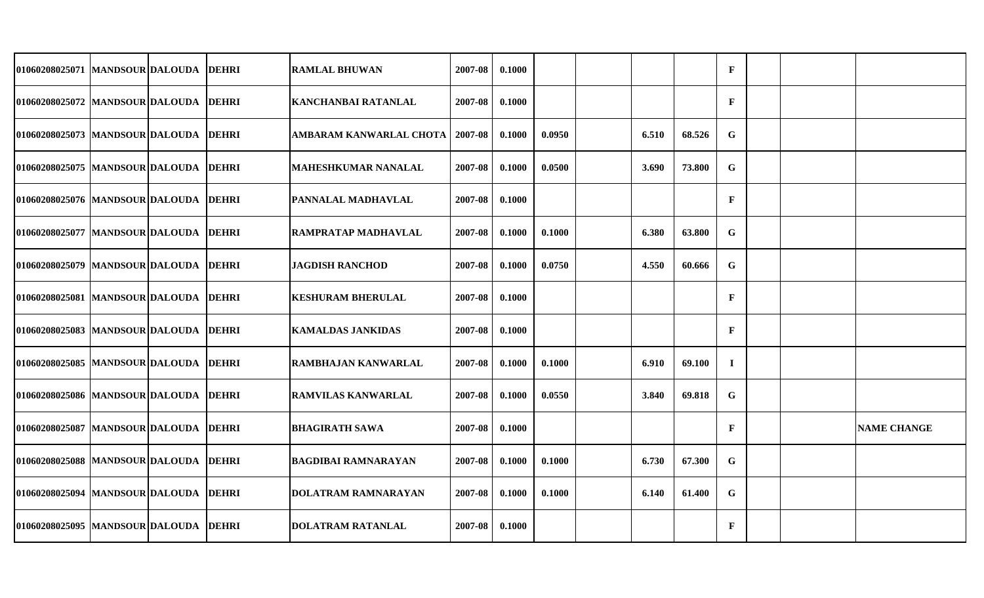| 01060208025071  MANDSOUR DALOUDA        |  | <b>DEHRI</b> | <b>RAMLAL BHUWAN</b>     | 2007-08 | 0.1000 |        |       |        | $\mathbf{F}$ |  |                    |
|-----------------------------------------|--|--------------|--------------------------|---------|--------|--------|-------|--------|--------------|--|--------------------|
| 01060208025072 MANDSOUR DALOUDA DEHRI   |  |              | KANCHANBAI RATANLAL      | 2007-08 | 0.1000 |        |       |        | $\mathbf{F}$ |  |                    |
| 01060208025073 MANDSOUR DALOUDA DEHRI   |  |              | AMBARAM KANWARLAL CHOTA  | 2007-08 | 0.1000 | 0.0950 | 6.510 | 68.526 | $\mathbf G$  |  |                    |
| 01060208025075 MANDSOUR DALOUDA DEHRI   |  |              | MAHESHKUMAR NANALAL      | 2007-08 | 0.1000 | 0.0500 | 3.690 | 73.800 | $\mathbf G$  |  |                    |
| 01060208025076  MANDSOUR DALOUDA DEHRI  |  |              | PANNALAL MADHAVLAL       | 2007-08 | 0.1000 |        |       |        | $\mathbf{F}$ |  |                    |
| 01060208025077 MANDSOUR DALOUDA DEHRI   |  |              | RAMPRATAP MADHAVLAL      | 2007-08 | 0.1000 | 0.1000 | 6.380 | 63.800 | $\mathbf G$  |  |                    |
| 01060208025079 MANDSOUR DALOUDA DEHRI   |  |              | <b>JAGDISH RANCHOD</b>   | 2007-08 | 0.1000 | 0.0750 | 4.550 | 60.666 | $\mathbf G$  |  |                    |
| 01060208025081 MANDSOUR DALOUDA DEHRI   |  |              | <b>KESHURAM BHERULAL</b> | 2007-08 | 0.1000 |        |       |        | $\mathbf{F}$ |  |                    |
| 01060208025083 MANDSOUR DALOUDA DEHRI   |  |              | <b>KAMALDAS JANKIDAS</b> | 2007-08 | 0.1000 |        |       |        | $\mathbf{F}$ |  |                    |
| 01060208025085  MANDSOUR DALOUDA  DEHRI |  |              | RAMBHAJAN KANWARLAL      | 2007-08 | 0.1000 | 0.1000 | 6.910 | 69.100 | $\mathbf I$  |  |                    |
| 01060208025086 MANDSOUR DALOUDA DEHRI   |  |              | RAMVILAS KANWARLAL       | 2007-08 | 0.1000 | 0.0550 | 3.840 | 69.818 | $\mathbf G$  |  |                    |
| 01060208025087  MANDSOUR DALOUDA DEHRI  |  |              | BHAGIRATH SAWA           | 2007-08 | 0.1000 |        |       |        | $\mathbf{F}$ |  | <b>NAME CHANGE</b> |
| 01060208025088 MANDSOUR DALOUDA DEHRI   |  |              | BAGDIBAI RAMNARAYAN      | 2007-08 | 0.1000 | 0.1000 | 6.730 | 67.300 | $\mathbf G$  |  |                    |
| 01060208025094 MANDSOUR DALOUDA DEHRI   |  |              | DOLATRAM RAMNARAYAN      | 2007-08 | 0.1000 | 0.1000 | 6.140 | 61.400 | G            |  |                    |
| 01060208025095 MANDSOUR DALOUDA DEHRI   |  |              | <b>DOLATRAM RATANLAL</b> | 2007-08 | 0.1000 |        |       |        | $\mathbf{F}$ |  |                    |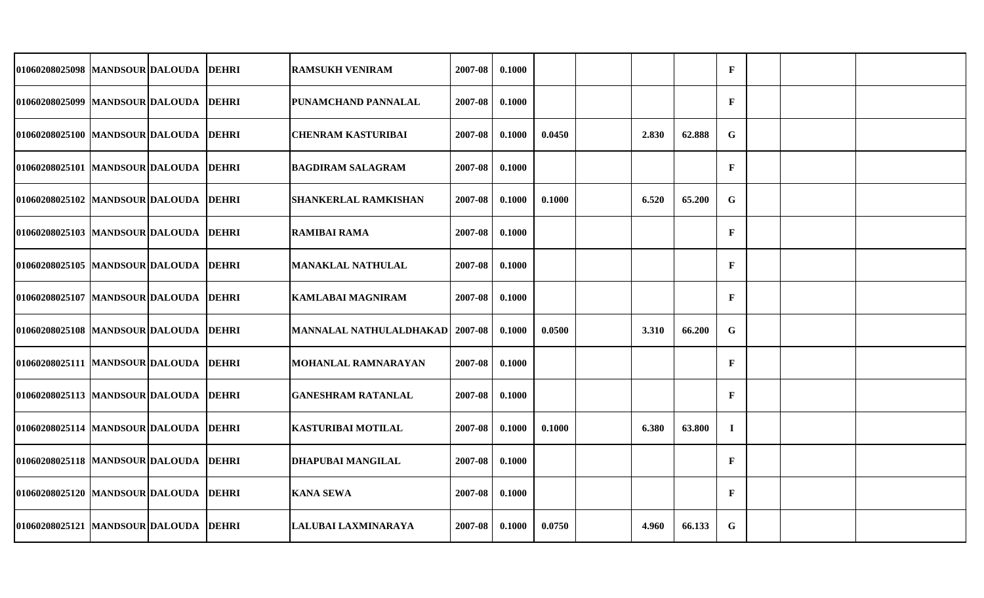| 01060208025098  MANDSOUR DALOUDA DEHRI |  | <b>RAMSUKH VENIRAM</b>                   | 2007-08 | 0.1000 |        |       |        | $\mathbf{F}$ |  |  |
|----------------------------------------|--|------------------------------------------|---------|--------|--------|-------|--------|--------------|--|--|
| 01060208025099 MANDSOUR DALOUDA DEHRI  |  | PUNAMCHAND PANNALAL                      | 2007-08 | 0.1000 |        |       |        | $\mathbf{F}$ |  |  |
| 01060208025100 MANDSOUR DALOUDA DEHRI  |  | <b>CHENRAM KASTURIBAI</b>                | 2007-08 | 0.1000 | 0.0450 | 2.830 | 62.888 | $\mathbf G$  |  |  |
| 01060208025101 MANDSOUR DALOUDA DEHRI  |  | <b>BAGDIRAM SALAGRAM</b>                 | 2007-08 | 0.1000 |        |       |        | $\mathbf{F}$ |  |  |
| 01060208025102 MANDSOUR DALOUDA DEHRI  |  | SHANKERLAL RAMKISHAN                     | 2007-08 | 0.1000 | 0.1000 | 6.520 | 65.200 | G            |  |  |
| 01060208025103 MANDSOUR DALOUDA DEHRI  |  | <b>RAMIBAI RAMA</b>                      | 2007-08 | 0.1000 |        |       |        | $\mathbf{F}$ |  |  |
| 01060208025105 MANDSOUR DALOUDA DEHRI  |  | <b>MANAKLAL NATHULAL</b>                 | 2007-08 | 0.1000 |        |       |        | $\mathbf{F}$ |  |  |
| 01060208025107 MANDSOUR DALOUDA DEHRI  |  | <b>KAMLABAI MAGNIRAM</b>                 | 2007-08 | 0.1000 |        |       |        | $\mathbf{F}$ |  |  |
| 01060208025108 MANDSOUR DALOUDA DEHRI  |  | <b>MANNALAL NATHULALDHAKAD   2007-08</b> |         | 0.1000 | 0.0500 | 3.310 | 66.200 | $\mathbf G$  |  |  |
| 01060208025111 MANDSOUR DALOUDA DEHRI  |  | <b>MOHANLAL RAMNARAYAN</b>               | 2007-08 | 0.1000 |        |       |        | $\mathbf{F}$ |  |  |
| 01060208025113 MANDSOUR DALOUDA DEHRI  |  | GANESHRAM RATANLAL                       | 2007-08 | 0.1000 |        |       |        | $\mathbf{F}$ |  |  |
| 01060208025114 MANDSOUR DALOUDA DEHRI  |  | KASTURIBAI MOTILAL                       | 2007-08 | 0.1000 | 0.1000 | 6.380 | 63.800 | $\bf{I}$     |  |  |
| 01060208025118 MANDSOUR DALOUDA DEHRI  |  | <b>DHAPUBAI MANGILAL</b>                 | 2007-08 | 0.1000 |        |       |        | $\mathbf F$  |  |  |
| 01060208025120 MANDSOUR DALOUDA DEHRI  |  | <b>KANA SEWA</b>                         | 2007-08 | 0.1000 |        |       |        | $\mathbf{F}$ |  |  |
| 01060208025121 MANDSOUR DALOUDA DEHRI  |  | LALUBAI LAXMINARAYA                      | 2007-08 | 0.1000 | 0.0750 | 4.960 | 66.133 | G            |  |  |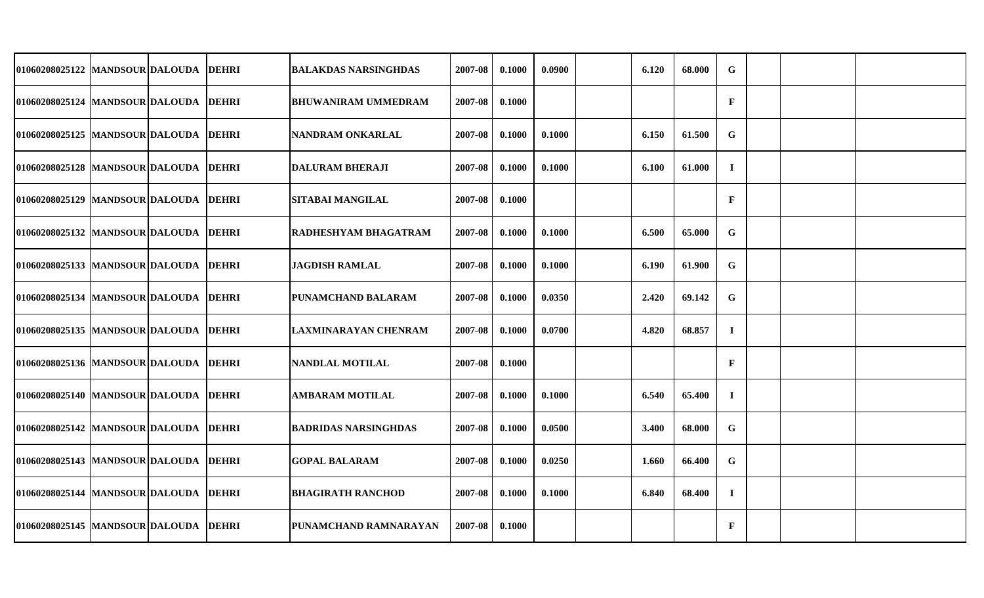| 01060208025122 MANDSOUR DALOUDA       |  | <b>DEHRI</b> | BALAKDAS NARSINGHDAS        | 2007-08 | 0.1000 | 0.0900 | 6.120 | 68.000 | G            |  |  |
|---------------------------------------|--|--------------|-----------------------------|---------|--------|--------|-------|--------|--------------|--|--|
| 01060208025124 MANDSOUR DALOUDA DEHRI |  |              | <b>BHUWANIRAM UMMEDRAM</b>  | 2007-08 | 0.1000 |        |       |        | $\mathbf{F}$ |  |  |
| 01060208025125 MANDSOUR DALOUDA       |  | <b>DEHRI</b> | NANDRAM ONKARLAL            | 2007-08 | 0.1000 | 0.1000 | 6.150 | 61.500 | G            |  |  |
| 01060208025128 MANDSOUR DALOUDA DEHRI |  |              | <b>DALURAM BHERAJI</b>      | 2007-08 | 0.1000 | 0.1000 | 6.100 | 61.000 | $\mathbf I$  |  |  |
| 01060208025129 MANDSOUR DALOUDA       |  | <b>DEHRI</b> | <b>SITABAI MANGILAL</b>     | 2007-08 | 0.1000 |        |       |        | $\mathbf F$  |  |  |
| 01060208025132 MANDSOUR DALOUDA DEHRI |  |              | RADHESHYAM BHAGATRAM        | 2007-08 | 0.1000 | 0.1000 | 6.500 | 65.000 | $\mathbf G$  |  |  |
| 01060208025133 MANDSOUR DALOUDA       |  | <b>DEHRI</b> | <b>JAGDISH RAMLAL</b>       | 2007-08 | 0.1000 | 0.1000 | 6.190 | 61.900 | G            |  |  |
| 01060208025134 MANDSOUR DALOUDA DEHRI |  |              | PUNAMCHAND BALARAM          | 2007-08 | 0.1000 | 0.0350 | 2.420 | 69.142 | $\mathbf G$  |  |  |
| 01060208025135 MANDSOUR DALOUDA       |  | DEHRI        | <b>LAXMINARAYAN CHENRAM</b> | 2007-08 | 0.1000 | 0.0700 | 4.820 | 68.857 | $\bf{I}$     |  |  |
| 01060208025136 MANDSOUR DALOUDA DEHRI |  |              | NANDLAL MOTILAL             | 2007-08 | 0.1000 |        |       |        | $\mathbf{F}$ |  |  |
| 01060208025140 MANDSOUR DALOUDA       |  | <b>DEHRI</b> | <b>AMBARAM MOTILAL</b>      | 2007-08 | 0.1000 | 0.1000 | 6.540 | 65.400 | $\bf{I}$     |  |  |
| 01060208025142 MANDSOUR DALOUDA       |  | <b>DEHRI</b> | BADRIDAS NARSINGHDAS        | 2007-08 | 0.1000 | 0.0500 | 3.400 | 68.000 | $\mathbf G$  |  |  |
| 01060208025143  MANDSOUR DALOUDA      |  | <b>DEHRI</b> | <b>GOPAL BALARAM</b>        | 2007-08 | 0.1000 | 0.0250 | 1.660 | 66.400 | G            |  |  |
| 01060208025144 MANDSOUR DALOUDA DEHRI |  |              | <b>BHAGIRATH RANCHOD</b>    | 2007-08 | 0.1000 | 0.1000 | 6.840 | 68.400 | $\mathbf I$  |  |  |
| 01060208025145 MANDSOUR DALOUDA DEHRI |  |              | PUNAMCHAND RAMNARAYAN       | 2007-08 | 0.1000 |        |       |        | $\mathbf{F}$ |  |  |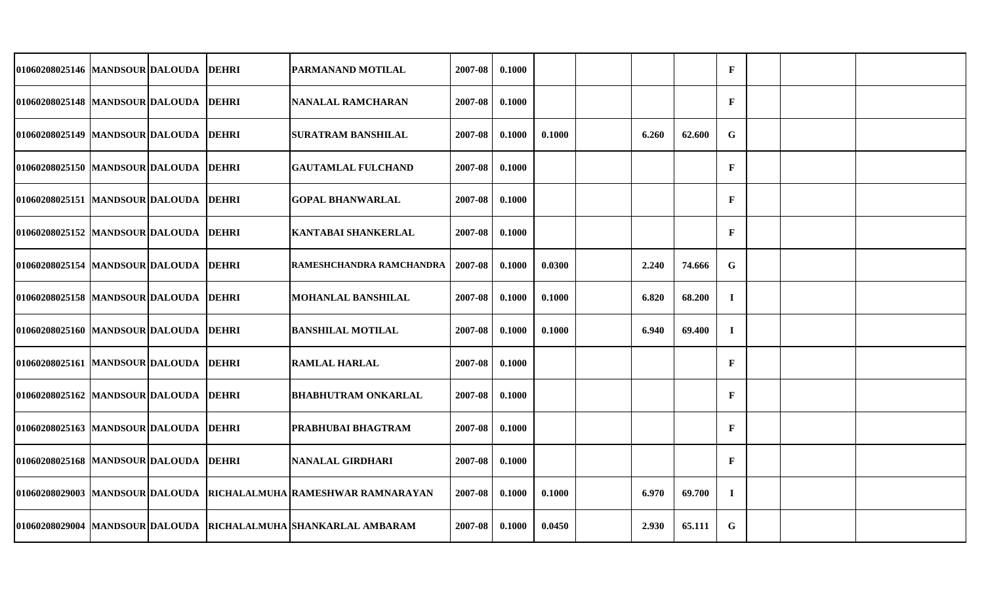| 01060208025146 MANDSOUR DALOUDA DEHRI  |  | PARMANAND MOTILAL                                                 | 2007-08 | 0.1000 |        |       |        | $\mathbf F$  |  |  |
|----------------------------------------|--|-------------------------------------------------------------------|---------|--------|--------|-------|--------|--------------|--|--|
| 01060208025148 MANDSOUR DALOUDA DEHRI  |  | <b>NANALAL RAMCHARAN</b>                                          | 2007-08 | 0.1000 |        |       |        | $\mathbf F$  |  |  |
| 01060208025149 MANDSOUR DALOUDA DEHRI  |  | <b>SURATRAM BANSHILAL</b>                                         | 2007-08 | 0.1000 | 0.1000 | 6.260 | 62.600 | G            |  |  |
| 01060208025150 MANDSOUR DALOUDA DEHRI  |  | <b>GAUTAMLAL FULCHAND</b>                                         | 2007-08 | 0.1000 |        |       |        | $\mathbf F$  |  |  |
| 01060208025151 MANDSOUR DALOUDA DEHRI  |  | <b>GOPAL BHANWARLAL</b>                                           | 2007-08 | 0.1000 |        |       |        | $\mathbf{F}$ |  |  |
| 01060208025152 MANDSOUR DALOUDA DEHRI  |  | <b>KANTABAI SHANKERLAL</b>                                        | 2007-08 | 0.1000 |        |       |        | $\mathbf F$  |  |  |
| 01060208025154 MANDSOUR DALOUDA DEHRI  |  | RAMESHCHANDRA RAMCHANDRA                                          | 2007-08 | 0.1000 | 0.0300 | 2.240 | 74.666 | G            |  |  |
| 01060208025158  MANDSOUR DALOUDA DEHRI |  | MOHANLAL BANSHILAL                                                | 2007-08 | 0.1000 | 0.1000 | 6.820 | 68.200 | $\mathbf I$  |  |  |
| 01060208025160  MANDSOUR DALOUDA DEHRI |  | <b>BANSHILAL MOTILAL</b>                                          | 2007-08 | 0.1000 | 0.1000 | 6.940 | 69.400 | $\mathbf I$  |  |  |
| 01060208025161 MANDSOUR DALOUDA DEHRI  |  | <b>RAMLAL HARLAL</b>                                              | 2007-08 | 0.1000 |        |       |        | $\mathbf{F}$ |  |  |
| 01060208025162 MANDSOUR DALOUDA DEHRI  |  | <b>BHABHUTRAM ONKARLAL</b>                                        | 2007-08 | 0.1000 |        |       |        | $\mathbf{F}$ |  |  |
| 01060208025163 MANDSOUR DALOUDA DEHRI  |  | PRABHUBAI BHAGTRAM                                                | 2007-08 | 0.1000 |        |       |        | $\mathbf{F}$ |  |  |
| 01060208025168  MANDSOUR DALOUDA DEHRI |  | <b>NANALAL GIRDHARI</b>                                           | 2007-08 | 0.1000 |        |       |        | $\mathbf{F}$ |  |  |
|                                        |  | 01060208029003 MANDSOUR DALOUDA RICHALALMUHA RAMESHWAR RAMNARAYAN | 2007-08 | 0.1000 | 0.1000 | 6.970 | 69.700 | $\mathbf I$  |  |  |
|                                        |  | 01060208029004 MANDSOUR DALOUDA RICHALALMUHA SHANKARLAL AMBARAM   | 2007-08 | 0.1000 | 0.0450 | 2.930 | 65.111 | G            |  |  |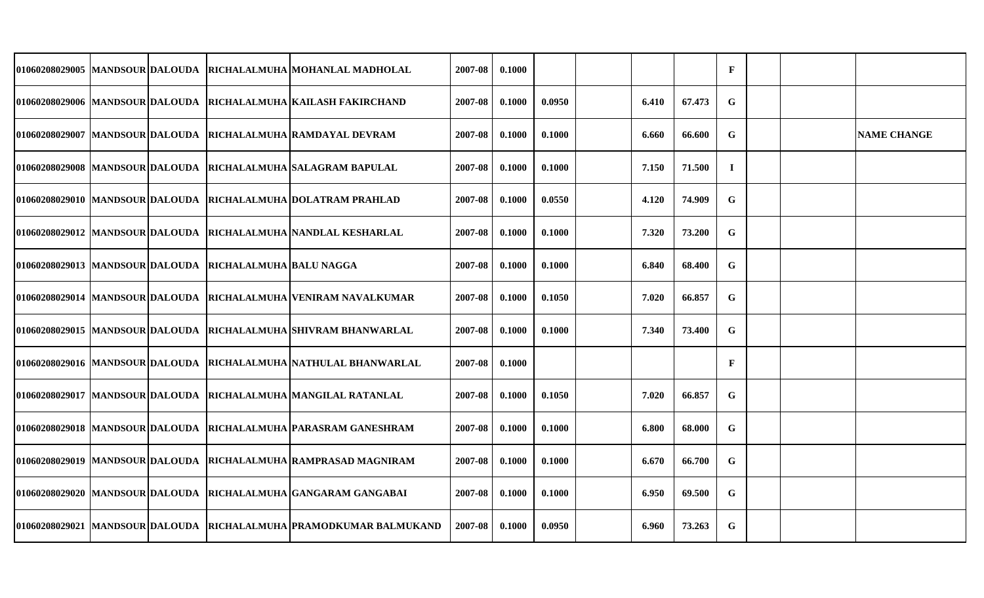|  |                                                         | 01060208029005 MANDSOUR DALOUDA RICHALALMUHA MOHANLAL MADHOLAL     | 2007-08 | 0.1000 |        |       |        | $\mathbf{F}$ |  |                    |
|--|---------------------------------------------------------|--------------------------------------------------------------------|---------|--------|--------|-------|--------|--------------|--|--------------------|
|  |                                                         | 01060208029006  MANDSOUR DALOUDA  RICHALALMUHA KAILASH FAKIRCHAND  | 2007-08 | 0.1000 | 0.0950 | 6.410 | 67.473 | $\mathbf G$  |  |                    |
|  |                                                         | 01060208029007 MANDSOUR DALOUDA RICHALALMUHA RAMDAYAL DEVRAM       | 2007-08 | 0.1000 | 0.1000 | 6.660 | 66.600 | G            |  | <b>NAME CHANGE</b> |
|  |                                                         | 01060208029008 MANDSOUR DALOUDA RICHALALMUHA SALAGRAM BAPULAL      | 2007-08 | 0.1000 | 0.1000 | 7.150 | 71.500 | $\mathbf I$  |  |                    |
|  |                                                         | 01060208029010 MANDSOUR DALOUDA RICHALALMUHA DOLATRAM PRAHLAD      | 2007-08 | 0.1000 | 0.0550 | 4.120 | 74.909 | G            |  |                    |
|  |                                                         | 01060208029012 MANDSOUR DALOUDA RICHALALMUHA NANDLAL KESHARLAL     | 2007-08 | 0.1000 | 0.1000 | 7.320 | 73.200 | G            |  |                    |
|  | 01060208029013 MANDSOUR DALOUDA RICHALALMUHA BALU NAGGA |                                                                    | 2007-08 | 0.1000 | 0.1000 | 6.840 | 68.400 | G            |  |                    |
|  |                                                         | 01060208029014 MANDSOUR DALOUDA RICHALALMUHA VENIRAM NAVALKUMAR    | 2007-08 | 0.1000 | 0.1050 | 7.020 | 66.857 | $\mathbf G$  |  |                    |
|  |                                                         | 01060208029015 MANDSOUR DALOUDA RICHALALMUHA SHIVRAM BHANWARLAL    | 2007-08 | 0.1000 | 0.1000 | 7.340 | 73.400 | ${\bf G}$    |  |                    |
|  |                                                         | 01060208029016 MANDSOUR DALOUDA RICHALALMUHA NATHULAL BHANWARLAL   | 2007-08 | 0.1000 |        |       |        | $\mathbf{F}$ |  |                    |
|  |                                                         | 01060208029017 MANDSOUR DALOUDA RICHALALMUHA MANGILAL RATANLAL     | 2007-08 | 0.1000 | 0.1050 | 7.020 | 66.857 | $\mathbf G$  |  |                    |
|  |                                                         | 01060208029018 MANDSOUR DALOUDA RICHALALMUHA PARASRAM GANESHRAM    | 2007-08 | 0.1000 | 0.1000 | 6.800 | 68.000 | $\mathbf G$  |  |                    |
|  |                                                         | 01060208029019  MANDSOUR DALOUDA  RICHALALMUHA RAMPRASAD MAGNIRAM  | 2007-08 | 0.1000 | 0.1000 | 6.670 | 66.700 | G            |  |                    |
|  |                                                         | 01060208029020 MANDSOUR DALOUDA RICHALALMUHA GANGARAM GANGABAI     | 2007-08 | 0.1000 | 0.1000 | 6.950 | 69.500 | ${\bf G}$    |  |                    |
|  |                                                         | 01060208029021 MANDSOUR DALOUDA RICHALALMUHA PRAMODKUMAR BALMUKAND | 2007-08 | 0.1000 | 0.0950 | 6.960 | 73.263 | $\mathbf G$  |  |                    |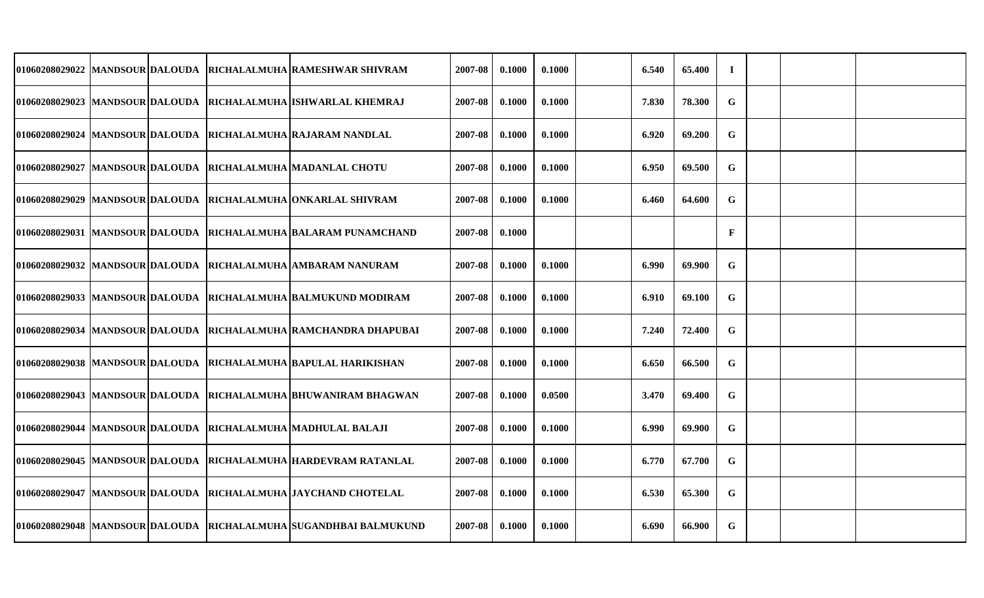| 01060208029022 MANDSOUR DALOUDA  |  | RICHALALMUHA RAMESHWAR SHIVRAM                                    | 2007-08 | 0.1000 | 0.1000 | 6.540 | 65.400 | $\mathbf I$  |  |  |
|----------------------------------|--|-------------------------------------------------------------------|---------|--------|--------|-------|--------|--------------|--|--|
|                                  |  | 01060208029023 MANDSOUR DALOUDA RICHALALMUHA ISHWARLAL KHEMRAJ    | 2007-08 | 0.1000 | 0.1000 | 7.830 | 78.300 | $\mathbf G$  |  |  |
| 01060208029024 MANDSOUR DALOUDA  |  | RICHALALMUHA RAJARAM NANDLAL                                      | 2007-08 | 0.1000 | 0.1000 | 6.920 | 69.200 | $\mathbf G$  |  |  |
|                                  |  | 01060208029027 MANDSOUR DALOUDA RICHALALMUHA MADANLAL CHOTU       | 2007-08 | 0.1000 | 0.1000 | 6.950 | 69.500 | G            |  |  |
| 01060208029029 MANDSOUR DALOUDA  |  | RICHALALMUHA ONKARLAL SHIVRAM                                     | 2007-08 | 0.1000 | 0.1000 | 6.460 | 64.600 | $\mathbf G$  |  |  |
|                                  |  | 01060208029031  MANDSOUR DALOUDA  RICHALALMUHA BALARAM PUNAMCHAND | 2007-08 | 0.1000 |        |       |        | $\mathbf{F}$ |  |  |
| 01060208029032 MANDSOUR DALOUDA  |  | RICHALALMUHA AMBARAM NANURAM                                      | 2007-08 | 0.1000 | 0.1000 | 6.990 | 69.900 | $\mathbf G$  |  |  |
|                                  |  | 01060208029033 MANDSOUR DALOUDA RICHALALMUHA BALMUKUND MODIRAM    | 2007-08 | 0.1000 | 0.1000 | 6.910 | 69.100 | G            |  |  |
|                                  |  | 01060208029034 MANDSOUR DALOUDA RICHALALMUHA RAMCHANDRA DHAPUBAI  | 2007-08 | 0.1000 | 0.1000 | 7.240 | 72.400 | G            |  |  |
|                                  |  | 01060208029038 MANDSOUR DALOUDA RICHALALMUHA BAPULAL HARIKISHAN   | 2007-08 | 0.1000 | 0.1000 | 6.650 | 66.500 | G            |  |  |
| 01060208029043  MANDSOUR DALOUDA |  | RICHALALMUHA BHUWANIRAM BHAGWAN                                   | 2007-08 | 0.1000 | 0.0500 | 3.470 | 69.400 | G            |  |  |
|                                  |  | 01060208029044 MANDSOUR DALOUDA RICHALALMUHA MADHULAL BALAJI      | 2007-08 | 0.1000 | 0.1000 | 6.990 | 69.900 | G            |  |  |
| 01060208029045 MANDSOUR DALOUDA  |  | RICHALALMUHA HARDEVRAM RATANLAL                                   | 2007-08 | 0.1000 | 0.1000 | 6.770 | 67.700 | G            |  |  |
|                                  |  | 01060208029047 MANDSOUR DALOUDA RICHALALMUHA JAYCHAND CHOTELAL    | 2007-08 | 0.1000 | 0.1000 | 6.530 | 65.300 | $\mathbf G$  |  |  |
|                                  |  | 01060208029048 MANDSOUR DALOUDA RICHALALMUHA SUGANDHBAI BALMUKUND | 2007-08 | 0.1000 | 0.1000 | 6.690 | 66.900 | $\mathbf G$  |  |  |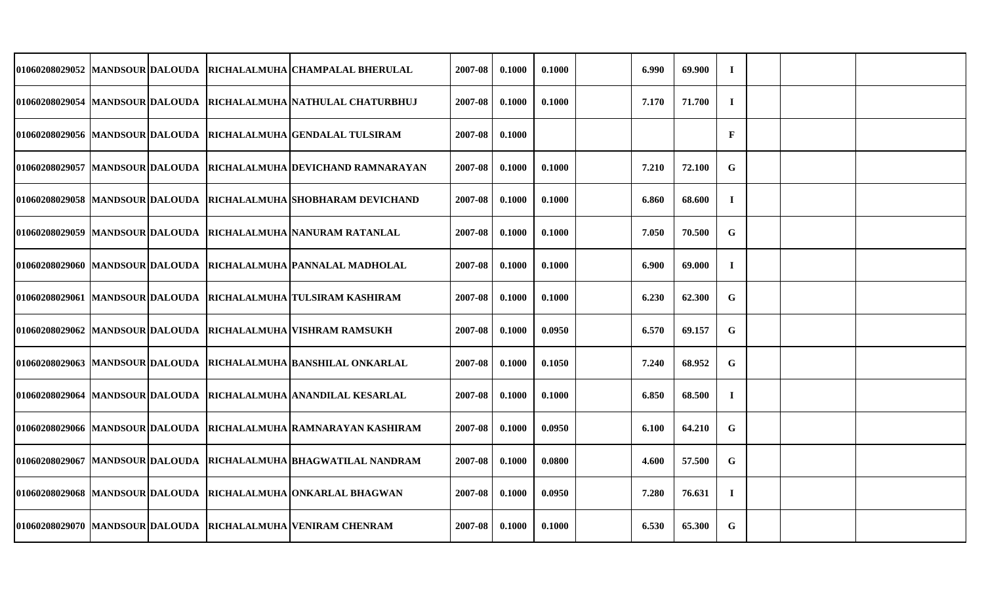| 01060208029052 MANDSOUR DALOUDA   |  | RICHALALMUHA CHAMPALAL BHERULAL                                     | 2007-08 | 0.1000 | 0.1000 | 6.990 | 69.900 | $\mathbf I$ |  |  |
|-----------------------------------|--|---------------------------------------------------------------------|---------|--------|--------|-------|--------|-------------|--|--|
|                                   |  | 01060208029054  MANDSOUR DALOUDA  RICHALALMUHA NATHULAL CHATURBHUJ  | 2007-08 | 0.1000 | 0.1000 | 7.170 | 71.700 | $\mathbf I$ |  |  |
| 01060208029056 MANDSOUR DALOUDA   |  | RICHALALMUHA GENDALAL TULSIRAM                                      | 2007-08 | 0.1000 |        |       |        | $\mathbf F$ |  |  |
|                                   |  | 01060208029057  MANDSOUR DALOUDA  RICHALALMUHA DEVICHAND RAMNARAYAN | 2007-08 | 0.1000 | 0.1000 | 7.210 | 72.100 | G           |  |  |
| 01060208029058 MANDSOUR DALOUDA   |  | <b>IRICHALALMUHA ISHOBHARAM DEVICHAND</b>                           | 2007-08 | 0.1000 | 0.1000 | 6.860 | 68.600 | $\bf{I}$    |  |  |
|                                   |  | 01060208029059 MANDSOUR DALOUDA RICHALALMUHA NANURAM RATANLAL       | 2007-08 | 0.1000 | 0.1000 | 7.050 | 70.500 | $\mathbf G$ |  |  |
| 01060208029060 MANDSOUR DALOUDA   |  | RICHALALMUHA PANNALAL MADHOLAL                                      | 2007-08 | 0.1000 | 0.1000 | 6.900 | 69.000 | $\bf{I}$    |  |  |
|                                   |  | 01060208029061 MANDSOUR DALOUDA RICHALALMUHA TULSIRAM KASHIRAM      | 2007-08 | 0.1000 | 0.1000 | 6.230 | 62.300 | G           |  |  |
|                                   |  | 01060208029062 MANDSOUR DALOUDA RICHALALMUHA VISHRAM RAMSUKH        | 2007-08 | 0.1000 | 0.0950 | 6.570 | 69.157 | $\mathbf G$ |  |  |
|                                   |  | 01060208029063  MANDSOUR DALOUDA  RICHALALMUHA BANSHILAL ONKARLAL   | 2007-08 | 0.1000 | 0.1050 | 7.240 | 68.952 | G           |  |  |
|                                   |  | 01060208029064  MANDSOUR DALOUDA  RICHALALMUHA ANANDILAL KESARLAL   | 2007-08 | 0.1000 | 0.1000 | 6.850 | 68.500 | $\bf{I}$    |  |  |
| 01060208029066   MANDSOUR DALOUDA |  | <b>RICHALALMUHA RAMNARAYAN KASHIRAM</b>                             | 2007-08 | 0.1000 | 0.0950 | 6.100 | 64.210 | $\mathbf G$ |  |  |
| 01060208029067  MANDSOUR DALOUDA  |  | RICHALALMUHA BHAGWATILAL NANDRAM                                    | 2007-08 | 0.1000 | 0.0800 | 4.600 | 57.500 | G           |  |  |
|                                   |  | 01060208029068  MANDSOUR DALOUDA  RICHALALMUHA ONKARLAL BHAGWAN     | 2007-08 | 0.1000 | 0.0950 | 7.280 | 76.631 | $\mathbf I$ |  |  |
|                                   |  | 01060208029070 MANDSOUR DALOUDA RICHALALMUHA VENIRAM CHENRAM        | 2007-08 | 0.1000 | 0.1000 | 6.530 | 65.300 | G           |  |  |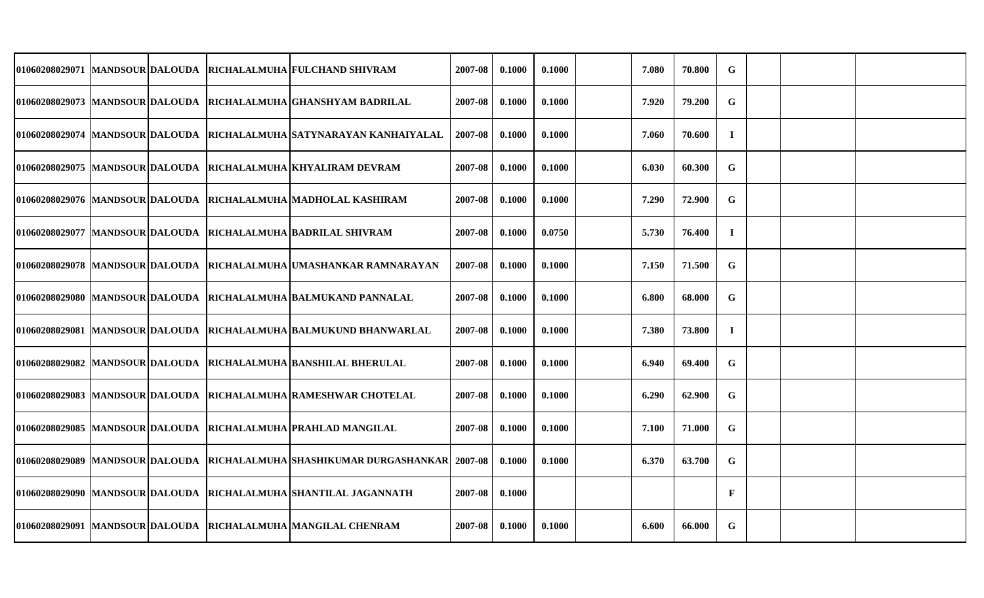|  |  | 01060208029071  MANDSOUR DALOUDA  RICHALALMUHA FULCHAND SHIVRAM                  | 2007-08 | 0.1000 | 0.1000 | 7.080 | 70.800 | ${\bf G}$   |  |  |
|--|--|----------------------------------------------------------------------------------|---------|--------|--------|-------|--------|-------------|--|--|
|  |  | 01060208029073 MANDSOUR DALOUDA RICHALALMUHA GHANSHYAM BADRILAL                  | 2007-08 | 0.1000 | 0.1000 | 7.920 | 79.200 | G           |  |  |
|  |  | 01060208029074  MANDSOUR DALOUDA  RICHALALMUHA SATYNARAYAN KANHAIYALAL           | 2007-08 | 0.1000 | 0.1000 | 7.060 | 70.600 | $\bf{I}$    |  |  |
|  |  | 01060208029075 MANDSOUR DALOUDA RICHALALMUHA KHYALIRAM DEVRAM                    | 2007-08 | 0.1000 | 0.1000 | 6.030 | 60.300 | G           |  |  |
|  |  | 01060208029076 MANDSOUR DALOUDA RICHALALMUHA MADHOLAL KASHIRAM                   | 2007-08 | 0.1000 | 0.1000 | 7.290 | 72.900 | G           |  |  |
|  |  | 01060208029077 MANDSOUR DALOUDA RICHALALMUHA BADRILAL SHIVRAM                    | 2007-08 | 0.1000 | 0.0750 | 5.730 | 76.400 | $\bf{I}$    |  |  |
|  |  | 01060208029078 MANDSOUR DALOUDA RICHALALMUHA UMASHANKAR RAMNARAYAN               | 2007-08 | 0.1000 | 0.1000 | 7.150 | 71.500 | ${\bf G}$   |  |  |
|  |  | 01060208029080  MANDSOUR DALOUDA  RICHALALMUHA BALMUKAND PANNALAL                | 2007-08 | 0.1000 | 0.1000 | 6.800 | 68.000 | G           |  |  |
|  |  | 01060208029081  MANDSOUR DALOUDA  RICHALALMUHA BALMUKUND BHANWARLAL              | 2007-08 | 0.1000 | 0.1000 | 7.380 | 73.800 | $\bf{I}$    |  |  |
|  |  | 01060208029082 MANDSOUR DALOUDA RICHALALMUHA BANSHILAL BHERULAL                  | 2007-08 | 0.1000 | 0.1000 | 6.940 | 69.400 | G           |  |  |
|  |  | 01060208029083  MANDSOUR DALOUDA  RICHALALMUHA RAMESHWAR CHOTELAL                | 2007-08 | 0.1000 | 0.1000 | 6.290 | 62.900 | G           |  |  |
|  |  | 01060208029085 MANDSOUR DALOUDA RICHALALMUHA PRAHLAD MANGILAL                    | 2007-08 | 0.1000 | 0.1000 | 7.100 | 71.000 | ${\bf G}$   |  |  |
|  |  | 01060208029089  MANDSOUR DALOUDA  RICHALALMUHA  SHASHIKUMAR DURGASHANKAR 2007-08 |         | 0.1000 | 0.1000 | 6.370 | 63.700 | G           |  |  |
|  |  | 01060208029090  MANDSOUR DALOUDA  RICHALALMUHA  SHANTILAL JAGANNATH              | 2007-08 | 0.1000 |        |       |        | $\mathbf F$ |  |  |
|  |  | 01060208029091 MANDSOUR DALOUDA RICHALALMUHA MANGILAL CHENRAM                    | 2007-08 | 0.1000 | 0.1000 | 6.600 | 66.000 | G           |  |  |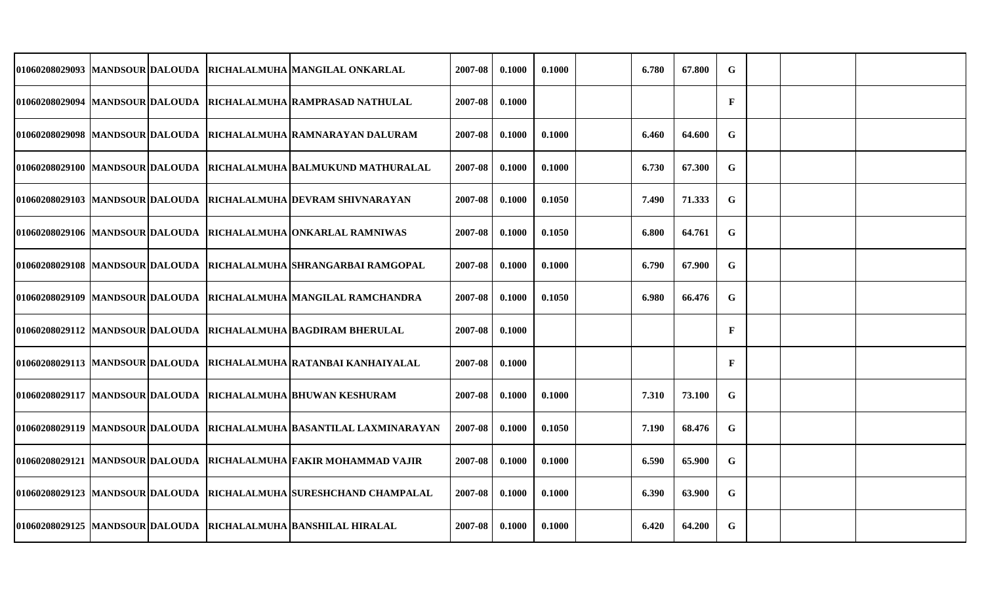|                                   |  | 01060208029093  MANDSOUR DALOUDA  RICHALALMUHA  MANGILAL ONKARLAL      | 2007-08 | 0.1000 | 0.1000 | 6.780 | 67.800 | $\mathbf G$  |  |  |
|-----------------------------------|--|------------------------------------------------------------------------|---------|--------|--------|-------|--------|--------------|--|--|
|                                   |  | 01060208029094 MANDSOUR DALOUDA RICHALALMUHA RAMPRASAD NATHULAL        | 2007-08 | 0.1000 |        |       |        | $\mathbf{F}$ |  |  |
| 01060208029098   MANDSOUR DALOUDA |  | RICHALALMUHA RAMNARAYAN DALURAM                                        | 2007-08 | 0.1000 | 0.1000 | 6.460 | 64.600 | G            |  |  |
|                                   |  | 01060208029100  MANDSOUR DALOUDA  RICHALALMUHA BALMUKUND MATHURALAL    | 2007-08 | 0.1000 | 0.1000 | 6.730 | 67.300 | G            |  |  |
|                                   |  | 01060208029103 MANDSOUR DALOUDA RICHALALMUHA DEVRAM SHIVNARAYAN        | 2007-08 | 0.1000 | 0.1050 | 7.490 | 71.333 | G            |  |  |
|                                   |  | 01060208029106  MANDSOUR DALOUDA  RICHALALMUHA  ONKARLAL RAMNIWAS      | 2007-08 | 0.1000 | 0.1050 | 6.800 | 64.761 | G            |  |  |
|                                   |  | 01060208029108 MANDSOUR DALOUDA RICHALALMUHA SHRANGARBAI RAMGOPAL      | 2007-08 | 0.1000 | 0.1000 | 6.790 | 67.900 | $\mathbf G$  |  |  |
|                                   |  | 01060208029109  MANDSOUR DALOUDA  RICHALALMUHA  MANGILAL RAMCHANDRA    | 2007-08 | 0.1000 | 0.1050 | 6.980 | 66.476 | G            |  |  |
|                                   |  | 01060208029112 MANDSOUR DALOUDA RICHALALMUHA BAGDIRAM BHERULAL         | 2007-08 | 0.1000 |        |       |        | F            |  |  |
|                                   |  | 01060208029113  MANDSOUR DALOUDA  RICHALALMUHA RATANBAI KANHAIYALAL    | 2007-08 | 0.1000 |        |       |        | $\mathbf{F}$ |  |  |
|                                   |  | 01060208029117 MANDSOUR DALOUDA RICHALALMUHA BHUWAN KESHURAM           | 2007-08 | 0.1000 | 0.1000 | 7.310 | 73.100 | $\mathbf G$  |  |  |
|                                   |  | 01060208029119  MANDSOUR DALOUDA  RICHALALMUHA BASANTILAL LAXMINARAYAN | 2007-08 | 0.1000 | 0.1050 | 7.190 | 68.476 | G            |  |  |
|                                   |  | 01060208029121  MANDSOUR DALOUDA  RICHALALMUHA FAKIR MOHAMMAD VAJIR    | 2007-08 | 0.1000 | 0.1000 | 6.590 | 65.900 | G            |  |  |
|                                   |  | 01060208029123  MANDSOUR DALOUDA  RICHALALMUHA  SURESHCHAND CHAMPALAL  | 2007-08 | 0.1000 | 0.1000 | 6.390 | 63.900 | G            |  |  |
|                                   |  | 01060208029125 MANDSOUR DALOUDA RICHALALMUHA BANSHILAL HIRALAL         | 2007-08 | 0.1000 | 0.1000 | 6.420 | 64.200 | G            |  |  |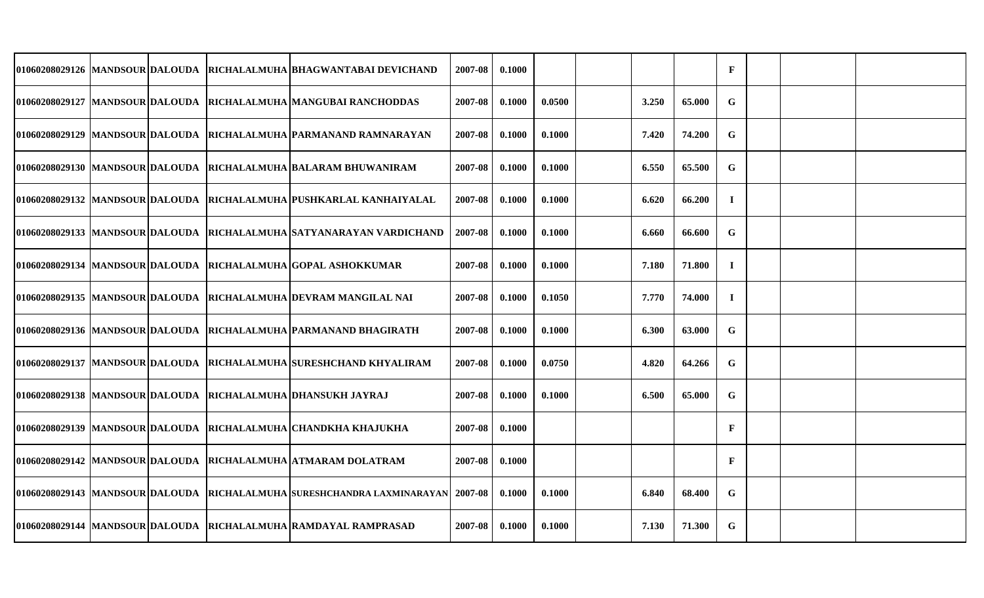|  |  | 01060208029126 MANDSOUR DALOUDA RICHALALMUHA BHAGWANTABAI DEVICHAND       | 2007-08 | 0.1000 |        |       |        | $\mathbf F$  |  |  |
|--|--|---------------------------------------------------------------------------|---------|--------|--------|-------|--------|--------------|--|--|
|  |  | 01060208029127 MANDSOUR DALOUDA RICHALALMUHA MANGUBAI RANCHODDAS          | 2007-08 | 0.1000 | 0.0500 | 3.250 | 65.000 | G            |  |  |
|  |  | 01060208029129  MANDSOUR DALOUDA  RICHALALMUHA  PARMANAND RAMNARAYAN      | 2007-08 | 0.1000 | 0.1000 | 7.420 | 74.200 | G            |  |  |
|  |  | 01060208029130 MANDSOUR DALOUDA RICHALALMUHA BALARAM BHUWANIRAM           | 2007-08 | 0.1000 | 0.1000 | 6.550 | 65.500 | G            |  |  |
|  |  | 01060208029132 MANDSOUR DALOUDA RICHALALMUHA PUSHKARLAL KANHAIYALAL       | 2007-08 | 0.1000 | 0.1000 | 6.620 | 66.200 | $\bf{I}$     |  |  |
|  |  | 01060208029133  MANDSOUR DALOUDA  RICHALALMUHA  SATYANARAYAN VARDICHAND   | 2007-08 | 0.1000 | 0.1000 | 6.660 | 66.600 | $\mathbf G$  |  |  |
|  |  | 01060208029134 MANDSOUR DALOUDA RICHALALMUHA GOPAL ASHOKKUMAR             | 2007-08 | 0.1000 | 0.1000 | 7.180 | 71.800 | $\mathbf I$  |  |  |
|  |  | 01060208029135 MANDSOUR DALOUDA RICHALALMUHA DEVRAM MANGILAL NAI          | 2007-08 | 0.1000 | 0.1050 | 7.770 | 74.000 | $\mathbf I$  |  |  |
|  |  | 01060208029136 MANDSOUR DALOUDA RICHALALMUHA PARMANAND BHAGIRATH          | 2007-08 | 0.1000 | 0.1000 | 6.300 | 63.000 | G            |  |  |
|  |  | 01060208029137  MANDSOUR DALOUDA  RICHALALMUHA  SURESHCHAND KHYALIRAM     | 2007-08 | 0.1000 | 0.0750 | 4.820 | 64.266 | G            |  |  |
|  |  | 01060208029138  MANDSOUR DALOUDA  RICHALALMUHA DHANSUKH JAYRAJ            | 2007-08 | 0.1000 | 0.1000 | 6.500 | 65.000 | G            |  |  |
|  |  | 01060208029139 MANDSOUR DALOUDA RICHALALMUHA CHANDKHA KHAJUKHA            | 2007-08 | 0.1000 |        |       |        | $\mathbf{F}$ |  |  |
|  |  | 01060208029142 MANDSOUR DALOUDA RICHALALMUHA ATMARAM DOLATRAM             | 2007-08 | 0.1000 |        |       |        | $\mathbf{F}$ |  |  |
|  |  | 01060208029143  MANDSOUR DALOUDA  RICHALALMUHA SURESHCHANDRA LAXMINARAYAN | 2007-08 | 0.1000 | 0.1000 | 6.840 | 68.400 | G            |  |  |
|  |  | 01060208029144  MANDSOUR DALOUDA  RICHALALMUHA RAMDAYAL RAMPRASAD         | 2007-08 | 0.1000 | 0.1000 | 7.130 | 71.300 | G            |  |  |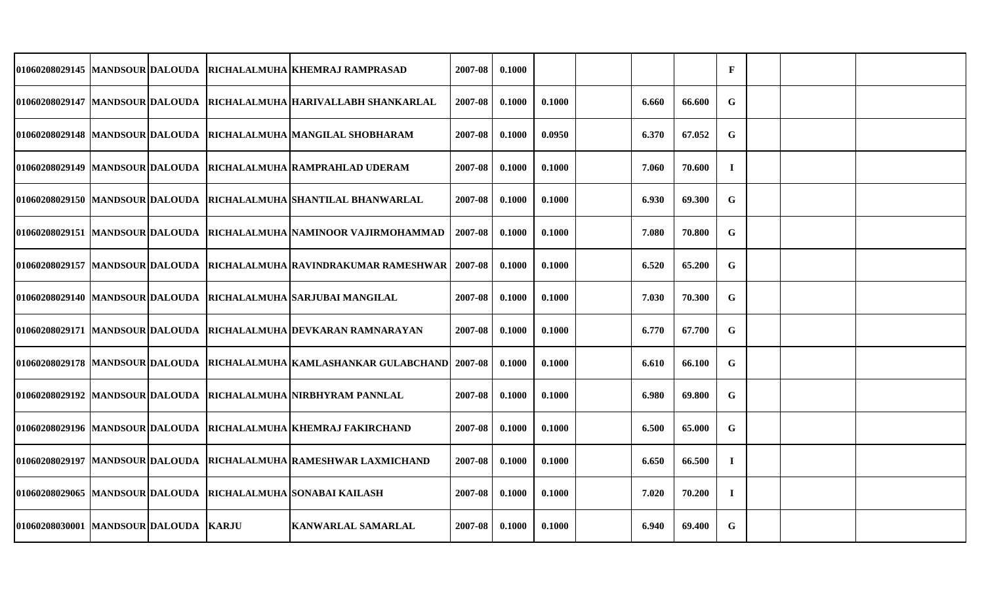|                                         |  | 01060208029145 MANDSOUR DALOUDA RICHALALMUHA KHEMRAJ RAMPRASAD                 | 2007-08 | 0.1000 |        |       |        | $\mathbf{F}$ |  |  |
|-----------------------------------------|--|--------------------------------------------------------------------------------|---------|--------|--------|-------|--------|--------------|--|--|
|                                         |  | 01060208029147 MANDSOUR DALOUDA RICHALALMUHA HARIVALLABH SHANKARLAL            | 2007-08 | 0.1000 | 0.1000 | 6.660 | 66.600 | G            |  |  |
|                                         |  | 01060208029148  MANDSOUR DALOUDA  RICHALALMUHA  MANGILAL SHOBHARAM             | 2007-08 | 0.1000 | 0.0950 | 6.370 | 67.052 | G            |  |  |
|                                         |  | 01060208029149 MANDSOUR DALOUDA RICHALALMUHA RAMPRAHLAD UDERAM                 | 2007-08 | 0.1000 | 0.1000 | 7.060 | 70.600 | $\mathbf I$  |  |  |
|                                         |  | 01060208029150 MANDSOUR DALOUDA RICHALALMUHA SHANTILAL BHANWARLAL              | 2007-08 | 0.1000 | 0.1000 | 6.930 | 69.300 | $\mathbf G$  |  |  |
|                                         |  | 01060208029151  MANDSOUR DALOUDA  RICHALALMUHA NAMINOOR VAJIRMOHAMMAD          | 2007-08 | 0.1000 | 0.1000 | 7.080 | 70.800 | G            |  |  |
|                                         |  | 01060208029157 MANDSOUR DALOUDA RICHALALMUHA RAVINDRAKUMAR RAMESHWAR   2007-08 |         | 0.1000 | 0.1000 | 6.520 | 65.200 | G            |  |  |
|                                         |  | 01060208029140 MANDSOUR DALOUDA RICHALALMUHA SARJUBAI MANGILAL                 | 2007-08 | 0.1000 | 0.1000 | 7.030 | 70.300 | G            |  |  |
|                                         |  | 01060208029171 MANDSOUR DALOUDA RICHALALMUHA DEVKARAN RAMNARAYAN               | 2007-08 | 0.1000 | 0.1000 | 6.770 | 67.700 | $\mathbf G$  |  |  |
|                                         |  | 01060208029178  MANDSOUR DALOUDA  RICHALALMUHA KAMLASHANKAR GULABCHAND 2007-08 |         | 0.1000 | 0.1000 | 6.610 | 66.100 | G            |  |  |
|                                         |  | 01060208029192 MANDSOUR DALOUDA RICHALALMUHA NIRBHYRAM PANNLAL                 | 2007-08 | 0.1000 | 0.1000 | 6.980 | 69.800 | G            |  |  |
|                                         |  | 01060208029196 MANDSOUR DALOUDA RICHALALMUHA KHEMRAJ FAKIRCHAND                | 2007-08 | 0.1000 | 0.1000 | 6.500 | 65.000 | G            |  |  |
|                                         |  | 01060208029197  MANDSOUR DALOUDA  RICHALALMUHA RAMESHWAR LAXMICHAND            | 2007-08 | 0.1000 | 0.1000 | 6.650 | 66.500 | $\mathbf I$  |  |  |
|                                         |  | 01060208029065 MANDSOUR DALOUDA RICHALALMUHA SONABAI KAILASH                   | 2007-08 | 0.1000 | 0.1000 | 7.020 | 70.200 | $\bf{I}$     |  |  |
| 01060208030001  MANDSOUR DALOUDA  KARJU |  | <b>KANWARLAL SAMARLAL</b>                                                      | 2007-08 | 0.1000 | 0.1000 | 6.940 | 69.400 | G            |  |  |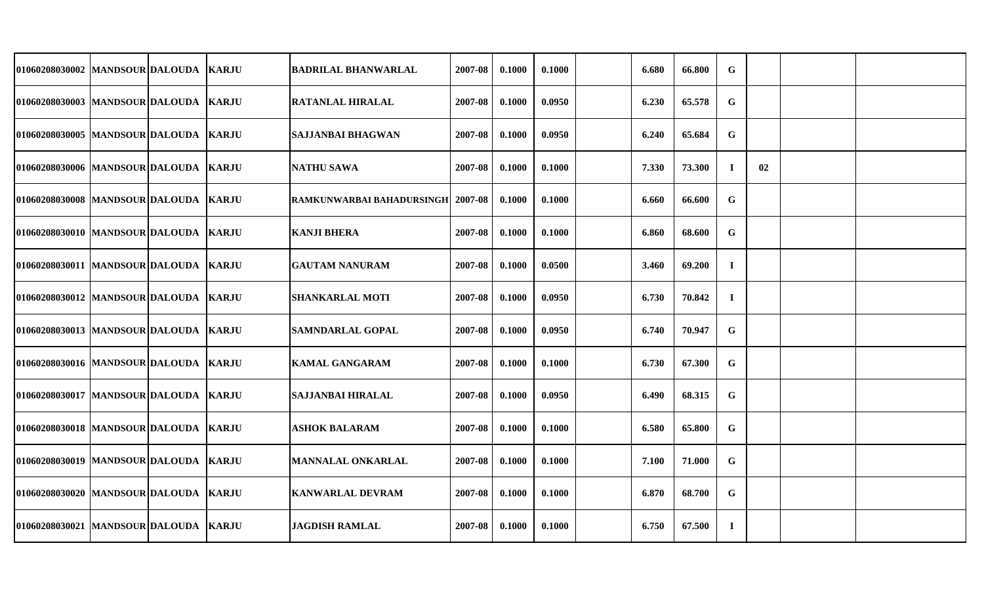| 01060208030002 MANDSOUR DALOUDA  KARJU  |  | <b>BADRILAL BHANWARLAL</b>         | 2007-08 | 0.1000 | 0.1000 | 6.680 | 66.800 | $\mathbf G$ |    |  |
|-----------------------------------------|--|------------------------------------|---------|--------|--------|-------|--------|-------------|----|--|
| 01060208030003  MANDSOUR DALOUDA  KARJU |  | <b>RATANLAL HIRALAL</b>            | 2007-08 | 0.1000 | 0.0950 | 6.230 | 65.578 | $\mathbf G$ |    |  |
| 01060208030005 MANDSOUR DALOUDA KARJU   |  | <b>SAJJANBAI BHAGWAN</b>           | 2007-08 | 0.1000 | 0.0950 | 6.240 | 65.684 | $\mathbf G$ |    |  |
| 01060208030006 MANDSOUR DALOUDA KARJU   |  | <b>NATHU SAWA</b>                  | 2007-08 | 0.1000 | 0.1000 | 7.330 | 73.300 | $\mathbf I$ | 02 |  |
| 01060208030008  MANDSOUR DALOUDA  KARJU |  | RAMKUNWARBAI BAHADURSINGH  2007-08 |         | 0.1000 | 0.1000 | 6.660 | 66.600 | G           |    |  |
| 01060208030010  MANDSOUR DALOUDA  KARJU |  | <b>KANJI BHERA</b>                 | 2007-08 | 0.1000 | 0.1000 | 6.860 | 68.600 | $\mathbf G$ |    |  |
| 01060208030011 MANDSOUR DALOUDA KARJU   |  | <b>GAUTAM NANURAM</b>              | 2007-08 | 0.1000 | 0.0500 | 3.460 | 69.200 | $\bf{I}$    |    |  |
| 01060208030012 MANDSOUR DALOUDA KARJU   |  | <b>SHANKARLAL MOTI</b>             | 2007-08 | 0.1000 | 0.0950 | 6.730 | 70.842 | $\bf{I}$    |    |  |
| 01060208030013 MANDSOUR DALOUDA KARJU   |  | <b>SAMNDARLAL GOPAL</b>            | 2007-08 | 0.1000 | 0.0950 | 6.740 | 70.947 | $\mathbf G$ |    |  |
| 01060208030016  MANDSOUR DALOUDA  KARJU |  | <b>KAMAL GANGARAM</b>              | 2007-08 | 0.1000 | 0.1000 | 6.730 | 67.300 | G           |    |  |
| 01060208030017 MANDSOUR DALOUDA KARJU   |  | <b>SAJJANBAI HIRALAL</b>           | 2007-08 | 0.1000 | 0.0950 | 6.490 | 68.315 | $\mathbf G$ |    |  |
| 01060208030018  MANDSOUR DALOUDA KARJU  |  | ASHOK BALARAM                      | 2007-08 | 0.1000 | 0.1000 | 6.580 | 65.800 | G           |    |  |
| 01060208030019 MANDSOUR DALOUDA KARJU   |  | <b>MANNALAL ONKARLAL</b>           | 2007-08 | 0.1000 | 0.1000 | 7.100 | 71.000 | $\mathbf G$ |    |  |
| 01060208030020  MANDSOUR DALOUDA  KARJU |  | <b>KANWARLAL DEVRAM</b>            | 2007-08 | 0.1000 | 0.1000 | 6.870 | 68.700 | G           |    |  |
| 01060208030021 MANDSOUR DALOUDA KARJU   |  | <b>JAGDISH RAMLAL</b>              | 2007-08 | 0.1000 | 0.1000 | 6.750 | 67.500 | $\bf{I}$    |    |  |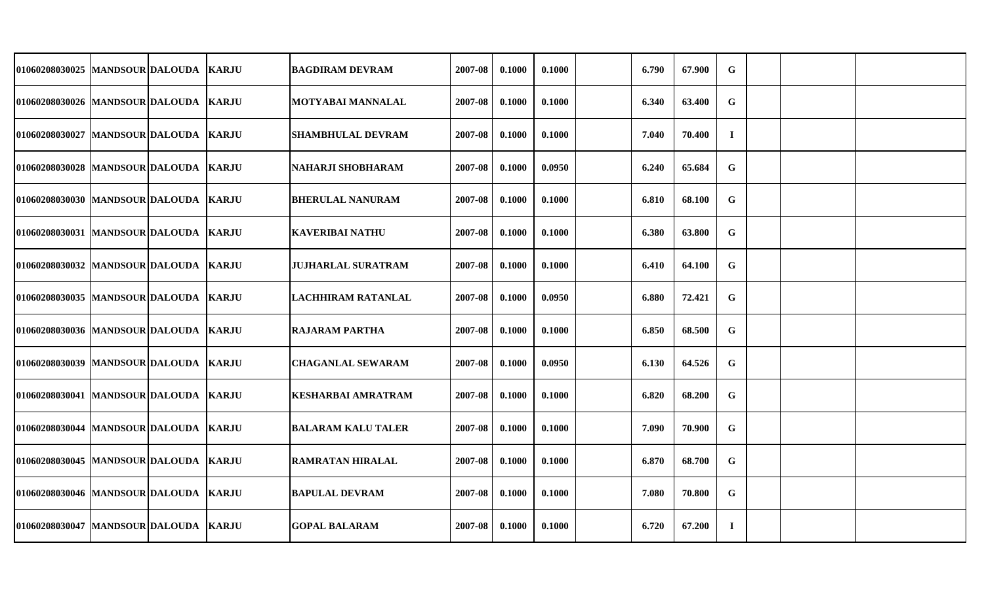| 01060208030025 MANDSOUR DALOUDA         |  | <b>KARJU</b> | <b>BAGDIRAM DEVRAM</b>    | 2007-08 | 0.1000 | 0.1000 | 6.790 | 67.900 | $\mathbf G$ |  |  |
|-----------------------------------------|--|--------------|---------------------------|---------|--------|--------|-------|--------|-------------|--|--|
| 01060208030026  MANDSOUR DALOUDA KARJU  |  |              | <b>MOTYABAI MANNALAL</b>  | 2007-08 | 0.1000 | 0.1000 | 6.340 | 63.400 | $\mathbf G$ |  |  |
| 01060208030027  MANDSOUR DALOUDA  KARJU |  |              | <b>SHAMBHULAL DEVRAM</b>  | 2007-08 | 0.1000 | 0.1000 | 7.040 | 70.400 | $\bf{I}$    |  |  |
| 01060208030028 MANDSOUR DALOUDA KARJU   |  |              | <b>NAHARJI SHOBHARAM</b>  | 2007-08 | 0.1000 | 0.0950 | 6.240 | 65.684 | $\mathbf G$ |  |  |
| 01060208030030 MANDSOUR DALOUDA KARJU   |  |              | <b>BHERULAL NANURAM</b>   | 2007-08 | 0.1000 | 0.1000 | 6.810 | 68.100 | $\mathbf G$ |  |  |
| 01060208030031  MANDSOUR DALOUDA KARJU  |  |              | <b>KAVERIBAI NATHU</b>    | 2007-08 | 0.1000 | 0.1000 | 6.380 | 63.800 | G           |  |  |
| 01060208030032 MANDSOUR DALOUDA KARJU   |  |              | <b>JUJHARLAL SURATRAM</b> | 2007-08 | 0.1000 | 0.1000 | 6.410 | 64.100 | G           |  |  |
| 01060208030035 MANDSOUR DALOUDA KARJU   |  |              | <b>LACHHIRAM RATANLAL</b> | 2007-08 | 0.1000 | 0.0950 | 6.880 | 72.421 | $\mathbf G$ |  |  |
| 01060208030036 MANDSOUR DALOUDA KARJU   |  |              | <b>RAJARAM PARTHA</b>     | 2007-08 | 0.1000 | 0.1000 | 6.850 | 68.500 | $\mathbf G$ |  |  |
| 01060208030039 MANDSOUR DALOUDA KARJU   |  |              | <b>CHAGANLAL SEWARAM</b>  | 2007-08 | 0.1000 | 0.0950 | 6.130 | 64.526 | G           |  |  |
| 01060208030041 MANDSOUR DALOUDA KARJU   |  |              | KESHARBAI AMRATRAM        | 2007-08 | 0.1000 | 0.1000 | 6.820 | 68.200 | G           |  |  |
| 01060208030044  MANDSOUR DALOUDA  KARJU |  |              | <b>BALARAM KALU TALER</b> | 2007-08 | 0.1000 | 0.1000 | 7.090 | 70.900 | G           |  |  |
| 01060208030045 MANDSOUR DALOUDA KARJU   |  |              | <b>RAMRATAN HIRALAL</b>   | 2007-08 | 0.1000 | 0.1000 | 6.870 | 68.700 | $\mathbf G$ |  |  |
| 01060208030046  MANDSOUR DALOUDA  KARJU |  |              | <b>BAPULAL DEVRAM</b>     | 2007-08 | 0.1000 | 0.1000 | 7.080 | 70.800 | G           |  |  |
| 01060208030047  MANDSOUR DALOUDA  KARJU |  |              | <b>GOPAL BALARAM</b>      | 2007-08 | 0.1000 | 0.1000 | 6.720 | 67.200 | $\bf{I}$    |  |  |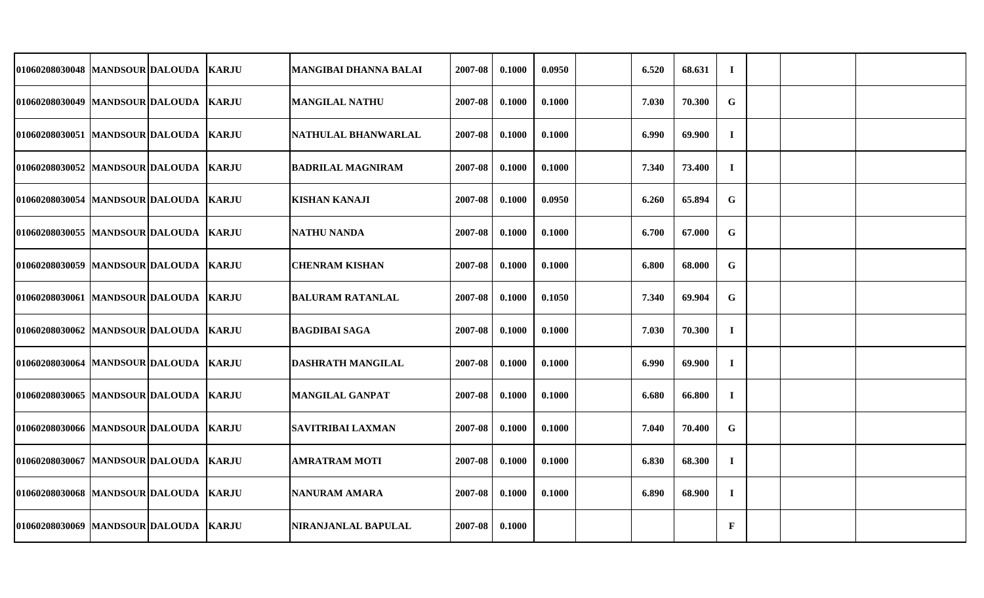| 01060208030048 MANDSOUR DALOUDA         |  | <b>KARJU</b> | <b>MANGIBAI DHANNA BALAI</b> | 2007-08 | 0.1000 | 0.0950 | 6.520 | 68.631 | $\bf{I}$     |  |  |
|-----------------------------------------|--|--------------|------------------------------|---------|--------|--------|-------|--------|--------------|--|--|
| 01060208030049  MANDSOUR DALOUDA  KARJU |  |              | <b>MANGILAL NATHU</b>        | 2007-08 | 0.1000 | 0.1000 | 7.030 | 70.300 | $\mathbf G$  |  |  |
| 01060208030051 MANDSOUR DALOUDA KARJU   |  |              | NATHULAL BHANWARLAL          | 2007-08 | 0.1000 | 0.1000 | 6.990 | 69.900 | $\bf{I}$     |  |  |
| 01060208030052 MANDSOUR DALOUDA KARJU   |  |              | <b>BADRILAL MAGNIRAM</b>     | 2007-08 | 0.1000 | 0.1000 | 7.340 | 73.400 | $\mathbf I$  |  |  |
| 01060208030054 MANDSOUR DALOUDA KARJU   |  |              | <b>KISHAN KANAJI</b>         | 2007-08 | 0.1000 | 0.0950 | 6.260 | 65.894 | $\mathbf G$  |  |  |
| 01060208030055 MANDSOUR DALOUDA KARJU   |  |              | <b>NATHU NANDA</b>           | 2007-08 | 0.1000 | 0.1000 | 6.700 | 67.000 | $\mathbf G$  |  |  |
| 01060208030059  MANDSOUR DALOUDA  KARJU |  |              | <b>CHENRAM KISHAN</b>        | 2007-08 | 0.1000 | 0.1000 | 6.800 | 68.000 | $\mathbf G$  |  |  |
| 01060208030061 MANDSOUR DALOUDA KARJU   |  |              | <b>BALURAM RATANLAL</b>      | 2007-08 | 0.1000 | 0.1050 | 7.340 | 69.904 | $\mathbf G$  |  |  |
| 01060208030062 MANDSOUR DALOUDA KARJU   |  |              | BAGDIBAI SAGA                | 2007-08 | 0.1000 | 0.1000 | 7.030 | 70.300 | $\bf{I}$     |  |  |
| 01060208030064 MANDSOUR DALOUDA KARJU   |  |              | <b>DASHRATH MANGILAL</b>     | 2007-08 | 0.1000 | 0.1000 | 6.990 | 69.900 | $\mathbf I$  |  |  |
| 01060208030065 MANDSOUR DALOUDA KARJU   |  |              | <b>MANGILAL GANPAT</b>       | 2007-08 | 0.1000 | 0.1000 | 6.680 | 66.800 | $\bf I$      |  |  |
| 01060208030066 MANDSOUR DALOUDA KARJU   |  |              | <b>SAVITRIBAI LAXMAN</b>     | 2007-08 | 0.1000 | 0.1000 | 7.040 | 70.400 | $\mathbf G$  |  |  |
| 01060208030067  MANDSOUR DALOUDA  KARJU |  |              | AMRATRAM MOTI                | 2007-08 | 0.1000 | 0.1000 | 6.830 | 68.300 | $\bf{I}$     |  |  |
| 01060208030068 MANDSOUR DALOUDA KARJU   |  |              | <b>NANURAM AMARA</b>         | 2007-08 | 0.1000 | 0.1000 | 6.890 | 68.900 | $\bf{I}$     |  |  |
| 01060208030069 MANDSOUR DALOUDA KARJU   |  |              | NIRANJANLAL BAPULAL          | 2007-08 | 0.1000 |        |       |        | $\mathbf{F}$ |  |  |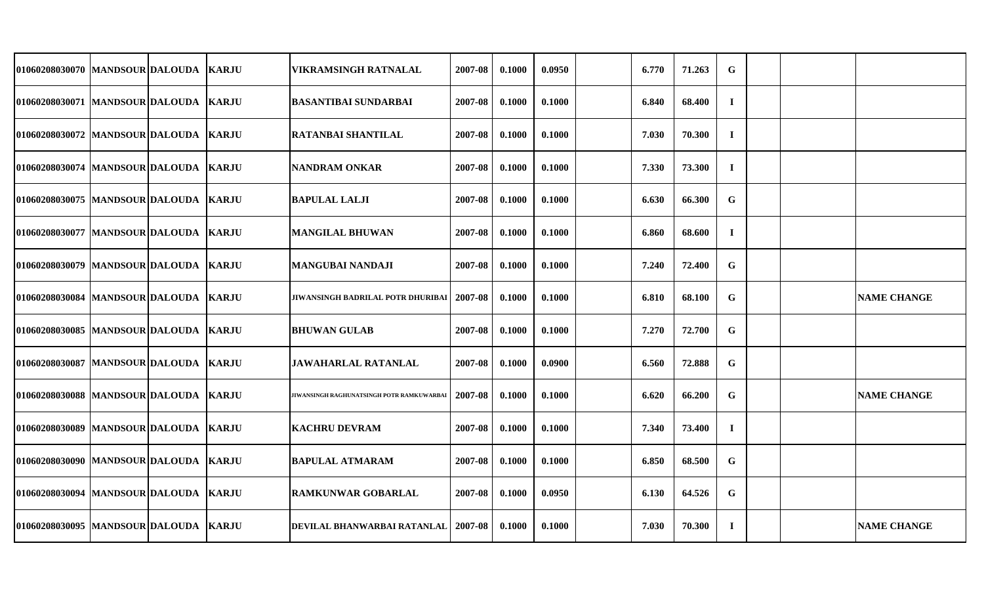| 01060208030070 MANDSOUR DALOUDA         |  | <b>KARJU</b> | <b>VIKRAMSINGH RATNALAL</b>               | 2007-08 | 0.1000 | 0.0950 | 6.770 | 71.263 | G           |  |                    |
|-----------------------------------------|--|--------------|-------------------------------------------|---------|--------|--------|-------|--------|-------------|--|--------------------|
| 01060208030071  MANDSOUR DALOUDA  KARJU |  |              | <b>BASANTIBAI SUNDARBAI</b>               | 2007-08 | 0.1000 | 0.1000 | 6.840 | 68.400 | $\bf{I}$    |  |                    |
| 01060208030072  MANDSOUR DALOUDA        |  | <b>KARJU</b> | <b>RATANBAI SHANTILAL</b>                 | 2007-08 | 0.1000 | 0.1000 | 7.030 | 70.300 | $\bf{I}$    |  |                    |
| 01060208030074  MANDSOUR DALOUDA  KARJU |  |              | <b>NANDRAM ONKAR</b>                      | 2007-08 | 0.1000 | 0.1000 | 7.330 | 73.300 | $\mathbf I$ |  |                    |
| 01060208030075 MANDSOUR DALOUDA KARJU   |  |              | <b>BAPULAL LALJI</b>                      | 2007-08 | 0.1000 | 0.1000 | 6.630 | 66.300 | G           |  |                    |
| 01060208030077  MANDSOUR DALOUDA  KARJU |  |              | <b>MANGILAL BHUWAN</b>                    | 2007-08 | 0.1000 | 0.1000 | 6.860 | 68.600 | $\mathbf I$ |  |                    |
| 01060208030079   MANDSOUR DALOUDA       |  | <b>KARJU</b> | <b>MANGUBAI NANDAJI</b>                   | 2007-08 | 0.1000 | 0.1000 | 7.240 | 72.400 | G           |  |                    |
| 01060208030084 MANDSOUR DALOUDA         |  | <b>KARJU</b> | JIWANSINGH BADRILAL POTR DHURIBAI         | 2007-08 | 0.1000 | 0.1000 | 6.810 | 68.100 | $\mathbf G$ |  | <b>NAME CHANGE</b> |
| 01060208030085  MANDSOUR DALOUDA        |  | <b>KARJU</b> | <b>BHUWAN GULAB</b>                       | 2007-08 | 0.1000 | 0.1000 | 7.270 | 72.700 | $\mathbf G$ |  |                    |
| 01060208030087  MANDSOUR DALOUDA        |  | <b>KARJU</b> | <b>JAWAHARLAL RATANLAL</b>                | 2007-08 | 0.1000 | 0.0900 | 6.560 | 72.888 | G           |  |                    |
| 01060208030088  MANDSOUR DALOUDA        |  | <b>KARJU</b> | JIWANSINGH RAGHUNATSINGH POTR RAMKUWARBAI | 2007-08 | 0.1000 | 0.1000 | 6.620 | 66.200 | G           |  | <b>NAME CHANGE</b> |
| 01060208030089 MANDSOUR DALOUDA         |  | <b>KARJU</b> | <b>KACHRU DEVRAM</b>                      | 2007-08 | 0.1000 | 0.1000 | 7.340 | 73.400 | $\mathbf I$ |  |                    |
| 01060208030090 MANDSOUR DALOUDA         |  | <b>KARJU</b> | <b>BAPULAL ATMARAM</b>                    | 2007-08 | 0.1000 | 0.1000 | 6.850 | 68.500 | G           |  |                    |
| 01060208030094  MANDSOUR DALOUDA        |  | <b>KARJU</b> | <b>RAMKUNWAR GOBARLAL</b>                 | 2007-08 | 0.1000 | 0.0950 | 6.130 | 64.526 | G           |  |                    |
| 01060208030095 MANDSOUR DALOUDA KARJU   |  |              | DEVILAL BHANWARBAI RATANLAL   2007-08     |         | 0.1000 | 0.1000 | 7.030 | 70.300 | $\bf{I}$    |  | <b>NAME CHANGE</b> |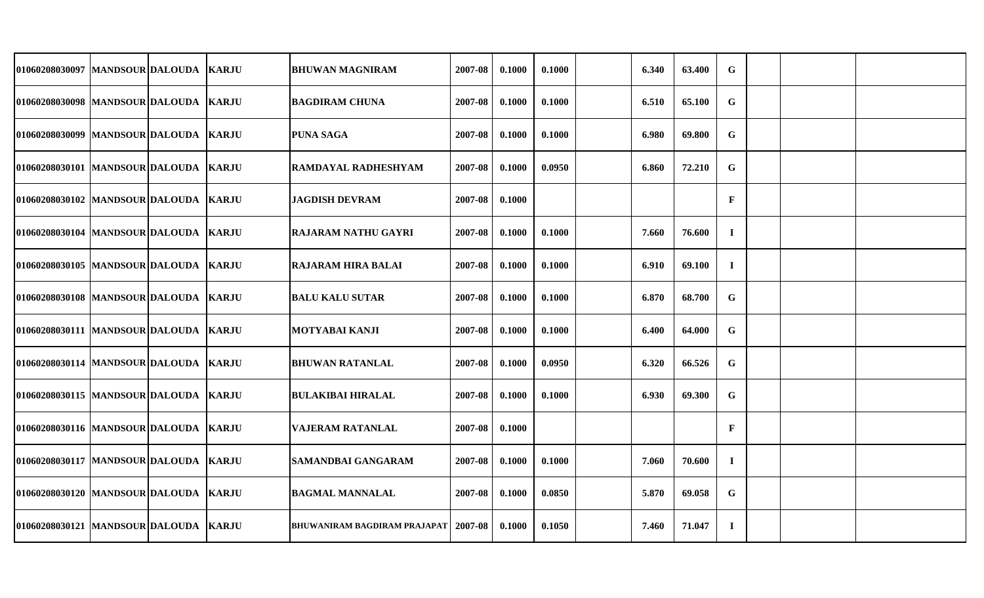| 01060208030097 MANDSOUR DALOUDA         |  | <b>KARJU</b> | <b>BHUWAN MAGNIRAM</b>                        | 2007-08 | 0.1000 | 0.1000 | 6.340 | 63.400 | G            |  |  |
|-----------------------------------------|--|--------------|-----------------------------------------------|---------|--------|--------|-------|--------|--------------|--|--|
| 01060208030098  MANDSOUR DALOUDA  KARJU |  |              | <b>BAGDIRAM CHUNA</b>                         | 2007-08 | 0.1000 | 0.1000 | 6.510 | 65.100 | $\mathbf G$  |  |  |
| 01060208030099 MANDSOUR DALOUDA KARJU   |  |              | <b>PUNA SAGA</b>                              | 2007-08 | 0.1000 | 0.1000 | 6.980 | 69.800 | G            |  |  |
| 01060208030101 MANDSOUR DALOUDA KARJU   |  |              | RAMDAYAL RADHESHYAM                           | 2007-08 | 0.1000 | 0.0950 | 6.860 | 72.210 | G            |  |  |
| 01060208030102 MANDSOUR DALOUDA KARJU   |  |              | <b>JAGDISH DEVRAM</b>                         | 2007-08 | 0.1000 |        |       |        | $\mathbf F$  |  |  |
| 01060208030104 MANDSOUR DALOUDA KARJU   |  |              | <b>RAJARAM NATHU GAYRI</b>                    | 2007-08 | 0.1000 | 0.1000 | 7.660 | 76.600 | $\bf I$      |  |  |
| 01060208030105 MANDSOUR DALOUDA KARJU   |  |              | <b>RAJARAM HIRA BALAI</b>                     | 2007-08 | 0.1000 | 0.1000 | 6.910 | 69.100 | $\bf{I}$     |  |  |
| 01060208030108  MANDSOUR DALOUDA  KARJU |  |              | <b>BALU KALU SUTAR</b>                        | 2007-08 | 0.1000 | 0.1000 | 6.870 | 68.700 | $\mathbf G$  |  |  |
| 01060208030111 MANDSOUR DALOUDA KARJU   |  |              | MOTYABAI KANJI                                | 2007-08 | 0.1000 | 0.1000 | 6.400 | 64.000 | $\mathbf G$  |  |  |
| 01060208030114  MANDSOUR DALOUDA  KARJU |  |              | <b>BHUWAN RATANLAL</b>                        | 2007-08 | 0.1000 | 0.0950 | 6.320 | 66.526 | $\mathbf G$  |  |  |
| 01060208030115 MANDSOUR DALOUDA KARJU   |  |              | <b>BULAKIBAI HIRALAL</b>                      | 2007-08 | 0.1000 | 0.1000 | 6.930 | 69.300 | $\mathbf G$  |  |  |
| 01060208030116  MANDSOUR DALOUDA  KARJU |  |              | VAJERAM RATANLAL                              | 2007-08 | 0.1000 |        |       |        | $\mathbf{F}$ |  |  |
| 01060208030117 MANDSOUR DALOUDA KARJU   |  |              | <b>SAMANDBAI GANGARAM</b>                     | 2007-08 | 0.1000 | 0.1000 | 7.060 | 70.600 | $\bf{I}$     |  |  |
| 01060208030120  MANDSOUR DALOUDA  KARJU |  |              | <b>BAGMAL MANNALAL</b>                        | 2007-08 | 0.1000 | 0.0850 | 5.870 | 69.058 | G            |  |  |
| 01060208030121 MANDSOUR DALOUDA KARJU   |  |              | <b>BHUWANIRAM BAGDIRAM PRAJAPAT   2007-08</b> |         | 0.1000 | 0.1050 | 7.460 | 71.047 | $\bf{I}$     |  |  |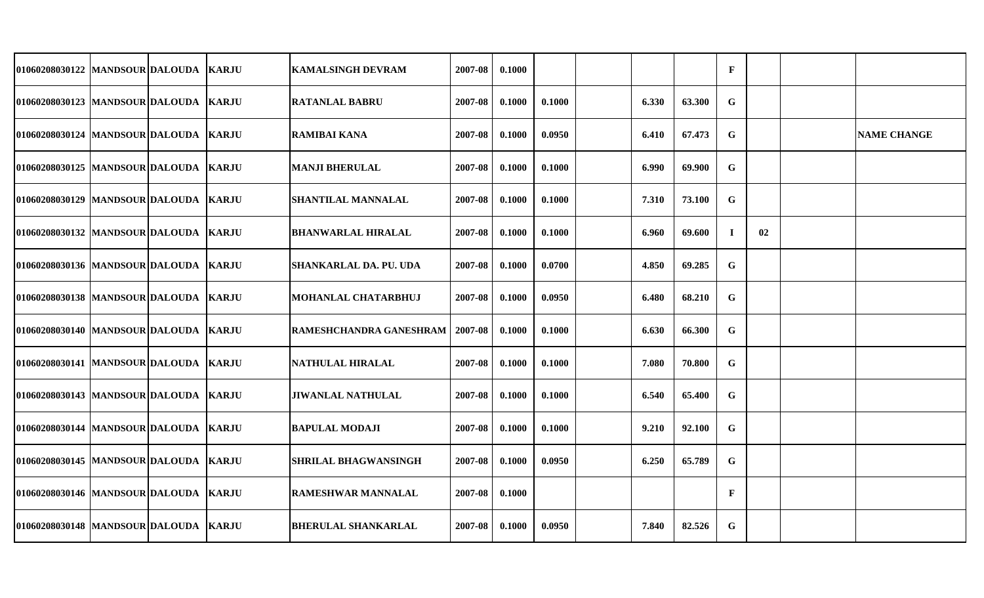| 01060208030122 MANDSOUR DALOUDA   KARJU |  | <b>KAMALSINGH DEVRAM</b>      | 2007-08 | 0.1000 |        |       |        | $\mathbf{F}$ |    |                    |
|-----------------------------------------|--|-------------------------------|---------|--------|--------|-------|--------|--------------|----|--------------------|
| 01060208030123  MANDSOUR DALOUDA  KARJU |  | <b>RATANLAL BABRU</b>         | 2007-08 | 0.1000 | 0.1000 | 6.330 | 63.300 | G            |    |                    |
| 01060208030124 MANDSOUR DALOUDA KARJU   |  | <b>RAMIBAI KANA</b>           | 2007-08 | 0.1000 | 0.0950 | 6.410 | 67.473 | $\mathbf G$  |    | <b>NAME CHANGE</b> |
| 01060208030125  MANDSOUR DALOUDA  KARJU |  | <b>MANJI BHERULAL</b>         | 2007-08 | 0.1000 | 0.1000 | 6.990 | 69.900 | G            |    |                    |
| 01060208030129  MANDSOUR DALOUDA  KARJU |  | <b>SHANTILAL MANNALAL</b>     | 2007-08 | 0.1000 | 0.1000 | 7.310 | 73.100 | $\mathbf G$  |    |                    |
| 01060208030132 MANDSOUR DALOUDA KARJU   |  | <b>BHANWARLAL HIRALAL</b>     | 2007-08 | 0.1000 | 0.1000 | 6.960 | 69.600 | $\bf{I}$     | 02 |                    |
| 01060208030136  MANDSOUR DALOUDA  KARJU |  | <b>SHANKARLAL DA. PU. UDA</b> | 2007-08 | 0.1000 | 0.0700 | 4.850 | 69.285 | G            |    |                    |
| 01060208030138 MANDSOUR DALOUDA KARJU   |  | MOHANLAL CHATARBHUJ           | 2007-08 | 0.1000 | 0.0950 | 6.480 | 68.210 | ${\bf G}$    |    |                    |
| 01060208030140  MANDSOUR DALOUDA  KARJU |  | RAMESHCHANDRA GANESHRAM       | 2007-08 | 0.1000 | 0.1000 | 6.630 | 66.300 | $\mathbf G$  |    |                    |
| 01060208030141  MANDSOUR DALOUDA  KARJU |  | <b>NATHULAL HIRALAL</b>       | 2007-08 | 0.1000 | 0.1000 | 7.080 | 70.800 | $\mathbf G$  |    |                    |
| 01060208030143  MANDSOUR DALOUDA  KARJU |  | <b>JIWANLAL NATHULAL</b>      | 2007-08 | 0.1000 | 0.1000 | 6.540 | 65.400 | $\mathbf G$  |    |                    |
| 01060208030144  MANDSOUR DALOUDA  KARJU |  | <b>BAPULAL MODAJI</b>         | 2007-08 | 0.1000 | 0.1000 | 9.210 | 92.100 | G            |    |                    |
| 01060208030145  MANDSOUR DALOUDA  KARJU |  | <b>SHRILAL BHAGWANSINGH</b>   | 2007-08 | 0.1000 | 0.0950 | 6.250 | 65.789 | G            |    |                    |
| 01060208030146  MANDSOUR DALOUDA  KARJU |  | RAMESHWAR MANNALAL            | 2007-08 | 0.1000 |        |       |        | $\mathbf F$  |    |                    |
| 01060208030148  MANDSOUR DALOUDA  KARJU |  | <b>BHERULAL SHANKARLAL</b>    | 2007-08 | 0.1000 | 0.0950 | 7.840 | 82.526 | G            |    |                    |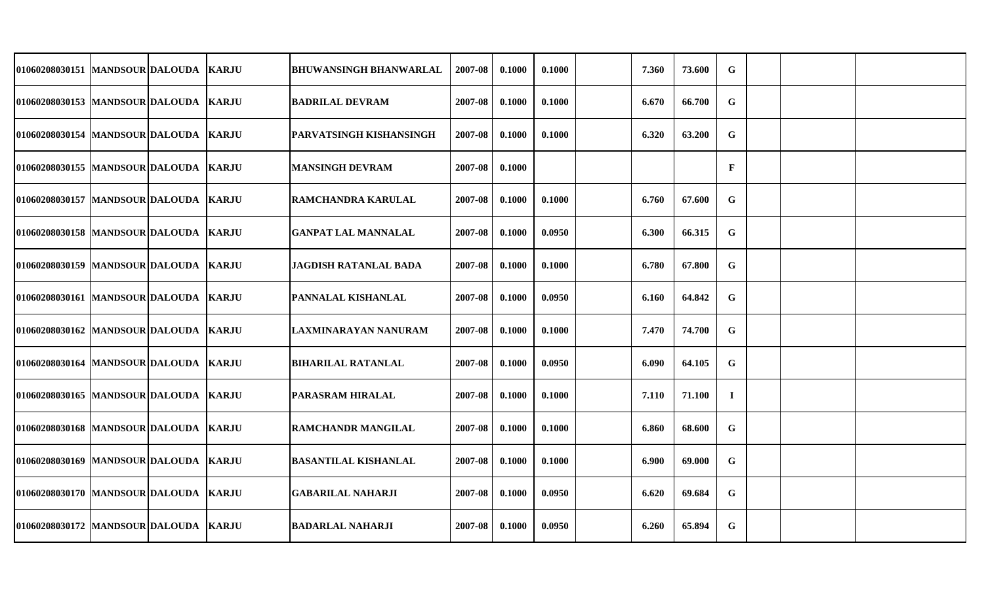| 01060208030151 MANDSOUR DALOUDA  KARJU  |  | <b>BHUWANSINGH BHANWARLAL</b> | 2007-08 | 0.1000 | 0.1000 | 7.360 | 73.600 | $\mathbf G$ |  |  |
|-----------------------------------------|--|-------------------------------|---------|--------|--------|-------|--------|-------------|--|--|
| 01060208030153 MANDSOUR DALOUDA KARJU   |  | <b>BADRILAL DEVRAM</b>        | 2007-08 | 0.1000 | 0.1000 | 6.670 | 66.700 | $\mathbf G$ |  |  |
| 01060208030154 MANDSOUR DALOUDA KARJU   |  | PARVATSINGH KISHANSINGH       | 2007-08 | 0.1000 | 0.1000 | 6.320 | 63.200 | $\mathbf G$ |  |  |
| 01060208030155  MANDSOUR DALOUDA  KARJU |  | <b>MANSINGH DEVRAM</b>        | 2007-08 | 0.1000 |        |       |        | $\mathbf F$ |  |  |
| 01060208030157 MANDSOUR DALOUDA KARJU   |  | RAMCHANDRA KARULAL            | 2007-08 | 0.1000 | 0.1000 | 6.760 | 67.600 | G           |  |  |
| 01060208030158 MANDSOUR DALOUDA KARJU   |  | <b>GANPAT LAL MANNALAL</b>    | 2007-08 | 0.1000 | 0.0950 | 6.300 | 66.315 | G           |  |  |
| 01060208030159 MANDSOUR DALOUDA KARJU   |  | <b>JAGDISH RATANLAL BADA</b>  | 2007-08 | 0.1000 | 0.1000 | 6.780 | 67.800 | $\mathbf G$ |  |  |
| 01060208030161  MANDSOUR DALOUDA  KARJU |  | PANNALAL KISHANLAL            | 2007-08 | 0.1000 | 0.0950 | 6.160 | 64.842 | G           |  |  |
| 01060208030162 MANDSOUR DALOUDA KARJU   |  | LAXMINARAYAN NANURAM          | 2007-08 | 0.1000 | 0.1000 | 7.470 | 74.700 | $\mathbf G$ |  |  |
| 01060208030164 MANDSOUR DALOUDA KARJU   |  | <b>BIHARILAL RATANLAL</b>     | 2007-08 | 0.1000 | 0.0950 | 6.090 | 64.105 | $\mathbf G$ |  |  |
| 01060208030165 MANDSOUR DALOUDA KARJU   |  | PARASRAM HIRALAL              | 2007-08 | 0.1000 | 0.1000 | 7.110 | 71.100 | $\bf{I}$    |  |  |
| 01060208030168  MANDSOUR DALOUDA  KARJU |  | RAMCHANDR MANGILAL            | 2007-08 | 0.1000 | 0.1000 | 6.860 | 68.600 | G           |  |  |
| 01060208030169 MANDSOUR DALOUDA KARJU   |  | <b>BASANTILAL KISHANLAL</b>   | 2007-08 | 0.1000 | 0.1000 | 6.900 | 69.000 | G           |  |  |
| 01060208030170 MANDSOUR DALOUDA KARJU   |  | <b>GABARILAL NAHARJI</b>      | 2007-08 | 0.1000 | 0.0950 | 6.620 | 69.684 | $\mathbf G$ |  |  |
| 01060208030172 MANDSOUR DALOUDA KARJU   |  | <b>BADARLAL NAHARJI</b>       | 2007-08 | 0.1000 | 0.0950 | 6.260 | 65.894 | $\mathbf G$ |  |  |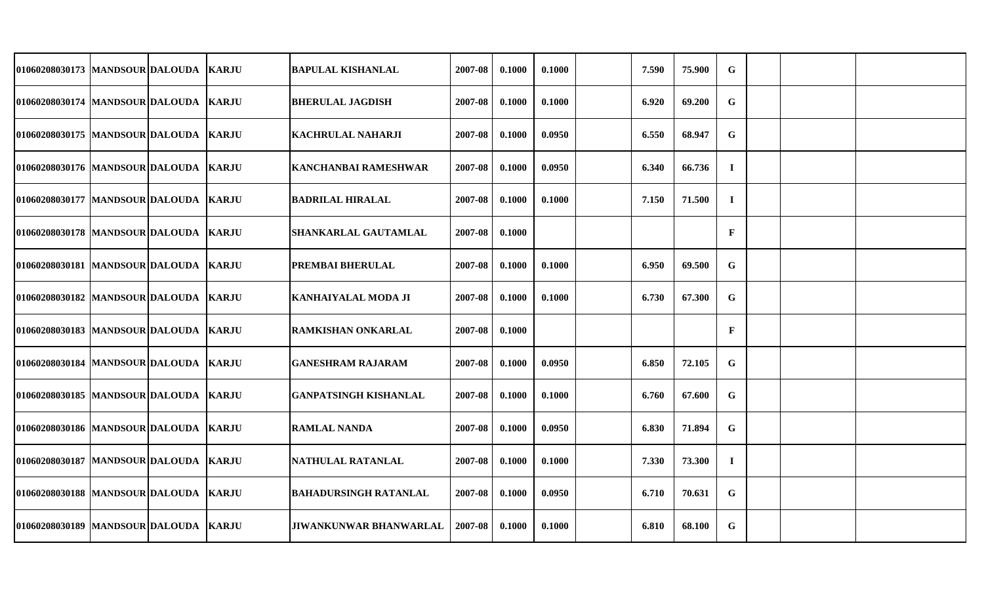| 01060208030173 MANDSOUR DALOUDA       |  | <b>KARJU</b>  | <b>BAPULAL KISHANLAL</b>      | 2007-08 | 0.1000 | 0.1000 | 7.590 | 75.900 | G            |  |  |
|---------------------------------------|--|---------------|-------------------------------|---------|--------|--------|-------|--------|--------------|--|--|
| 01060208030174   MANDSOUR DALOUDA     |  | <b>KARJU</b>  | <b>BHERULAL JAGDISH</b>       | 2007-08 | 0.1000 | 0.1000 | 6.920 | 69.200 | $\mathbf G$  |  |  |
| 01060208030175 MANDSOUR DALOUDA       |  | <b>KARJU</b>  | <b>KACHRULAL NAHARJI</b>      | 2007-08 | 0.1000 | 0.0950 | 6.550 | 68.947 | $\mathbf G$  |  |  |
| 01060208030176 MANDSOUR DALOUDA       |  | <b>KARJU</b>  | <b>KANCHANBAI RAMESHWAR</b>   | 2007-08 | 0.1000 | 0.0950 | 6.340 | 66.736 | $\mathbf I$  |  |  |
| 01060208030177 MANDSOUR DALOUDA       |  | <b>IKARJU</b> | <b>BADRILAL HIRALAL</b>       | 2007-08 | 0.1000 | 0.1000 | 7.150 | 71.500 | $\mathbf I$  |  |  |
| 01060208030178 MANDSOUR DALOUDA       |  | <b>KARJU</b>  | SHANKARLAL GAUTAMLAL          | 2007-08 | 0.1000 |        |       |        | $\mathbf F$  |  |  |
| 01060208030181 MANDSOUR DALOUDA       |  | <b>KARJU</b>  | PREMBAI BHERULAL              | 2007-08 | 0.1000 | 0.1000 | 6.950 | 69.500 | $\mathbf G$  |  |  |
| 01060208030182 MANDSOUR DALOUDA       |  | <b>KARJU</b>  | <b>KANHAIYALAL MODA JI</b>    | 2007-08 | 0.1000 | 0.1000 | 6.730 | 67.300 | $\mathbf G$  |  |  |
| 01060208030183 MANDSOUR DALOUDA       |  | <b>IKARJU</b> | <b>RAMKISHAN ONKARLAL</b>     | 2007-08 | 0.1000 |        |       |        | $\mathbf{F}$ |  |  |
| 01060208030184 MANDSOUR DALOUDA       |  | <b>IKARJU</b> | GANESHRAM RAJARAM             | 2007-08 | 0.1000 | 0.0950 | 6.850 | 72.105 | $\mathbf G$  |  |  |
| 01060208030185  MANDSOUR DALOUDA      |  | <b>KARJU</b>  | <b>GANPATSINGH KISHANLAL</b>  | 2007-08 | 0.1000 | 0.1000 | 6.760 | 67.600 | $\mathbf G$  |  |  |
| 01060208030186   MANDSOUR DALOUDA     |  | <b>KARJU</b>  | <b>RAMLAL NANDA</b>           | 2007-08 | 0.1000 | 0.0950 | 6.830 | 71.894 | $\mathbf G$  |  |  |
| 01060208030187   MANDSOUR DALOUDA     |  | <b>KARJU</b>  | NATHULAL RATANLAL             | 2007-08 | 0.1000 | 0.1000 | 7.330 | 73.300 | $\bf{I}$     |  |  |
| 01060208030188  MANDSOUR DALOUDA      |  | <b>KARJU</b>  | <b>BAHADURSINGH RATANLAL</b>  | 2007-08 | 0.1000 | 0.0950 | 6.710 | 70.631 | G            |  |  |
| 01060208030189 MANDSOUR DALOUDA KARJU |  |               | <b>JIWANKUNWAR BHANWARLAL</b> | 2007-08 | 0.1000 | 0.1000 | 6.810 | 68.100 | G            |  |  |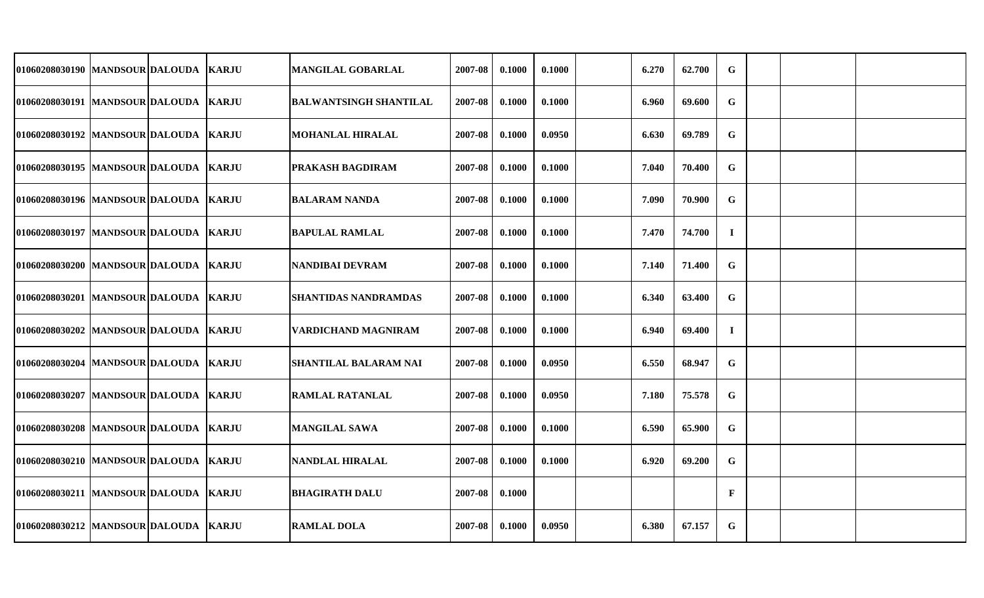| 01060208030190 MANDSOUR DALOUDA  KARJU  |  | <b>MANGILAL GOBARLAL</b>      | 2007-08 | 0.1000 | 0.1000 | 6.270 | 62.700 | $\mathbf G$ |  |  |
|-----------------------------------------|--|-------------------------------|---------|--------|--------|-------|--------|-------------|--|--|
| 01060208030191 MANDSOUR DALOUDA KARJU   |  | <b>BALWANTSINGH SHANTILAL</b> | 2007-08 | 0.1000 | 0.1000 | 6.960 | 69.600 | G           |  |  |
| 01060208030192 MANDSOUR DALOUDA KARJU   |  | <b>MOHANLAL HIRALAL</b>       | 2007-08 | 0.1000 | 0.0950 | 6.630 | 69.789 | $\mathbf G$ |  |  |
| 01060208030195  MANDSOUR DALOUDA  KARJU |  | PRAKASH BAGDIRAM              | 2007-08 | 0.1000 | 0.1000 | 7.040 | 70.400 | $\mathbf G$ |  |  |
| 01060208030196 MANDSOUR DALOUDA KARJU   |  | <b>BALARAM NANDA</b>          | 2007-08 | 0.1000 | 0.1000 | 7.090 | 70.900 | G           |  |  |
| 01060208030197 MANDSOUR DALOUDA KARJU   |  | <b>BAPULAL RAMLAL</b>         | 2007-08 | 0.1000 | 0.1000 | 7.470 | 74.700 | $\bf{I}$    |  |  |
| 01060208030200 MANDSOUR DALOUDA KARJU   |  | <b>NANDIBAI DEVRAM</b>        | 2007-08 | 0.1000 | 0.1000 | 7.140 | 71.400 | $\mathbf G$ |  |  |
| 01060208030201  MANDSOUR DALOUDA  KARJU |  | <b>SHANTIDAS NANDRAMDAS</b>   | 2007-08 | 0.1000 | 0.1000 | 6.340 | 63.400 | G           |  |  |
| 01060208030202 MANDSOUR DALOUDA KARJU   |  | VARDICHAND MAGNIRAM           | 2007-08 | 0.1000 | 0.1000 | 6.940 | 69.400 | $\bf{I}$    |  |  |
| 01060208030204 MANDSOUR DALOUDA KARJU   |  | <b>SHANTILAL BALARAM NAI</b>  | 2007-08 | 0.1000 | 0.0950 | 6.550 | 68.947 | $\mathbf G$ |  |  |
| 01060208030207 MANDSOUR DALOUDA KARJU   |  | RAMLAL RATANLAL               | 2007-08 | 0.1000 | 0.0950 | 7.180 | 75.578 | $\mathbf G$ |  |  |
| 01060208030208 MANDSOUR DALOUDA KARJU   |  | <b>MANGILAL SAWA</b>          | 2007-08 | 0.1000 | 0.1000 | 6.590 | 65.900 | G           |  |  |
| 01060208030210 MANDSOUR DALOUDA KARJU   |  | <b>NANDLAL HIRALAL</b>        | 2007-08 | 0.1000 | 0.1000 | 6.920 | 69.200 | $\mathbf G$ |  |  |
| 01060208030211 MANDSOUR DALOUDA KARJU   |  | <b>BHAGIRATH DALU</b>         | 2007-08 | 0.1000 |        |       |        | $\mathbf F$ |  |  |
| 01060208030212 MANDSOUR DALOUDA KARJU   |  | <b>RAMLAL DOLA</b>            | 2007-08 | 0.1000 | 0.0950 | 6.380 | 67.157 | $\mathbf G$ |  |  |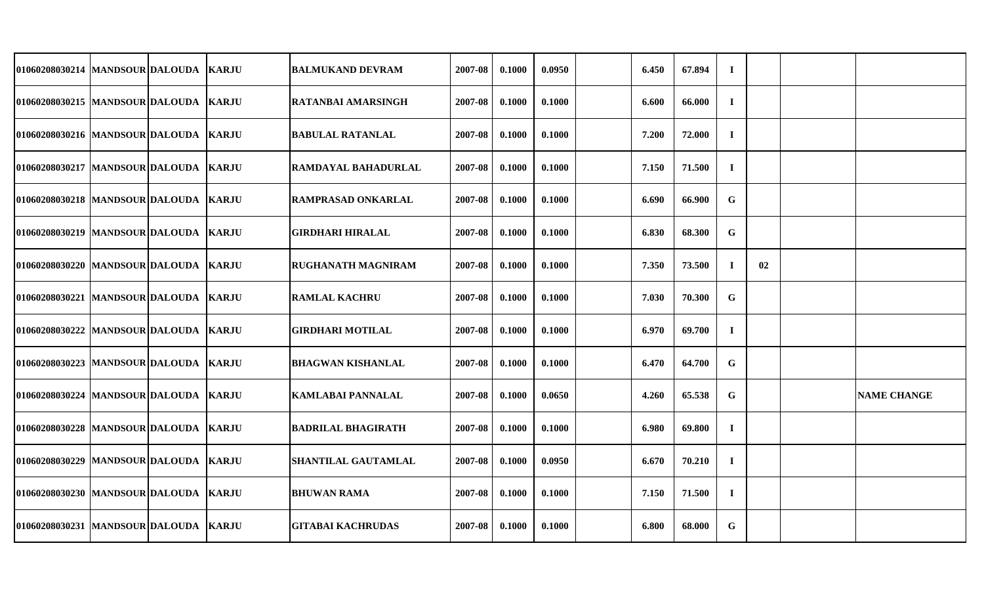| 01060208030214 MANDSOUR DALOUDA         |  | <b>KARJU</b> | <b>BALMUKAND DEVRAM</b>    | 2007-08 | 0.1000 | 0.0950 | 6.450 | 67.894 | $\bf{I}$    |    |                    |
|-----------------------------------------|--|--------------|----------------------------|---------|--------|--------|-------|--------|-------------|----|--------------------|
| 01060208030215  MANDSOUR DALOUDA  KARJU |  |              | <b>RATANBAI AMARSINGH</b>  | 2007-08 | 0.1000 | 0.1000 | 6.600 | 66.000 | $\bf{I}$    |    |                    |
| 01060208030216 MANDSOUR DALOUDA KARJU   |  |              | <b>BABULAL RATANLAL</b>    | 2007-08 | 0.1000 | 0.1000 | 7.200 | 72.000 | $\bf{I}$    |    |                    |
| 01060208030217 MANDSOUR DALOUDA KARJU   |  |              | RAMDAYAL BAHADURLAL        | 2007-08 | 0.1000 | 0.1000 | 7.150 | 71.500 | $\mathbf I$ |    |                    |
| 01060208030218  MANDSOUR DALOUDA  KARJU |  |              | <b>RAMPRASAD ONKARLAL</b>  | 2007-08 | 0.1000 | 0.1000 | 6.690 | 66.900 | G           |    |                    |
| 01060208030219  MANDSOUR DALOUDA KARJU  |  |              | <b>GIRDHARI HIRALAL</b>    | 2007-08 | 0.1000 | 0.1000 | 6.830 | 68.300 | G           |    |                    |
| 01060208030220 MANDSOUR DALOUDA KARJU   |  |              | <b>RUGHANATH MAGNIRAM</b>  | 2007-08 | 0.1000 | 0.1000 | 7.350 | 73.500 | $\bf{I}$    | 02 |                    |
| 01060208030221  MANDSOUR DALOUDA  KARJU |  |              | <b>RAMLAL KACHRU</b>       | 2007-08 | 0.1000 | 0.1000 | 7.030 | 70.300 | $\mathbf G$ |    |                    |
| 01060208030222 MANDSOUR DALOUDA KARJU   |  |              | GIRDHARI MOTILAL           | 2007-08 | 0.1000 | 0.1000 | 6.970 | 69.700 | $\bf{I}$    |    |                    |
| 01060208030223 MANDSOUR DALOUDA KARJU   |  |              | <b>BHAGWAN KISHANLAL</b>   | 2007-08 | 0.1000 | 0.1000 | 6.470 | 64.700 | $\mathbf G$ |    |                    |
| 01060208030224 MANDSOUR DALOUDA KARJU   |  |              | KAMLABAI PANNALAL          | 2007-08 | 0.1000 | 0.0650 | 4.260 | 65.538 | G           |    | <b>NAME CHANGE</b> |
| 01060208030228 MANDSOUR DALOUDA KARJU   |  |              | <b>BADRILAL BHAGIRATH</b>  | 2007-08 | 0.1000 | 0.1000 | 6.980 | 69.800 | $\bf{I}$    |    |                    |
| 01060208030229 MANDSOUR DALOUDA KARJU   |  |              | <b>SHANTILAL GAUTAMLAL</b> | 2007-08 | 0.1000 | 0.0950 | 6.670 | 70.210 | $\bf{I}$    |    |                    |
| 01060208030230 MANDSOUR DALOUDA KARJU   |  |              | <b>BHUWAN RAMA</b>         | 2007-08 | 0.1000 | 0.1000 | 7.150 | 71.500 | $\mathbf I$ |    |                    |
| 01060208030231  MANDSOUR DALOUDA  KARJU |  |              | <b>GITABAI KACHRUDAS</b>   | 2007-08 | 0.1000 | 0.1000 | 6.800 | 68.000 | $\mathbf G$ |    |                    |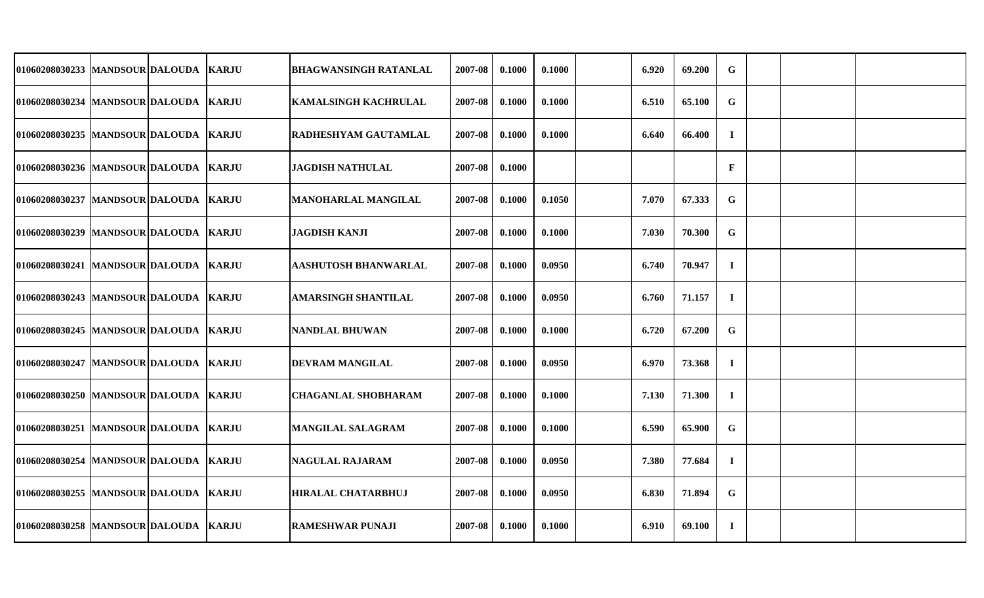| 01060208030233 MANDSOUR DALOUDA   KARJU |  | <b>BHAGWANSINGH RATANLAL</b> | 2007-08 | 0.1000 | 0.1000 | 6.920 | 69.200 | $\mathbf G$  |  |  |
|-----------------------------------------|--|------------------------------|---------|--------|--------|-------|--------|--------------|--|--|
| 01060208030234 MANDSOUR DALOUDA KARJU   |  | <b>KAMALSINGH KACHRULAL</b>  | 2007-08 | 0.1000 | 0.1000 | 6.510 | 65.100 | $\mathbf G$  |  |  |
| 01060208030235 MANDSOUR DALOUDA KARJU   |  | RADHESHYAM GAUTAMLAL         | 2007-08 | 0.1000 | 0.1000 | 6.640 | 66.400 | $\bf{I}$     |  |  |
| 01060208030236 MANDSOUR DALOUDA KARJU   |  | <b>JAGDISH NATHULAL</b>      | 2007-08 | 0.1000 |        |       |        | $\mathbf{F}$ |  |  |
| 01060208030237 MANDSOUR DALOUDA   KARJU |  | <b>MANOHARLAL MANGILAL</b>   | 2007-08 | 0.1000 | 0.1050 | 7.070 | 67.333 | G            |  |  |
| 01060208030239  MANDSOUR DALOUDA  KARJU |  | <b>JAGDISH KANJI</b>         | 2007-08 | 0.1000 | 0.1000 | 7.030 | 70.300 | G            |  |  |
| 01060208030241 MANDSOUR DALOUDA KARJU   |  | <b>AASHUTOSH BHANWARLAL</b>  | 2007-08 | 0.1000 | 0.0950 | 6.740 | 70.947 | $\bf{I}$     |  |  |
| 01060208030243 MANDSOUR DALOUDA KARJU   |  | <b>AMARSINGH SHANTILAL</b>   | 2007-08 | 0.1000 | 0.0950 | 6.760 | 71.157 | $\bf{I}$     |  |  |
| 01060208030245 MANDSOUR DALOUDA KARJU   |  | NANDLAL BHUWAN               | 2007-08 | 0.1000 | 0.1000 | 6.720 | 67.200 | $\mathbf G$  |  |  |
| 01060208030247  MANDSOUR DALOUDA  KARJU |  | DEVRAM MANGILAL              | 2007-08 | 0.1000 | 0.0950 | 6.970 | 73.368 | $\mathbf I$  |  |  |
| 01060208030250 MANDSOUR DALOUDA KARJU   |  | <b>CHAGANLAL SHOBHARAM</b>   | 2007-08 | 0.1000 | 0.1000 | 7.130 | 71.300 | $\bf{I}$     |  |  |
| 01060208030251  MANDSOUR DALOUDA  KARJU |  | MANGILAL SALAGRAM            | 2007-08 | 0.1000 | 0.1000 | 6.590 | 65.900 | G            |  |  |
| 01060208030254 MANDSOUR DALOUDA KARJU   |  | NAGULAL RAJARAM              | 2007-08 | 0.1000 | 0.0950 | 7.380 | 77.684 | $\bf{I}$     |  |  |
| 01060208030255  MANDSOUR DALOUDA  KARJU |  | <b>HIRALAL CHATARBHUJ</b>    | 2007-08 | 0.1000 | 0.0950 | 6.830 | 71.894 | G            |  |  |
| 01060208030258 MANDSOUR DALOUDA KARJU   |  | <b>RAMESHWAR PUNAJI</b>      | 2007-08 | 0.1000 | 0.1000 | 6.910 | 69.100 | $\bf{I}$     |  |  |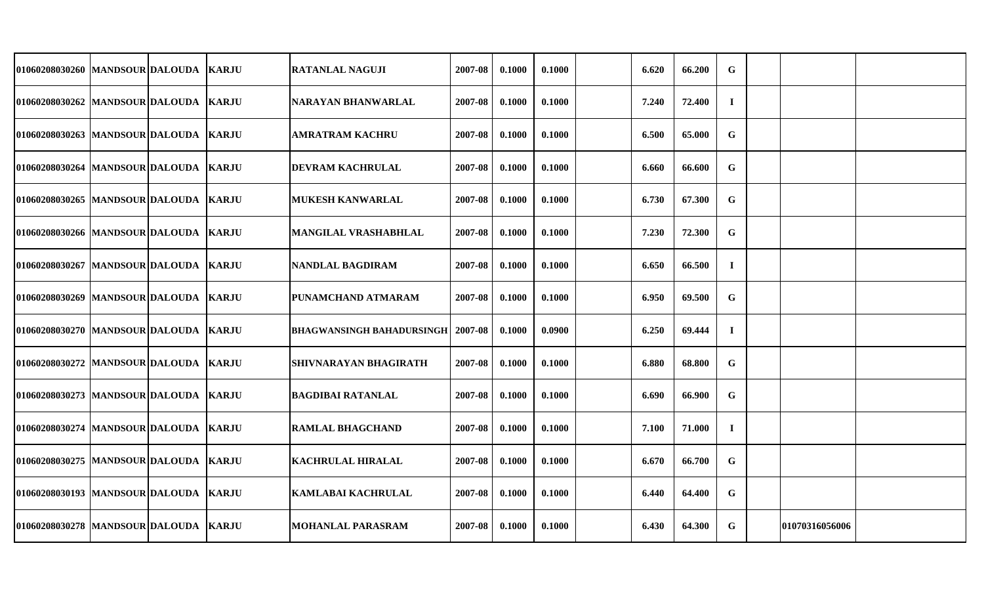| 01060208030260 MANDSOUR DALOUDA         |  | <b>KARJU</b> | RATANLAL NAGUJI                            | 2007-08 | 0.1000 | 0.1000 | 6.620 | 66.200 | $\mathbf G$ |                |  |
|-----------------------------------------|--|--------------|--------------------------------------------|---------|--------|--------|-------|--------|-------------|----------------|--|
| 01060208030262  MANDSOUR DALOUDA  KARJU |  |              | NARAYAN BHANWARLAL                         | 2007-08 | 0.1000 | 0.1000 | 7.240 | 72.400 | $\mathbf I$ |                |  |
| 01060208030263 MANDSOUR DALOUDA KARJU   |  |              | <b>AMRATRAM KACHRU</b>                     | 2007-08 | 0.1000 | 0.1000 | 6.500 | 65.000 | $\mathbf G$ |                |  |
| 01060208030264 MANDSOUR DALOUDA KARJU   |  |              | <b>DEVRAM KACHRULAL</b>                    | 2007-08 | 0.1000 | 0.1000 | 6.660 | 66.600 | $\mathbf G$ |                |  |
| 01060208030265  MANDSOUR DALOUDA  KARJU |  |              | <b>MUKESH KANWARLAL</b>                    | 2007-08 | 0.1000 | 0.1000 | 6.730 | 67.300 | $\mathbf G$ |                |  |
| 01060208030266 MANDSOUR DALOUDA KARJU   |  |              | <b>MANGILAL VRASHABHLAL</b>                | 2007-08 | 0.1000 | 0.1000 | 7.230 | 72.300 | G           |                |  |
| 01060208030267  MANDSOUR DALOUDA  KARJU |  |              | <b>NANDLAL BAGDIRAM</b>                    | 2007-08 | 0.1000 | 0.1000 | 6.650 | 66.500 | $\bf{I}$    |                |  |
| 01060208030269 MANDSOUR DALOUDA KARJU   |  |              | PUNAMCHAND ATMARAM                         | 2007-08 | 0.1000 | 0.1000 | 6.950 | 69.500 | $\mathbf G$ |                |  |
| 01060208030270 MANDSOUR DALOUDA KARJU   |  |              | <b>BHAGWANSINGH BAHADURSINGH   2007-08</b> |         | 0.1000 | 0.0900 | 6.250 | 69.444 | $\bf I$     |                |  |
| 01060208030272 MANDSOUR DALOUDA KARJU   |  |              | SHIVNARAYAN BHAGIRATH                      | 2007-08 | 0.1000 | 0.1000 | 6.880 | 68.800 | G           |                |  |
| 01060208030273 MANDSOUR DALOUDA KARJU   |  |              | <b>BAGDIBAI RATANLAL</b>                   | 2007-08 | 0.1000 | 0.1000 | 6.690 | 66.900 | G           |                |  |
| 01060208030274  MANDSOUR DALOUDA  KARJU |  |              | RAMLAL BHAGCHAND                           | 2007-08 | 0.1000 | 0.1000 | 7.100 | 71.000 | $\bf{I}$    |                |  |
| 01060208030275 MANDSOUR DALOUDA KARJU   |  |              | <b>KACHRULAL HIRALAL</b>                   | 2007-08 | 0.1000 | 0.1000 | 6.670 | 66.700 | $\mathbf G$ |                |  |
| 01060208030193  MANDSOUR DALOUDA  KARJU |  |              | KAMLABAI KACHRULAL                         | 2007-08 | 0.1000 | 0.1000 | 6.440 | 64.400 | G           |                |  |
| 01060208030278  MANDSOUR DALOUDA  KARJU |  |              | <b>MOHANLAL PARASRAM</b>                   | 2007-08 | 0.1000 | 0.1000 | 6.430 | 64.300 | G           | 01070316056006 |  |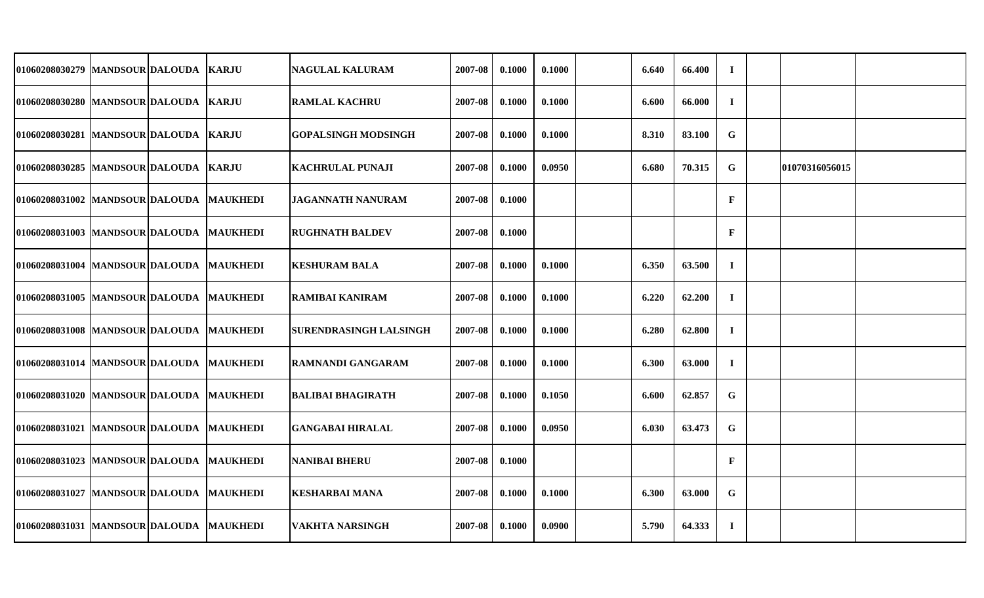| 01060208030279 MANDSOUR DALOUDA            |  | <b>KARJU</b> | <b>NAGULAL KALURAM</b>        | 2007-08 | 0.1000 | 0.1000 | 6.640 | 66.400 | $\mathbf I$  |                |  |
|--------------------------------------------|--|--------------|-------------------------------|---------|--------|--------|-------|--------|--------------|----------------|--|
| 01060208030280 MANDSOUR DALOUDA KARJU      |  |              | <b>RAMLAL KACHRU</b>          | 2007-08 | 0.1000 | 0.1000 | 6.600 | 66.000 | $\mathbf I$  |                |  |
| 01060208030281 MANDSOUR DALOUDA KARJU      |  |              | <b>GOPALSINGH MODSINGH</b>    | 2007-08 | 0.1000 | 0.1000 | 8.310 | 83.100 | G            |                |  |
| 01060208030285 MANDSOUR DALOUDA KARJU      |  |              | <b>KACHRULAL PUNAJI</b>       | 2007-08 | 0.1000 | 0.0950 | 6.680 | 70.315 | $\mathbf G$  | 01070316056015 |  |
| 01060208031002 MANDSOUR DALOUDA MAUKHEDI   |  |              | <b>JAGANNATH NANURAM</b>      | 2007-08 | 0.1000 |        |       |        | $\mathbf{F}$ |                |  |
| 01060208031003 MANDSOUR DALOUDA MAUKHEDI   |  |              | <b>RUGHNATH BALDEV</b>        | 2007-08 | 0.1000 |        |       |        | $\mathbf{F}$ |                |  |
| 01060208031004  MANDSOUR DALOUDA  MAUKHEDI |  |              | <b>KESHURAM BALA</b>          | 2007-08 | 0.1000 | 0.1000 | 6.350 | 63.500 | $\bf{I}$     |                |  |
| 01060208031005 MANDSOUR DALOUDA MAUKHEDI   |  |              | <b>RAMIBAI KANIRAM</b>        | 2007-08 | 0.1000 | 0.1000 | 6.220 | 62.200 | $\mathbf I$  |                |  |
| 01060208031008 MANDSOUR DALOUDA MAUKHEDI   |  |              | <b>SURENDRASINGH LALSINGH</b> | 2007-08 | 0.1000 | 0.1000 | 6.280 | 62.800 | $\bf{I}$     |                |  |
| 01060208031014 MANDSOUR DALOUDA MAUKHEDI   |  |              | <b>RAMNANDI GANGARAM</b>      | 2007-08 | 0.1000 | 0.1000 | 6.300 | 63.000 | $\mathbf I$  |                |  |
| 01060208031020 MANDSOUR DALOUDA MAUKHEDI   |  |              | <b>BALIBAI BHAGIRATH</b>      | 2007-08 | 0.1000 | 0.1050 | 6.600 | 62.857 | $\mathbf G$  |                |  |
| 01060208031021  MANDSOUR DALOUDA  MAUKHEDI |  |              | <b>GANGABAI HIRALAL</b>       | 2007-08 | 0.1000 | 0.0950 | 6.030 | 63.473 | G            |                |  |
| 01060208031023 MANDSOUR DALOUDA MAUKHEDI   |  |              | NANIBAI BHERU                 | 2007-08 | 0.1000 |        |       |        | $\mathbf{F}$ |                |  |
| 01060208031027  MANDSOUR DALOUDA  MAUKHEDI |  |              | <b>KESHARBAI MANA</b>         | 2007-08 | 0.1000 | 0.1000 | 6.300 | 63.000 | G            |                |  |
| 01060208031031  MANDSOUR DALOUDA  MAUKHEDI |  |              | <b>VAKHTA NARSINGH</b>        | 2007-08 | 0.1000 | 0.0900 | 5.790 | 64.333 | $\bf{I}$     |                |  |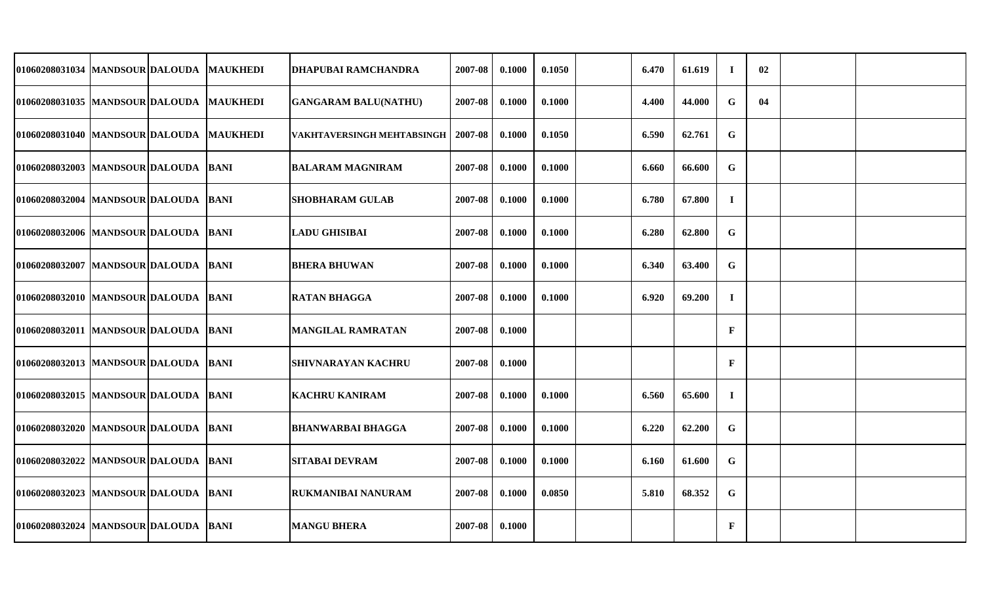| 01060208031034  MANDSOUR DALOUDA  MAUKHEDI |  | <b>DHAPUBAI RAMCHANDRA</b>  | 2007-08 | 0.1000 | 0.1050 | 6.470 | 61.619 | $\bf I$      | 02 |  |
|--------------------------------------------|--|-----------------------------|---------|--------|--------|-------|--------|--------------|----|--|
| 01060208031035 MANDSOUR DALOUDA MAUKHEDI   |  | <b>GANGARAM BALU(NATHU)</b> | 2007-08 | 0.1000 | 0.1000 | 4.400 | 44.000 | G            | 04 |  |
| 01060208031040 MANDSOUR DALOUDA MAUKHEDI   |  | VAKHTAVERSINGH MEHTABSINGH  | 2007-08 | 0.1000 | 0.1050 | 6.590 | 62.761 | G            |    |  |
| 01060208032003 MANDSOUR DALOUDA BANI       |  | <b>BALARAM MAGNIRAM</b>     | 2007-08 | 0.1000 | 0.1000 | 6.660 | 66.600 | $\mathbf G$  |    |  |
| 01060208032004  MANDSOUR DALOUDA BANI      |  | <b>SHOBHARAM GULAB</b>      | 2007-08 | 0.1000 | 0.1000 | 6.780 | 67.800 | $\mathbf I$  |    |  |
| 01060208032006  MANDSOUR DALOUDA BANI      |  | <b>LADU GHISIBAI</b>        | 2007-08 | 0.1000 | 0.1000 | 6.280 | 62.800 | G            |    |  |
| 01060208032007 MANDSOUR DALOUDA BANI       |  | <b>BHERA BHUWAN</b>         | 2007-08 | 0.1000 | 0.1000 | 6.340 | 63.400 | $\mathbf G$  |    |  |
| 01060208032010 MANDSOUR DALOUDA BANI       |  | <b>RATAN BHAGGA</b>         | 2007-08 | 0.1000 | 0.1000 | 6.920 | 69.200 | $\bf{I}$     |    |  |
| 01060208032011 MANDSOUR DALOUDA BANI       |  | <b>MANGILAL RAMRATAN</b>    | 2007-08 | 0.1000 |        |       |        | $\mathbf{F}$ |    |  |
| 01060208032013  MANDSOUR DALOUDA  BANI     |  | SHIVNARAYAN KACHRU          | 2007-08 | 0.1000 |        |       |        | $\mathbf{F}$ |    |  |
| 01060208032015  MANDSOUR DALOUDA  BANI     |  | <b>KACHRU KANIRAM</b>       | 2007-08 | 0.1000 | 0.1000 | 6.560 | 65.600 | $\bf{I}$     |    |  |
| 01060208032020 MANDSOUR DALOUDA BANI       |  | BHANWARBAI BHAGGA           | 2007-08 | 0.1000 | 0.1000 | 6.220 | 62.200 | G            |    |  |
| 01060208032022 MANDSOUR DALOUDA BANI       |  | SITABAI DEVRAM              | 2007-08 | 0.1000 | 0.1000 | 6.160 | 61.600 | $\mathbf G$  |    |  |
| 01060208032023  MANDSOUR DALOUDA  BANI     |  | RUKMANIBAI NANURAM          | 2007-08 | 0.1000 | 0.0850 | 5.810 | 68.352 | G            |    |  |
| 01060208032024  MANDSOUR DALOUDA  BANI     |  | <b>MANGU BHERA</b>          | 2007-08 | 0.1000 |        |       |        | $\mathbf{F}$ |    |  |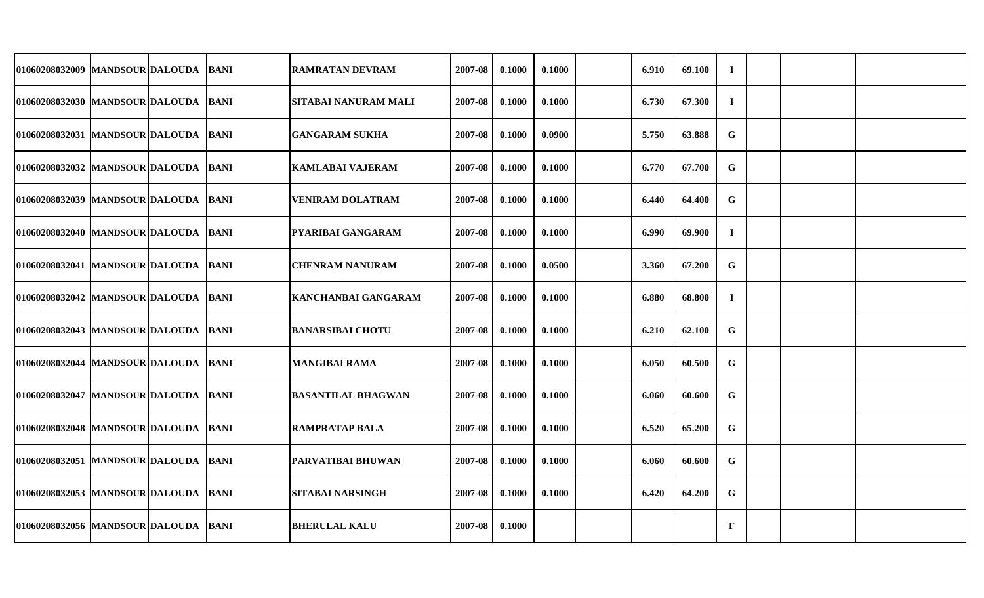| 01060208032009 MANDSOUR DALOUDA        |  | <b>BANI</b> | <b>RAMRATAN DEVRAM</b>    | 2007-08 | 0.1000 | 0.1000 | 6.910 | 69.100 | $\mathbf I$  |  |  |
|----------------------------------------|--|-------------|---------------------------|---------|--------|--------|-------|--------|--------------|--|--|
|                                        |  |             |                           |         |        |        |       |        |              |  |  |
| 01060208032030  MANDSOUR DALOUDA  BANI |  |             | SITABAI NANURAM MALI      | 2007-08 | 0.1000 | 0.1000 | 6.730 | 67.300 | $\mathbf I$  |  |  |
| 01060208032031 MANDSOUR DALOUDA BANI   |  |             | <b>GANGARAM SUKHA</b>     | 2007-08 | 0.1000 | 0.0900 | 5.750 | 63.888 | G            |  |  |
| 01060208032032 MANDSOUR DALOUDA BANI   |  |             | <b>KAMLABAI VAJERAM</b>   | 2007-08 | 0.1000 | 0.1000 | 6.770 | 67.700 | G            |  |  |
| 01060208032039 MANDSOUR DALOUDA BANI   |  |             | <b>VENIRAM DOLATRAM</b>   | 2007-08 | 0.1000 | 0.1000 | 6.440 | 64.400 | $\mathbf G$  |  |  |
| 01060208032040 MANDSOUR DALOUDA BANI   |  |             | <b>PYARIBAI GANGARAM</b>  | 2007-08 | 0.1000 | 0.1000 | 6.990 | 69.900 | $\mathbf I$  |  |  |
| 01060208032041 MANDSOUR DALOUDA BANI   |  |             | <b>CHENRAM NANURAM</b>    | 2007-08 | 0.1000 | 0.0500 | 3.360 | 67.200 | G            |  |  |
| 01060208032042  MANDSOUR DALOUDA  BANI |  |             | KANCHANBAI GANGARAM       | 2007-08 | 0.1000 | 0.1000 | 6.880 | 68.800 | $\bf{I}$     |  |  |
| 01060208032043  MANDSOUR DALOUDA BANI  |  |             | <b>BANARSIBAI CHOTU</b>   | 2007-08 | 0.1000 | 0.1000 | 6.210 | 62.100 | $\mathbf G$  |  |  |
| 01060208032044 MANDSOUR DALOUDA BANI   |  |             | <b>MANGIBAI RAMA</b>      | 2007-08 | 0.1000 | 0.1000 | 6.050 | 60.500 | $\mathbf G$  |  |  |
| 01060208032047 MANDSOUR DALOUDA BANI   |  |             | <b>BASANTILAL BHAGWAN</b> | 2007-08 | 0.1000 | 0.1000 | 6.060 | 60.600 | $\mathbf G$  |  |  |
| 01060208032048 MANDSOUR DALOUDA BANI   |  |             | <b>RAMPRATAP BALA</b>     | 2007-08 | 0.1000 | 0.1000 | 6.520 | 65.200 | $\mathbf G$  |  |  |
| 01060208032051  MANDSOUR DALOUDA BANI  |  |             | PARVATIBAI BHUWAN         | 2007-08 | 0.1000 | 0.1000 | 6.060 | 60.600 | G            |  |  |
| 01060208032053 MANDSOUR DALOUDA BANI   |  |             | <b>SITABAI NARSINGH</b>   | 2007-08 | 0.1000 | 0.1000 | 6.420 | 64.200 | $\mathbf G$  |  |  |
| 01060208032056 MANDSOUR DALOUDA BANI   |  |             | <b>BHERULAL KALU</b>      | 2007-08 | 0.1000 |        |       |        | $\mathbf{F}$ |  |  |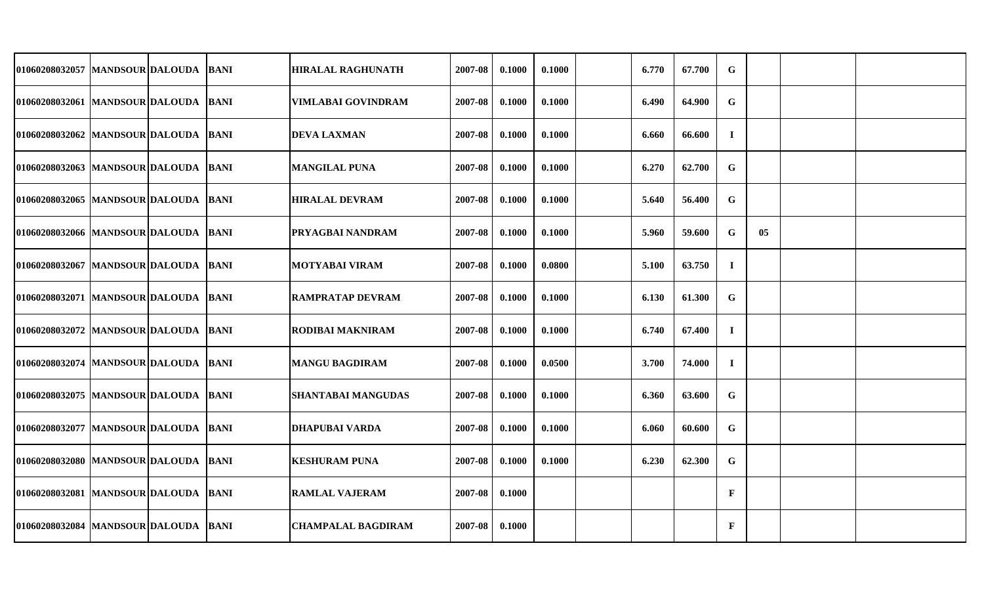| 01060208032057  MANDSOUR DALOUDA  BANI |  | <b>HIRALAL RAGHUNATH</b>  | 2007-08 | 0.1000 | 0.1000 | 6.770 | 67.700 | $\mathbf G$  |    |  |
|----------------------------------------|--|---------------------------|---------|--------|--------|-------|--------|--------------|----|--|
| 01060208032061 MANDSOUR DALOUDA BANI   |  | <b>VIMLABAI GOVINDRAM</b> | 2007-08 | 0.1000 | 0.1000 | 6.490 | 64.900 | G            |    |  |
| 01060208032062 MANDSOUR DALOUDA BANI   |  | <b>DEVA LAXMAN</b>        | 2007-08 | 0.1000 | 0.1000 | 6.660 | 66.600 | $\bf{I}$     |    |  |
| 01060208032063 MANDSOUR DALOUDA BANI   |  | <b>MANGILAL PUNA</b>      | 2007-08 | 0.1000 | 0.1000 | 6.270 | 62.700 | G            |    |  |
| 01060208032065 MANDSOUR DALOUDA BANI   |  | <b>HIRALAL DEVRAM</b>     | 2007-08 | 0.1000 | 0.1000 | 5.640 | 56.400 | $\mathbf G$  |    |  |
| 01060208032066 MANDSOUR DALOUDA BANI   |  | PRYAGBAI NANDRAM          | 2007-08 | 0.1000 | 0.1000 | 5.960 | 59.600 | G            | 05 |  |
| 01060208032067  MANDSOUR DALOUDA BANI  |  | <b>MOTYABAI VIRAM</b>     | 2007-08 | 0.1000 | 0.0800 | 5.100 | 63.750 | $\bf{I}$     |    |  |
| 01060208032071 MANDSOUR DALOUDA BANI   |  | <b>RAMPRATAP DEVRAM</b>   | 2007-08 | 0.1000 | 0.1000 | 6.130 | 61.300 | $\mathbf G$  |    |  |
| 01060208032072 MANDSOUR DALOUDA BANI   |  | RODIBAI MAKNIRAM          | 2007-08 | 0.1000 | 0.1000 | 6.740 | 67.400 | $\bf{I}$     |    |  |
| 01060208032074  MANDSOUR DALOUDA  BANI |  | <b>MANGU BAGDIRAM</b>     | 2007-08 | 0.1000 | 0.0500 | 3.700 | 74.000 | $\bf{I}$     |    |  |
| 01060208032075 MANDSOUR DALOUDA BANI   |  | <b>SHANTABAI MANGUDAS</b> | 2007-08 | 0.1000 | 0.1000 | 6.360 | 63.600 | $\mathbf G$  |    |  |
| 01060208032077  MANDSOUR DALOUDA  BANI |  | <b>DHAPUBAI VARDA</b>     | 2007-08 | 0.1000 | 0.1000 | 6.060 | 60.600 | $\mathbf G$  |    |  |
| 01060208032080 MANDSOUR DALOUDA BANI   |  | <b>KESHURAM PUNA</b>      | 2007-08 | 0.1000 | 0.1000 | 6.230 | 62.300 | $\mathbf G$  |    |  |
| 01060208032081 MANDSOUR DALOUDA BANI   |  | <b>RAMLAL VAJERAM</b>     | 2007-08 | 0.1000 |        |       |        | $\mathbf{F}$ |    |  |
| 01060208032084  MANDSOUR DALOUDA  BANI |  | <b>CHAMPALAL BAGDIRAM</b> | 2007-08 | 0.1000 |        |       |        | $\mathbf{F}$ |    |  |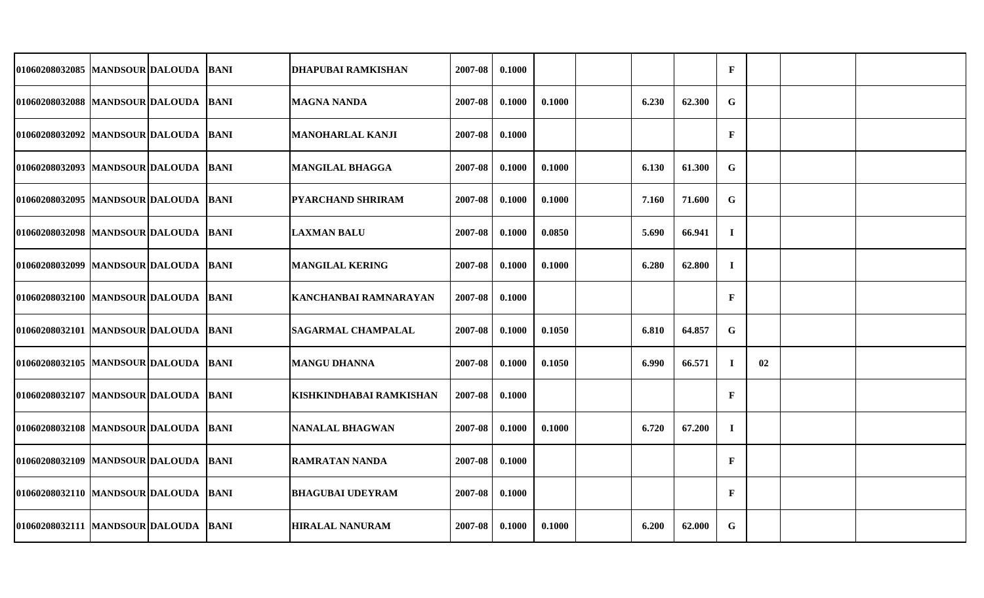| 01060208032085 MANDSOUR DALOUDA       |  | <b>BANI</b> | <b>DHAPUBAI RAMKISHAN</b> | 2007-08 | 0.1000 |        |       |        | $\mathbf F$  |    |  |
|---------------------------------------|--|-------------|---------------------------|---------|--------|--------|-------|--------|--------------|----|--|
| 01060208032088 MANDSOUR DALOUDA BANI  |  |             | <b>MAGNA NANDA</b>        | 2007-08 | 0.1000 | 0.1000 | 6.230 | 62.300 | G            |    |  |
| 01060208032092 MANDSOUR DALOUDA BANI  |  |             | <b>MANOHARLAL KANJI</b>   | 2007-08 | 0.1000 |        |       |        | $\mathbf F$  |    |  |
| 01060208032093 MANDSOUR DALOUDA BANI  |  |             | <b>MANGILAL BHAGGA</b>    | 2007-08 | 0.1000 | 0.1000 | 6.130 | 61.300 | G            |    |  |
| 01060208032095 MANDSOUR DALOUDA BANI  |  |             | <b>PYARCHAND SHRIRAM</b>  | 2007-08 | 0.1000 | 0.1000 | 7.160 | 71.600 | $\mathbf G$  |    |  |
| 01060208032098  MANDSOUR DALOUDA BANI |  |             | <b>LAXMAN BALU</b>        | 2007-08 | 0.1000 | 0.0850 | 5.690 | 66.941 | $\mathbf I$  |    |  |
| 01060208032099 MANDSOUR DALOUDA BANI  |  |             | <b>MANGILAL KERING</b>    | 2007-08 | 0.1000 | 0.1000 | 6.280 | 62.800 | $\mathbf I$  |    |  |
| 01060208032100 MANDSOUR DALOUDA BANI  |  |             | KANCHANBAI RAMNARAYAN     | 2007-08 | 0.1000 |        |       |        | $\mathbf F$  |    |  |
| 01060208032101 MANDSOUR DALOUDA BANI  |  |             | <b>SAGARMAL CHAMPALAL</b> | 2007-08 | 0.1000 | 0.1050 | 6.810 | 64.857 | G            |    |  |
| 01060208032105 MANDSOUR DALOUDA BANI  |  |             | <b>MANGU DHANNA</b>       | 2007-08 | 0.1000 | 0.1050 | 6.990 | 66.571 | $\mathbf I$  | 02 |  |
| 01060208032107 MANDSOUR DALOUDA BANI  |  |             | KISHKINDHABAI RAMKISHAN   | 2007-08 | 0.1000 |        |       |        | $\mathbf F$  |    |  |
| 01060208032108 MANDSOUR DALOUDA BANI  |  |             | <b>NANALAL BHAGWAN</b>    | 2007-08 | 0.1000 | 0.1000 | 6.720 | 67.200 | $\mathbf I$  |    |  |
| 01060208032109 MANDSOUR DALOUDA BANI  |  |             | <b>RAMRATAN NANDA</b>     | 2007-08 | 0.1000 |        |       |        | $\mathbf{F}$ |    |  |
| 01060208032110 MANDSOUR DALOUDA BANI  |  |             | <b>BHAGUBAI UDEYRAM</b>   | 2007-08 | 0.1000 |        |       |        | $\mathbf{F}$ |    |  |
| 01060208032111 MANDSOUR DALOUDA BANI  |  |             | <b>HIRALAL NANURAM</b>    | 2007-08 | 0.1000 | 0.1000 | 6.200 | 62.000 | $\mathbf G$  |    |  |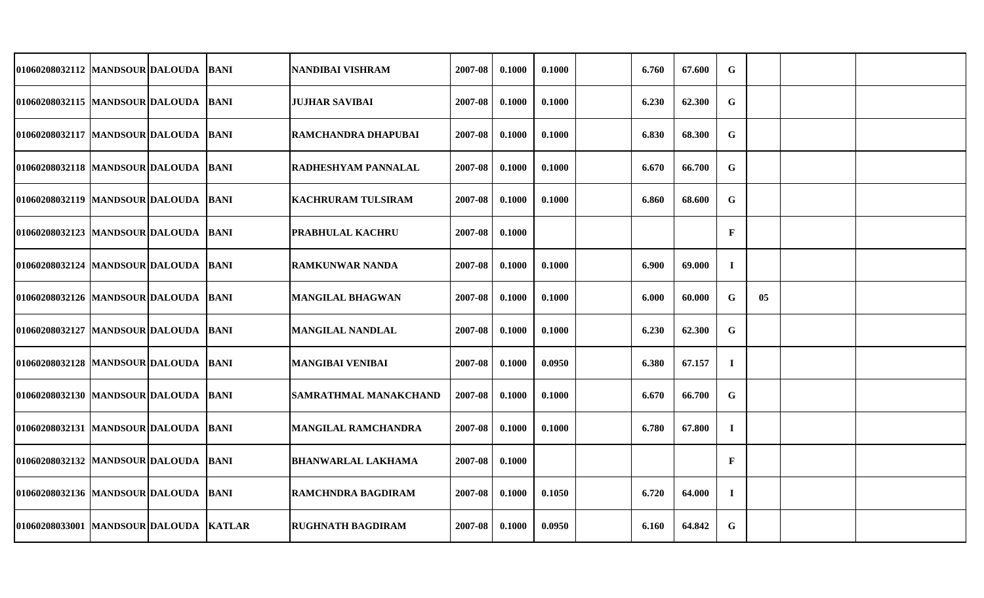| 01060208032112  MANDSOUR DALOUDA  BANI |  | NANDIBAI VISHRAM          | 2007-08 | 0.1000 | 0.1000 | 6.760 | 67.600 | G            |    |  |
|----------------------------------------|--|---------------------------|---------|--------|--------|-------|--------|--------------|----|--|
| 01060208032115  MANDSOUR DALOUDA  BANI |  | <b>JUJHAR SAVIBAI</b>     | 2007-08 | 0.1000 | 0.1000 | 6.230 | 62.300 | G            |    |  |
| 01060208032117  MANDSOUR DALOUDA BANI  |  | RAMCHANDRA DHAPUBAI       | 2007-08 | 0.1000 | 0.1000 | 6.830 | 68.300 | G            |    |  |
| 01060208032118 MANDSOUR DALOUDA BANI   |  | RADHESHYAM PANNALAL       | 2007-08 | 0.1000 | 0.1000 | 6.670 | 66.700 | $\mathbf G$  |    |  |
| 01060208032119  MANDSOUR DALOUDA  BANI |  | <b>KACHRURAM TULSIRAM</b> | 2007-08 | 0.1000 | 0.1000 | 6.860 | 68.600 | G            |    |  |
| 01060208032123  MANDSOUR DALOUDA BANI  |  | PRABHULAL KACHRU          | 2007-08 | 0.1000 |        |       |        | $\mathbf{F}$ |    |  |
| 01060208032124  MANDSOUR DALOUDA  BANI |  | <b>RAMKUNWAR NANDA</b>    | 2007-08 | 0.1000 | 0.1000 | 6.900 | 69.000 | $\mathbf I$  |    |  |
| 01060208032126 MANDSOUR DALOUDA BANI   |  | <b>MANGILAL BHAGWAN</b>   | 2007-08 | 0.1000 | 0.1000 | 6.000 | 60.000 | G            | 05 |  |
| 01060208032127 MANDSOUR DALOUDA BANI   |  | <b>MANGILAL NANDLAL</b>   | 2007-08 | 0.1000 | 0.1000 | 6.230 | 62.300 | $\mathbf G$  |    |  |
| 01060208032128  MANDSOUR DALOUDA  BANI |  | <b>MANGIBAI VENIBAI</b>   | 2007-08 | 0.1000 | 0.0950 | 6.380 | 67.157 | $\mathbf I$  |    |  |
| 01060208032130 MANDSOUR DALOUDA BANI   |  | SAMRATHMAL MANAKCHAND     | 2007-08 | 0.1000 | 0.1000 | 6.670 | 66.700 | G            |    |  |
| 01060208032131 MANDSOUR DALOUDA BANI   |  | MANGILAL RAMCHANDRA       | 2007-08 | 0.1000 | 0.1000 | 6.780 | 67.800 | $\mathbf I$  |    |  |
| 01060208032132 MANDSOUR DALOUDA BANI   |  | <b>BHANWARLAL LAKHAMA</b> | 2007-08 | 0.1000 |        |       |        | $\mathbf{F}$ |    |  |
| 01060208032136  MANDSOUR DALOUDA  BANI |  | <b>RAMCHNDRA BAGDIRAM</b> | 2007-08 | 0.1000 | 0.1050 | 6.720 | 64.000 | $\mathbf I$  |    |  |
| 01060208033001 MANDSOUR DALOUDA KATLAR |  | <b>RUGHNATH BAGDIRAM</b>  | 2007-08 | 0.1000 | 0.0950 | 6.160 | 64.842 | G            |    |  |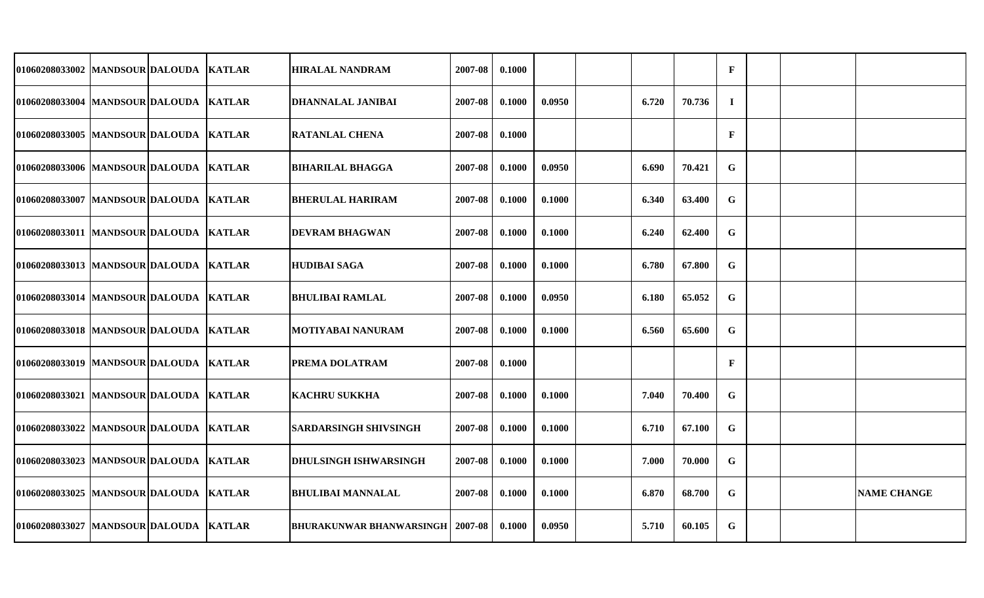| 01060208033002 MANDSOUR DALOUDA        |  | <b>KATLAR</b> | <b>HIRALAL NANDRAM</b>                    | 2007-08 | 0.1000 |        |       |        | $\mathbf{F}$ |  |                    |
|----------------------------------------|--|---------------|-------------------------------------------|---------|--------|--------|-------|--------|--------------|--|--------------------|
| 01060208033004 MANDSOUR DALOUDA KATLAR |  |               | <b>DHANNALAL JANIBAI</b>                  | 2007-08 | 0.1000 | 0.0950 | 6.720 | 70.736 | $\bf{I}$     |  |                    |
| 01060208033005 MANDSOUR DALOUDA KATLAR |  |               | <b>RATANLAL CHENA</b>                     | 2007-08 | 0.1000 |        |       |        | $\mathbf F$  |  |                    |
| 01060208033006 MANDSOUR DALOUDA KATLAR |  |               | <b>BIHARILAL BHAGGA</b>                   | 2007-08 | 0.1000 | 0.0950 | 6.690 | 70.421 | $\mathbf G$  |  |                    |
| 01060208033007   MANDSOUR DALOUDA      |  | <b>KATLAR</b> | <b>BHERULAL HARIRAM</b>                   | 2007-08 | 0.1000 | 0.1000 | 6.340 | 63.400 | $\mathbf G$  |  |                    |
| 01060208033011   MANDSOUR DALOUDA      |  | <b>KATLAR</b> | <b>DEVRAM BHAGWAN</b>                     | 2007-08 | 0.1000 | 0.1000 | 6.240 | 62.400 | $\mathbf G$  |  |                    |
| 01060208033013 MANDSOUR DALOUDA        |  | <b>KATLAR</b> | HUDIBAI SAGA                              | 2007-08 | 0.1000 | 0.1000 | 6.780 | 67.800 | $\mathbf G$  |  |                    |
| 01060208033014 MANDSOUR DALOUDA KATLAR |  |               | <b>BHULIBAI RAMLAL</b>                    | 2007-08 | 0.1000 | 0.0950 | 6.180 | 65.052 | $\mathbf G$  |  |                    |
| 01060208033018 MANDSOUR DALOUDA        |  | <b>KATLAR</b> | <b>MOTIYABAI NANURAM</b>                  | 2007-08 | 0.1000 | 0.1000 | 6.560 | 65.600 | $\mathbf G$  |  |                    |
| 01060208033019   MANDSOUR DALOUDA      |  | <b>KATLAR</b> | PREMA DOLATRAM                            | 2007-08 | 0.1000 |        |       |        | $\mathbf{F}$ |  |                    |
| 01060208033021 MANDSOUR DALOUDA        |  | <b>KATLAR</b> | <b>KACHRU SUKKHA</b>                      | 2007-08 | 0.1000 | 0.1000 | 7.040 | 70.400 | G            |  |                    |
| 01060208033022 MANDSOUR DALOUDA        |  | <b>KATLAR</b> | <b>SARDARSINGH SHIVSINGH</b>              | 2007-08 | 0.1000 | 0.1000 | 6.710 | 67.100 | G            |  |                    |
| 01060208033023 MANDSOUR DALOUDA        |  | <b>KATLAR</b> | <b>DHULSINGH ISHWARSINGH</b>              | 2007-08 | 0.1000 | 0.1000 | 7.000 | 70.000 | $\mathbf G$  |  |                    |
| 01060208033025 MANDSOUR DALOUDA KATLAR |  |               | <b>BHULIBAI MANNALAL</b>                  | 2007-08 | 0.1000 | 0.1000 | 6.870 | 68.700 | G            |  | <b>NAME CHANGE</b> |
| 01060208033027 MANDSOUR DALOUDA KATLAR |  |               | <b>BHURAKUNWAR BHANWARSINGH   2007-08</b> |         | 0.1000 | 0.0950 | 5.710 | 60.105 | $\mathbf G$  |  |                    |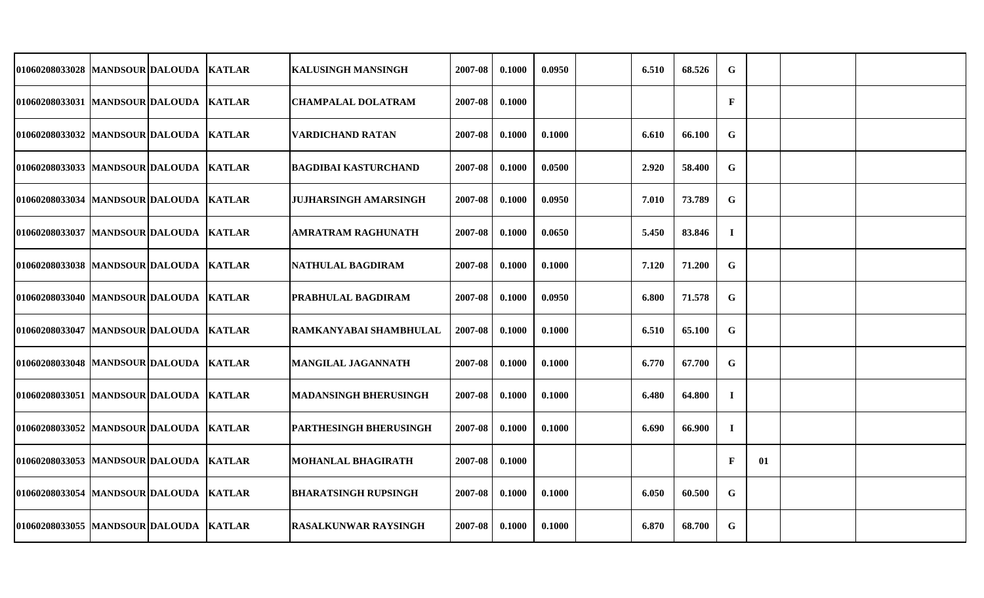| 01060208033028 MANDSOUR DALOUDA         |  | <b>KATLAR</b> | <b>KALUSINGH MANSINGH</b>     | 2007-08 | 0.1000 | 0.0950 | 6.510 | 68.526 | $\mathbf G$  |    |  |
|-----------------------------------------|--|---------------|-------------------------------|---------|--------|--------|-------|--------|--------------|----|--|
| 01060208033031 MANDSOUR DALOUDA KATLAR  |  |               | <b>CHAMPALAL DOLATRAM</b>     | 2007-08 | 0.1000 |        |       |        | $\mathbf{F}$ |    |  |
| 01060208033032 MANDSOUR DALOUDA KATLAR  |  |               | <b>VARDICHAND RATAN</b>       | 2007-08 | 0.1000 | 0.1000 | 6.610 | 66.100 | G            |    |  |
| 01060208033033  MANDSOUR DALOUDA KATLAR |  |               | <b>BAGDIBAI KASTURCHAND</b>   | 2007-08 | 0.1000 | 0.0500 | 2.920 | 58.400 | G            |    |  |
| 01060208033034 MANDSOUR DALOUDA KATLAR  |  |               | <b>JUJHARSINGH AMARSINGH</b>  | 2007-08 | 0.1000 | 0.0950 | 7.010 | 73.789 | $\mathbf G$  |    |  |
| 01060208033037 MANDSOUR DALOUDA KATLAR  |  |               | <b>AMRATRAM RAGHUNATH</b>     | 2007-08 | 0.1000 | 0.0650 | 5.450 | 83.846 | $\mathbf I$  |    |  |
| 01060208033038 MANDSOUR DALOUDA KATLAR  |  |               | NATHULAL BAGDIRAM             | 2007-08 | 0.1000 | 0.1000 | 7.120 | 71.200 | $\mathbf G$  |    |  |
| 01060208033040  MANDSOUR DALOUDA KATLAR |  |               | PRABHULAL BAGDIRAM            | 2007-08 | 0.1000 | 0.0950 | 6.800 | 71.578 | G            |    |  |
| 01060208033047 MANDSOUR DALOUDA KATLAR  |  |               | <b>RAMKANYABAI SHAMBHULAL</b> | 2007-08 | 0.1000 | 0.1000 | 6.510 | 65.100 | $\mathbf G$  |    |  |
| 01060208033048  MANDSOUR DALOUDA KATLAR |  |               | <b>MANGILAL JAGANNATH</b>     | 2007-08 | 0.1000 | 0.1000 | 6.770 | 67.700 | $\mathbf G$  |    |  |
| 01060208033051 MANDSOUR DALOUDA KATLAR  |  |               | MADANSINGH BHERUSINGH         | 2007-08 | 0.1000 | 0.1000 | 6.480 | 64.800 | $\bf{I}$     |    |  |
| 01060208033052 MANDSOUR DALOUDA KATLAR  |  |               | PARTHESINGH BHERUSINGH        | 2007-08 | 0.1000 | 0.1000 | 6.690 | 66.900 | $\bf{I}$     |    |  |
| 01060208033053 MANDSOUR DALOUDA KATLAR  |  |               | <b>MOHANLAL BHAGIRATH</b>     | 2007-08 | 0.1000 |        |       |        | $\mathbf{F}$ | 01 |  |
| 01060208033054  MANDSOUR DALOUDA KATLAR |  |               | <b>BHARATSINGH RUPSINGH</b>   | 2007-08 | 0.1000 | 0.1000 | 6.050 | 60.500 | G            |    |  |
| 01060208033055 MANDSOUR DALOUDA KATLAR  |  |               | <b>RASALKUNWAR RAYSINGH</b>   | 2007-08 | 0.1000 | 0.1000 | 6.870 | 68.700 | G            |    |  |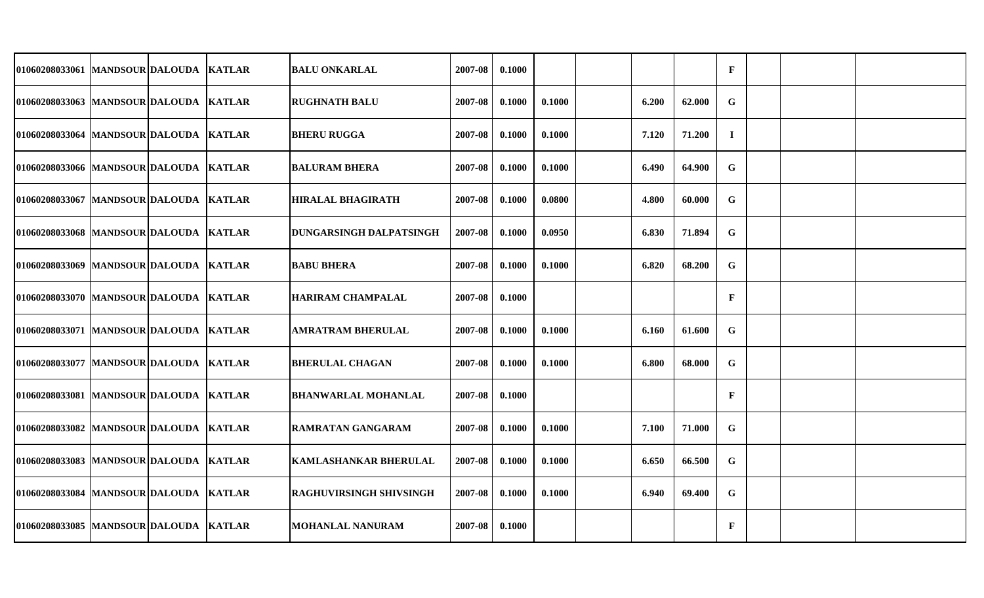| 01060208033061 MANDSOUR DALOUDA          |  | <b>KATLAR</b> | <b>BALU ONKARLAL</b>           | 2007-08 | 0.1000 |        |       |        | $\mathbf{F}$ |  |  |
|------------------------------------------|--|---------------|--------------------------------|---------|--------|--------|-------|--------|--------------|--|--|
| 01060208033063 MANDSOUR DALOUDA KATLAR   |  |               | <b>RUGHNATH BALU</b>           | 2007-08 | 0.1000 | 0.1000 | 6.200 | 62.000 | G            |  |  |
| 01060208033064 MANDSOUR DALOUDA KATLAR   |  |               | <b>BHERU RUGGA</b>             | 2007-08 | 0.1000 | 0.1000 | 7.120 | 71.200 | $\bf{I}$     |  |  |
| 01060208033066 MANDSOUR DALOUDA KATLAR   |  |               | <b>BALURAM BHERA</b>           | 2007-08 | 0.1000 | 0.1000 | 6.490 | 64.900 | G            |  |  |
| 01060208033067 MANDSOUR DALOUDA          |  | <b>KATLAR</b> | <b>HIRALAL BHAGIRATH</b>       | 2007-08 | 0.1000 | 0.0800 | 4.800 | 60.000 | $\mathbf G$  |  |  |
| 01060208033068 MANDSOUR DALOUDA KATLAR   |  |               | <b>DUNGARSINGH DALPATSINGH</b> | 2007-08 | 0.1000 | 0.0950 | 6.830 | 71.894 | $\mathbf G$  |  |  |
| 01060208033069   MANDSOUR DALOUDA        |  | <b>KATLAR</b> | <b>BABU BHERA</b>              | 2007-08 | 0.1000 | 0.1000 | 6.820 | 68.200 | G            |  |  |
| 01060208033070 MANDSOUR DALOUDA KATLAR   |  |               | <b>HARIRAM CHAMPALAL</b>       | 2007-08 | 0.1000 |        |       |        | $\mathbf F$  |  |  |
| 01060208033071 MANDSOUR DALOUDA          |  | <b>KATLAR</b> | <b>AMRATRAM BHERULAL</b>       | 2007-08 | 0.1000 | 0.1000 | 6.160 | 61.600 | G            |  |  |
| 01060208033077 MANDSOUR DALOUDA KATLAR   |  |               | <b>BHERULAL CHAGAN</b>         | 2007-08 | 0.1000 | 0.1000 | 6.800 | 68.000 | G            |  |  |
| 01060208033081 MANDSOUR DALOUDA          |  | <b>KATLAR</b> | <b>BHANWARLAL MOHANLAL</b>     | 2007-08 | 0.1000 |        |       |        | $\mathbf F$  |  |  |
| 01060208033082 MANDSOUR DALOUDA KATLAR   |  |               | <b>RAMRATAN GANGARAM</b>       | 2007-08 | 0.1000 | 0.1000 | 7.100 | 71.000 | $\mathbf G$  |  |  |
| 01060208033083  MANDSOUR DALOUDA         |  | <b>KATLAR</b> | <b>KAMLASHANKAR BHERULAL</b>   | 2007-08 | 0.1000 | 0.1000 | 6.650 | 66.500 | $\mathbf G$  |  |  |
| 01060208033084  MANDSOUR DALOUDA  KATLAR |  |               | <b>RAGHUVIRSINGH SHIVSINGH</b> | 2007-08 | 0.1000 | 0.1000 | 6.940 | 69.400 | G            |  |  |
| 01060208033085 MANDSOUR DALOUDA KATLAR   |  |               | <b>MOHANLAL NANURAM</b>        | 2007-08 | 0.1000 |        |       |        | $\mathbf{F}$ |  |  |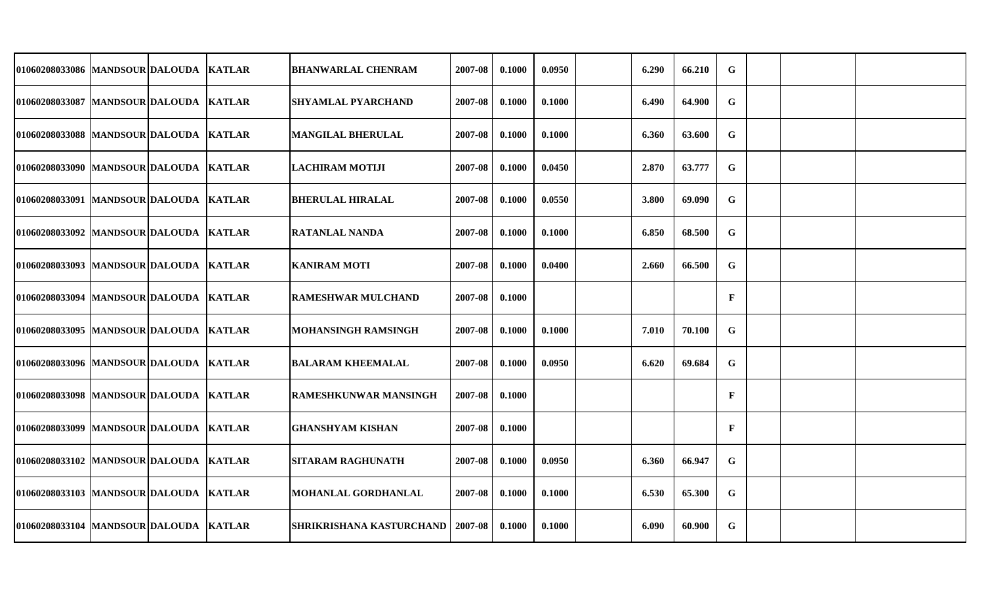| 01060208033086 MANDSOUR DALOUDA KATLAR   |  | <b>BHANWARLAL CHENRAM</b>                 | 2007-08 | 0.1000 | 0.0950 | 6.290 | 66.210 | $\mathbf G$  |  |  |
|------------------------------------------|--|-------------------------------------------|---------|--------|--------|-------|--------|--------------|--|--|
| 01060208033087  MANDSOUR DALOUDA  KATLAR |  | <b>SHYAMLAL PYARCHAND</b>                 | 2007-08 | 0.1000 | 0.1000 | 6.490 | 64.900 | G            |  |  |
| 01060208033088 MANDSOUR DALOUDA KATLAR   |  | <b>MANGILAL BHERULAL</b>                  | 2007-08 | 0.1000 | 0.1000 | 6.360 | 63.600 | $\mathbf G$  |  |  |
| 01060208033090 MANDSOUR DALOUDA KATLAR   |  | <b>LACHIRAM MOTIJI</b>                    | 2007-08 | 0.1000 | 0.0450 | 2.870 | 63.777 | $\mathbf G$  |  |  |
| 01060208033091  MANDSOUR DALOUDA  KATLAR |  | <b>BHERULAL HIRALAL</b>                   | 2007-08 | 0.1000 | 0.0550 | 3.800 | 69.090 | $\mathbf G$  |  |  |
| 01060208033092 MANDSOUR DALOUDA KATLAR   |  | <b>RATANLAL NANDA</b>                     | 2007-08 | 0.1000 | 0.1000 | 6.850 | 68.500 | G            |  |  |
| 01060208033093 MANDSOUR DALOUDA KATLAR   |  | <b>KANIRAM MOTI</b>                       | 2007-08 | 0.1000 | 0.0400 | 2.660 | 66.500 | $\mathbf G$  |  |  |
| 01060208033094 MANDSOUR DALOUDA KATLAR   |  | <b>RAMESHWAR MULCHAND</b>                 | 2007-08 | 0.1000 |        |       |        | $\mathbf{F}$ |  |  |
| 01060208033095 MANDSOUR DALOUDA KATLAR   |  | <b>MOHANSINGH RAMSINGH</b>                | 2007-08 | 0.1000 | 0.1000 | 7.010 | 70.100 | $\mathbf G$  |  |  |
| 01060208033096  MANDSOUR DALOUDA KATLAR  |  | <b>BALARAM KHEEMALAL</b>                  | 2007-08 | 0.1000 | 0.0950 | 6.620 | 69.684 | G            |  |  |
| 01060208033098 MANDSOUR DALOUDA KATLAR   |  | <b>RAMESHKUNWAR MANSINGH</b>              | 2007-08 | 0.1000 |        |       |        | $\mathbf{F}$ |  |  |
| 01060208033099 MANDSOUR DALOUDA  KATLAR  |  | <b>GHANSHYAM KISHAN</b>                   | 2007-08 | 0.1000 |        |       |        | $\mathbf{F}$ |  |  |
| 01060208033102 MANDSOUR DALOUDA KATLAR   |  | <b>SITARAM RAGHUNATH</b>                  | 2007-08 | 0.1000 | 0.0950 | 6.360 | 66.947 | $\mathbf G$  |  |  |
| 01060208033103 MANDSOUR DALOUDA KATLAR   |  | MOHANLAL GORDHANLAL                       | 2007-08 | 0.1000 | 0.1000 | 6.530 | 65.300 | G            |  |  |
| 01060208033104 MANDSOUR DALOUDA KATLAR   |  | <b>SHRIKRISHANA KASTURCHAND   2007-08</b> |         | 0.1000 | 0.1000 | 6.090 | 60.900 | $\mathbf G$  |  |  |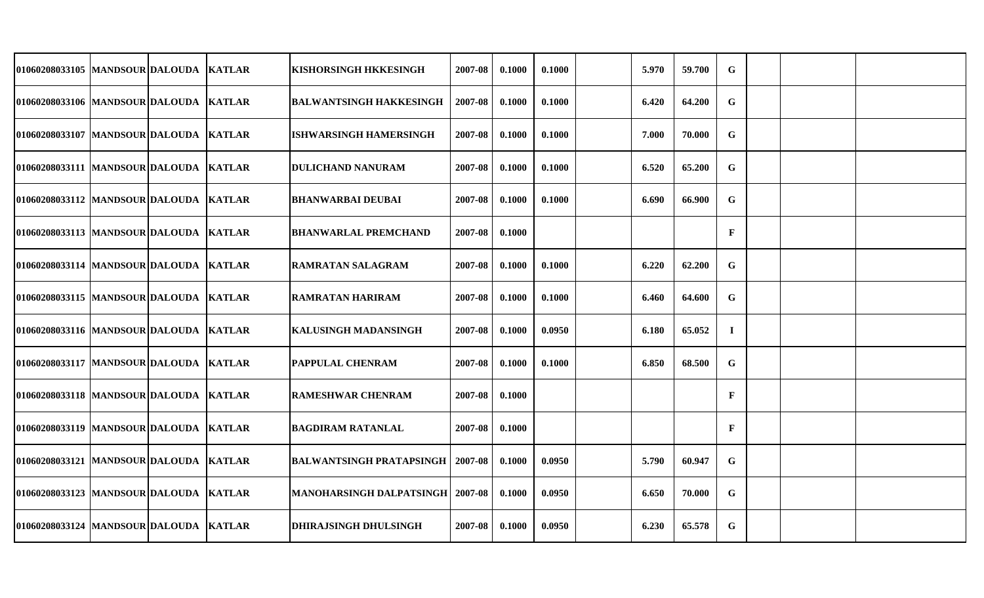| 01060208033105 MANDSOUR DALOUDA KATLAR   |  | KISHORSINGH HKKESINGH                     | 2007-08 | 0.1000 | 0.1000 | 5.970 | 59.700 | G            |  |  |
|------------------------------------------|--|-------------------------------------------|---------|--------|--------|-------|--------|--------------|--|--|
| 01060208033106  MANDSOUR DALOUDA KATLAR  |  | <b>BALWANTSINGH HAKKESINGH</b>            | 2007-08 | 0.1000 | 0.1000 | 6.420 | 64.200 | $\mathbf G$  |  |  |
| 01060208033107 MANDSOUR DALOUDA KATLAR   |  | <b>ISHWARSINGH HAMERSINGH</b>             | 2007-08 | 0.1000 | 0.1000 | 7.000 | 70.000 | $\mathbf G$  |  |  |
| 01060208033111 MANDSOUR DALOUDA KATLAR   |  | <b>DULICHAND NANURAM</b>                  | 2007-08 | 0.1000 | 0.1000 | 6.520 | 65.200 | G            |  |  |
| 01060208033112 MANDSOUR DALOUDA KATLAR   |  | <b>BHANWARBAI DEUBAI</b>                  | 2007-08 | 0.1000 | 0.1000 | 6.690 | 66.900 | G            |  |  |
| 01060208033113 MANDSOUR DALOUDA KATLAR   |  | <b>BHANWARLAL PREMCHAND</b>               | 2007-08 | 0.1000 |        |       |        | $\mathbf{F}$ |  |  |
| 01060208033114 MANDSOUR DALOUDA KATLAR   |  | <b>RAMRATAN SALAGRAM</b>                  | 2007-08 | 0.1000 | 0.1000 | 6.220 | 62.200 | G            |  |  |
| 01060208033115  MANDSOUR DALOUDA KATLAR  |  | <b>RAMRATAN HARIRAM</b>                   | 2007-08 | 0.1000 | 0.1000 | 6.460 | 64.600 | $\mathbf G$  |  |  |
| 01060208033116 MANDSOUR DALOUDA KATLAR   |  | KALUSINGH MADANSINGH                      | 2007-08 | 0.1000 | 0.0950 | 6.180 | 65.052 | $\bf{I}$     |  |  |
| 01060208033117  MANDSOUR DALOUDA  KATLAR |  | PAPPULAL CHENRAM                          | 2007-08 | 0.1000 | 0.1000 | 6.850 | 68.500 | G            |  |  |
| 01060208033118 MANDSOUR DALOUDA KATLAR   |  | RAMESHWAR CHENRAM                         | 2007-08 | 0.1000 |        |       |        | $\mathbf{F}$ |  |  |
| 01060208033119 MANDSOUR DALOUDA KATLAR   |  | BAGDIRAM RATANLAL                         | 2007-08 | 0.1000 |        |       |        | $\mathbf F$  |  |  |
| 01060208033121 MANDSOUR DALOUDA KATLAR   |  | <b>BALWANTSINGH PRATAPSINGH</b>           | 2007-08 | 0.1000 | 0.0950 | 5.790 | 60.947 | G            |  |  |
| 01060208033123 MANDSOUR DALOUDA KATLAR   |  | <b>MANOHARSINGH DALPATSINGH   2007-08</b> |         | 0.1000 | 0.0950 | 6.650 | 70.000 | G            |  |  |
| 01060208033124 MANDSOUR DALOUDA KATLAR   |  | <b>DHIRAJSINGH DHULSINGH</b>              | 2007-08 | 0.1000 | 0.0950 | 6.230 | 65.578 | G            |  |  |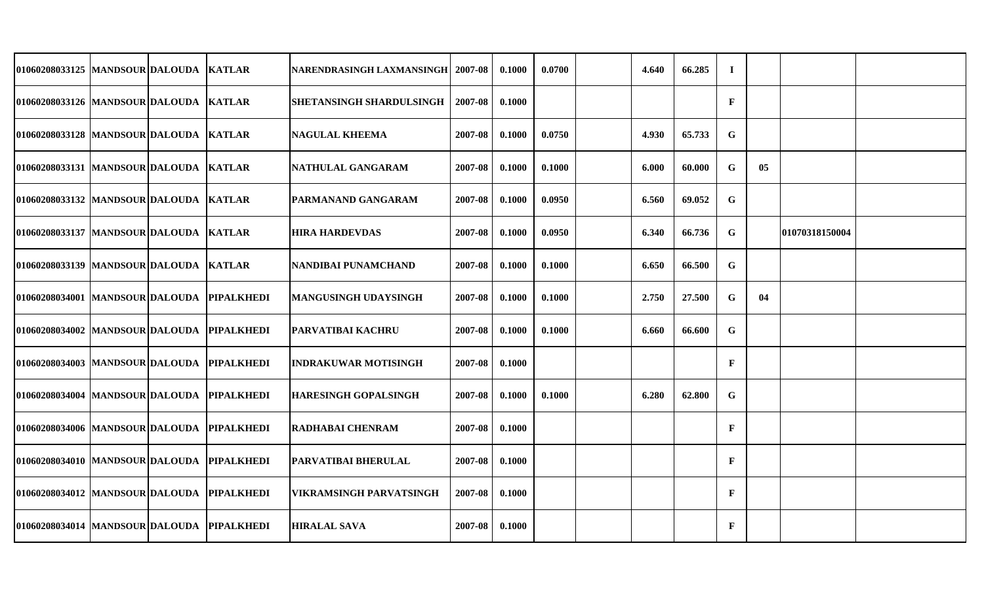| 01060208033125  MANDSOUR DALOUDA  KATLAR   |  | NARENDRASINGH LAXMANSINGH   2007-08 |         | 0.1000 | 0.0700 | 4.640 | 66.285 | $\mathbf I$  |    |                |  |
|--------------------------------------------|--|-------------------------------------|---------|--------|--------|-------|--------|--------------|----|----------------|--|
| 01060208033126 MANDSOUR DALOUDA KATLAR     |  | SHETANSINGH SHARDULSINGH            | 2007-08 | 0.1000 |        |       |        | $\mathbf{F}$ |    |                |  |
| 01060208033128 MANDSOUR DALOUDA KATLAR     |  | <b>NAGULAL KHEEMA</b>               | 2007-08 | 0.1000 | 0.0750 | 4.930 | 65.733 | $\mathbf G$  |    |                |  |
| 01060208033131 MANDSOUR DALOUDA KATLAR     |  | NATHULAL GANGARAM                   | 2007-08 | 0.1000 | 0.1000 | 6.000 | 60.000 | G            | 05 |                |  |
| 01060208033132 MANDSOUR DALOUDA KATLAR     |  | PARMANAND GANGARAM                  | 2007-08 | 0.1000 | 0.0950 | 6.560 | 69.052 | $\mathbf G$  |    |                |  |
| 01060208033137  MANDSOUR DALOUDA  KATLAR   |  | <b>HIRA HARDEVDAS</b>               | 2007-08 | 0.1000 | 0.0950 | 6.340 | 66.736 | $\mathbf G$  |    | 01070318150004 |  |
| 01060208033139 MANDSOUR DALOUDA KATLAR     |  | NANDIBAI PUNAMCHAND                 | 2007-08 | 0.1000 | 0.1000 | 6.650 | 66.500 | $\mathbf G$  |    |                |  |
| 01060208034001 MANDSOUR DALOUDA PIPALKHEDI |  | <b>MANGUSINGH UDAYSINGH</b>         | 2007-08 | 0.1000 | 0.1000 | 2.750 | 27.500 | $\mathbf G$  | 04 |                |  |
| 01060208034002 MANDSOUR DALOUDA PIPALKHEDI |  | <b>PARVATIBAI KACHRU</b>            | 2007-08 | 0.1000 | 0.1000 | 6.660 | 66.600 | $\mathbf G$  |    |                |  |
| 01060208034003 MANDSOUR DALOUDA PIPALKHEDI |  | <b>INDRAKUWAR MOTISINGH</b>         | 2007-08 | 0.1000 |        |       |        | $\mathbf{F}$ |    |                |  |
| 01060208034004 MANDSOUR DALOUDA PIPALKHEDI |  | <b>HARESINGH GOPALSINGH</b>         | 2007-08 | 0.1000 | 0.1000 | 6.280 | 62.800 | $\mathbf G$  |    |                |  |
| 01060208034006 MANDSOUR DALOUDA PIPALKHEDI |  | RADHABAI CHENRAM                    | 2007-08 | 0.1000 |        |       |        | $\mathbf F$  |    |                |  |
| 01060208034010 MANDSOUR DALOUDA PIPALKHEDI |  | PARVATIBAI BHERULAL                 | 2007-08 | 0.1000 |        |       |        | $\mathbf{F}$ |    |                |  |
| 01060208034012 MANDSOUR DALOUDA PIPALKHEDI |  | VIKRAMSINGH PARVATSINGH             | 2007-08 | 0.1000 |        |       |        | $\mathbf{F}$ |    |                |  |
| 01060208034014 MANDSOUR DALOUDA PIPALKHEDI |  | <b>HIRALAL SAVA</b>                 | 2007-08 | 0.1000 |        |       |        | $\mathbf{F}$ |    |                |  |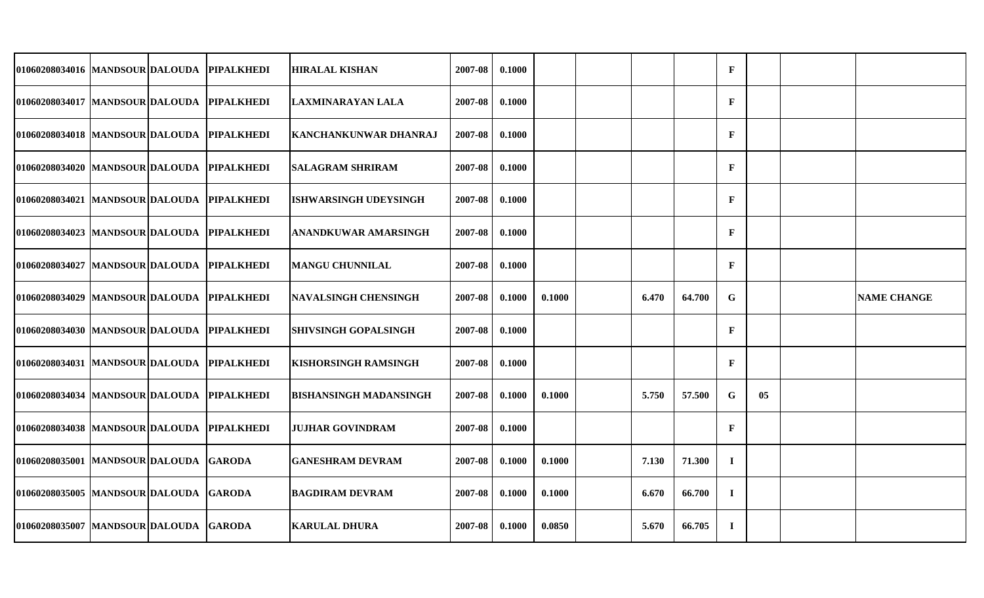| 01060208034016 MANDSOUR DALOUDA            |  | <b>PIPALKHEDI</b> | <b>HIRALAL KISHAN</b>         | 2007-08 | 0.1000 |        |       |        | $\mathbf{F}$ |    |                    |
|--------------------------------------------|--|-------------------|-------------------------------|---------|--------|--------|-------|--------|--------------|----|--------------------|
| 01060208034017 MANDSOUR DALOUDA PIPALKHEDI |  |                   | LAXMINARAYAN LALA             | 2007-08 | 0.1000 |        |       |        | $\mathbf{F}$ |    |                    |
| 01060208034018 MANDSOUR DALOUDA            |  | <b>PIPALKHEDI</b> | <b>KANCHANKUNWAR DHANRAJ</b>  | 2007-08 | 0.1000 |        |       |        | $\mathbf{F}$ |    |                    |
| 01060208034020 MANDSOUR DALOUDA PIPALKHEDI |  |                   | <b>SALAGRAM SHRIRAM</b>       | 2007-08 | 0.1000 |        |       |        | $\mathbf{F}$ |    |                    |
| 01060208034021 MANDSOUR DALOUDA            |  | <b>PIPALKHEDI</b> | <b>ISHWARSINGH UDEYSINGH</b>  | 2007-08 | 0.1000 |        |       |        | $\mathbf{F}$ |    |                    |
| 01060208034023 MANDSOUR DALOUDA PIPALKHEDI |  |                   | ANANDKUWAR AMARSINGH          | 2007-08 | 0.1000 |        |       |        | $\mathbf{F}$ |    |                    |
| 01060208034027 MANDSOUR DALOUDA PIPALKHEDI |  |                   | <b>MANGU CHUNNILAL</b>        | 2007-08 | 0.1000 |        |       |        | $\mathbf{F}$ |    |                    |
| 01060208034029 MANDSOUR DALOUDA PIPALKHEDI |  |                   | <b>NAVALSINGH CHENSINGH</b>   | 2007-08 | 0.1000 | 0.1000 | 6.470 | 64.700 | $\mathbf G$  |    | <b>NAME CHANGE</b> |
| 01060208034030   MANDSOUR DALOUDA          |  | <b>PIPALKHEDI</b> | <b>SHIVSINGH GOPALSINGH</b>   | 2007-08 | 0.1000 |        |       |        | $\mathbf{F}$ |    |                    |
| 01060208034031  MANDSOUR DALOUDA           |  | <b>PIPALKHEDI</b> | <b>KISHORSINGH RAMSINGH</b>   | 2007-08 | 0.1000 |        |       |        | $\mathbf{F}$ |    |                    |
| 01060208034034 MANDSOUR DALOUDA            |  | <b>PIPALKHEDI</b> | <b>BISHANSINGH MADANSINGH</b> | 2007-08 | 0.1000 | 0.1000 | 5.750 | 57.500 | $\mathbf G$  | 05 |                    |
| 01060208034038 MANDSOUR DALOUDA            |  | <b>PIPALKHEDI</b> | <b>JUJHAR GOVINDRAM</b>       | 2007-08 | 0.1000 |        |       |        | $\mathbf{F}$ |    |                    |
| 01060208035001 MANDSOUR DALOUDA            |  | <b>GARODA</b>     | <b>GANESHRAM DEVRAM</b>       | 2007-08 | 0.1000 | 0.1000 | 7.130 | 71.300 | $\mathbf I$  |    |                    |
| 01060208035005  MANDSOUR DALOUDA           |  | <b>GARODA</b>     | <b>BAGDIRAM DEVRAM</b>        | 2007-08 | 0.1000 | 0.1000 | 6.670 | 66.700 | $\mathbf I$  |    |                    |
| 01060208035007 MANDSOUR DALOUDA            |  | <b>GARODA</b>     | <b>KARULAL DHURA</b>          | 2007-08 | 0.1000 | 0.0850 | 5.670 | 66.705 | $\mathbf I$  |    |                    |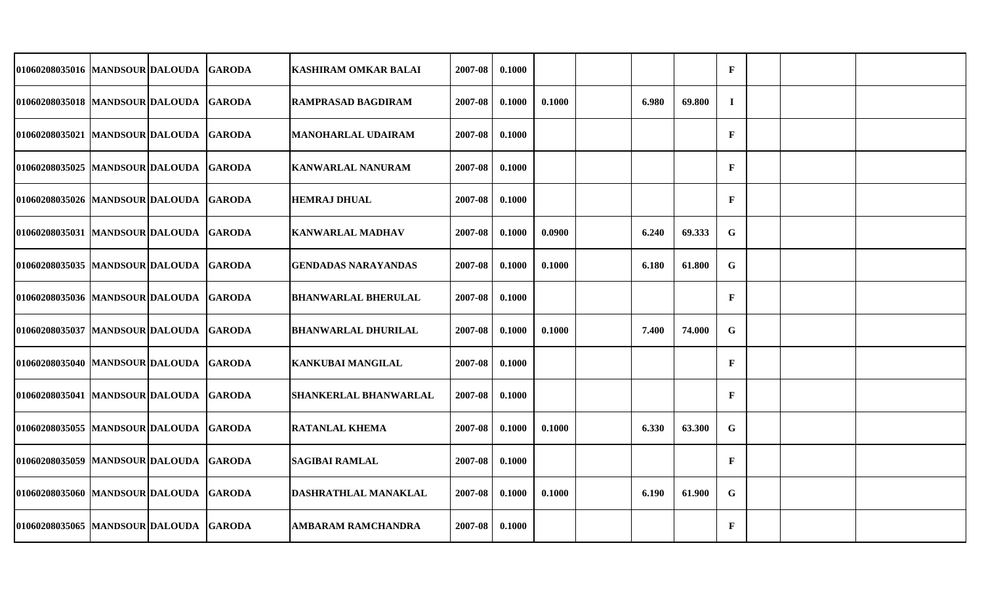| 01060208035016 MANDSOUR DALOUDA GARODA   |  | <b>KASHIRAM OMKAR BALAI</b>  | 2007-08 | 0.1000 |        |       |        | $\mathbf F$  |  |  |
|------------------------------------------|--|------------------------------|---------|--------|--------|-------|--------|--------------|--|--|
| 01060208035018 MANDSOUR DALOUDA GARODA   |  | <b>RAMPRASAD BAGDIRAM</b>    | 2007-08 | 0.1000 | 0.1000 | 6.980 | 69.800 | $\bf{I}$     |  |  |
| 01060208035021 MANDSOUR DALOUDA GARODA   |  | <b>MANOHARLAL UDAIRAM</b>    | 2007-08 | 0.1000 |        |       |        | $\mathbf F$  |  |  |
| 01060208035025 MANDSOUR DALOUDA GARODA   |  | <b>KANWARLAL NANURAM</b>     | 2007-08 | 0.1000 |        |       |        | $\mathbf F$  |  |  |
| 01060208035026 MANDSOUR DALOUDA GARODA   |  | <b>HEMRAJ DHUAL</b>          | 2007-08 | 0.1000 |        |       |        | $\mathbf F$  |  |  |
| 01060208035031 MANDSOUR DALOUDA GARODA   |  | <b>KANWARLAL MADHAV</b>      | 2007-08 | 0.1000 | 0.0900 | 6.240 | 69.333 | G            |  |  |
| 01060208035035 MANDSOUR DALOUDA GARODA   |  | <b>GENDADAS NARAYANDAS</b>   | 2007-08 | 0.1000 | 0.1000 | 6.180 | 61.800 | G            |  |  |
| 01060208035036  MANDSOUR DALOUDA  GARODA |  | <b>BHANWARLAL BHERULAL</b>   | 2007-08 | 0.1000 |        |       |        | $\mathbf F$  |  |  |
| 01060208035037  MANDSOUR DALOUDA  GARODA |  | <b>BHANWARLAL DHURILAL</b>   | 2007-08 | 0.1000 | 0.1000 | 7.400 | 74.000 | $\mathbf G$  |  |  |
| 01060208035040 MANDSOUR DALOUDA GARODA   |  | <b>KANKUBAI MANGILAL</b>     | 2007-08 | 0.1000 |        |       |        | $\mathbf{F}$ |  |  |
| 01060208035041 MANDSOUR DALOUDA GARODA   |  | <b>SHANKERLAL BHANWARLAL</b> | 2007-08 | 0.1000 |        |       |        | $\mathbf{F}$ |  |  |
| 01060208035055 MANDSOUR DALOUDA GARODA   |  | <b>RATANLAL KHEMA</b>        | 2007-08 | 0.1000 | 0.1000 | 6.330 | 63.300 | ${\bf G}$    |  |  |
| 01060208035059 MANDSOUR DALOUDA GARODA   |  | <b>SAGIBAI RAMLAL</b>        | 2007-08 | 0.1000 |        |       |        | $\mathbf{F}$ |  |  |
| 01060208035060 MANDSOUR DALOUDA GARODA   |  | DASHRATHLAL MANAKLAL         | 2007-08 | 0.1000 | 0.1000 | 6.190 | 61.900 | G            |  |  |
| 01060208035065 MANDSOUR DALOUDA GARODA   |  | <b>AMBARAM RAMCHANDRA</b>    | 2007-08 | 0.1000 |        |       |        | $\mathbf{F}$ |  |  |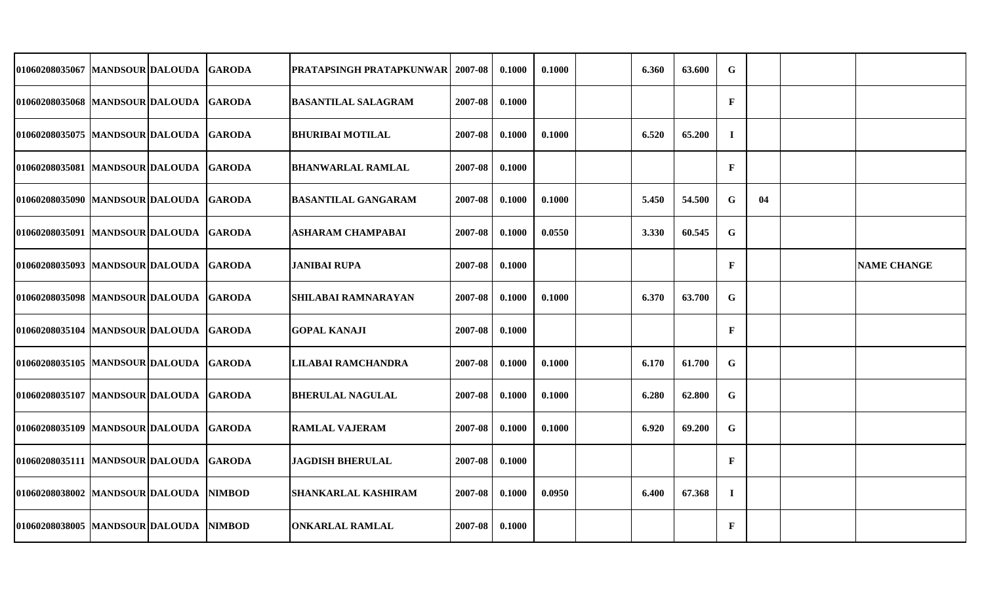| 01060208035067 MANDSOUR DALOUDA GARODA   |  | <b>PRATAPSINGH PRATAPKUNWAR   2007-08</b> |         | 0.1000 | 0.1000 | 6.360 | 63.600 | $\mathbf G$  |    |                    |
|------------------------------------------|--|-------------------------------------------|---------|--------|--------|-------|--------|--------------|----|--------------------|
| 01060208035068 MANDSOUR DALOUDA GARODA   |  | <b>BASANTILAL SALAGRAM</b>                | 2007-08 | 0.1000 |        |       |        | $\mathbf{F}$ |    |                    |
| 01060208035075 MANDSOUR DALOUDA GARODA   |  | <b>BHURIBAI MOTILAL</b>                   | 2007-08 | 0.1000 | 0.1000 | 6.520 | 65.200 | $\mathbf I$  |    |                    |
| 01060208035081 MANDSOUR DALOUDA GARODA   |  | <b>BHANWARLAL RAMLAL</b>                  | 2007-08 | 0.1000 |        |       |        | $\mathbf{F}$ |    |                    |
| 01060208035090 MANDSOUR DALOUDA GARODA   |  | <b>BASANTILAL GANGARAM</b>                | 2007-08 | 0.1000 | 0.1000 | 5.450 | 54.500 | G            | 04 |                    |
| 01060208035091 MANDSOUR DALOUDA GARODA   |  | <b>ASHARAM CHAMPABAI</b>                  | 2007-08 | 0.1000 | 0.0550 | 3.330 | 60.545 | G            |    |                    |
| 01060208035093 MANDSOUR DALOUDA GARODA   |  | JANIBAI RUPA                              | 2007-08 | 0.1000 |        |       |        | $\mathbf{F}$ |    | <b>NAME CHANGE</b> |
| 01060208035098 MANDSOUR DALOUDA GARODA   |  | <b>SHILABAI RAMNARAYAN</b>                | 2007-08 | 0.1000 | 0.1000 | 6.370 | 63.700 | $\mathbf G$  |    |                    |
| 01060208035104 MANDSOUR DALOUDA GARODA   |  | <b>GOPAL KANAJI</b>                       | 2007-08 | 0.1000 |        |       |        | $\mathbf F$  |    |                    |
| 01060208035105 MANDSOUR DALOUDA GARODA   |  | LILABAI RAMCHANDRA                        | 2007-08 | 0.1000 | 0.1000 | 6.170 | 61.700 | $\mathbf G$  |    |                    |
| 01060208035107  MANDSOUR DALOUDA  GARODA |  | <b>BHERULAL NAGULAL</b>                   | 2007-08 | 0.1000 | 0.1000 | 6.280 | 62.800 | $\mathbf G$  |    |                    |
| 01060208035109 MANDSOUR DALOUDA GARODA   |  | <b>RAMLAL VAJERAM</b>                     | 2007-08 | 0.1000 | 0.1000 | 6.920 | 69.200 | G            |    |                    |
| 01060208035111 MANDSOUR DALOUDA GARODA   |  | <b>JAGDISH BHERULAL</b>                   | 2007-08 | 0.1000 |        |       |        | $\mathbf{F}$ |    |                    |
| 01060208038002 MANDSOUR DALOUDA NIMBOD   |  | <b>SHANKARLAL KASHIRAM</b>                | 2007-08 | 0.1000 | 0.0950 | 6.400 | 67.368 | $\mathbf I$  |    |                    |
| 01060208038005 MANDSOUR DALOUDA NIMBOD   |  | <b>ONKARLAL RAMLAL</b>                    | 2007-08 | 0.1000 |        |       |        | $\mathbf{F}$ |    |                    |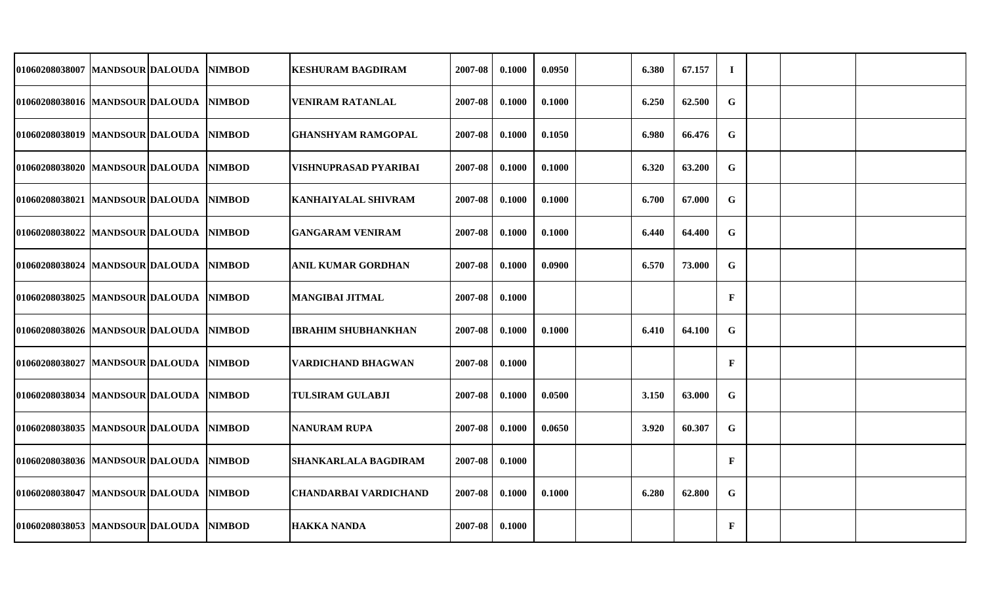| 01060208038007 MANDSOUR DALOUDA |  | <b>NIMBOD</b> | <b>KESHURAM BAGDIRAM</b>     | 2007-08 | 0.1000 | 0.0950 | 6.380 | 67.157 | $\mathbf I$  |  |  |
|---------------------------------|--|---------------|------------------------------|---------|--------|--------|-------|--------|--------------|--|--|
| 01060208038016 MANDSOUR DALOUDA |  | <b>NIMBOD</b> | <b>VENIRAM RATANLAL</b>      | 2007-08 | 0.1000 | 0.1000 | 6.250 | 62.500 | $\mathbf G$  |  |  |
| 01060208038019 MANDSOUR DALOUDA |  | <b>NIMBOD</b> | <b>GHANSHYAM RAMGOPAL</b>    | 2007-08 | 0.1000 | 0.1050 | 6.980 | 66.476 | $\mathbf G$  |  |  |
| 01060208038020 MANDSOUR DALOUDA |  | <b>NIMBOD</b> | VISHNUPRASAD PYARIBAI        | 2007-08 | 0.1000 | 0.1000 | 6.320 | 63.200 | G            |  |  |
| 01060208038021 MANDSOUR DALOUDA |  | <b>NIMBOD</b> | <b>KANHAIYALAL SHIVRAM</b>   | 2007-08 | 0.1000 | 0.1000 | 6.700 | 67.000 | G            |  |  |
| 01060208038022 MANDSOUR DALOUDA |  | <b>NIMBOD</b> | <b>GANGARAM VENIRAM</b>      | 2007-08 | 0.1000 | 0.1000 | 6.440 | 64.400 | $\mathbf G$  |  |  |
| 01060208038024 MANDSOUR DALOUDA |  | <b>NIMBOD</b> | <b>ANIL KUMAR GORDHAN</b>    | 2007-08 | 0.1000 | 0.0900 | 6.570 | 73.000 | $\mathbf G$  |  |  |
| 01060208038025 MANDSOUR DALOUDA |  | <b>NIMBOD</b> | <b>MANGIBAI JITMAL</b>       | 2007-08 | 0.1000 |        |       |        | $\mathbf{F}$ |  |  |
| 01060208038026 MANDSOUR DALOUDA |  | <b>NIMBOD</b> | <b>IBRAHIM SHUBHANKHAN</b>   | 2007-08 | 0.1000 | 0.1000 | 6.410 | 64.100 | G            |  |  |
| 01060208038027 MANDSOUR DALOUDA |  | <b>NIMBOD</b> | <b>VARDICHAND BHAGWAN</b>    | 2007-08 | 0.1000 |        |       |        | $\mathbf{F}$ |  |  |
| 01060208038034 MANDSOUR DALOUDA |  | <b>NIMBOD</b> | <b>TULSIRAM GULABJI</b>      | 2007-08 | 0.1000 | 0.0500 | 3.150 | 63.000 | G            |  |  |
| 01060208038035 MANDSOUR DALOUDA |  | <b>NIMBOD</b> | <b>NANURAM RUPA</b>          | 2007-08 | 0.1000 | 0.0650 | 3.920 | 60.307 | G            |  |  |
| 01060208038036 MANDSOUR DALOUDA |  | <b>NIMBOD</b> | <b>SHANKARLALA BAGDIRAM</b>  | 2007-08 | 0.1000 |        |       |        | $\mathbf{F}$ |  |  |
| 01060208038047 MANDSOUR DALOUDA |  | <b>NIMBOD</b> | <b>CHANDARBAI VARDICHAND</b> | 2007-08 | 0.1000 | 0.1000 | 6.280 | 62.800 | G            |  |  |
| 01060208038053 MANDSOUR DALOUDA |  | <b>NIMBOD</b> | <b>HAKKA NANDA</b>           | 2007-08 | 0.1000 |        |       |        | $\mathbf{F}$ |  |  |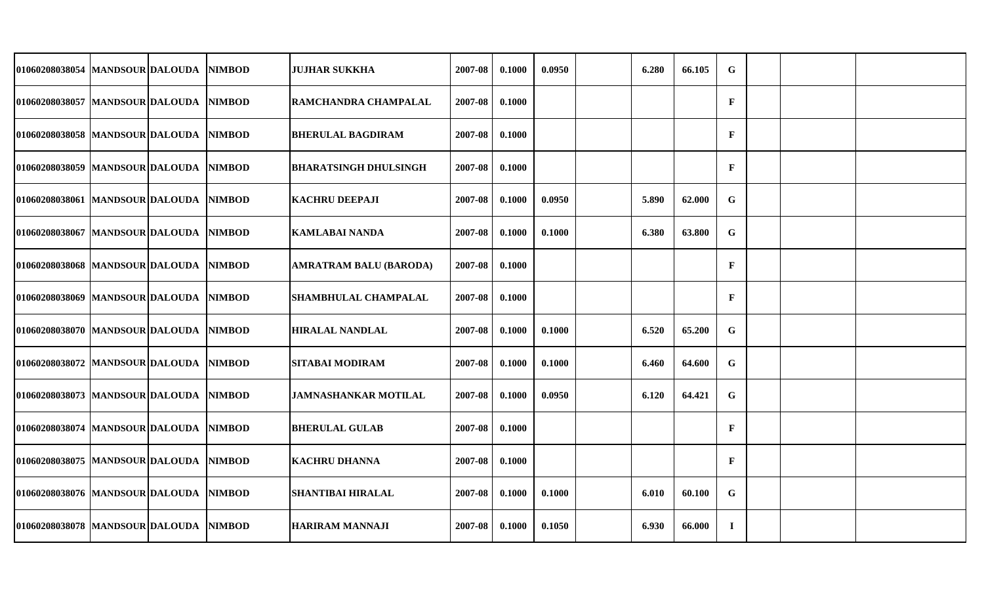| 01060208038054 MANDSOUR DALOUDA        |  | <b>NIMBOD</b> | <b>JUJHAR SUKKHA</b>          | 2007-08 | 0.1000 | 0.0950 | 6.280 | 66.105 | $\mathbf G$  |  |  |
|----------------------------------------|--|---------------|-------------------------------|---------|--------|--------|-------|--------|--------------|--|--|
| 01060208038057 MANDSOUR DALOUDA        |  | <b>NIMBOD</b> | RAMCHANDRA CHAMPALAL          | 2007-08 | 0.1000 |        |       |        | $\mathbf{F}$ |  |  |
| 01060208038058 MANDSOUR DALOUDA        |  | <b>NIMBOD</b> | <b>BHERULAL BAGDIRAM</b>      | 2007-08 | 0.1000 |        |       |        | $\mathbf F$  |  |  |
| 01060208038059  MANDSOUR DALOUDA       |  | <b>NIMBOD</b> | <b>BHARATSINGH DHULSINGH</b>  | 2007-08 | 0.1000 |        |       |        | $\mathbf{F}$ |  |  |
| 01060208038061 MANDSOUR DALOUDA        |  | <b>NIMBOD</b> | <b>KACHRU DEEPAJI</b>         | 2007-08 | 0.1000 | 0.0950 | 5.890 | 62.000 | $\mathbf G$  |  |  |
| 01060208038067  MANDSOUR DALOUDA       |  | <b>NIMBOD</b> | <b>KAMLABAI NANDA</b>         | 2007-08 | 0.1000 | 0.1000 | 6.380 | 63.800 | $\mathbf G$  |  |  |
| 01060208038068   MANDSOUR DALOUDA      |  | <b>NIMBOD</b> | <b>AMRATRAM BALU (BARODA)</b> | 2007-08 | 0.1000 |        |       |        | $\mathbf{F}$ |  |  |
| 01060208038069 MANDSOUR DALOUDA        |  | <b>NIMBOD</b> | SHAMBHULAL CHAMPALAL          | 2007-08 | 0.1000 |        |       |        | $\mathbf{F}$ |  |  |
| 01060208038070 MANDSOUR DALOUDA        |  | <b>NIMBOD</b> | <b>HIRALAL NANDLAL</b>        | 2007-08 | 0.1000 | 0.1000 | 6.520 | 65.200 | G            |  |  |
| 01060208038072 MANDSOUR DALOUDA        |  | <b>NIMBOD</b> | <b>SITABAI MODIRAM</b>        | 2007-08 | 0.1000 | 0.1000 | 6.460 | 64.600 | G            |  |  |
| 01060208038073 MANDSOUR DALOUDA        |  | <b>NIMBOD</b> | <b>JAMNASHANKAR MOTILAL</b>   | 2007-08 | 0.1000 | 0.0950 | 6.120 | 64.421 | G            |  |  |
| 01060208038074 MANDSOUR DALOUDA        |  | <b>NIMBOD</b> | <b>BHERULAL GULAB</b>         | 2007-08 | 0.1000 |        |       |        | $\mathbf{F}$ |  |  |
| 01060208038075 MANDSOUR DALOUDA        |  | <b>NIMBOD</b> | <b>KACHRU DHANNA</b>          | 2007-08 | 0.1000 |        |       |        | $\mathbf{F}$ |  |  |
| 01060208038076  MANDSOUR DALOUDA       |  | <b>NIMBOD</b> | <b>SHANTIBAI HIRALAL</b>      | 2007-08 | 0.1000 | 0.1000 | 6.010 | 60.100 | G            |  |  |
| 01060208038078 MANDSOUR DALOUDA NIMBOD |  |               | <b>HARIRAM MANNAJI</b>        | 2007-08 | 0.1000 | 0.1050 | 6.930 | 66.000 | $\mathbf I$  |  |  |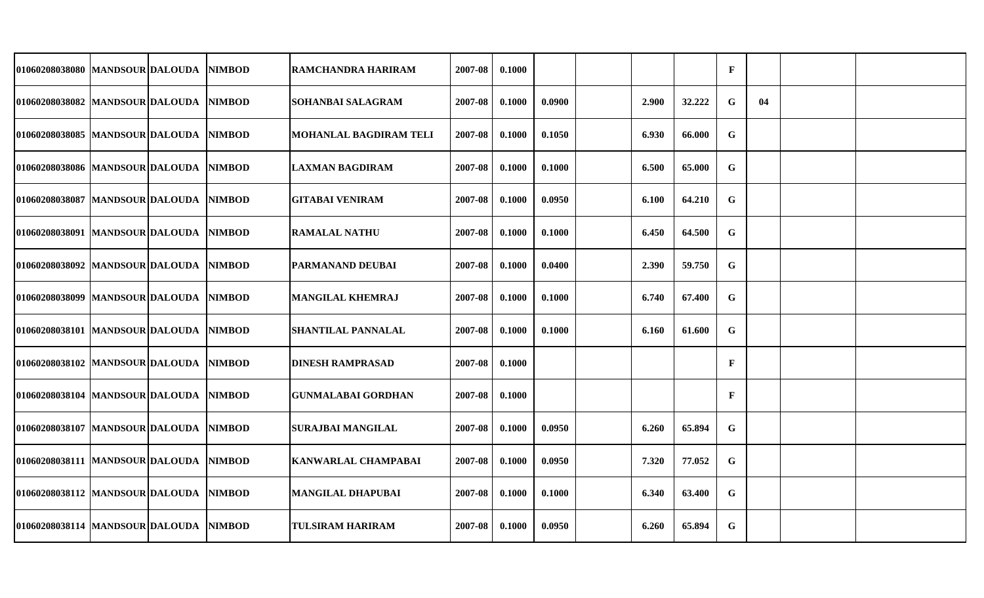| 01060208038080   MANDSOUR DALOUDA        |  | <b>NIMBOD</b> | RAMCHANDRA HARIRAM         | 2007-08 | 0.1000 |        |       |        | $\mathbf{F}$ |    |  |
|------------------------------------------|--|---------------|----------------------------|---------|--------|--------|-------|--------|--------------|----|--|
| 01060208038082 MANDSOUR DALOUDA NIMBOD   |  |               | SOHANBAI SALAGRAM          | 2007-08 | 0.1000 | 0.0900 | 2.900 | 32.222 | $\mathbf G$  | 04 |  |
| 01060208038085 MANDSOUR DALOUDA          |  | <b>NIMBOD</b> | MOHANLAL BAGDIRAM TELI     | 2007-08 | 0.1000 | 0.1050 | 6.930 | 66.000 | G            |    |  |
| 01060208038086  MANDSOUR DALOUDA  NIMBOD |  |               | <b>LAXMAN BAGDIRAM</b>     | 2007-08 | 0.1000 | 0.1000 | 6.500 | 65.000 | $\mathbf G$  |    |  |
| 01060208038087  MANDSOUR DALOUDA         |  | <b>NIMBOD</b> | GITABAI VENIRAM            | 2007-08 | 0.1000 | 0.0950 | 6.100 | 64.210 | $\mathbf G$  |    |  |
| 01060208038091 MANDSOUR DALOUDA NIMBOD   |  |               | <b>RAMALAL NATHU</b>       | 2007-08 | 0.1000 | 0.1000 | 6.450 | 64.500 | G            |    |  |
| 01060208038092 MANDSOUR DALOUDA          |  | <b>NIMBOD</b> | PARMANAND DEUBAI           | 2007-08 | 0.1000 | 0.0400 | 2.390 | 59.750 | $\mathbf G$  |    |  |
| 01060208038099 MANDSOUR DALOUDA NIMBOD   |  |               | <b>MANGILAL KHEMRAJ</b>    | 2007-08 | 0.1000 | 0.1000 | 6.740 | 67.400 | G            |    |  |
| 01060208038101 MANDSOUR DALOUDA          |  | <b>NIMBOD</b> | <b>SHANTILAL PANNALAL</b>  | 2007-08 | 0.1000 | 0.1000 | 6.160 | 61.600 | $\mathbf G$  |    |  |
| 01060208038102 MANDSOUR DALOUDA          |  | <b>NIMBOD</b> | DINESH RAMPRASAD           | 2007-08 | 0.1000 |        |       |        | $\mathbf F$  |    |  |
| 01060208038104 MANDSOUR DALOUDA          |  | <b>NIMBOD</b> | <b>GUNMALABAI GORDHAN</b>  | 2007-08 | 0.1000 |        |       |        | $\mathbf{F}$ |    |  |
| 01060208038107 MANDSOUR DALOUDA          |  | <b>NIMBOD</b> | SURAJBAI MANGILAL          | 2007-08 | 0.1000 | 0.0950 | 6.260 | 65.894 | G            |    |  |
| 01060208038111 MANDSOUR DALOUDA          |  | <b>NIMBOD</b> | <b>KANWARLAL CHAMPABAI</b> | 2007-08 | 0.1000 | 0.0950 | 7.320 | 77.052 | $\mathbf G$  |    |  |
| 01060208038112 MANDSOUR DALOUDA          |  | <b>NIMBOD</b> | <b>MANGILAL DHAPUBAI</b>   | 2007-08 | 0.1000 | 0.1000 | 6.340 | 63.400 | $\mathbf G$  |    |  |
| 01060208038114 MANDSOUR DALOUDA          |  | <b>NIMBOD</b> | <b>TULSIRAM HARIRAM</b>    | 2007-08 | 0.1000 | 0.0950 | 6.260 | 65.894 | $\mathbf G$  |    |  |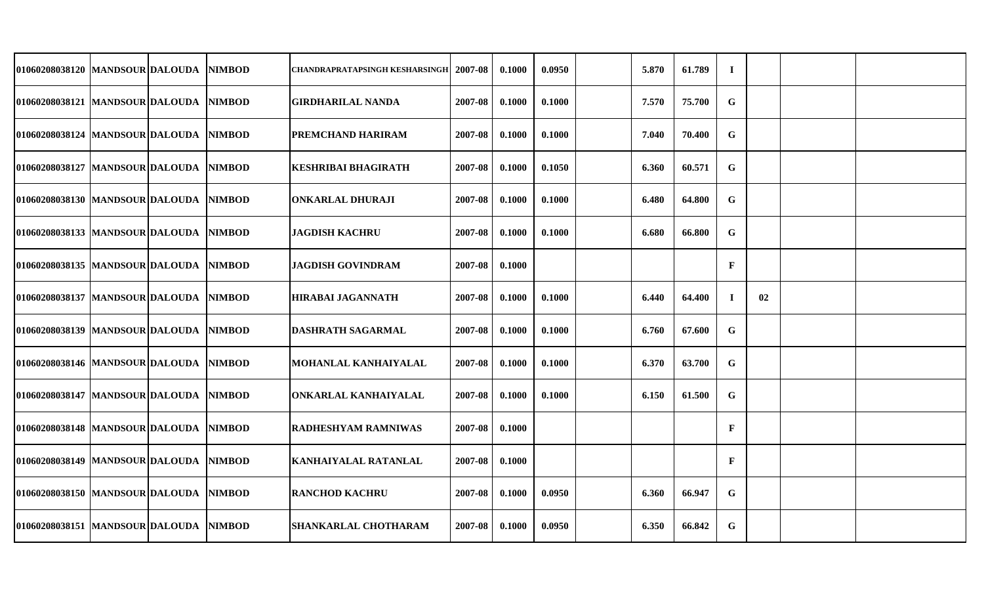| 01060208038120 MANDSOUR DALOUDA        |  | <b>NIMBOD</b> | CHANDRAPRATAPSINGH KESHARSINGH  2007-08 |         | 0.1000 | 0.0950 | 5.870 | 61.789 | $\mathbf I$  |    |  |
|----------------------------------------|--|---------------|-----------------------------------------|---------|--------|--------|-------|--------|--------------|----|--|
| 01060208038121 MANDSOUR DALOUDA NIMBOD |  |               | <b>GIRDHARILAL NANDA</b>                | 2007-08 | 0.1000 | 0.1000 | 7.570 | 75.700 | G            |    |  |
| 01060208038124  MANDSOUR DALOUDA       |  | <b>NIMBOD</b> | PREMCHAND HARIRAM                       | 2007-08 | 0.1000 | 0.1000 | 7.040 | 70.400 | G            |    |  |
| 01060208038127 MANDSOUR DALOUDA NIMBOD |  |               | <b>KESHRIBAI BHAGIRATH</b>              | 2007-08 | 0.1000 | 0.1050 | 6.360 | 60.571 | G            |    |  |
| 01060208038130 MANDSOUR DALOUDA NIMBOD |  |               | <b>ONKARLAL DHURAJI</b>                 | 2007-08 | 0.1000 | 0.1000 | 6.480 | 64.800 | $\mathbf G$  |    |  |
| 01060208038133 MANDSOUR DALOUDA NIMBOD |  |               | <b>JAGDISH KACHRU</b>                   | 2007-08 | 0.1000 | 0.1000 | 6.680 | 66.800 | G            |    |  |
| 01060208038135 MANDSOUR DALOUDA        |  | <b>NIMBOD</b> | <b>JAGDISH GOVINDRAM</b>                | 2007-08 | 0.1000 |        |       |        | $\mathbf F$  |    |  |
| 01060208038137 MANDSOUR DALOUDA NIMBOD |  |               | <b>HIRABAI JAGANNATH</b>                | 2007-08 | 0.1000 | 0.1000 | 6.440 | 64.400 | $\mathbf I$  | 02 |  |
| 01060208038139   MANDSOUR DALOUDA      |  | <b>NIMBOD</b> | <b>DASHRATH SAGARMAL</b>                | 2007-08 | 0.1000 | 0.1000 | 6.760 | 67.600 | G            |    |  |
| 01060208038146  MANDSOUR DALOUDA       |  | <b>NIMBOD</b> | MOHANLAL KANHAIYALAL                    | 2007-08 | 0.1000 | 0.1000 | 6.370 | 63.700 | G            |    |  |
| 01060208038147  MANDSOUR DALOUDA       |  | <b>NIMBOD</b> | ONKARLAL KANHAIYALAL                    | 2007-08 | 0.1000 | 0.1000 | 6.150 | 61.500 | $\mathbf G$  |    |  |
| 01060208038148 MANDSOUR DALOUDA        |  | <b>NIMBOD</b> | RADHESHYAM RAMNIWAS                     | 2007-08 | 0.1000 |        |       |        | $\mathbf{F}$ |    |  |
| 01060208038149   MANDSOUR DALOUDA      |  | <b>NIMBOD</b> | KANHAIYALAL RATANLAL                    | 2007-08 | 0.1000 |        |       |        | $\mathbf{F}$ |    |  |
| 01060208038150 MANDSOUR DALOUDA NIMBOD |  |               | <b>RANCHOD KACHRU</b>                   | 2007-08 | 0.1000 | 0.0950 | 6.360 | 66.947 | $\mathbf G$  |    |  |
| 01060208038151  MANDSOUR DALOUDA       |  | <b>NIMBOD</b> | <b>SHANKARLAL CHOTHARAM</b>             | 2007-08 | 0.1000 | 0.0950 | 6.350 | 66.842 | G            |    |  |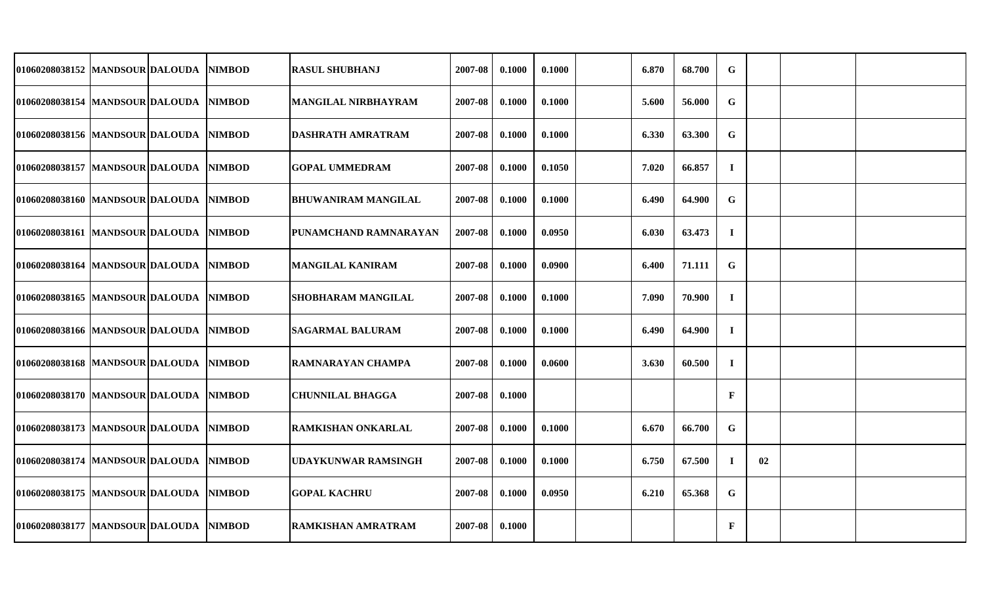| 01060208038152 MANDSOUR DALOUDA         |  | <b>NIMBOD</b> | <b>RASUL SHUBHANJ</b>      | 2007-08 | 0.1000 | 0.1000 | 6.870 | 68.700 | G            |    |  |
|-----------------------------------------|--|---------------|----------------------------|---------|--------|--------|-------|--------|--------------|----|--|
| 01060208038154 MANDSOUR DALOUDA         |  | <b>NIMBOD</b> | <b>MANGILAL NIRBHAYRAM</b> | 2007-08 | 0.1000 | 0.1000 | 5.600 | 56.000 | $\mathbf G$  |    |  |
| 01060208038156 MANDSOUR DALOUDA         |  | <b>NIMBOD</b> | <b>DASHRATH AMRATRAM</b>   | 2007-08 | 0.1000 | 0.1000 | 6.330 | 63.300 | G            |    |  |
| 01060208038157 MANDSOUR DALOUDA         |  | <b>NIMBOD</b> | <b>GOPAL UMMEDRAM</b>      | 2007-08 | 0.1000 | 0.1050 | 7.020 | 66.857 | $\mathbf I$  |    |  |
| 01060208038160 MANDSOUR DALOUDA         |  | <b>NIMBOD</b> | <b>BHUWANIRAM MANGILAL</b> | 2007-08 | 0.1000 | 0.1000 | 6.490 | 64.900 | G            |    |  |
| 01060208038161 MANDSOUR DALOUDA         |  | <b>NIMBOD</b> | PUNAMCHAND RAMNARAYAN      | 2007-08 | 0.1000 | 0.0950 | 6.030 | 63.473 | $\mathbf I$  |    |  |
| 01060208038164 MANDSOUR DALOUDA         |  | <b>NIMBOD</b> | <b>MANGILAL KANIRAM</b>    | 2007-08 | 0.1000 | 0.0900 | 6.400 | 71.111 | G            |    |  |
| 01060208038165 MANDSOUR DALOUDA         |  | <b>NIMBOD</b> | SHOBHARAM MANGILAL         | 2007-08 | 0.1000 | 0.1000 | 7.090 | 70.900 | $\mathbf I$  |    |  |
| 01060208038166 MANDSOUR DALOUDA         |  | <b>NIMBOD</b> | <b>SAGARMAL BALURAM</b>    | 2007-08 | 0.1000 | 0.1000 | 6.490 | 64.900 | $\mathbf I$  |    |  |
| 01060208038168 MANDSOUR DALOUDA         |  | <b>NIMBOD</b> | RAMNARAYAN CHAMPA          | 2007-08 | 0.1000 | 0.0600 | 3.630 | 60.500 | $\bf{I}$     |    |  |
| 01060208038170 MANDSOUR DALOUDA         |  | <b>NIMBOD</b> | <b>CHUNNILAL BHAGGA</b>    | 2007-08 | 0.1000 |        |       |        | $\mathbf F$  |    |  |
| 01060208038173  MANDSOUR DALOUDA        |  | <b>NIMBOD</b> | RAMKISHAN ONKARLAL         | 2007-08 | 0.1000 | 0.1000 | 6.670 | 66.700 | G            |    |  |
| 01060208038174  MANDSOUR DALOUDA        |  | <b>NIMBOD</b> | <b>UDAYKUNWAR RAMSINGH</b> | 2007-08 | 0.1000 | 0.1000 | 6.750 | 67.500 | $\bf{I}$     | 02 |  |
| 01060208038175  MANDSOUR DALOUDA NIMBOD |  |               | <b>GOPAL KACHRU</b>        | 2007-08 | 0.1000 | 0.0950 | 6.210 | 65.368 | G            |    |  |
| 01060208038177  MANDSOUR DALOUDA NIMBOD |  |               | <b>RAMKISHAN AMRATRAM</b>  | 2007-08 | 0.1000 |        |       |        | $\mathbf{F}$ |    |  |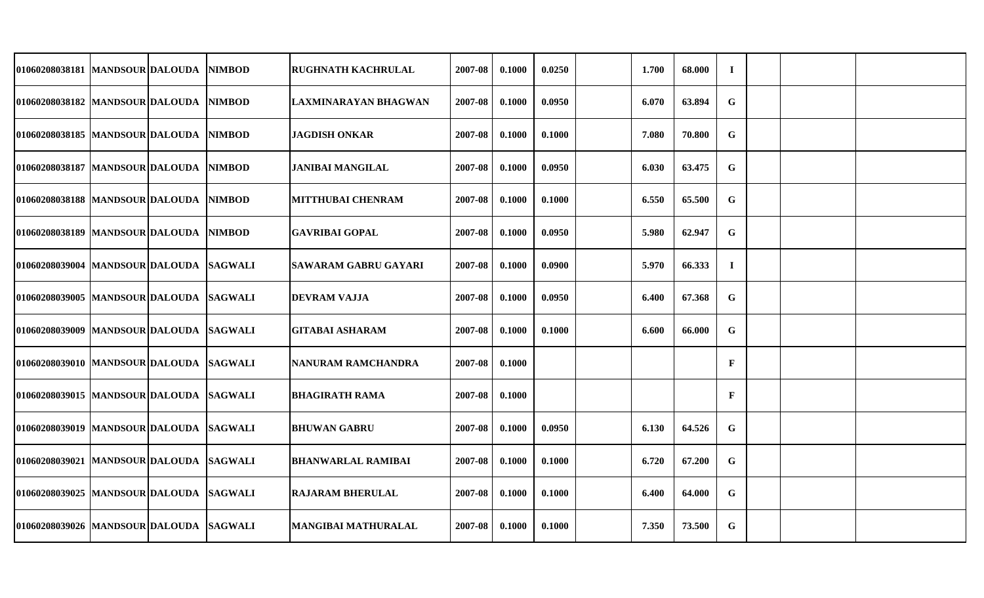| 01060208038181 MANDSOUR DALOUDA          |  | <b>NIMBOD</b> | <b>RUGHNATH KACHRULAL</b>   | 2007-08 | 0.1000 | 0.0250 | 1.700 | 68.000 | $\mathbf I$ |  |  |
|------------------------------------------|--|---------------|-----------------------------|---------|--------|--------|-------|--------|-------------|--|--|
| 01060208038182 MANDSOUR DALOUDA          |  | <b>NIMBOD</b> | LAXMINARAYAN BHAGWAN        | 2007-08 | 0.1000 | 0.0950 | 6.070 | 63.894 | G           |  |  |
| 01060208038185 MANDSOUR DALOUDA          |  | <b>NIMBOD</b> | <b>JAGDISH ONKAR</b>        | 2007-08 | 0.1000 | 0.1000 | 7.080 | 70.800 | $\mathbf G$ |  |  |
| 01060208038187 MANDSOUR DALOUDA          |  | <b>NIMBOD</b> | <b>JANIBAI MANGILAL</b>     | 2007-08 | 0.1000 | 0.0950 | 6.030 | 63.475 | $\mathbf G$ |  |  |
| 01060208038188 MANDSOUR DALOUDA          |  | <b>NIMBOD</b> | <b>MITTHUBAI CHENRAM</b>    | 2007-08 | 0.1000 | 0.1000 | 6.550 | 65.500 | $\mathbf G$ |  |  |
| 01060208038189 MANDSOUR DALOUDA          |  | <b>NIMBOD</b> | <b>GAVRIBAI GOPAL</b>       | 2007-08 | 0.1000 | 0.0950 | 5.980 | 62.947 | G           |  |  |
| 01060208039004  MANDSOUR DALOUDA SAGWALI |  |               | <b>SAWARAM GABRU GAYARI</b> | 2007-08 | 0.1000 | 0.0900 | 5.970 | 66.333 | $\bf{I}$    |  |  |
| 01060208039005 MANDSOUR DALOUDA SAGWALI  |  |               | <b>DEVRAM VAJJA</b>         | 2007-08 | 0.1000 | 0.0950 | 6.400 | 67.368 | G           |  |  |
| 01060208039009 MANDSOUR DALOUDA SAGWALI  |  |               | <b>GITABAI ASHARAM</b>      | 2007-08 | 0.1000 | 0.1000 | 6.600 | 66.000 | $\mathbf G$ |  |  |
| 01060208039010 MANDSOUR DALOUDA SAGWALI  |  |               | NANURAM RAMCHANDRA          | 2007-08 | 0.1000 |        |       |        | $\mathbf F$ |  |  |
| 01060208039015 MANDSOUR DALOUDA SAGWALI  |  |               | <b>BHAGIRATH RAMA</b>       | 2007-08 | 0.1000 |        |       |        | $\mathbf F$ |  |  |
| 01060208039019 MANDSOUR DALOUDA SAGWALI  |  |               | <b>BHUWAN GABRU</b>         | 2007-08 | 0.1000 | 0.0950 | 6.130 | 64.526 | G           |  |  |
| 01060208039021 MANDSOUR DALOUDA SAGWALI  |  |               | <b>BHANWARLAL RAMIBAI</b>   | 2007-08 | 0.1000 | 0.1000 | 6.720 | 67.200 | $\mathbf G$ |  |  |
| 01060208039025  MANDSOUR DALOUDA SAGWALI |  |               | <b>RAJARAM BHERULAL</b>     | 2007-08 | 0.1000 | 0.1000 | 6.400 | 64.000 | $\mathbf G$ |  |  |
| 01060208039026 MANDSOUR DALOUDA SAGWALI  |  |               | <b>MANGIBAI MATHURALAL</b>  | 2007-08 | 0.1000 | 0.1000 | 7.350 | 73.500 | $\mathbf G$ |  |  |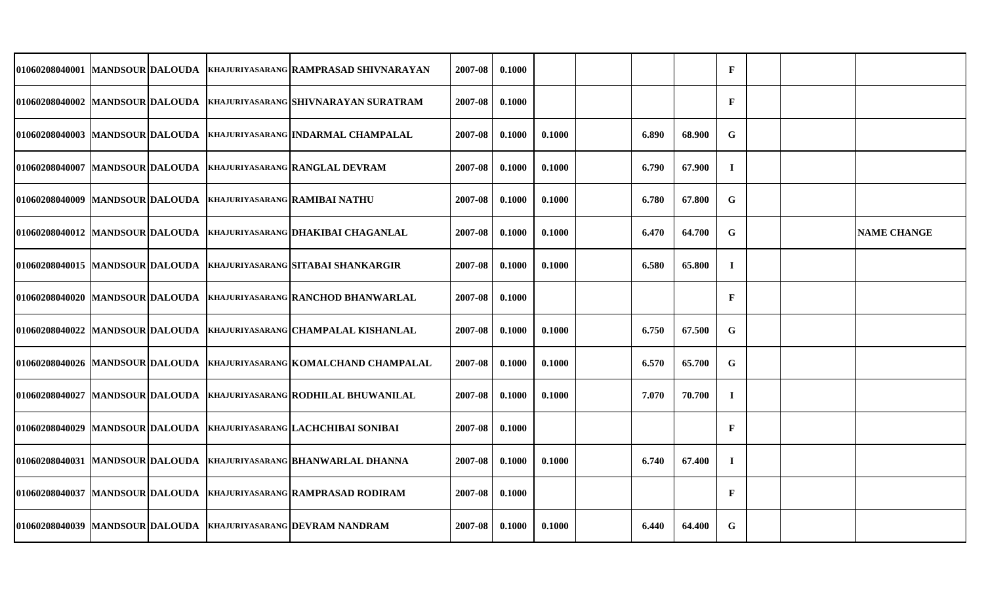| 01060208040001 MANDSOUR DALOUDA  |  | KHAJURIYASARANG RAMPRASAD SHIVNARAYAN                            | 2007-08 | 0.1000 |        |       |        | $\mathbf{F}$ |  |                    |
|----------------------------------|--|------------------------------------------------------------------|---------|--------|--------|-------|--------|--------------|--|--------------------|
| 01060208040002 MANDSOUR DALOUDA  |  | KHAJURIYASARANG SHIVNARAYAN SURATRAM                             | 2007-08 | 0.1000 |        |       |        | $\mathbf{F}$ |  |                    |
| 01060208040003 MANDSOUR DALOUDA  |  | KHAJURIYASARANG INDARMAL CHAMPALAL                               | 2007-08 | 0.1000 | 0.1000 | 6.890 | 68.900 | G            |  |                    |
|                                  |  | 01060208040007  MANDSOUR DALOUDA  KHAJURIYASARANG RANGLAL DEVRAM | 2007-08 | 0.1000 | 0.1000 | 6.790 | 67.900 | $\mathbf{I}$ |  |                    |
| 01060208040009 MANDSOUR DALOUDA  |  | <b>KHAJURIYASARANG RAMIBAI NATHU</b>                             | 2007-08 | 0.1000 | 0.1000 | 6.780 | 67.800 | G            |  |                    |
| 01060208040012 MANDSOUR DALOUDA  |  | <b>KHAJURIYASARANG DHAKIBAI CHAGANLAL</b>                        | 2007-08 | 0.1000 | 0.1000 | 6.470 | 64.700 | $\mathbf G$  |  | <b>NAME CHANGE</b> |
| 01060208040015 MANDSOUR DALOUDA  |  | KHAJURIYASARANG SITABAI SHANKARGIR                               | 2007-08 | 0.1000 | 0.1000 | 6.580 | 65.800 | $\bf{I}$     |  |                    |
| 01060208040020 MANDSOUR DALOUDA  |  | KHAJURIYASARANG RANCHOD BHANWARLAL                               | 2007-08 | 0.1000 |        |       |        | $\mathbf{F}$ |  |                    |
| 01060208040022 MANDSOUR DALOUDA  |  | <b>KHAJURIYASARANG CHAMPALAL KISHANLAL</b>                       | 2007-08 | 0.1000 | 0.1000 | 6.750 | 67.500 | G            |  |                    |
| 01060208040026  MANDSOUR DALOUDA |  | <b>KHAJURIYASARANG KOMALCHAND CHAMPALAL</b>                      | 2007-08 | 0.1000 | 0.1000 | 6.570 | 65.700 | G            |  |                    |
| 01060208040027 MANDSOUR DALOUDA  |  | <b>KHAJURIYASARANG RODHILAL BHUWANILAL</b>                       | 2007-08 | 0.1000 | 0.1000 | 7.070 | 70.700 | $\bf{I}$     |  |                    |
| 01060208040029 MANDSOUR DALOUDA  |  | <b>KHAJURIYASARANG LACHCHIBAI SONIBAI</b>                        | 2007-08 | 0.1000 |        |       |        | $\mathbf{F}$ |  |                    |
| 01060208040031 MANDSOUR DALOUDA  |  | KHAJURIYASARANG BHANWARLAL DHANNA                                | 2007-08 | 0.1000 | 0.1000 | 6.740 | 67.400 | $\bf{I}$     |  |                    |
| 01060208040037 MANDSOUR DALOUDA  |  | KHAJURIYASARANG RAMPRASAD RODIRAM                                | 2007-08 | 0.1000 |        |       |        | $\mathbf{F}$ |  |                    |
|                                  |  | 01060208040039 MANDSOUR DALOUDA KHAJURIYASARANG DEVRAM NANDRAM   | 2007-08 | 0.1000 | 0.1000 | 6.440 | 64.400 | G            |  |                    |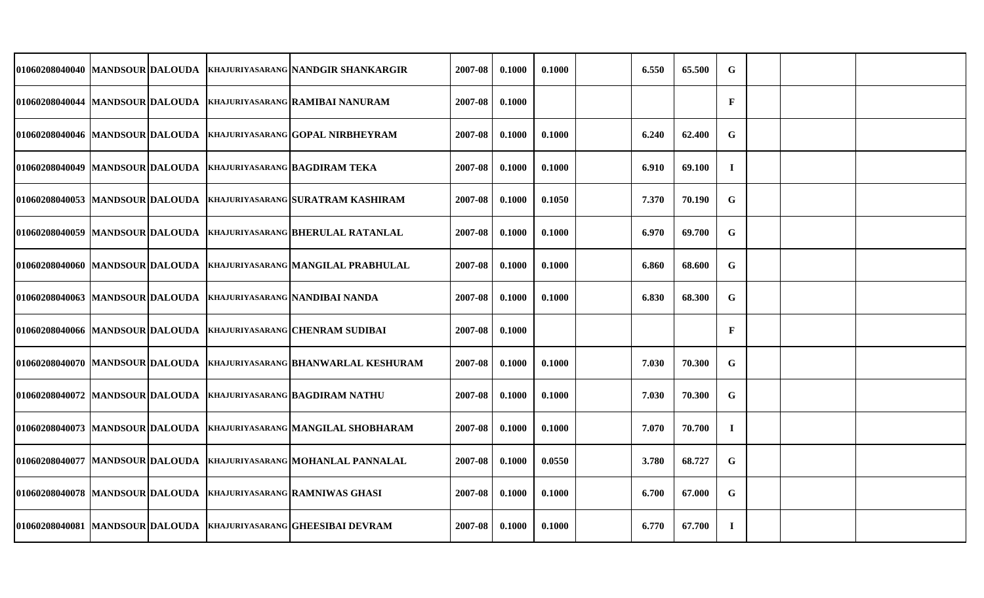|                                  |  | 01060208040040 MANDSOUR DALOUDA KHAJURIYASARANG NANDGIR SHANKARGIR   | 2007-08 | 0.1000 | 0.1000 | 6.550 | 65.500 | G            |  |  |
|----------------------------------|--|----------------------------------------------------------------------|---------|--------|--------|-------|--------|--------------|--|--|
|                                  |  | 01060208040044 MANDSOUR DALOUDA KHAJURIYASARANG RAMIBAI NANURAM      | 2007-08 | 0.1000 |        |       |        | $\mathbf{F}$ |  |  |
| 01060208040046 MANDSOUR DALOUDA  |  | <b>KHAJURIYASARANG GOPAL NIRBHEYRAM</b>                              | 2007-08 | 0.1000 | 0.1000 | 6.240 | 62.400 | G            |  |  |
|                                  |  | 01060208040049  MANDSOUR DALOUDA  KHAJURIYASARANG BAGDIRAM TEKA      | 2007-08 | 0.1000 | 0.1000 | 6.910 | 69.100 | $\mathbf{I}$ |  |  |
|                                  |  | 01060208040053 MANDSOUR DALOUDA  KHAJURIYASARANG SURATRAM KASHIRAM   | 2007-08 | 0.1000 | 0.1050 | 7.370 | 70.190 | G            |  |  |
|                                  |  | 01060208040059 MANDSOUR DALOUDA  KHAJURIYASARANG BHERULAL RATANLAL   | 2007-08 | 0.1000 | 0.1000 | 6.970 | 69.700 | $\mathbf G$  |  |  |
|                                  |  | 01060208040060 MANDSOUR DALOUDA KHAJURIYASARANG MANGILAL PRABHULAL   | 2007-08 | 0.1000 | 0.1000 | 6.860 | 68.600 | $\mathbf G$  |  |  |
|                                  |  | 01060208040063 MANDSOUR DALOUDA KHAJURIYASARANG NANDIBAI NANDA       | 2007-08 | 0.1000 | 0.1000 | 6.830 | 68.300 | G            |  |  |
| 01060208040066 MANDSOUR DALOUDA  |  | <b>KHAJURIYASARANG CHENRAM SUDIBAI</b>                               | 2007-08 | 0.1000 |        |       |        | F            |  |  |
|                                  |  | 01060208040070 MANDSOUR DALOUDA  KHAJURIYASARANG BHANWARLAL KESHURAM | 2007-08 | 0.1000 | 0.1000 | 7.030 | 70.300 | G            |  |  |
|                                  |  | 01060208040072 MANDSOUR DALOUDA  KHAJURIYASARANG BAGDIRAM NATHU      | 2007-08 | 0.1000 | 0.1000 | 7.030 | 70.300 | G            |  |  |
| 01060208040073 MANDSOUR DALOUDA  |  | <b>KHAJURIYASARANG MANGILAL SHOBHARAM</b>                            | 2007-08 | 0.1000 | 0.1000 | 7.070 | 70.700 | $\mathbf{I}$ |  |  |
|                                  |  | 01060208040077 MANDSOUR DALOUDA KHAJURIYASARANG MOHANLAL PANNALAL    | 2007-08 | 0.1000 | 0.0550 | 3.780 | 68.727 | G            |  |  |
| 01060208040078  MANDSOUR DALOUDA |  | <b>KHAJURIYASARANG RAMNIWAS GHASI</b>                                | 2007-08 | 0.1000 | 0.1000 | 6.700 | 67.000 | G            |  |  |
|                                  |  | 01060208040081 MANDSOUR DALOUDA  KHAJURIYASARANG GHEESIBAI DEVRAM    | 2007-08 | 0.1000 | 0.1000 | 6.770 | 67.700 | $\mathbf I$  |  |  |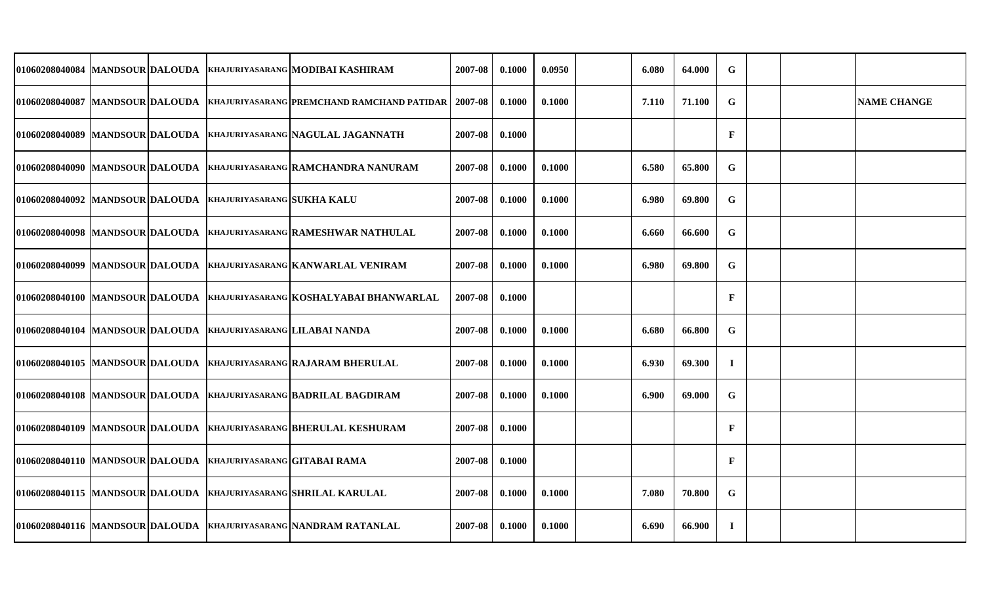| 01060208040084 MANDSOUR DALOUDA  |  |                                     | <b>KHAJURIYASARANG MODIBAI KASHIRAM</b>                          | 2007-08 | 0.1000 | 0.0950 | 6.080 | 64.000 | G            |  |                    |
|----------------------------------|--|-------------------------------------|------------------------------------------------------------------|---------|--------|--------|-------|--------|--------------|--|--------------------|
| 01060208040087  MANDSOUR DALOUDA |  |                                     | <b>KHAJURIYASARANG PREMCHAND RAMCHAND PATIDAR</b>                | 2007-08 | 0.1000 | 0.1000 | 7.110 | 71.100 | $\mathbf G$  |  | <b>NAME CHANGE</b> |
| 01060208040089 MANDSOUR DALOUDA  |  |                                     | KHAJURIYASARANG NAGULAL JAGANNATH                                | 2007-08 | 0.1000 |        |       |        | $\mathbf{F}$ |  |                    |
| 01060208040090 MANDSOUR DALOUDA  |  |                                     | <b>KHAJURIYASARANG RAMCHANDRA NANURAM</b>                        | 2007-08 | 0.1000 | 0.1000 | 6.580 | 65.800 | $\mathbf G$  |  |                    |
| 01060208040092 MANDSOUR DALOUDA  |  | KHAJURIYASARANG SUKHA KALU          |                                                                  | 2007-08 | 0.1000 | 0.1000 | 6.980 | 69.800 | G            |  |                    |
| 01060208040098 MANDSOUR DALOUDA  |  |                                     | KHAJURIYASARANG RAMESHWAR NATHULAL                               | 2007-08 | 0.1000 | 0.1000 | 6.660 | 66.600 | G            |  |                    |
| 01060208040099 MANDSOUR DALOUDA  |  |                                     | KHAJURIYASARANG KANWARLAL VENIRAM                                | 2007-08 | 0.1000 | 0.1000 | 6.980 | 69.800 | G            |  |                    |
| 01060208040100 MANDSOUR DALOUDA  |  |                                     | KHAJURIYASARANG KOSHALYABAI BHANWARLAL                           | 2007-08 | 0.1000 |        |       |        | $\mathbf{F}$ |  |                    |
| 01060208040104 MANDSOUR DALOUDA  |  | KHAJURIYASARANG LILABAI NANDA       |                                                                  | 2007-08 | 0.1000 | 0.1000 | 6.680 | 66.800 | G            |  |                    |
| 01060208040105 MANDSOUR DALOUDA  |  |                                     | KHAJURIYASARANG RAJARAM BHERULAL                                 | 2007-08 | 0.1000 | 0.1000 | 6.930 | 69.300 | $\bf{I}$     |  |                    |
| 01060208040108 MANDSOUR DALOUDA  |  |                                     | <b>KHAJURIYASARANG BADRILAL BAGDIRAM</b>                         | 2007-08 | 0.1000 | 0.1000 | 6.900 | 69.000 | G            |  |                    |
| 01060208040109 MANDSOUR DALOUDA  |  |                                     | <b>KHAJURIYASARANG BHERULAL KESHURAM</b>                         | 2007-08 | 0.1000 |        |       |        | $\mathbf F$  |  |                    |
| 01060208040110 MANDSOUR DALOUDA  |  | <b>KHAJURIYASARANG GITABAI RAMA</b> |                                                                  | 2007-08 | 0.1000 |        |       |        | F            |  |                    |
| 01060208040115 MANDSOUR DALOUDA  |  |                                     | <b>KHAJURIYASARANG SHRILAL KARULAL</b>                           | 2007-08 | 0.1000 | 0.1000 | 7.080 | 70.800 | G            |  |                    |
|                                  |  |                                     | 01060208040116 MANDSOUR DALOUDA KHAJURIYASARANG NANDRAM RATANLAL | 2007-08 | 0.1000 | 0.1000 | 6.690 | 66.900 | $\bf{I}$     |  |                    |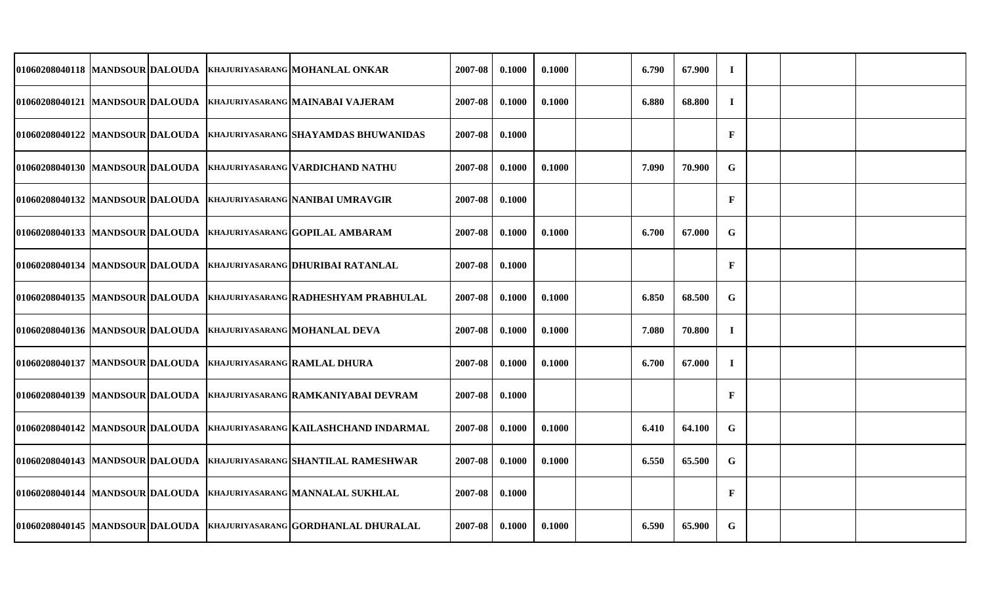| 01060208040118 MANDSOUR DALOUDA   |  | KHAJURIYASARANG MOHANLAL ONKAR                                      | 2007-08 | 0.1000 | 0.1000 | 6.790 | 67.900 | $\bf{I}$     |  |  |
|-----------------------------------|--|---------------------------------------------------------------------|---------|--------|--------|-------|--------|--------------|--|--|
| 01060208040121 MANDSOUR DALOUDA   |  | KHAJURIYASARANG MAINABAI VAJERAM                                    | 2007-08 | 0.1000 | 0.1000 | 6.880 | 68.800 | $\bf{I}$     |  |  |
| 01060208040122 MANDSOUR DALOUDA   |  | KHAJURIYASARANG SHAYAMDAS BHUWANIDAS                                | 2007-08 | 0.1000 |        |       |        | $\mathbf{F}$ |  |  |
| 01060208040130 MANDSOUR DALOUDA   |  | KHAJURIYASARANG VARDICHAND NATHU                                    | 2007-08 | 0.1000 | 0.1000 | 7.090 | 70.900 | G            |  |  |
| 01060208040132 MANDSOUR DALOUDA   |  | KHAJURIYASARANG NANIBAI UMRAVGIR                                    | 2007-08 | 0.1000 |        |       |        | $\mathbf{F}$ |  |  |
| 01060208040133 MANDSOUR DALOUDA   |  | <b>KHAJURIYASARANG GOPILAL AMBARAM</b>                              | 2007-08 | 0.1000 | 0.1000 | 6.700 | 67.000 | $\mathbf G$  |  |  |
| 01060208040134 MANDSOUR DALOUDA   |  | KHAJURIYASARANG DHURIBAI RATANLAL                                   | 2007-08 | 0.1000 |        |       |        | $\mathbf F$  |  |  |
| 01060208040135 MANDSOUR DALOUDA   |  | KHAJURIYASARANG RADHESHYAM PRABHULAL                                | 2007-08 | 0.1000 | 0.1000 | 6.850 | 68.500 | $\mathbf G$  |  |  |
| 01060208040136 MANDSOUR DALOUDA   |  | <b>KHAJURIYASARANG MOHANLAL DEVA</b>                                | 2007-08 | 0.1000 | 0.1000 | 7.080 | 70.800 | $\mathbf I$  |  |  |
| 01060208040137   MANDSOUR DALOUDA |  | <b>KHAJURIYASARANG RAMLAL DHURA</b>                                 | 2007-08 | 0.1000 | 0.1000 | 6.700 | 67.000 | $\bf{I}$     |  |  |
| 01060208040139 MANDSOUR DALOUDA   |  | KHAJURIYASARANG RAMKANIYABAI DEVRAM                                 | 2007-08 | 0.1000 |        |       |        | F            |  |  |
| 01060208040142 MANDSOUR DALOUDA   |  | KHAJURIYASARANG KAILASHCHAND INDARMAL                               | 2007-08 | 0.1000 | 0.1000 | 6.410 | 64.100 | $\mathbf G$  |  |  |
| 01060208040143 MANDSOUR DALOUDA   |  | KHAJURIYASARANG SHANTILAL RAMESHWAR                                 | 2007-08 | 0.1000 | 0.1000 | 6.550 | 65.500 | $\mathbf G$  |  |  |
| 01060208040144 MANDSOUR DALOUDA   |  | <b>KHAJURIYASARANG MANNALAL SUKHLAL</b>                             | 2007-08 | 0.1000 |        |       |        | $\mathbf F$  |  |  |
|                                   |  | 01060208040145 MANDSOUR DALOUDA KHAJURIYASARANG GORDHANLAL DHURALAL | 2007-08 | 0.1000 | 0.1000 | 6.590 | 65.900 | G            |  |  |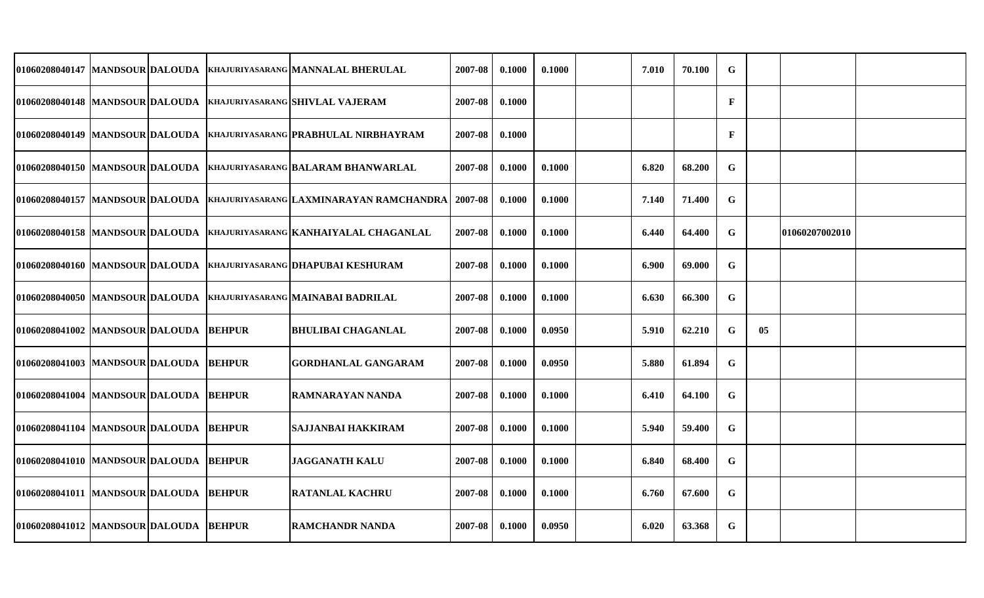| 01060208040147 MANDSOUR DALOUDA          |  | <b>KHAJURIYASARANG MANNALAL BHERULAL</b>                                  | 2007-08 | 0.1000 | 0.1000 | 7.010 | 70.100 | $\mathbf G$  |    |                       |  |
|------------------------------------------|--|---------------------------------------------------------------------------|---------|--------|--------|-------|--------|--------------|----|-----------------------|--|
|                                          |  | 01060208040148  MANDSOUR DALOUDA  KHAJURIYASARANG SHIVLAL VAJERAM         | 2007-08 | 0.1000 |        |       |        | $\mathbf{F}$ |    |                       |  |
|                                          |  | 01060208040149  MANDSOUR DALOUDA  KHAJURIYASARANG PRABHULAL NIRBHAYRAM    | 2007-08 | 0.1000 |        |       |        | $\mathbf{F}$ |    |                       |  |
| 01060208040150  MANDSOUR DALOUDA         |  | KHAJURIYASARANG BALARAM BHANWARLAL                                        | 2007-08 | 0.1000 | 0.1000 | 6.820 | 68.200 | G            |    |                       |  |
|                                          |  | 01060208040157  MANDSOUR DALOUDA  KHAJURIYASARANG LAXMINARAYAN RAMCHANDRA | 2007-08 | 0.1000 | 0.1000 | 7.140 | 71.400 | $\mathbf G$  |    |                       |  |
| 01060208040158  MANDSOUR DALOUDA         |  | KHAJURIYASARANG KANHAIYALAL CHAGANLAL                                     | 2007-08 | 0.1000 | 0.1000 | 6.440 | 64.400 | G            |    | <b>01060207002010</b> |  |
| 01060208040160 MANDSOUR DALOUDA          |  | <b>KHAJURIYASARANG DHAPUBAI KESHURAM</b>                                  | 2007-08 | 0.1000 | 0.1000 | 6.900 | 69.000 | $\mathbf G$  |    |                       |  |
| 01060208040050 MANDSOUR DALOUDA          |  | <b>KHAJURIYASARANG MAINABAI BADRILAL</b>                                  | 2007-08 | 0.1000 | 0.1000 | 6.630 | 66.300 | $\mathbf G$  |    |                       |  |
| 01060208041002 MANDSOUR DALOUDA BEHPUR   |  | <b>BHULIBAI CHAGANLAL</b>                                                 | 2007-08 | 0.1000 | 0.0950 | 5.910 | 62.210 | G            | 05 |                       |  |
| 01060208041003  MANDSOUR DALOUDA  BEHPUR |  | <b>GORDHANLAL GANGARAM</b>                                                | 2007-08 | 0.1000 | 0.0950 | 5.880 | 61.894 | G            |    |                       |  |
| 01060208041004 MANDSOUR DALOUDA BEHPUR   |  | <b>RAMNARAYAN NANDA</b>                                                   | 2007-08 | 0.1000 | 0.1000 | 6.410 | 64.100 | G            |    |                       |  |
| 01060208041104 MANDSOUR DALOUDA BEHPUR   |  | SAJJANBAI HAKKIRAM                                                        | 2007-08 | 0.1000 | 0.1000 | 5.940 | 59.400 | $\mathbf G$  |    |                       |  |
| 01060208041010 MANDSOUR DALOUDA BEHPUR   |  | <b>JAGGANATH KALU</b>                                                     | 2007-08 | 0.1000 | 0.1000 | 6.840 | 68.400 | G            |    |                       |  |
| 01060208041011 MANDSOUR DALOUDA BEHPUR   |  | <b>RATANLAL KACHRU</b>                                                    | 2007-08 | 0.1000 | 0.1000 | 6.760 | 67.600 | G            |    |                       |  |
| 01060208041012 MANDSOUR DALOUDA BEHPUR   |  | <b>RAMCHANDR NANDA</b>                                                    | 2007-08 | 0.1000 | 0.0950 | 6.020 | 63.368 | $\mathbf G$  |    |                       |  |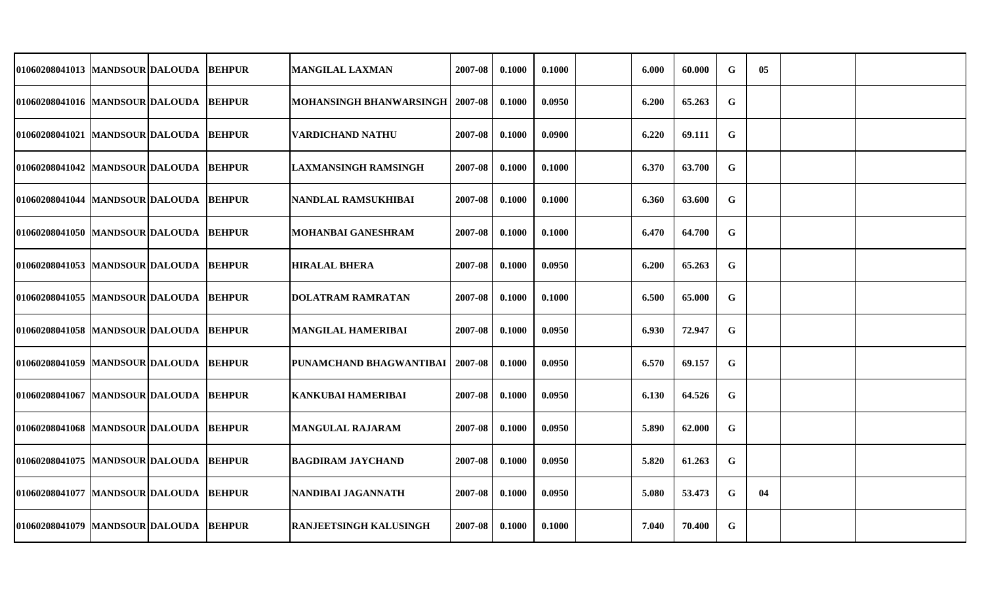| 01060208041013   MANDSOUR DALOUDA        |  | <b>BEHPUR</b> | <b>MANGILAL LAXMAN</b>            | 2007-08 | 0.1000 | 0.1000 | 6.000 | 60.000 | G           | $05\,$ |  |
|------------------------------------------|--|---------------|-----------------------------------|---------|--------|--------|-------|--------|-------------|--------|--|
| 01060208041016 MANDSOUR DALOUDA          |  | <b>BEHPUR</b> | MOHANSINGH BHANWARSINGH   2007-08 |         | 0.1000 | 0.0950 | 6.200 | 65.263 | G           |        |  |
| 01060208041021 MANDSOUR DALOUDA          |  | <b>BEHPUR</b> | <b>VARDICHAND NATHU</b>           | 2007-08 | 0.1000 | 0.0900 | 6.220 | 69.111 | $\mathbf G$ |        |  |
| 01060208041042  MANDSOUR DALOUDA  BEHPUR |  |               | <b>LAXMANSINGH RAMSINGH</b>       | 2007-08 | 0.1000 | 0.1000 | 6.370 | 63.700 | G           |        |  |
| 01060208041044 MANDSOUR DALOUDA          |  | <b>BEHPUR</b> | NANDLAL RAMSUKHIBAI               | 2007-08 | 0.1000 | 0.1000 | 6.360 | 63.600 | $\mathbf G$ |        |  |
| 01060208041050   MANDSOUR DALOUDA        |  | <b>BEHPUR</b> | MOHANBAI GANESHRAM                | 2007-08 | 0.1000 | 0.1000 | 6.470 | 64.700 | G           |        |  |
| 01060208041053 MANDSOUR DALOUDA          |  | <b>BEHPUR</b> | <b>HIRALAL BHERA</b>              | 2007-08 | 0.1000 | 0.0950 | 6.200 | 65.263 | $\mathbf G$ |        |  |
| 01060208041055 MANDSOUR DALOUDA          |  | <b>BEHPUR</b> | <b>DOLATRAM RAMRATAN</b>          | 2007-08 | 0.1000 | 0.1000 | 6.500 | 65.000 | G           |        |  |
| 01060208041058 MANDSOUR DALOUDA          |  | <b>BEHPUR</b> | <b>MANGILAL HAMERIBAI</b>         | 2007-08 | 0.1000 | 0.0950 | 6.930 | 72.947 | G           |        |  |
| 01060208041059 MANDSOUR DALOUDA          |  | <b>BEHPUR</b> | IPUNAMCHAND BHAGWANTIBAI          | 2007-08 | 0.1000 | 0.0950 | 6.570 | 69.157 | G           |        |  |
| 01060208041067 MANDSOUR DALOUDA          |  | <b>BEHPUR</b> | <b>KANKUBAI HAMERIBAI</b>         | 2007-08 | 0.1000 | 0.0950 | 6.130 | 64.526 | G           |        |  |
| 01060208041068 MANDSOUR DALOUDA          |  | <b>BEHPUR</b> | <b>MANGULAL RAJARAM</b>           | 2007-08 | 0.1000 | 0.0950 | 5.890 | 62.000 | G           |        |  |
| 01060208041075  MANDSOUR DALOUDA         |  | <b>BEHPUR</b> | <b>BAGDIRAM JAYCHAND</b>          | 2007-08 | 0.1000 | 0.0950 | 5.820 | 61.263 | G           |        |  |
| 01060208041077 MANDSOUR DALOUDA          |  | <b>BEHPUR</b> | NANDIBAI JAGANNATH                | 2007-08 | 0.1000 | 0.0950 | 5.080 | 53.473 | G           | 04     |  |
| 01060208041079  MANDSOUR DALOUDA  BEHPUR |  |               | <b>RANJEETSINGH KALUSINGH</b>     | 2007-08 | 0.1000 | 0.1000 | 7.040 | 70.400 | G           |        |  |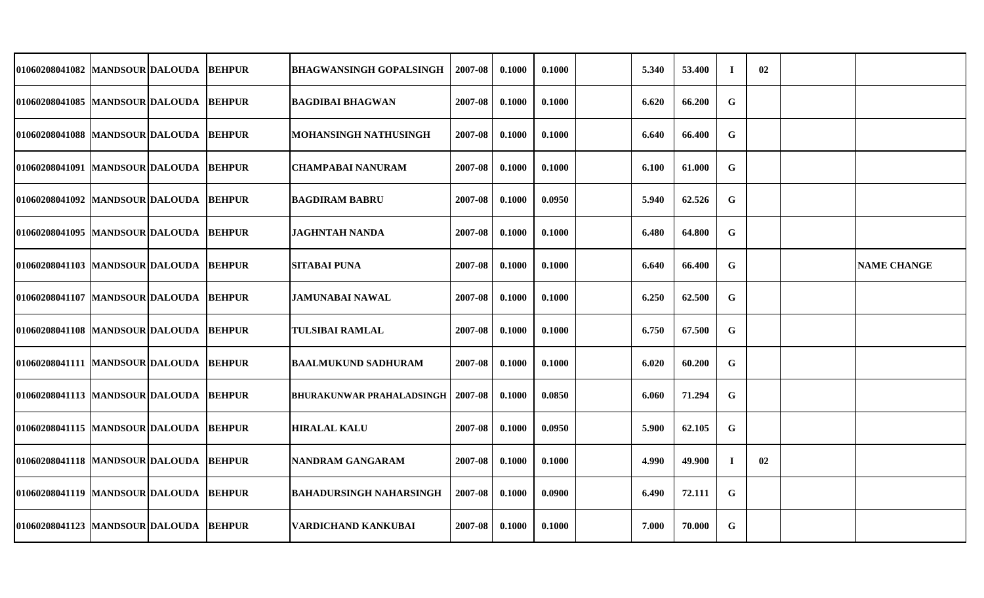| 01060208041082  MANDSOUR DALOUDA         |  | <b>BEHPUR</b> | <b>BHAGWANSINGH GOPALSINGH</b> | 2007-08 | 0.1000 | 0.1000 | 5.340 | 53.400 | $\bf{I}$    | 02 |                    |
|------------------------------------------|--|---------------|--------------------------------|---------|--------|--------|-------|--------|-------------|----|--------------------|
| 01060208041085 MANDSOUR DALOUDA BEHPUR   |  |               | <b>BAGDIBAI BHAGWAN</b>        | 2007-08 | 0.1000 | 0.1000 | 6.620 | 66.200 | $\mathbf G$ |    |                    |
| 01060208041088  MANDSOUR DALOUDA         |  | <b>BEHPUR</b> | MOHANSINGH NATHUSINGH          | 2007-08 | 0.1000 | 0.1000 | 6.640 | 66.400 | $\mathbf G$ |    |                    |
| 01060208041091  MANDSOUR DALOUDA BEHPUR  |  |               | CHAMPABAI NANURAM              | 2007-08 | 0.1000 | 0.1000 | 6.100 | 61.000 | $\mathbf G$ |    |                    |
| 01060208041092  MANDSOUR DALOUDA  BEHPUR |  |               | <b>BAGDIRAM BABRU</b>          | 2007-08 | 0.1000 | 0.0950 | 5.940 | 62.526 | $\mathbf G$ |    |                    |
| 01060208041095  MANDSOUR DALOUDA  BEHPUR |  |               | <b>JAGHNTAH NANDA</b>          | 2007-08 | 0.1000 | 0.1000 | 6.480 | 64.800 | G           |    |                    |
| 01060208041103 MANDSOUR DALOUDA BEHPUR   |  |               | <b>SITABAI PUNA</b>            | 2007-08 | 0.1000 | 0.1000 | 6.640 | 66.400 | G           |    | <b>NAME CHANGE</b> |
| 01060208041107 MANDSOUR DALOUDA BEHPUR   |  |               | <b>JAMUNABAI NAWAL</b>         | 2007-08 | 0.1000 | 0.1000 | 6.250 | 62.500 | $\mathbf G$ |    |                    |
| 01060208041108 MANDSOUR DALOUDA BEHPUR   |  |               | <b>TULSIBAI RAMLAL</b>         | 2007-08 | 0.1000 | 0.1000 | 6.750 | 67.500 | $\mathbf G$ |    |                    |
| 01060208041111  MANDSOUR DALOUDA  BEHPUR |  |               | BAALMUKUND SADHURAM            | 2007-08 | 0.1000 | 0.1000 | 6.020 | 60.200 | G           |    |                    |
| 01060208041113  MANDSOUR DALOUDA         |  | <b>BEHPUR</b> | BHURAKUNWAR PRAHALADSINGH      | 2007-08 | 0.1000 | 0.0850 | 6.060 | 71.294 | $\mathbf G$ |    |                    |
| 01060208041115  MANDSOUR DALOUDA         |  | <b>BEHPUR</b> | <b>HIRALAL KALU</b>            | 2007-08 | 0.1000 | 0.0950 | 5.900 | 62.105 | G           |    |                    |
| 01060208041118  MANDSOUR DALOUDA BEHPUR  |  |               | <b>NANDRAM GANGARAM</b>        | 2007-08 | 0.1000 | 0.1000 | 4.990 | 49.900 | $\bf{I}$    | 02 |                    |
| 01060208041119  MANDSOUR DALOUDA  BEHPUR |  |               | <b>BAHADURSINGH NAHARSINGH</b> | 2007-08 | 0.1000 | 0.0900 | 6.490 | 72.111 | G           |    |                    |
| 01060208041123 MANDSOUR DALOUDA BEHPUR   |  |               | <b>VARDICHAND KANKUBAI</b>     | 2007-08 | 0.1000 | 0.1000 | 7.000 | 70.000 | $\mathbf G$ |    |                    |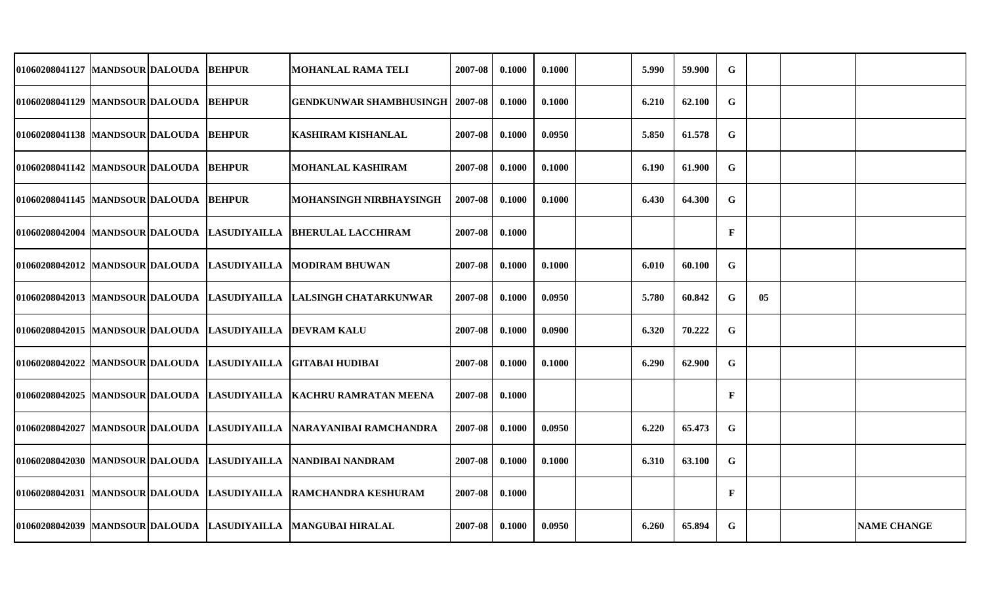| 01060208041127 MANDSOUR DALOUDA          |  | <b>BEHPUR</b>                                  | <b>MOHANLAL RAMA TELI</b>                                              | 2007-08 | 0.1000 | 0.1000 | 5.990 | 59.900 | ${\bf G}$    |    |                    |
|------------------------------------------|--|------------------------------------------------|------------------------------------------------------------------------|---------|--------|--------|-------|--------|--------------|----|--------------------|
| 01060208041129  MANDSOUR DALOUDA BEHPUR  |  |                                                | <b>GENDKUNWAR SHAMBHUSINGH</b>                                         | 2007-08 | 0.1000 | 0.1000 | 6.210 | 62.100 | $\mathbf G$  |    |                    |
| 01060208041138  MANDSOUR DALOUDA         |  | <b>BEHPUR</b>                                  | <b>KASHIRAM KISHANLAL</b>                                              | 2007-08 | 0.1000 | 0.0950 | 5.850 | 61.578 | ${\bf G}$    |    |                    |
| 01060208041142  MANDSOUR DALOUDA  BEHPUR |  |                                                | <b>MOHANLAL KASHIRAM</b>                                               | 2007-08 | 0.1000 | 0.1000 | 6.190 | 61.900 | G            |    |                    |
| 01060208041145 MANDSOUR DALOUDA BEHPUR   |  |                                                | MOHANSINGH NIRBHAYSINGH                                                | 2007-08 | 0.1000 | 0.1000 | 6.430 | 64.300 | G            |    |                    |
|                                          |  | 01060208042004  MANDSOUR DALOUDA  LASUDIYAILLA | <b>BHERULAL LACCHIRAM</b>                                              | 2007-08 | 0.1000 |        |       |        | $\mathbf{F}$ |    |                    |
|                                          |  |                                                | 01060208042012 MANDSOUR DALOUDA LASUDIYAILLA MODIRAM BHUWAN            | 2007-08 | 0.1000 | 0.1000 | 6.010 | 60.100 | $\mathbf G$  |    |                    |
|                                          |  |                                                | 01060208042013 MANDSOUR DALOUDA LASUDIYAILLA LALSINGH CHATARKUNWAR     | 2007-08 | 0.1000 | 0.0950 | 5.780 | 60.842 | G            | 05 |                    |
|                                          |  | 01060208042015  MANDSOUR DALOUDA  LASUDIYAILLA | <b>DEVRAM KALU</b>                                                     | 2007-08 | 0.1000 | 0.0900 | 6.320 | 70.222 | G            |    |                    |
|                                          |  | 01060208042022 MANDSOUR DALOUDA LASUDIYAILLA   | <b>IGITABAI HUDIBAI</b>                                                | 2007-08 | 0.1000 | 0.1000 | 6.290 | 62.900 | G            |    |                    |
|                                          |  |                                                | 01060208042025 MANDSOUR DALOUDA LASUDIYAILLA KACHRU RAMRATAN MEENA     | 2007-08 | 0.1000 |        |       |        | F            |    |                    |
|                                          |  |                                                | 01060208042027  MANDSOUR DALOUDA  LASUDIYAILLA  NARAYANIBAI RAMCHANDRA | 2007-08 | 0.1000 | 0.0950 | 6.220 | 65.473 | G            |    |                    |
|                                          |  |                                                | 01060208042030 MANDSOUR DALOUDA LASUDIYAILLA NANDIBAI NANDRAM          | 2007-08 | 0.1000 | 0.1000 | 6.310 | 63.100 | $\mathbf G$  |    |                    |
|                                          |  |                                                | 01060208042031 MANDSOUR DALOUDA LASUDIYAILLA RAMCHANDRA KESHURAM       | 2007-08 | 0.1000 |        |       |        | $\mathbf F$  |    |                    |
|                                          |  |                                                | 01060208042039 MANDSOUR DALOUDA LASUDIYAILLA MANGUBAI HIRALAL          | 2007-08 | 0.1000 | 0.0950 | 6.260 | 65.894 | $\mathbf G$  |    | <b>NAME CHANGE</b> |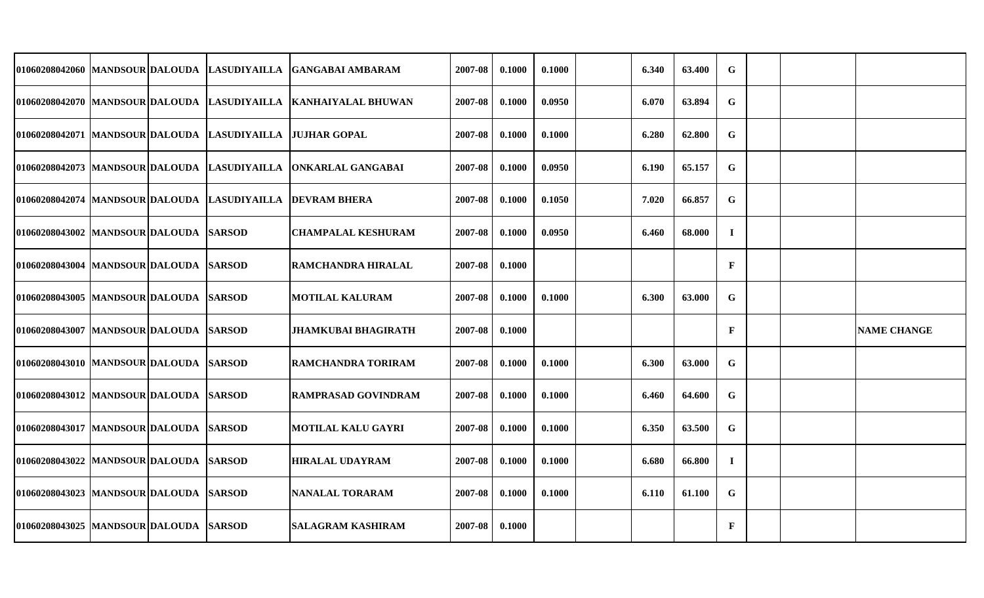|                                          |  | 01060208042060 MANDSOUR DALOUDA LASUDIYAILLA   | IGANGABAI AMBARAM                                                 | 2007-08 | 0.1000 | 0.1000 | 6.340 | 63.400 | $\mathbf G$  |  |                    |
|------------------------------------------|--|------------------------------------------------|-------------------------------------------------------------------|---------|--------|--------|-------|--------|--------------|--|--------------------|
|                                          |  |                                                | 01060208042070 MANDSOUR DALOUDA LASUDIYAILLA KANHAIYALAL BHUWAN   | 2007-08 | 0.1000 | 0.0950 | 6.070 | 63.894 | ${\bf G}$    |  |                    |
|                                          |  | 01060208042071 MANDSOUR DALOUDA LASUDIYAILLA   | <b>JUJHAR GOPAL</b>                                               | 2007-08 | 0.1000 | 0.1000 | 6.280 | 62.800 | G            |  |                    |
|                                          |  |                                                | 01060208042073  MANDSOUR DALOUDA  LASUDIYAILLA  ONKARLAL GANGABAI | 2007-08 | 0.1000 | 0.0950 | 6.190 | 65.157 | $\mathbf G$  |  |                    |
|                                          |  | 01060208042074  MANDSOUR DALOUDA  LASUDIYAILLA | <b>DEVRAM BHERA</b>                                               | 2007-08 | 0.1000 | 0.1050 | 7.020 | 66.857 | $\mathbf G$  |  |                    |
| 01060208043002 MANDSOUR DALOUDA SARSOD   |  |                                                | <b>CHAMPALAL KESHURAM</b>                                         | 2007-08 | 0.1000 | 0.0950 | 6.460 | 68.000 | $\mathbf I$  |  |                    |
| 01060208043004  MANDSOUR DALOUDA SARSOD  |  |                                                | RAMCHANDRA HIRALAL                                                | 2007-08 | 0.1000 |        |       |        | F            |  |                    |
| 01060208043005  MANDSOUR DALOUDA SARSOD  |  |                                                | <b>MOTILAL KALURAM</b>                                            | 2007-08 | 0.1000 | 0.1000 | 6.300 | 63.000 | G            |  |                    |
| 01060208043007 MANDSOUR DALOUDA SARSOD   |  |                                                | <b>JHAMKUBAI BHAGIRATH</b>                                        | 2007-08 | 0.1000 |        |       |        | F            |  | <b>NAME CHANGE</b> |
| 01060208043010 MANDSOUR DALOUDA SARSOD   |  |                                                | RAMCHANDRA TORIRAM                                                | 2007-08 | 0.1000 | 0.1000 | 6.300 | 63.000 | $\mathbf G$  |  |                    |
| 01060208043012 MANDSOUR DALOUDA SARSOD   |  |                                                | <b>RAMPRASAD GOVINDRAM</b>                                        | 2007-08 | 0.1000 | 0.1000 | 6.460 | 64.600 | $\mathbf G$  |  |                    |
| 01060208043017  MANDSOUR DALOUDA  SARSOD |  |                                                | <b>MOTILAL KALU GAYRI</b>                                         | 2007-08 | 0.1000 | 0.1000 | 6.350 | 63.500 | G            |  |                    |
| 01060208043022 MANDSOUR DALOUDA SARSOD   |  |                                                | <b>HIRALAL UDAYRAM</b>                                            | 2007-08 | 0.1000 | 0.1000 | 6.680 | 66.800 | $\bf{I}$     |  |                    |
| 01060208043023 MANDSOUR DALOUDA SARSOD   |  |                                                | <b>NANALAL TORARAM</b>                                            | 2007-08 | 0.1000 | 0.1000 | 6.110 | 61.100 | G            |  |                    |
| 01060208043025 MANDSOUR DALOUDA SARSOD   |  |                                                | <b>SALAGRAM KASHIRAM</b>                                          | 2007-08 | 0.1000 |        |       |        | $\mathbf{F}$ |  |                    |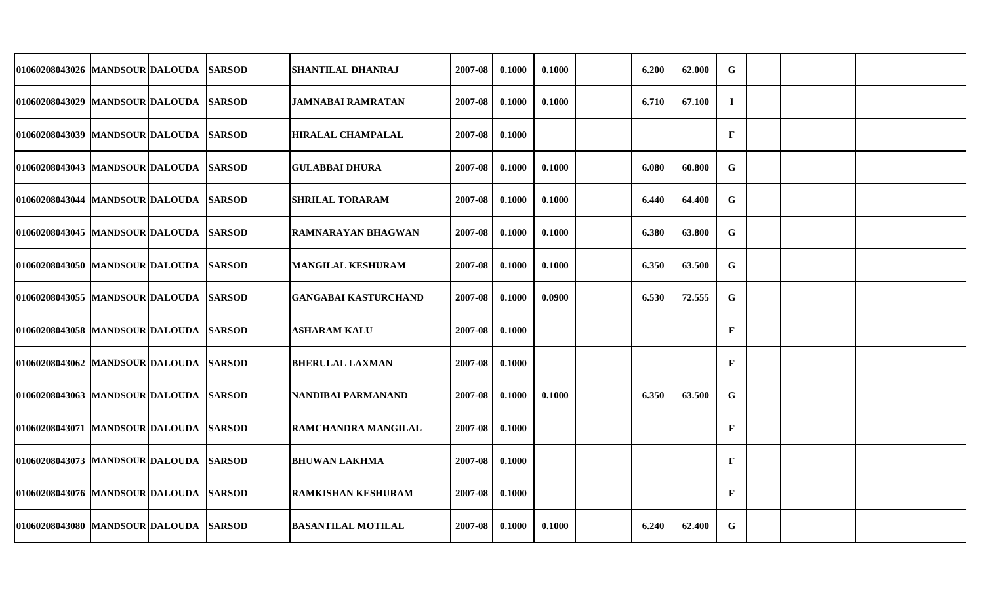| 01060208043026 MANDSOUR DALOUDA          |  | <b>SARSOD</b> | <b>SHANTILAL DHANRAJ</b>    | 2007-08 | 0.1000 | 0.1000 | 6.200 | 62.000 | $\mathbf G$  |  |  |
|------------------------------------------|--|---------------|-----------------------------|---------|--------|--------|-------|--------|--------------|--|--|
| 01060208043029 MANDSOUR DALOUDA SARSOD   |  |               | <b>JAMNABAI RAMRATAN</b>    | 2007-08 | 0.1000 | 0.1000 | 6.710 | 67.100 | $\mathbf I$  |  |  |
| 01060208043039 MANDSOUR DALOUDA          |  | <b>SARSOD</b> | <b>HIRALAL CHAMPALAL</b>    | 2007-08 | 0.1000 |        |       |        | $\mathbf F$  |  |  |
| 01060208043043 MANDSOUR DALOUDA SARSOD   |  |               | <b>GULABBAI DHURA</b>       | 2007-08 | 0.1000 | 0.1000 | 6.080 | 60.800 | $\mathbf G$  |  |  |
| 01060208043044 MANDSOUR DALOUDA          |  | <b>SARSOD</b> | <b>SHRILAL TORARAM</b>      | 2007-08 | 0.1000 | 0.1000 | 6.440 | 64.400 | $\mathbf G$  |  |  |
| 01060208043045 MANDSOUR DALOUDA          |  | <b>SARSOD</b> | RAMNARAYAN BHAGWAN          | 2007-08 | 0.1000 | 0.1000 | 6.380 | 63.800 | $\mathbf G$  |  |  |
| 01060208043050   MANDSOUR DALOUDA        |  | <b>SARSOD</b> | <b>MANGILAL KESHURAM</b>    | 2007-08 | 0.1000 | 0.1000 | 6.350 | 63.500 | $\mathbf G$  |  |  |
| 01060208043055 MANDSOUR DALOUDA SARSOD   |  |               | <b>GANGABAI KASTURCHAND</b> | 2007-08 | 0.1000 | 0.0900 | 6.530 | 72.555 | $\mathbf G$  |  |  |
| 01060208043058 MANDSOUR DALOUDA          |  | <b>SARSOD</b> | <b>ASHARAM KALU</b>         | 2007-08 | 0.1000 |        |       |        | $\mathbf F$  |  |  |
| 01060208043062 MANDSOUR DALOUDA SARSOD   |  |               | <b>BHERULAL LAXMAN</b>      | 2007-08 | 0.1000 |        |       |        | $\mathbf F$  |  |  |
| 01060208043063 MANDSOUR DALOUDA SARSOD   |  |               | NANDIBAI PARMANAND          | 2007-08 | 0.1000 | 0.1000 | 6.350 | 63.500 | $\mathbf G$  |  |  |
| 01060208043071  MANDSOUR DALOUDA  SARSOD |  |               | RAMCHANDRA MANGILAL         | 2007-08 | 0.1000 |        |       |        | $\mathbf F$  |  |  |
| 01060208043073  MANDSOUR DALOUDA SARSOD  |  |               | <b>BHUWAN LAKHMA</b>        | 2007-08 | 0.1000 |        |       |        | $\mathbf{F}$ |  |  |
| 01060208043076 MANDSOUR DALOUDA SARSOD   |  |               | <b>RAMKISHAN KESHURAM</b>   | 2007-08 | 0.1000 |        |       |        | $\mathbf{F}$ |  |  |
| 01060208043080 MANDSOUR DALOUDA SARSOD   |  |               | <b>BASANTILAL MOTILAL</b>   | 2007-08 | 0.1000 | 0.1000 | 6.240 | 62.400 | $\mathbf G$  |  |  |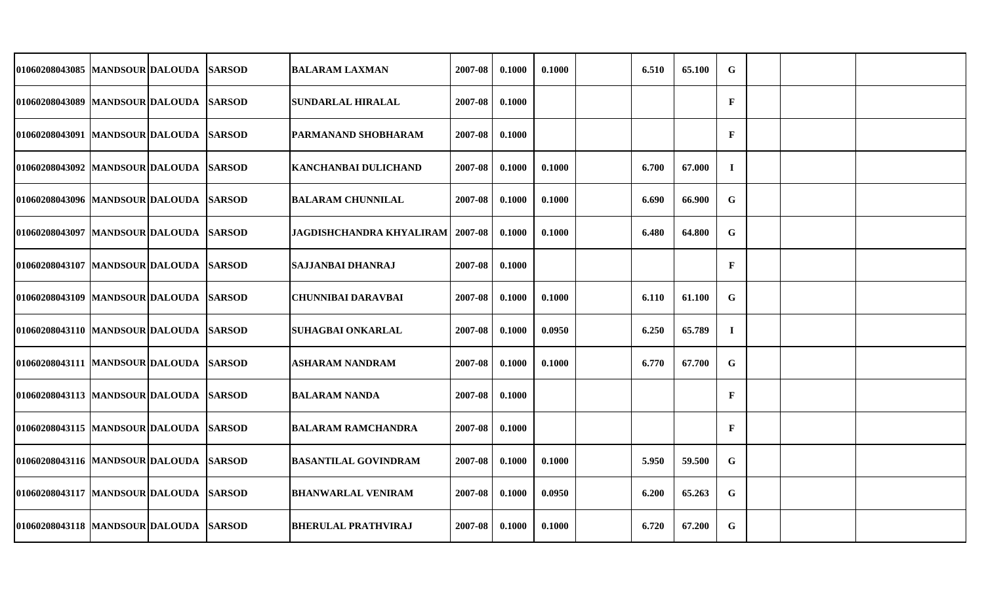| 01060208043085  MANDSOUR DALOUDA SARSOD |  | <b>BALARAM LAXMAN</b>              | 2007-08 | 0.1000 | 0.1000 | 6.510 | 65.100 | $\mathbf G$  |  |  |
|-----------------------------------------|--|------------------------------------|---------|--------|--------|-------|--------|--------------|--|--|
| 01060208043089 MANDSOUR DALOUDA SARSOD  |  | SUNDARLAL HIRALAL                  | 2007-08 | 0.1000 |        |       |        | $\mathbf{F}$ |  |  |
| 01060208043091 MANDSOUR DALOUDA SARSOD  |  | PARMANAND SHOBHARAM                | 2007-08 | 0.1000 |        |       |        | $\mathbf{F}$ |  |  |
| 01060208043092 MANDSOUR DALOUDA SARSOD  |  | KANCHANBAI DULICHAND               | 2007-08 | 0.1000 | 0.1000 | 6.700 | 67.000 | $\bf{I}$     |  |  |
| 01060208043096 MANDSOUR DALOUDA SARSOD  |  | <b>BALARAM CHUNNILAL</b>           | 2007-08 | 0.1000 | 0.1000 | 6.690 | 66.900 | G            |  |  |
| 01060208043097  MANDSOUR DALOUDA SARSOD |  | JAGDISHCHANDRA KHYALIRAM   2007-08 |         | 0.1000 | 0.1000 | 6.480 | 64.800 | $\mathbf G$  |  |  |
| 01060208043107  MANDSOUR DALOUDA SARSOD |  | <b>SAJJANBAI DHANRAJ</b>           | 2007-08 | 0.1000 |        |       |        | $\mathbf{F}$ |  |  |
| 01060208043109 MANDSOUR DALOUDA SARSOD  |  | <b>CHUNNIBAI DARAVBAI</b>          | 2007-08 | 0.1000 | 0.1000 | 6.110 | 61.100 | $\mathbf G$  |  |  |
| 01060208043110 MANDSOUR DALOUDA SARSOD  |  | <b>SUHAGBAI ONKARLAL</b>           | 2007-08 | 0.1000 | 0.0950 | 6.250 | 65.789 | $\bf{I}$     |  |  |
| 01060208043111  MANDSOUR DALOUDA SARSOD |  | ASHARAM NANDRAM                    | 2007-08 | 0.1000 | 0.1000 | 6.770 | 67.700 | G            |  |  |
| 01060208043113 MANDSOUR DALOUDA SARSOD  |  | <b>BALARAM NANDA</b>               | 2007-08 | 0.1000 |        |       |        | $\mathbf{F}$ |  |  |
| 01060208043115 MANDSOUR DALOUDA SARSOD  |  | BALARAM RAMCHANDRA                 | 2007-08 | 0.1000 |        |       |        | $\mathbf F$  |  |  |
| 01060208043116  MANDSOUR DALOUDA SARSOD |  | <b>BASANTILAL GOVINDRAM</b>        | 2007-08 | 0.1000 | 0.1000 | 5.950 | 59.500 | $\mathbf G$  |  |  |
| 01060208043117 MANDSOUR DALOUDA SARSOD  |  | <b>BHANWARLAL VENIRAM</b>          | 2007-08 | 0.1000 | 0.0950 | 6.200 | 65.263 | G            |  |  |
| 01060208043118 MANDSOUR DALOUDA SARSOD  |  | <b>BHERULAL PRATHVIRAJ</b>         | 2007-08 | 0.1000 | 0.1000 | 6.720 | 67.200 | G            |  |  |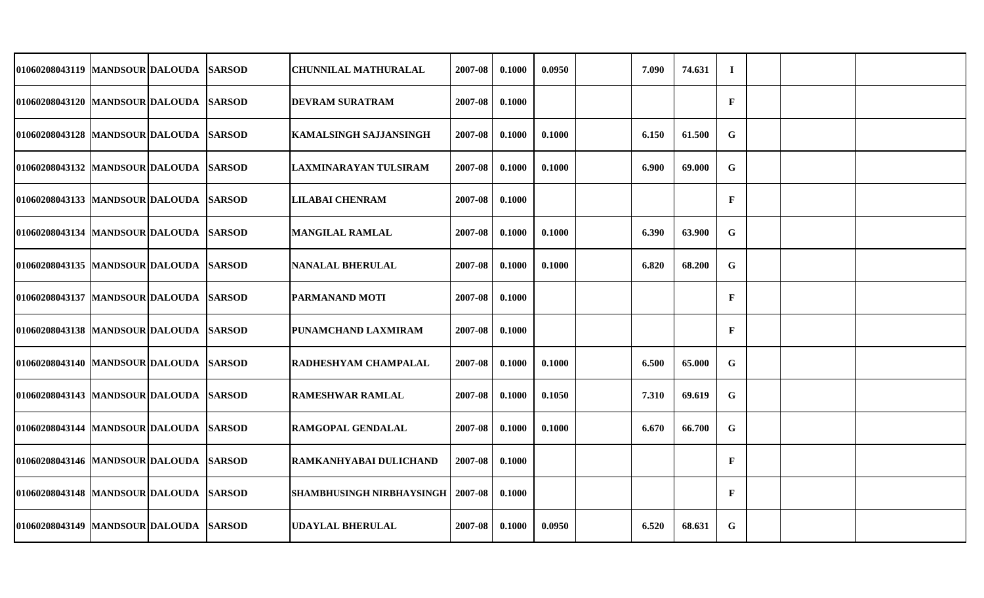| 01060208043119  MANDSOUR DALOUDA SARSOD |  | <b>CHUNNILAL MATHURALAL</b>      | 2007-08 | 0.1000 | 0.0950 | 7.090 | 74.631 | $\mathbf I$  |  |  |
|-----------------------------------------|--|----------------------------------|---------|--------|--------|-------|--------|--------------|--|--|
| 01060208043120 MANDSOUR DALOUDA SARSOD  |  | <b>DEVRAM SURATRAM</b>           | 2007-08 | 0.1000 |        |       |        | $\mathbf{F}$ |  |  |
| 01060208043128 MANDSOUR DALOUDA SARSOD  |  | <b>KAMALSINGH SAJJANSINGH</b>    | 2007-08 | 0.1000 | 0.1000 | 6.150 | 61.500 | G            |  |  |
| 01060208043132 MANDSOUR DALOUDA SARSOD  |  | LAXMINARAYAN TULSIRAM            | 2007-08 | 0.1000 | 0.1000 | 6.900 | 69.000 | G            |  |  |
| 01060208043133 MANDSOUR DALOUDA SARSOD  |  | LILABAI CHENRAM                  | 2007-08 | 0.1000 |        |       |        | $\mathbf{F}$ |  |  |
| 01060208043134  MANDSOUR DALOUDA SARSOD |  | <b>MANGILAL RAMLAL</b>           | 2007-08 | 0.1000 | 0.1000 | 6.390 | 63.900 | $\mathbf G$  |  |  |
| 01060208043135  MANDSOUR DALOUDA SARSOD |  | <b>NANALAL BHERULAL</b>          | 2007-08 | 0.1000 | 0.1000 | 6.820 | 68.200 | G            |  |  |
| 01060208043137 MANDSOUR DALOUDA SARSOD  |  | PARMANAND MOTI                   | 2007-08 | 0.1000 |        |       |        | $\mathbf{F}$ |  |  |
| 01060208043138 MANDSOUR DALOUDA SARSOD  |  | PUNAMCHAND LAXMIRAM              | 2007-08 | 0.1000 |        |       |        | $\mathbf{F}$ |  |  |
| 01060208043140  MANDSOUR DALOUDA SARSOD |  | RADHESHYAM CHAMPALAL             | 2007-08 | 0.1000 | 0.1000 | 6.500 | 65.000 | $\mathbf G$  |  |  |
| 01060208043143 MANDSOUR DALOUDA SARSOD  |  | RAMESHWAR RAMLAL                 | 2007-08 | 0.1000 | 0.1050 | 7.310 | 69.619 | $\mathbf G$  |  |  |
| 01060208043144 MANDSOUR DALOUDA SARSOD  |  | RAMGOPAL GENDALAL                | 2007-08 | 0.1000 | 0.1000 | 6.670 | 66.700 | $\mathbf G$  |  |  |
| 01060208043146 MANDSOUR DALOUDA SARSOD  |  | RAMKANHYABAI DULICHAND           | 2007-08 | 0.1000 |        |       |        | $\mathbf{F}$ |  |  |
| 01060208043148 MANDSOUR DALOUDA SARSOD  |  | <b>SHAMBHUSINGH NIRBHAYSINGH</b> | 2007-08 | 0.1000 |        |       |        | $\mathbf{F}$ |  |  |
| 01060208043149 MANDSOUR DALOUDA SARSOD  |  | <b>UDAYLAL BHERULAL</b>          | 2007-08 | 0.1000 | 0.0950 | 6.520 | 68.631 | $\mathbf G$  |  |  |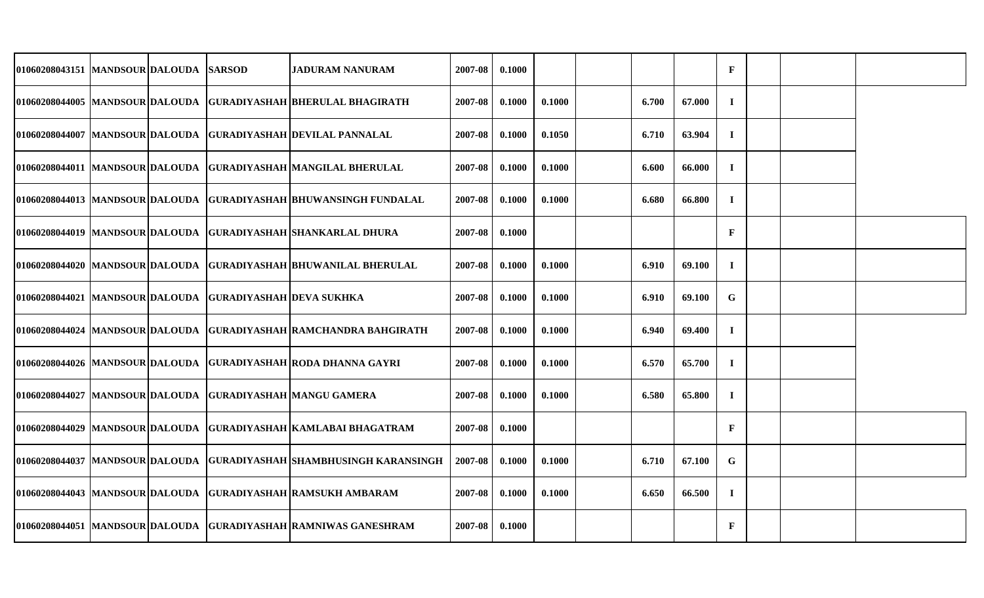| 01060208043151 MANDSOUR DALOUDA SARSOD |  |                                                          | <b>JADURAM NANURAM</b>                                                  | 2007-08 | 0.1000 |        |       |        | $\mathbf F$  |  |  |
|----------------------------------------|--|----------------------------------------------------------|-------------------------------------------------------------------------|---------|--------|--------|-------|--------|--------------|--|--|
|                                        |  |                                                          | 01060208044005  MANDSOUR DALOUDA  GURADIYASHAH  BHERULAL BHAGIRATH      | 2007-08 | 0.1000 | 0.1000 | 6.700 | 67.000 | $\bf{I}$     |  |  |
|                                        |  |                                                          | 01060208044007  MANDSOUR DALOUDA  GURADIYASHAH DEVILAL PANNALAL         | 2007-08 | 0.1000 | 0.1050 | 6.710 | 63.904 | $\bf{I}$     |  |  |
|                                        |  |                                                          | 01060208044011 MANDSOUR DALOUDA GURADIYASHAH MANGILAL BHERULAL          | 2007-08 | 0.1000 | 0.1000 | 6.600 | 66.000 | $\bf I$      |  |  |
|                                        |  |                                                          | 01060208044013  MANDSOUR DALOUDA  GURADIYASHAH BHUWANSINGH FUNDALAL     | 2007-08 | 0.1000 | 0.1000 | 6.680 | 66.800 | $\bf{I}$     |  |  |
|                                        |  |                                                          | 01060208044019  MANDSOUR DALOUDA  GURADIYASHAH  SHANKARLAL DHURA        | 2007-08 | 0.1000 |        |       |        | $\mathbf{F}$ |  |  |
|                                        |  |                                                          | 01060208044020 MANDSOUR DALOUDA GURADIYASHAH BHUWANILAL BHERULAL        | 2007-08 | 0.1000 | 0.1000 | 6.910 | 69.100 | $\bf{I}$     |  |  |
|                                        |  | 01060208044021 MANDSOUR DALOUDA GURADIYASHAH DEVA SUKHKA |                                                                         | 2007-08 | 0.1000 | 0.1000 | 6.910 | 69.100 | $\mathbf G$  |  |  |
|                                        |  |                                                          | 01060208044024 MANDSOUR DALOUDA GURADIYASHAH RAMCHANDRA BAHGIRATH       | 2007-08 | 0.1000 | 0.1000 | 6.940 | 69.400 | $\bf{I}$     |  |  |
|                                        |  |                                                          | 01060208044026 MANDSOUR DALOUDA GURADIYASHAH RODA DHANNA GAYRI          | 2007-08 | 0.1000 | 0.1000 | 6.570 | 65.700 | $\bf{I}$     |  |  |
|                                        |  |                                                          | 01060208044027 MANDSOUR DALOUDA GURADIYASHAH MANGU GAMERA               | 2007-08 | 0.1000 | 0.1000 | 6.580 | 65.800 | $\bf{I}$     |  |  |
|                                        |  |                                                          | 01060208044029 MANDSOUR DALOUDA GURADIYASHAH KAMLABAI BHAGATRAM         | 2007-08 | 0.1000 |        |       |        | $\mathbf{F}$ |  |  |
|                                        |  |                                                          | 01060208044037  MANDSOUR DALOUDA  GURADIYASHAH  SHAMBHUSINGH KARANSINGH | 2007-08 | 0.1000 | 0.1000 | 6.710 | 67.100 | $\mathbf G$  |  |  |
|                                        |  |                                                          | 01060208044043 MANDSOUR DALOUDA GURADIYASHAH RAMSUKH AMBARAM            | 2007-08 | 0.1000 | 0.1000 | 6.650 | 66.500 | $\mathbf I$  |  |  |
|                                        |  |                                                          | 01060208044051 MANDSOUR DALOUDA GURADIYASHAH RAMNIWAS GANESHRAM         | 2007-08 | 0.1000 |        |       |        | $\mathbf{F}$ |  |  |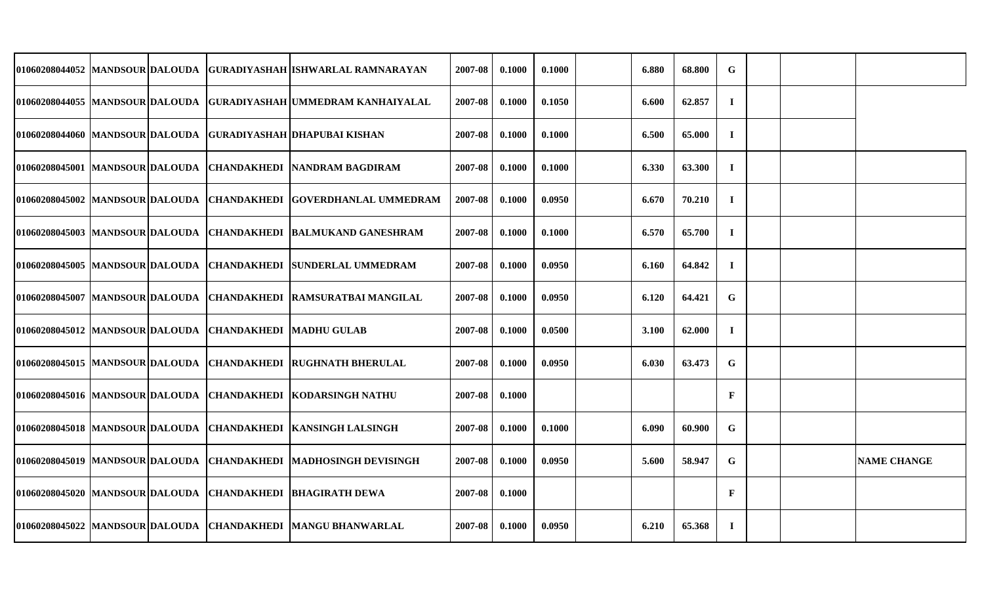|                                 |  |                                | 01060208044052 MANDSOUR DALOUDA GURADIYASHAH ISHWARLAL RAMNARAYAN     | 2007-08 | 0.1000 | 0.1000 | 6.880        | 68.800 | G            |  |                    |
|---------------------------------|--|--------------------------------|-----------------------------------------------------------------------|---------|--------|--------|--------------|--------|--------------|--|--------------------|
|                                 |  |                                | 01060208044055 MANDSOUR DALOUDA GURADIYASHAH UMMEDRAM KANHAIYALAL     | 2007-08 | 0.1000 | 0.1050 | 6.600        | 62.857 | $\bf{I}$     |  |                    |
|                                 |  |                                | 01060208044060 MANDSOUR DALOUDA GURADIYASHAH DHAPUBAI KISHAN          | 2007-08 | 0.1000 | 0.1000 | 6.500        | 65.000 | $\bf{I}$     |  |                    |
|                                 |  |                                | 01060208045001 MANDSOUR DALOUDA CHANDAKHEDI NANDRAM BAGDIRAM          | 2007-08 | 0.1000 | 0.1000 | 6.330        | 63.300 | $\bf{I}$     |  |                    |
|                                 |  |                                | 01060208045002 MANDSOUR DALOUDA CHANDAKHEDI GOVERDHANLAL UMMEDRAM     | 2007-08 | 0.1000 | 0.0950 | 6.670        | 70.210 | $\bf{I}$     |  |                    |
|                                 |  |                                | 01060208045003 MANDSOUR DALOUDA CHANDAKHEDI BALMUKAND GANESHRAM       | 2007-08 | 0.1000 | 0.1000 | 6.570        | 65.700 | $\bf{I}$     |  |                    |
|                                 |  |                                | 01060208045005 MANDSOUR DALOUDA CHANDAKHEDI SUNDERLAL UMMEDRAM        | 2007-08 | 0.1000 | 0.0950 | 6.160        | 64.842 | $\bf{I}$     |  |                    |
|                                 |  |                                | 01060208045007  MANDSOUR DALOUDA   CHANDAKHEDI   RAMSURATBAI MANGILAL | 2007-08 | 0.1000 | 0.0950 | 6.120        | 64.421 | $\mathbf G$  |  |                    |
| 01060208045012 MANDSOUR DALOUDA |  | <b>CHANDAKHEDI MADHU GULAB</b> |                                                                       | 2007-08 | 0.1000 | 0.0500 | <b>3.100</b> | 62.000 | $\bf{I}$     |  |                    |
|                                 |  |                                | 01060208045015  MANDSOUR DALOUDA   CHANDAKHEDI   RUGHNATH BHERULAL    | 2007-08 | 0.1000 | 0.0950 | 6.030        | 63.473 | G            |  |                    |
|                                 |  |                                | 01060208045016 MANDSOUR DALOUDA CHANDAKHEDI KODARSINGH NATHU          | 2007-08 | 0.1000 |        |              |        | $\mathbf{F}$ |  |                    |
| 01060208045018 MANDSOUR DALOUDA |  |                                | <b>CHANDAKHEDI KANSINGH LALSINGH</b>                                  | 2007-08 | 0.1000 | 0.1000 | 6.090        | 60.900 | G            |  |                    |
| 01060208045019 MANDSOUR DALOUDA |  |                                | CHANDAKHEDI   MADHOSINGH DEVISINGH                                    | 2007-08 | 0.1000 | 0.0950 | 5.600        | 58.947 | $\mathbf G$  |  | <b>NAME CHANGE</b> |
| 01060208045020 MANDSOUR DALOUDA |  |                                | <b>CHANDAKHEDI BHAGIRATH DEWA</b>                                     | 2007-08 | 0.1000 |        |              |        | $\mathbf{F}$ |  |                    |
|                                 |  |                                | 01060208045022 MANDSOUR DALOUDA CHANDAKHEDI MANGU BHANWARLAL          | 2007-08 | 0.1000 | 0.0950 | 6.210        | 65.368 | $\bf{I}$     |  |                    |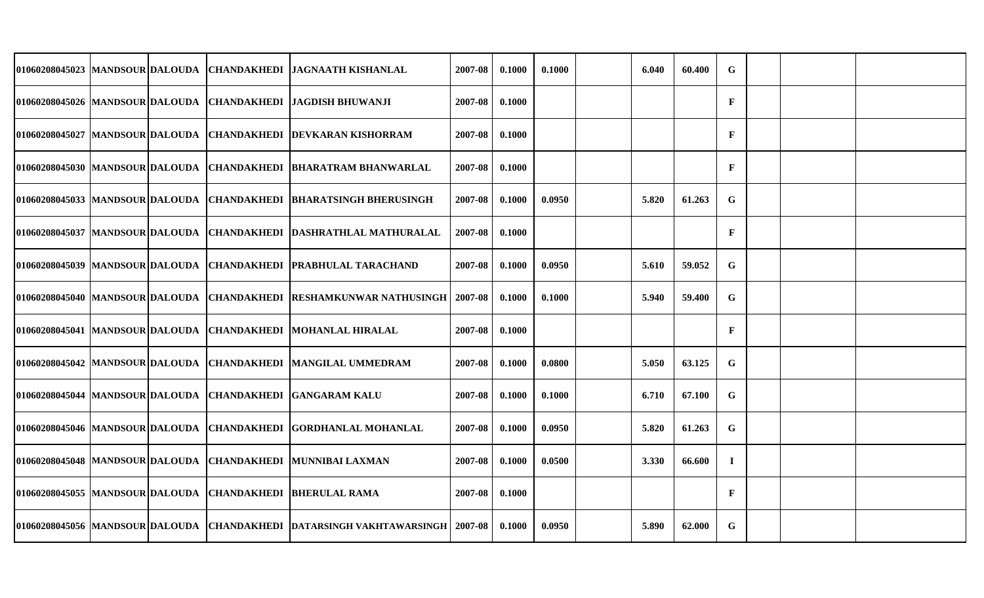|                                  |  | 01060208045023 MANDSOUR DALOUDA CHANDAKHEDI JAGNAATH KISHANLAL                | 2007-08 | 0.1000 | 0.1000 | 6.040 | 60.400 | ${\bf G}$    |  |  |
|----------------------------------|--|-------------------------------------------------------------------------------|---------|--------|--------|-------|--------|--------------|--|--|
|                                  |  | 01060208045026 MANDSOUR DALOUDA CHANDAKHEDI JAGDISH BHUWANJI                  | 2007-08 | 0.1000 |        |       |        | $\mathbf{F}$ |  |  |
| 01060208045027  MANDSOUR DALOUDA |  | <b>CHANDAKHEDI DEVKARAN KISHORRAM</b>                                         | 2007-08 | 0.1000 |        |       |        | $\mathbf F$  |  |  |
|                                  |  | 01060208045030  MANDSOUR DALOUDA  CHANDAKHEDI  BHARATRAM BHANWARLAL           | 2007-08 | 0.1000 |        |       |        | $\mathbf{F}$ |  |  |
| 01060208045033 MANDSOUR DALOUDA  |  | <b>CHANDAKHEDI BHARATSINGH BHERUSINGH</b>                                     | 2007-08 | 0.1000 | 0.0950 | 5.820 | 61.263 | $\mathbf G$  |  |  |
|                                  |  | 01060208045037 MANDSOUR DALOUDA CHANDAKHEDI DASHRATHLAL MATHURALAL            | 2007-08 | 0.1000 |        |       |        | F            |  |  |
| 01060208045039 MANDSOUR DALOUDA  |  | CHANDAKHEDI PRABHULAL TARACHAND                                               | 2007-08 | 0.1000 | 0.0950 | 5.610 | 59.052 | $\mathbf G$  |  |  |
|                                  |  | 01060208045040 MANDSOUR DALOUDA CHANDAKHEDI RESHAMKUNWAR NATHUSINGH           | 2007-08 | 0.1000 | 0.1000 | 5.940 | 59.400 | G            |  |  |
| 01060208045041 MANDSOUR DALOUDA  |  | <b>CHANDAKHEDI MOHANLAL HIRALAL</b>                                           | 2007-08 | 0.1000 |        |       |        | F            |  |  |
|                                  |  | 01060208045042  MANDSOUR DALOUDA  CHANDAKHEDI  MANGILAL UMMEDRAM              | 2007-08 | 0.1000 | 0.0800 | 5.050 | 63.125 | $\mathbf G$  |  |  |
|                                  |  | 01060208045044 MANDSOUR DALOUDA CHANDAKHEDI GANGARAM KALU                     | 2007-08 | 0.1000 | 0.1000 | 6.710 | 67.100 | $\mathbf G$  |  |  |
|                                  |  | 01060208045046 MANDSOUR DALOUDA CHANDAKHEDI GORDHANLAL MOHANLAL               | 2007-08 | 0.1000 | 0.0950 | 5.820 | 61.263 | ${\bf G}$    |  |  |
|                                  |  | 01060208045048 MANDSOUR DALOUDA CHANDAKHEDI MUNNIBAI LAXMAN                   | 2007-08 | 0.1000 | 0.0500 | 3.330 | 66.600 | $\mathbf I$  |  |  |
|                                  |  | 01060208045055 MANDSOUR DALOUDA CHANDAKHEDI BHERULAL RAMA                     | 2007-08 | 0.1000 |        |       |        | $\mathbf F$  |  |  |
|                                  |  | 01060208045056 MANDSOUR DALOUDA CHANDAKHEDI DATARSINGH VAKHTAWARSINGH 2007-08 |         | 0.1000 | 0.0950 | 5.890 | 62.000 | G            |  |  |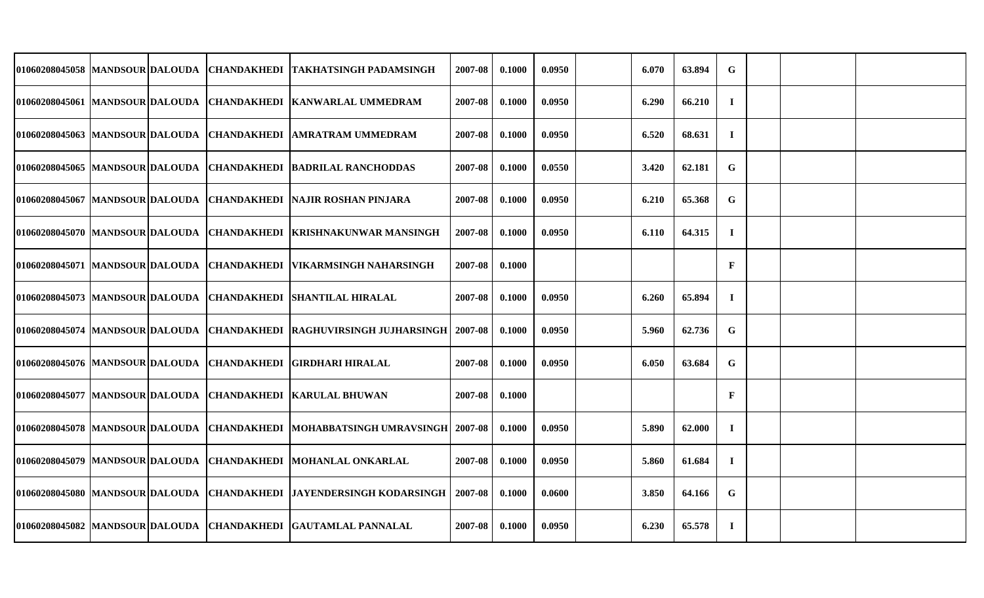| 01060208045058 MANDSOUR DALOUDA |  | ICHANDAKHEDI ITAKHATSINGH PADAMSINGH                                  | 2007-08 | 0.1000 | 0.0950 | 6.070 | 63.894 | $\mathbf G$  |  |  |
|---------------------------------|--|-----------------------------------------------------------------------|---------|--------|--------|-------|--------|--------------|--|--|
|                                 |  | 01060208045061 MANDSOUR DALOUDA CHANDAKHEDI KANWARLAL UMMEDRAM        | 2007-08 | 0.1000 | 0.0950 | 6.290 | 66.210 | $\bf{I}$     |  |  |
|                                 |  | 01060208045063 MANDSOUR DALOUDA CHANDAKHEDI AMRATRAM UMMEDRAM         | 2007-08 | 0.1000 | 0.0950 | 6.520 | 68.631 | $\mathbf I$  |  |  |
|                                 |  | 01060208045065 MANDSOUR DALOUDA CHANDAKHEDI BADRILAL RANCHODDAS       | 2007-08 | 0.1000 | 0.0550 | 3.420 | 62.181 | $\mathbf G$  |  |  |
|                                 |  | 01060208045067  MANDSOUR DALOUDA  CHANDAKHEDI  NAJIR ROSHAN PINJARA   | 2007-08 | 0.1000 | 0.0950 | 6.210 | 65.368 | $\mathbf G$  |  |  |
|                                 |  | 01060208045070  MANDSOUR DALOUDA  CHANDAKHEDI  KRISHNAKUNWAR MANSINGH | 2007-08 | 0.1000 | 0.0950 | 6.110 | 64.315 | $\bf{I}$     |  |  |
|                                 |  | 01060208045071  MANDSOUR DALOUDA  CHANDAKHEDI  VIKARMSINGH NAHARSINGH | 2007-08 | 0.1000 |        |       |        | $\mathbf{F}$ |  |  |
|                                 |  | 01060208045073 MANDSOUR DALOUDA CHANDAKHEDI SHANTILAL HIRALAL         | 2007-08 | 0.1000 | 0.0950 | 6.260 | 65.894 | $\mathbf I$  |  |  |
|                                 |  | 01060208045074 MANDSOUR DALOUDA CHANDAKHEDI RAGHUVIRSINGH JUJHARSINGH | 2007-08 | 0.1000 | 0.0950 | 5.960 | 62.736 | $\mathbf G$  |  |  |
|                                 |  | 01060208045076  MANDSOUR DALOUDA  CHANDAKHEDI  GIRDHARI HIRALAL       | 2007-08 | 0.1000 | 0.0950 | 6.050 | 63.684 | $\mathbf G$  |  |  |
|                                 |  | 01060208045077 MANDSOUR DALOUDA CHANDAKHEDI KARULAL BHUWAN            | 2007-08 | 0.1000 |        |       |        | F            |  |  |
| 01060208045078 MANDSOUR DALOUDA |  | CHANDAKHEDI MOHABBATSINGH UMRAVSINGH 2007-08                          |         | 0.1000 | 0.0950 | 5.890 | 62.000 | $\mathbf I$  |  |  |
|                                 |  | 01060208045079 MANDSOUR DALOUDA CHANDAKHEDI MOHANLAL ONKARLAL         | 2007-08 | 0.1000 | 0.0950 | 5.860 | 61.684 | $\bf{I}$     |  |  |
|                                 |  | 01060208045080 MANDSOUR DALOUDA CHANDAKHEDI JAYENDERSINGH KODARSINGH  | 2007-08 | 0.1000 | 0.0600 | 3.850 | 64.166 | G            |  |  |
|                                 |  | 01060208045082 MANDSOUR DALOUDA CHANDAKHEDI GAUTAMLAL PANNALAL        | 2007-08 | 0.1000 | 0.0950 | 6.230 | 65.578 | $\bf{I}$     |  |  |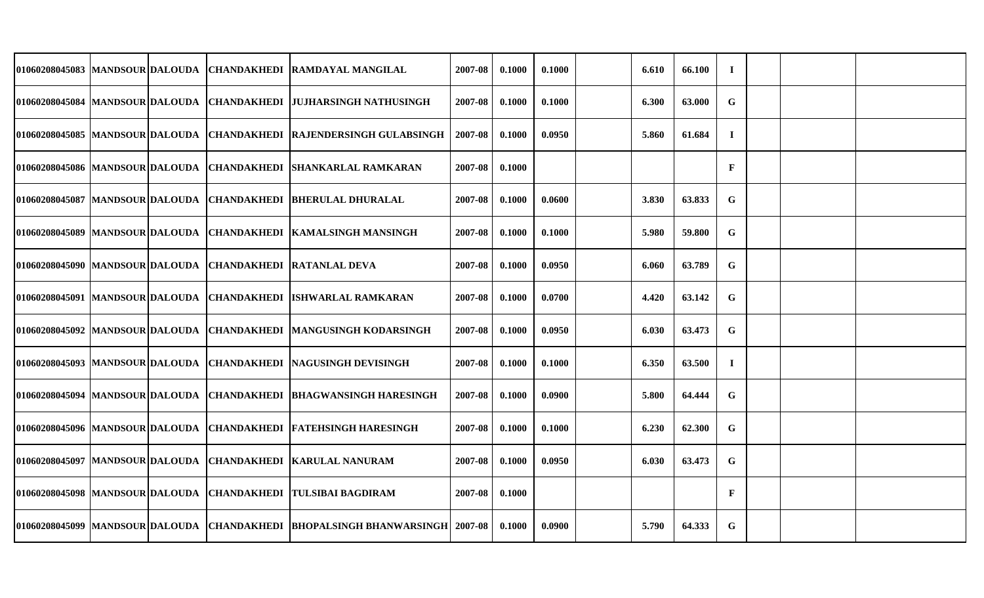|                                  |  | 01060208045083 MANDSOUR DALOUDA CHANDAKHEDI RAMDAYAL MANGILAL                | 2007-08 | 0.1000 | 0.1000 | 6.610 | 66.100 | $\bf{I}$     |  |  |
|----------------------------------|--|------------------------------------------------------------------------------|---------|--------|--------|-------|--------|--------------|--|--|
|                                  |  | 01060208045084 MANDSOUR DALOUDA CHANDAKHEDI JUJHARSINGH NATHUSINGH           | 2007-08 | 0.1000 | 0.1000 | 6.300 | 63.000 | ${\bf G}$    |  |  |
|                                  |  | 01060208045085 MANDSOUR DALOUDA   CHANDAKHEDI   RAJENDERSINGH GULABSINGH     | 2007-08 | 0.1000 | 0.0950 | 5.860 | 61.684 | $\bf{I}$     |  |  |
|                                  |  | 01060208045086  MANDSOUR DALOUDA  CHANDAKHEDI  SHANKARLAL RAMKARAN           | 2007-08 | 0.1000 |        |       |        | $\mathbf{F}$ |  |  |
| 01060208045087  MANDSOUR DALOUDA |  | CHANDAKHEDI  BHERULAL DHURALAL                                               | 2007-08 | 0.1000 | 0.0600 | 3.830 | 63.833 | $\mathbf G$  |  |  |
|                                  |  | 01060208045089 MANDSOUR DALOUDA CHANDAKHEDI KAMALSINGH MANSINGH              | 2007-08 | 0.1000 | 0.1000 | 5.980 | 59.800 | ${\bf G}$    |  |  |
|                                  |  | 01060208045090 MANDSOUR DALOUDA CHANDAKHEDI RATANLAL DEVA                    | 2007-08 | 0.1000 | 0.0950 | 6.060 | 63.789 | $\mathbf G$  |  |  |
|                                  |  | 01060208045091  MANDSOUR DALOUDA  CHANDAKHEDI  ISHWARLAL RAMKARAN            | 2007-08 | 0.1000 | 0.0700 | 4.420 | 63.142 | $\mathbf G$  |  |  |
| 01060208045092 MANDSOUR DALOUDA  |  | <b>CHANDAKHEDI MANGUSINGH KODARSINGH</b>                                     | 2007-08 | 0.1000 | 0.0950 | 6.030 | 63.473 | ${\bf G}$    |  |  |
|                                  |  | 01060208045093 MANDSOUR DALOUDA CHANDAKHEDI NAGUSINGH DEVISINGH              | 2007-08 | 0.1000 | 0.1000 | 6.350 | 63.500 | $\mathbf I$  |  |  |
| 01060208045094  MANDSOUR DALOUDA |  | <b>CHANDAKHEDI BHAGWANSINGH HARESINGH</b>                                    | 2007-08 | 0.1000 | 0.0900 | 5.800 | 64.444 | ${\bf G}$    |  |  |
| 01060208045096  MANDSOUR DALOUDA |  | <b>CHANDAKHEDI FATEHSINGH HARESINGH</b>                                      | 2007-08 | 0.1000 | 0.1000 | 6.230 | 62.300 | $\mathbf G$  |  |  |
| 01060208045097  MANDSOUR DALOUDA |  | CHANDAKHEDI KARULAL NANURAM                                                  | 2007-08 | 0.1000 | 0.0950 | 6.030 | 63.473 | $\mathbf G$  |  |  |
|                                  |  | 01060208045098  MANDSOUR DALOUDA  CHANDAKHEDI  TULSIBAI BAGDIRAM             | 2007-08 | 0.1000 |        |       |        | $\mathbf F$  |  |  |
|                                  |  | 01060208045099 MANDSOUR DALOUDA CHANDAKHEDI BHOPALSINGH BHANWARSINGH 2007-08 |         | 0.1000 | 0.0900 | 5.790 | 64.333 | G            |  |  |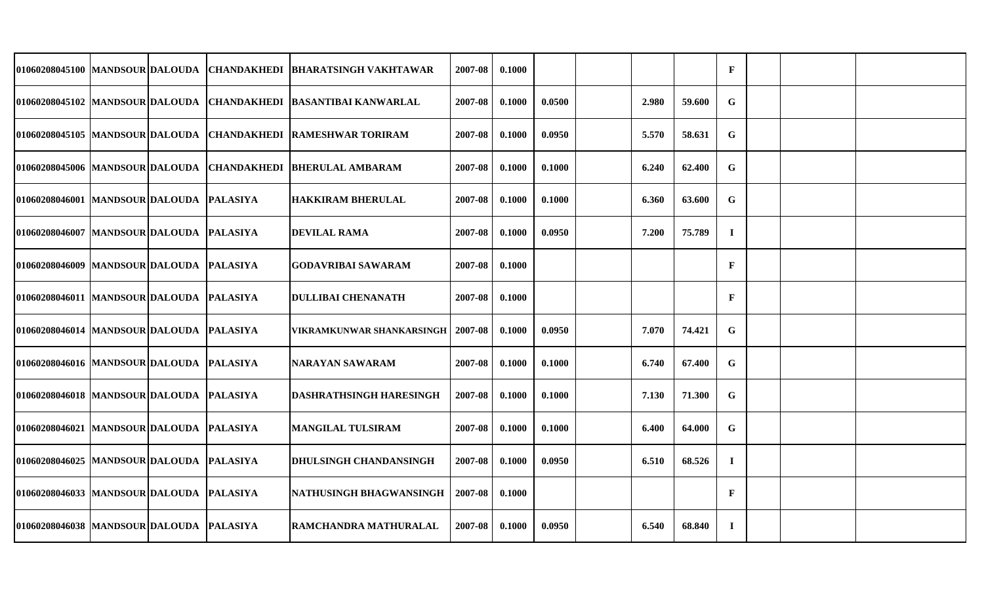|                                          |  | 01060208045100 MANDSOUR DALOUDA CHANDAKHEDI BHARATSINGH VAKHTAWAR   | 2007-08 | 0.1000 |        |       |        | $\mathbf{F}$ |  |  |
|------------------------------------------|--|---------------------------------------------------------------------|---------|--------|--------|-------|--------|--------------|--|--|
|                                          |  | 01060208045102  MANDSOUR DALOUDA  CHANDAKHEDI  BASANTIBAI KANWARLAL | 2007-08 | 0.1000 | 0.0500 | 2.980 | 59.600 | $\mathbf G$  |  |  |
|                                          |  | 01060208045105 MANDSOUR DALOUDA CHANDAKHEDI RAMESHWAR TORIRAM       | 2007-08 | 0.1000 | 0.0950 | 5.570 | 58.631 | $\mathbf G$  |  |  |
|                                          |  | 01060208045006 MANDSOUR DALOUDA CHANDAKHEDI BHERULAL AMBARAM        | 2007-08 | 0.1000 | 0.1000 | 6.240 | 62.400 | $\mathbf G$  |  |  |
| 01060208046001 MANDSOUR DALOUDA PALASIYA |  | <b>HAKKIRAM BHERULAL</b>                                            | 2007-08 | 0.1000 | 0.1000 | 6.360 | 63.600 | G            |  |  |
| 01060208046007 MANDSOUR DALOUDA PALASIYA |  | <b>DEVILAL RAMA</b>                                                 | 2007-08 | 0.1000 | 0.0950 | 7.200 | 75.789 | $\mathbf I$  |  |  |
| 01060208046009 MANDSOUR DALOUDA PALASIYA |  | GODAVRIBAI SAWARAM                                                  | 2007-08 | 0.1000 |        |       |        | $\mathbf{F}$ |  |  |
| 01060208046011 MANDSOUR DALOUDA PALASIYA |  | DULLIBAI CHENANATH                                                  | 2007-08 | 0.1000 |        |       |        | $\mathbf{F}$ |  |  |
| 01060208046014 MANDSOUR DALOUDA PALASIYA |  | VIKRAMKUNWAR SHANKARSINGH                                           | 2007-08 | 0.1000 | 0.0950 | 7.070 | 74.421 | $\mathbf G$  |  |  |
| 01060208046016 MANDSOUR DALOUDA PALASIYA |  | NARAYAN SAWARAM                                                     | 2007-08 | 0.1000 | 0.1000 | 6.740 | 67.400 | $\mathbf G$  |  |  |
| 01060208046018 MANDSOUR DALOUDA PALASIYA |  | DASHRATHSINGH HARESINGH                                             | 2007-08 | 0.1000 | 0.1000 | 7.130 | 71.300 | $\mathbf G$  |  |  |
| 01060208046021 MANDSOUR DALOUDA PALASIYA |  | <b>MANGILAL TULSIRAM</b>                                            | 2007-08 | 0.1000 | 0.1000 | 6.400 | 64.000 | G            |  |  |
| 01060208046025 MANDSOUR DALOUDA PALASIYA |  | <b>DHULSINGH CHANDANSINGH</b>                                       | 2007-08 | 0.1000 | 0.0950 | 6.510 | 68.526 | $\bf{I}$     |  |  |
| 01060208046033 MANDSOUR DALOUDA PALASIYA |  | NATHUSINGH BHAGWANSINGH                                             | 2007-08 | 0.1000 |        |       |        | $\mathbf{F}$ |  |  |
| 01060208046038 MANDSOUR DALOUDA PALASIYA |  | RAMCHANDRA MATHURALAL                                               | 2007-08 | 0.1000 | 0.0950 | 6.540 | 68.840 | $\bf{I}$     |  |  |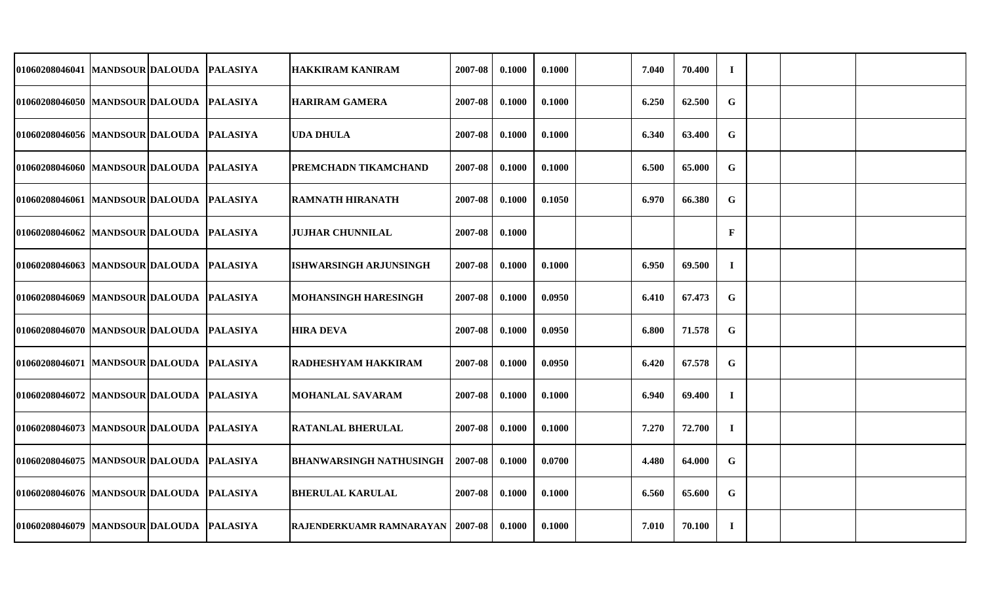| 01060208046041 MANDSOUR DALOUDA            |  | <b>PALASIYA</b> | <b>HAKKIRAM KANIRAM</b>            | 2007-08 | 0.1000 | 0.1000 | 7.040 | 70.400 | $\bf{I}$    |  |  |
|--------------------------------------------|--|-----------------|------------------------------------|---------|--------|--------|-------|--------|-------------|--|--|
| 01060208046050 MANDSOUR DALOUDA            |  | <b>PALASIYA</b> | <b>HARIRAM GAMERA</b>              | 2007-08 | 0.1000 | 0.1000 | 6.250 | 62.500 | G           |  |  |
| 01060208046056 MANDSOUR DALOUDA            |  | <b>PALASIYA</b> | <b>UDA DHULA</b>                   | 2007-08 | 0.1000 | 0.1000 | 6.340 | 63.400 | G           |  |  |
| 01060208046060 MANDSOUR DALOUDA            |  | <b>PALASIYA</b> | <b>PREMCHADN TIKAMCHAND</b>        | 2007-08 | 0.1000 | 0.1000 | 6.500 | 65.000 | G           |  |  |
| 01060208046061 MANDSOUR DALOUDA            |  | <b>PALASIYA</b> | <b>RAMNATH HIRANATH</b>            | 2007-08 | 0.1000 | 0.1050 | 6.970 | 66.380 | $\mathbf G$ |  |  |
| 01060208046062 MANDSOUR DALOUDA            |  | <b>PALASIYA</b> | <b>JUJHAR CHUNNILAL</b>            | 2007-08 | 0.1000 |        |       |        | $\mathbf F$ |  |  |
| 01060208046063  MANDSOUR DALOUDA           |  | <b>PALASIYA</b> | <b>ISHWARSINGH ARJUNSINGH</b>      | 2007-08 | 0.1000 | 0.1000 | 6.950 | 69.500 | $\bf{I}$    |  |  |
| 01060208046069 MANDSOUR DALOUDA PALASIYA   |  |                 | <b>MOHANSINGH HARESINGH</b>        | 2007-08 | 0.1000 | 0.0950 | 6.410 | 67.473 | G           |  |  |
| 01060208046070 MANDSOUR DALOUDA            |  | <b>PALASIYA</b> | <b>HIRA DEVA</b>                   | 2007-08 | 0.1000 | 0.0950 | 6.800 | 71.578 | $\mathbf G$ |  |  |
| 01060208046071 MANDSOUR DALOUDA PALASIYA   |  |                 | <b>RADHESHYAM HAKKIRAM</b>         | 2007-08 | 0.1000 | 0.0950 | 6.420 | 67.578 | G           |  |  |
| 01060208046072 MANDSOUR DALOUDA            |  | <b>PALASIYA</b> | MOHANLAL SAVARAM                   | 2007-08 | 0.1000 | 0.1000 | 6.940 | 69.400 | $\bf{I}$    |  |  |
| 01060208046073  MANDSOUR DALOUDA  PALASIYA |  |                 | <b>RATANLAL BHERULAL</b>           | 2007-08 | 0.1000 | 0.1000 | 7.270 | 72.700 | $\bf{I}$    |  |  |
| 01060208046075  MANDSOUR DALOUDA           |  | <b>PALASIYA</b> | <b>BHANWARSINGH NATHUSINGH</b>     | 2007-08 | 0.1000 | 0.0700 | 4.480 | 64.000 | G           |  |  |
| 01060208046076 MANDSOUR DALOUDA PALASIYA   |  |                 | <b>BHERULAL KARULAL</b>            | 2007-08 | 0.1000 | 0.1000 | 6.560 | 65.600 | G           |  |  |
| 01060208046079 MANDSOUR DALOUDA PALASIYA   |  |                 | RAJENDERKUAMR RAMNARAYAN   2007-08 |         | 0.1000 | 0.1000 | 7.010 | 70.100 | $\bf{I}$    |  |  |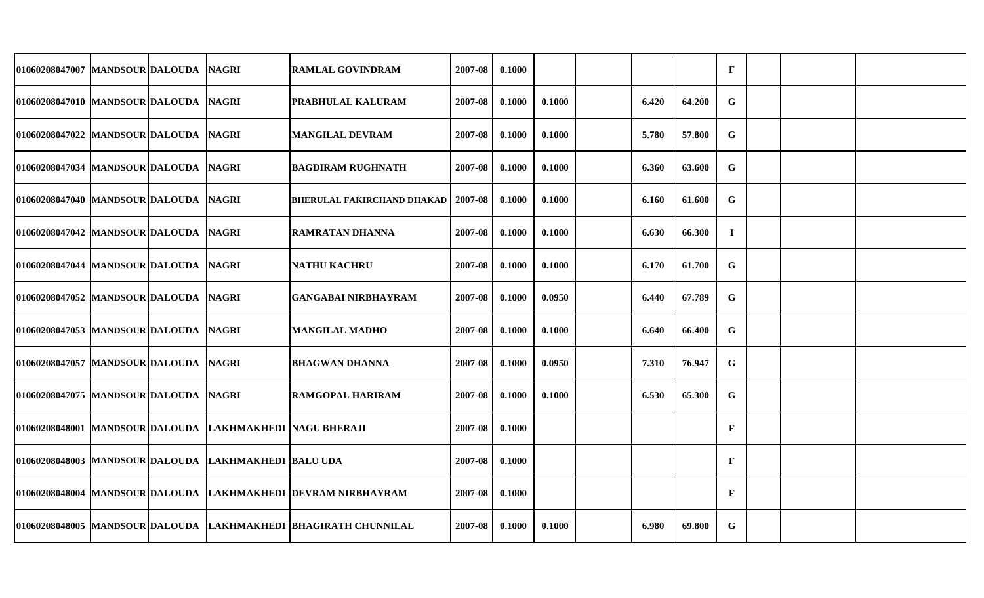| 01060208047007 MANDSOUR DALOUDA       |  | <b>NAGRI</b>             | <b>RAMLAL GOVINDRAM</b>                                         | 2007-08 | 0.1000 |        |       |        | $\mathbf F$  |  |  |
|---------------------------------------|--|--------------------------|-----------------------------------------------------------------|---------|--------|--------|-------|--------|--------------|--|--|
| 01060208047010 MANDSOUR DALOUDA NAGRI |  |                          | PRABHULAL KALURAM                                               | 2007-08 | 0.1000 | 0.1000 | 6.420 | 64.200 | G            |  |  |
| 01060208047022 MANDSOUR DALOUDA       |  | <b>NAGRI</b>             | <b>MANGILAL DEVRAM</b>                                          | 2007-08 | 0.1000 | 0.1000 | 5.780 | 57.800 | G            |  |  |
| 01060208047034 MANDSOUR DALOUDA NAGRI |  |                          | <b>BAGDIRAM RUGHNATH</b>                                        | 2007-08 | 0.1000 | 0.1000 | 6.360 | 63.600 | $\mathbf G$  |  |  |
| 01060208047040 MANDSOUR DALOUDA       |  | <b>NAGRI</b>             | <b>BHERULAL FAKIRCHAND DHAKAD   2007-08</b>                     |         | 0.1000 | 0.1000 | 6.160 | 61.600 | $\mathbf G$  |  |  |
| 01060208047042 MANDSOUR DALOUDA NAGRI |  |                          | <b>RAMRATAN DHANNA</b>                                          | 2007-08 | 0.1000 | 0.1000 | 6.630 | 66.300 | $\mathbf I$  |  |  |
| 01060208047044 MANDSOUR DALOUDA       |  | <b>NAGRI</b>             | <b>NATHU KACHRU</b>                                             | 2007-08 | 0.1000 | 0.1000 | 6.170 | 61.700 | $\mathbf G$  |  |  |
| 01060208047052 MANDSOUR DALOUDA       |  | <b>NAGRI</b>             | <b>GANGABAI NIRBHAYRAM</b>                                      | 2007-08 | 0.1000 | 0.0950 | 6.440 | 67.789 | $\mathbf G$  |  |  |
| 01060208047053 MANDSOUR DALOUDA       |  | <b>NAGRI</b>             | <b>MANGILAL MADHO</b>                                           | 2007-08 | 0.1000 | 0.1000 | 6.640 | 66.400 | $\mathbf G$  |  |  |
| 01060208047057   MANDSOUR DALOUDA     |  | <b>NAGRI</b>             | <b>BHAGWAN DHANNA</b>                                           | 2007-08 | 0.1000 | 0.0950 | 7.310 | 76.947 | G            |  |  |
| 01060208047075 MANDSOUR DALOUDA       |  | <b>NAGRI</b>             | <b>RAMGOPAL HARIRAM</b>                                         | 2007-08 | 0.1000 | 0.1000 | 6.530 | 65.300 | $\mathbf G$  |  |  |
| 01060208048001 MANDSOUR DALOUDA       |  | LAKHMAKHEDI NAGU BHERAJI |                                                                 | 2007-08 | 0.1000 |        |       |        | $\mathbf{F}$ |  |  |
| 01060208048003 MANDSOUR DALOUDA       |  | LAKHMAKHEDI BALU UDA     |                                                                 | 2007-08 | 0.1000 |        |       |        | $\mathbf{F}$ |  |  |
| 01060208048004  MANDSOUR DALOUDA      |  |                          | LAKHMAKHEDI DEVRAM NIRBHAYRAM                                   | 2007-08 | 0.1000 |        |       |        | $\mathbf{F}$ |  |  |
|                                       |  |                          | 01060208048005 MANDSOUR DALOUDA LAKHMAKHEDI BHAGIRATH CHUNNILAL | 2007-08 | 0.1000 | 0.1000 | 6.980 | 69.800 | G            |  |  |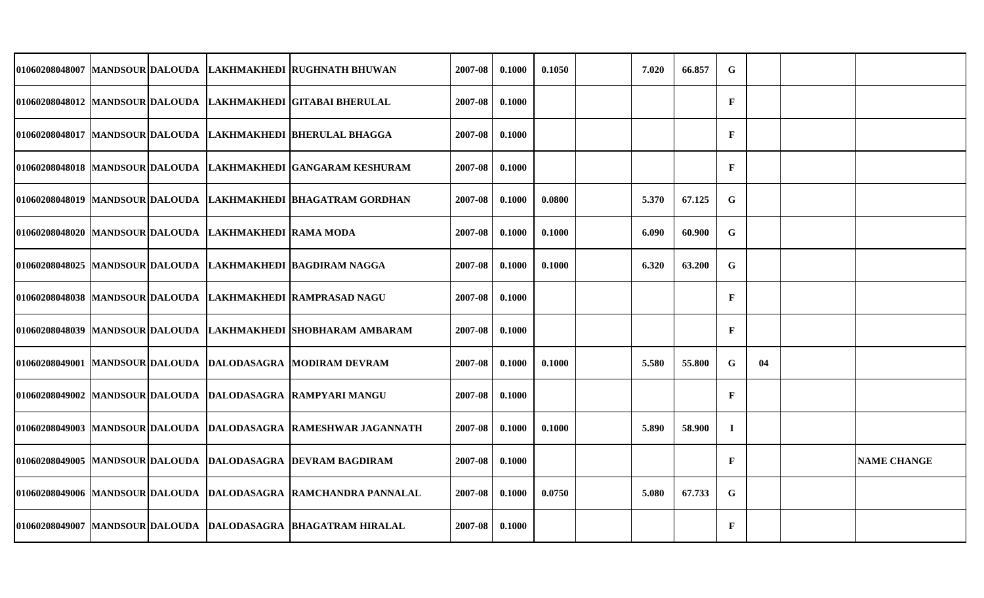|  |                                                       | 01060208048007 MANDSOUR DALOUDA LAKHMAKHEDI RUGHNATH BHUWAN     | 2007-08 | 0.1000 | 0.1050 | 7.020 | 66.857 | ${\bf G}$    |    |                    |
|--|-------------------------------------------------------|-----------------------------------------------------------------|---------|--------|--------|-------|--------|--------------|----|--------------------|
|  |                                                       | 01060208048012 MANDSOUR DALOUDA LAKHMAKHEDI GITABAI BHERULAL    | 2007-08 | 0.1000 |        |       |        | $\mathbf{F}$ |    |                    |
|  |                                                       | 01060208048017 MANDSOUR DALOUDA LAKHMAKHEDI BHERULAL BHAGGA     | 2007-08 | 0.1000 |        |       |        | $\mathbf F$  |    |                    |
|  |                                                       | 01060208048018 MANDSOUR DALOUDA LAKHMAKHEDI GANGARAM KESHURAM   | 2007-08 | 0.1000 |        |       |        | $\mathbf F$  |    |                    |
|  |                                                       | 01060208048019 MANDSOUR DALOUDA LAKHMAKHEDI BHAGATRAM GORDHAN   | 2007-08 | 0.1000 | 0.0800 | 5.370 | 67.125 | G            |    |                    |
|  | 01060208048020 MANDSOUR DALOUDA LAKHMAKHEDI RAMA MODA |                                                                 | 2007-08 | 0.1000 | 0.1000 | 6.090 | 60.900 | $\mathbf G$  |    |                    |
|  |                                                       | 01060208048025 MANDSOUR DALOUDA LAKHMAKHEDI BAGDIRAM NAGGA      | 2007-08 | 0.1000 | 0.1000 | 6.320 | 63.200 | G            |    |                    |
|  |                                                       | 01060208048038 MANDSOUR DALOUDA LAKHMAKHEDI RAMPRASAD NAGU      | 2007-08 | 0.1000 |        |       |        | $\mathbf F$  |    |                    |
|  |                                                       | 01060208048039 MANDSOUR DALOUDA LAKHMAKHEDI SHOBHARAM AMBARAM   | 2007-08 | 0.1000 |        |       |        | $\mathbf F$  |    |                    |
|  |                                                       | 01060208049001 MANDSOUR DALOUDA DALODASAGRA MODIRAM DEVRAM      | 2007-08 | 0.1000 | 0.1000 | 5.580 | 55.800 | $\mathbf G$  | 04 |                    |
|  |                                                       | 01060208049002 MANDSOUR DALOUDA DALODASAGRA RAMPYARI MANGU      | 2007-08 | 0.1000 |        |       |        | $\mathbf{F}$ |    |                    |
|  |                                                       | 01060208049003 MANDSOUR DALOUDA DALODASAGRA RAMESHWAR JAGANNATH | 2007-08 | 0.1000 | 0.1000 | 5.890 | 58.900 | $\mathbf I$  |    |                    |
|  |                                                       | 01060208049005 MANDSOUR DALOUDA DALODASAGRA DEVRAM BAGDIRAM     | 2007-08 | 0.1000 |        |       |        | F            |    | <b>NAME CHANGE</b> |
|  |                                                       | 01060208049006 MANDSOUR DALOUDA DALODASAGRA RAMCHANDRA PANNALAL | 2007-08 | 0.1000 | 0.0750 | 5.080 | 67.733 | $\mathbf G$  |    |                    |
|  |                                                       | 01060208049007 MANDSOUR DALOUDA DALODASAGRA BHAGATRAM HIRALAL   | 2007-08 | 0.1000 |        |       |        | $\mathbf{F}$ |    |                    |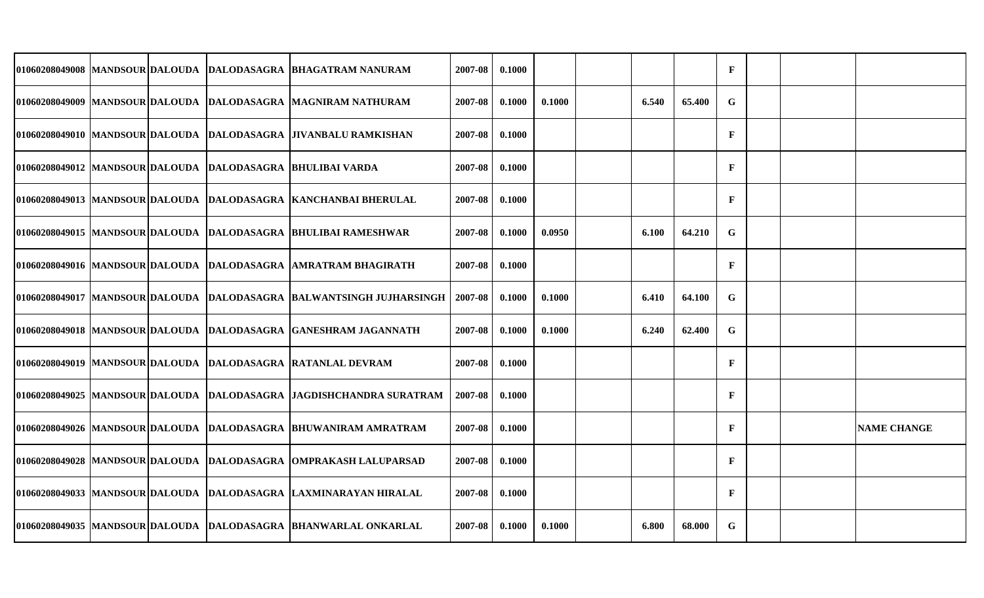|  |  | 01060208049008 MANDSOUR DALOUDA DALODASAGRA BHAGATRAM NANURAM        | 2007-08 | 0.1000 |        |       |        | $\mathbf F$  |  |                    |
|--|--|----------------------------------------------------------------------|---------|--------|--------|-------|--------|--------------|--|--------------------|
|  |  | 01060208049009 MANDSOUR DALOUDA DALODASAGRA MAGNIRAM NATHURAM        | 2007-08 | 0.1000 | 0.1000 | 6.540 | 65.400 | G            |  |                    |
|  |  | 01060208049010 MANDSOUR DALOUDA DALODASAGRA JIVANBALU RAMKISHAN      | 2007-08 | 0.1000 |        |       |        | $\mathbf F$  |  |                    |
|  |  | 01060208049012  MANDSOUR DALOUDA  DALODASAGRA  BHULIBAI VARDA        | 2007-08 | 0.1000 |        |       |        | $\mathbf{F}$ |  |                    |
|  |  | 01060208049013 MANDSOUR DALOUDA DALODASAGRA KANCHANBAI BHERULAL      | 2007-08 | 0.1000 |        |       |        | $\mathbf{F}$ |  |                    |
|  |  | 01060208049015 MANDSOUR DALOUDA DALODASAGRA BHULIBAI RAMESHWAR       | 2007-08 | 0.1000 | 0.0950 | 6.100 | 64.210 | $\mathbf G$  |  |                    |
|  |  | 01060208049016 MANDSOUR DALOUDA DALODASAGRA AMRATRAM BHAGIRATH       | 2007-08 | 0.1000 |        |       |        | $\mathbf{F}$ |  |                    |
|  |  | 01060208049017 MANDSOUR DALOUDA DALODASAGRA BALWANTSINGH JUJHARSINGH | 2007-08 | 0.1000 | 0.1000 | 6.410 | 64.100 | $\mathbf G$  |  |                    |
|  |  | 01060208049018 MANDSOUR DALOUDA DALODASAGRA GANESHRAM JAGANNATH      | 2007-08 | 0.1000 | 0.1000 | 6.240 | 62.400 | G            |  |                    |
|  |  | 01060208049019 MANDSOUR DALOUDA DALODASAGRA RATANLAL DEVRAM          | 2007-08 | 0.1000 |        |       |        | $\mathbf{F}$ |  |                    |
|  |  | 01060208049025 MANDSOUR DALOUDA DALODASAGRA JAGDISHCHANDRA SURATRAM  | 2007-08 | 0.1000 |        |       |        | $\mathbf{F}$ |  |                    |
|  |  | 01060208049026 MANDSOUR DALOUDA DALODASAGRA BHUWANIRAM AMRATRAM      | 2007-08 | 0.1000 |        |       |        | $\mathbf{F}$ |  | <b>NAME CHANGE</b> |
|  |  | 01060208049028 MANDSOUR DALOUDA DALODASAGRA OMPRAKASH LALUPARSAD     | 2007-08 | 0.1000 |        |       |        | $\mathbf{F}$ |  |                    |
|  |  | 01060208049033 MANDSOUR DALOUDA DALODASAGRA LAXMINARAYAN HIRALAL     | 2007-08 | 0.1000 |        |       |        | $\mathbf{F}$ |  |                    |
|  |  | 01060208049035 MANDSOUR DALOUDA DALODASAGRA BHANWARLAL ONKARLAL      | 2007-08 | 0.1000 | 0.1000 | 6.800 | 68.000 | G            |  |                    |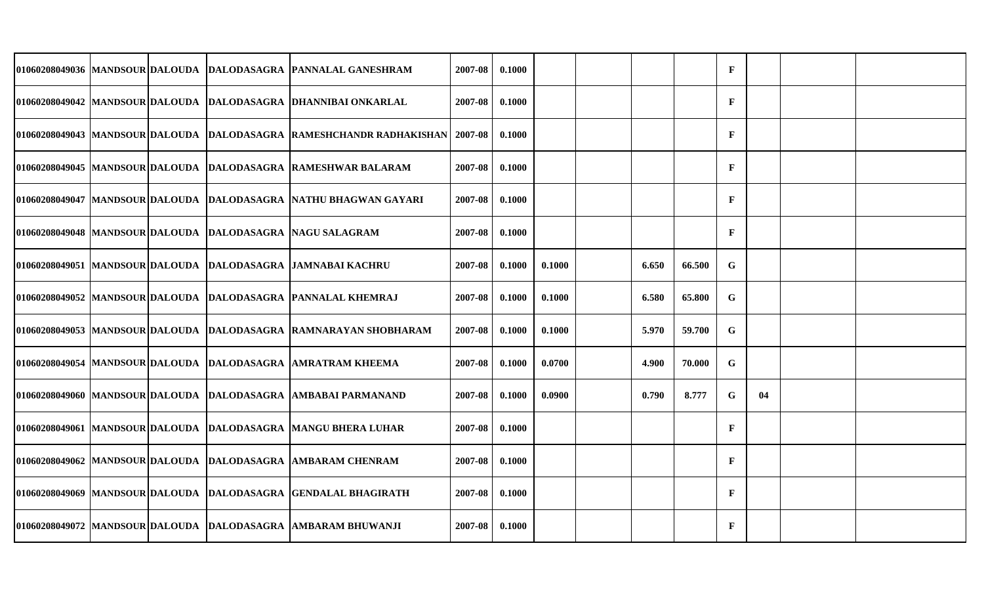|  |  | 01060208049036 MANDSOUR DALOUDA DALODASAGRA PANNALAL GANESHRAM       | 2007-08 | 0.1000 |        |       |        | $\mathbf{F}$ |    |  |
|--|--|----------------------------------------------------------------------|---------|--------|--------|-------|--------|--------------|----|--|
|  |  | 01060208049042  MANDSOUR DALOUDA  DALODASAGRA  DHANNIBAI ONKARLAL    | 2007-08 | 0.1000 |        |       |        | $\mathbf{F}$ |    |  |
|  |  | 01060208049043 MANDSOUR DALOUDA DALODASAGRA RAMESHCHANDR RADHAKISHAN | 2007-08 | 0.1000 |        |       |        | $\mathbf{F}$ |    |  |
|  |  | 01060208049045 MANDSOUR DALOUDA DALODASAGRA RAMESHWAR BALARAM        | 2007-08 | 0.1000 |        |       |        | $\mathbf{F}$ |    |  |
|  |  | 01060208049047 MANDSOUR DALOUDA DALODASAGRA NATHU BHAGWAN GAYARI     | 2007-08 | 0.1000 |        |       |        | $\mathbf{F}$ |    |  |
|  |  | 01060208049048 MANDSOUR DALOUDA DALODASAGRA NAGU SALAGRAM            | 2007-08 | 0.1000 |        |       |        | $\mathbf{F}$ |    |  |
|  |  | 01060208049051 MANDSOUR DALOUDA DALODASAGRA JAMNABAI KACHRU          | 2007-08 | 0.1000 | 0.1000 | 6.650 | 66.500 | G            |    |  |
|  |  | 01060208049052 MANDSOUR DALOUDA DALODASAGRA PANNALAL KHEMRAJ         | 2007-08 | 0.1000 | 0.1000 | 6.580 | 65.800 | G            |    |  |
|  |  | 01060208049053 MANDSOUR DALOUDA DALODASAGRA RAMNARAYAN SHOBHARAM     | 2007-08 | 0.1000 | 0.1000 | 5.970 | 59.700 | G            |    |  |
|  |  | 01060208049054 MANDSOUR DALOUDA DALODASAGRA AMRATRAM KHEEMA          | 2007-08 | 0.1000 | 0.0700 | 4.900 | 70.000 | G            |    |  |
|  |  | 01060208049060  MANDSOUR DALOUDA  DALODASAGRA  AMBABAI PARMANAND     | 2007-08 | 0.1000 | 0.0900 | 0.790 | 8.777  | G            | 04 |  |
|  |  | 01060208049061  MANDSOUR DALOUDA  DALODASAGRA  MANGU BHERA LUHAR     | 2007-08 | 0.1000 |        |       |        | $\mathbf{F}$ |    |  |
|  |  | 01060208049062 MANDSOUR DALOUDA DALODASAGRA AMBARAM CHENRAM          | 2007-08 | 0.1000 |        |       |        | $\mathbf{F}$ |    |  |
|  |  | 01060208049069 MANDSOUR DALOUDA DALODASAGRA GENDALAL BHAGIRATH       | 2007-08 | 0.1000 |        |       |        | $\mathbf{F}$ |    |  |
|  |  | 01060208049072 MANDSOUR DALOUDA DALODASAGRA AMBARAM BHUWANJI         | 2007-08 | 0.1000 |        |       |        | $\mathbf F$  |    |  |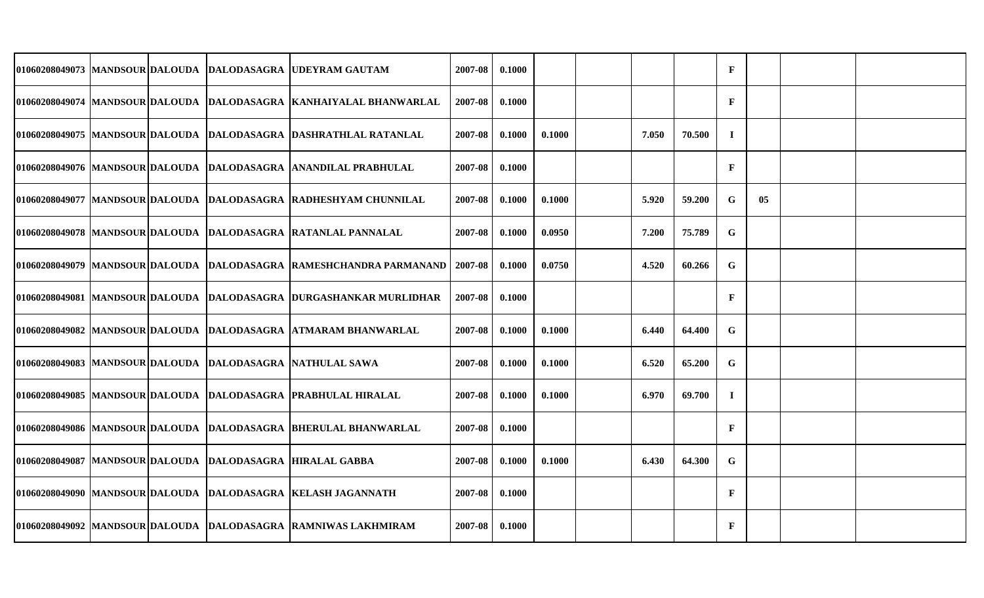|  |  | 01060208049073 MANDSOUR DALOUDA DALODASAGRA UDEYRAM GAUTAM          | 2007-08 | 0.1000 |        |       |        | $\mathbf F$  |    |  |
|--|--|---------------------------------------------------------------------|---------|--------|--------|-------|--------|--------------|----|--|
|  |  | 01060208049074 MANDSOUR DALOUDA DALODASAGRA KANHAIYALAL BHANWARLAL  | 2007-08 | 0.1000 |        |       |        | $\mathbf{F}$ |    |  |
|  |  | 01060208049075 MANDSOUR DALOUDA DALODASAGRA DASHRATHLAL RATANLAL    | 2007-08 | 0.1000 | 0.1000 | 7.050 | 70.500 | $\bf{I}$     |    |  |
|  |  | 01060208049076 MANDSOUR DALOUDA DALODASAGRA ANANDILAL PRABHULAL     | 2007-08 | 0.1000 |        |       |        | $\mathbf{F}$ |    |  |
|  |  | 01060208049077 MANDSOUR DALOUDA DALODASAGRA RADHESHYAM CHUNNILAL    | 2007-08 | 0.1000 | 0.1000 | 5.920 | 59.200 | G            | 05 |  |
|  |  | 01060208049078 MANDSOUR DALOUDA DALODASAGRA RATANLAL PANNALAL       | 2007-08 | 0.1000 | 0.0950 | 7.200 | 75.789 | ${\bf G}$    |    |  |
|  |  | 01060208049079 MANDSOUR DALOUDA DALODASAGRA RAMESHCHANDRA PARMANAND | 2007-08 | 0.1000 | 0.0750 | 4.520 | 60.266 | ${\bf G}$    |    |  |
|  |  | 01060208049081 MANDSOUR DALOUDA DALODASAGRA DURGASHANKAR MURLIDHAR  | 2007-08 | 0.1000 |        |       |        | $\mathbf{F}$ |    |  |
|  |  | 01060208049082 MANDSOUR DALOUDA DALODASAGRA ATMARAM BHANWARLAL      | 2007-08 | 0.1000 | 0.1000 | 6.440 | 64.400 | G            |    |  |
|  |  | 01060208049083 MANDSOUR DALOUDA DALODASAGRA NATHULAL SAWA           | 2007-08 | 0.1000 | 0.1000 | 6.520 | 65.200 | $\mathbf G$  |    |  |
|  |  | 01060208049085 MANDSOUR DALOUDA DALODASAGRA PRABHULAL HIRALAL       | 2007-08 | 0.1000 | 0.1000 | 6.970 | 69.700 | $\bf{I}$     |    |  |
|  |  | 01060208049086 MANDSOUR DALOUDA DALODASAGRA BHERULAL BHANWARLAL     | 2007-08 | 0.1000 |        |       |        | F            |    |  |
|  |  | 01060208049087  MANDSOUR DALOUDA  DALODASAGRA  HIRALAL GABBA        | 2007-08 | 0.1000 | 0.1000 | 6.430 | 64.300 | G            |    |  |
|  |  | 01060208049090 MANDSOUR DALOUDA  DALODASAGRA  KELASH JAGANNATH      | 2007-08 | 0.1000 |        |       |        | $\mathbf F$  |    |  |
|  |  | 01060208049092 MANDSOUR DALOUDA DALODASAGRA RAMNIWAS LAKHMIRAM      | 2007-08 | 0.1000 |        |       |        | F            |    |  |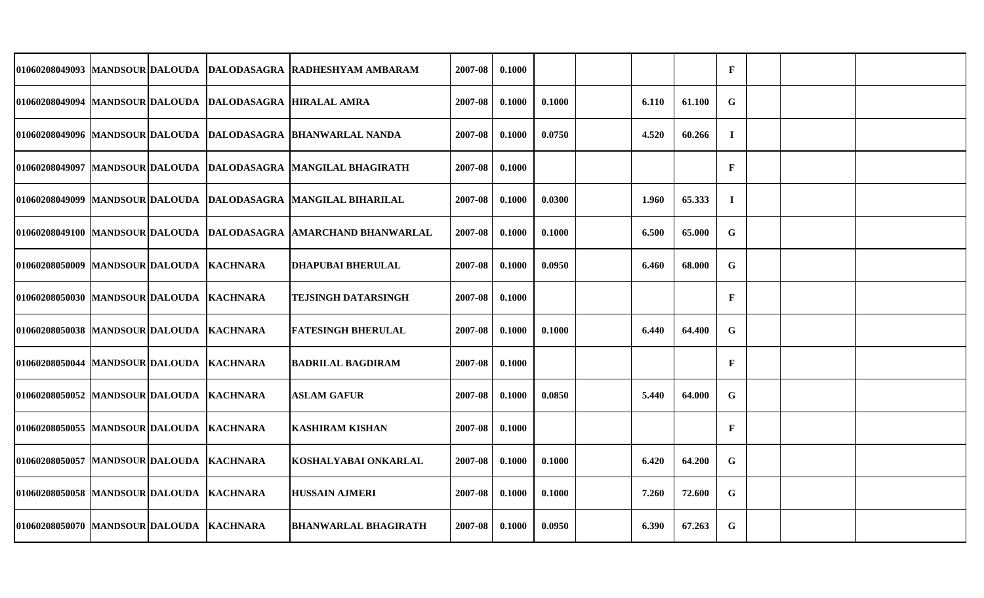|                                          |  |                                                          | 01060208049093 MANDSOUR DALOUDA DALODASAGRA RADHESHYAM AMBARAM      | 2007-08 | 0.1000 |        |       |        | $\mathbf F$  |  |  |
|------------------------------------------|--|----------------------------------------------------------|---------------------------------------------------------------------|---------|--------|--------|-------|--------|--------------|--|--|
|                                          |  | 01060208049094 MANDSOUR DALOUDA DALODASAGRA HIRALAL AMRA |                                                                     | 2007-08 | 0.1000 | 0.1000 | 6.110 | 61.100 | G            |  |  |
|                                          |  |                                                          | 01060208049096 MANDSOUR DALOUDA DALODASAGRA BHANWARLAL NANDA        | 2007-08 | 0.1000 | 0.0750 | 4.520 | 60.266 | $\bf{I}$     |  |  |
|                                          |  |                                                          | 01060208049097  MANDSOUR DALOUDA  DALODASAGRA  MANGILAL BHAGIRATH   | 2007-08 | 0.1000 |        |       |        | $\mathbf{F}$ |  |  |
|                                          |  |                                                          | 01060208049099 MANDSOUR DALOUDA DALODASAGRA MANGILAL BIHARILAL      | 2007-08 | 0.1000 | 0.0300 | 1.960 | 65.333 | $\mathbf I$  |  |  |
|                                          |  |                                                          | 01060208049100  MANDSOUR DALOUDA  DALODASAGRA  AMARCHAND BHANWARLAL | 2007-08 | 0.1000 | 0.1000 | 6.500 | 65.000 | G            |  |  |
| 01060208050009 MANDSOUR DALOUDA KACHNARA |  |                                                          | <b>DHAPUBAI BHERULAL</b>                                            | 2007-08 | 0.1000 | 0.0950 | 6.460 | 68.000 | G            |  |  |
| 01060208050030 MANDSOUR DALOUDA KACHNARA |  |                                                          | TEJSINGH DATARSINGH                                                 | 2007-08 | 0.1000 |        |       |        | $\mathbf{F}$ |  |  |
| 01060208050038 MANDSOUR DALOUDA KACHNARA |  |                                                          | <b>FATESINGH BHERULAL</b>                                           | 2007-08 | 0.1000 | 0.1000 | 6.440 | 64.400 | G            |  |  |
| 01060208050044 MANDSOUR DALOUDA KACHNARA |  |                                                          | <b>BADRILAL BAGDIRAM</b>                                            | 2007-08 | 0.1000 |        |       |        | $\mathbf{F}$ |  |  |
| 01060208050052 MANDSOUR DALOUDA KACHNARA |  |                                                          | <b>ASLAM GAFUR</b>                                                  | 2007-08 | 0.1000 | 0.0850 | 5.440 | 64.000 | G            |  |  |
| 01060208050055 MANDSOUR DALOUDA KACHNARA |  |                                                          | <b>KASHIRAM KISHAN</b>                                              | 2007-08 | 0.1000 |        |       |        | $\mathbf{F}$ |  |  |
| 01060208050057 MANDSOUR DALOUDA KACHNARA |  |                                                          | KOSHALYABAI ONKARLAL                                                | 2007-08 | 0.1000 | 0.1000 | 6.420 | 64.200 | $\mathbf G$  |  |  |
| 01060208050058 MANDSOUR DALOUDA KACHNARA |  |                                                          | <b>HUSSAIN AJMERI</b>                                               | 2007-08 | 0.1000 | 0.1000 | 7.260 | 72.600 | G            |  |  |
| 01060208050070 MANDSOUR DALOUDA KACHNARA |  |                                                          | <b>BHANWARLAL BHAGIRATH</b>                                         | 2007-08 | 0.1000 | 0.0950 | 6.390 | 67.263 | G            |  |  |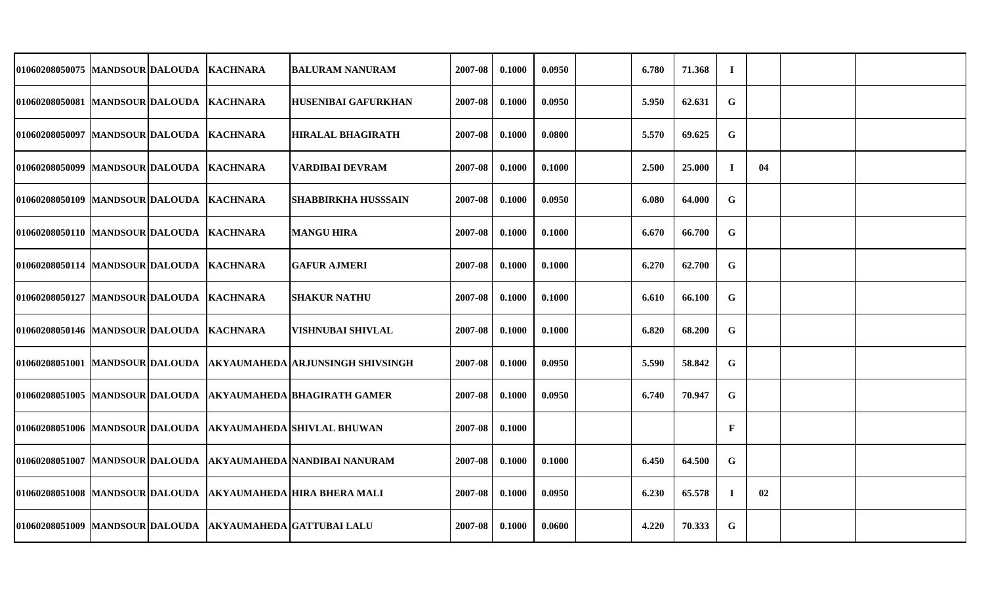| 01060208050075  MANDSOUR DALOUDA         |  | <b>KACHNARA</b>  | <b>BALURAM NANURAM</b>                                       | 2007-08 | 0.1000 | 0.0950 | 6.780 | 71.368 | $\bf{I}$    |    |  |
|------------------------------------------|--|------------------|--------------------------------------------------------------|---------|--------|--------|-------|--------|-------------|----|--|
| 01060208050081 MANDSOUR DALOUDA KACHNARA |  |                  | <b>HUSENIBAI GAFURKHAN</b>                                   | 2007-08 | 0.1000 | 0.0950 | 5.950 | 62.631 | $\mathbf G$ |    |  |
| 01060208050097 MANDSOUR DALOUDA          |  | <b>KACHNARA</b>  | <b>HIRALAL BHAGIRATH</b>                                     | 2007-08 | 0.1000 | 0.0800 | 5.570 | 69.625 | $\mathbf G$ |    |  |
| 01060208050099 MANDSOUR DALOUDA KACHNARA |  |                  | <b>VARDIBAI DEVRAM</b>                                       | 2007-08 | 0.1000 | 0.1000 | 2.500 | 25.000 | $\bf{I}$    | 04 |  |
| 01060208050109 MANDSOUR DALOUDA          |  | <b>KACHNARA</b>  | <b>SHABBIRKHA HUSSSAIN</b>                                   | 2007-08 | 0.1000 | 0.0950 | 6.080 | 64.000 | $\mathbf G$ |    |  |
| 01060208050110 MANDSOUR DALOUDA KACHNARA |  |                  | <b>MANGU HIRA</b>                                            | 2007-08 | 0.1000 | 0.1000 | 6.670 | 66.700 | G           |    |  |
| 01060208050114 MANDSOUR DALOUDA          |  | <b>KACHNARA</b>  | <b>GAFUR AJMERI</b>                                          | 2007-08 | 0.1000 | 0.1000 | 6.270 | 62.700 | $\mathbf G$ |    |  |
| 01060208050127 MANDSOUR DALOUDA KACHNARA |  |                  | <b>SHAKUR NATHU</b>                                          | 2007-08 | 0.1000 | 0.1000 | 6.610 | 66.100 | G           |    |  |
| 01060208050146 MANDSOUR DALOUDA          |  | <b>IKACHNARA</b> | VISHNUBAI SHIVLAL                                            | 2007-08 | 0.1000 | 0.1000 | 6.820 | 68.200 | G           |    |  |
| 01060208051001  MANDSOUR DALOUDA         |  |                  | <b>AKYAUMAHEDA ARJUNSINGH SHIVSINGH</b>                      | 2007-08 | 0.1000 | 0.0950 | 5.590 | 58.842 | $\mathbf G$ |    |  |
| 01060208051005 MANDSOUR DALOUDA          |  |                  | <b>AKYAUMAHEDA BHAGIRATH GAMER</b>                           | 2007-08 | 0.1000 | 0.0950 | 6.740 | 70.947 | $\mathbf G$ |    |  |
| 01060208051006  MANDSOUR DALOUDA         |  |                  | <b>AKYAUMAHEDA SHIVLAL BHUWAN</b>                            | 2007-08 | 0.1000 |        |       |        | $\mathbf F$ |    |  |
| 01060208051007 MANDSOUR DALOUDA          |  |                  | AKYAUMAHEDA NANDIBAI NANURAM                                 | 2007-08 | 0.1000 | 0.1000 | 6.450 | 64.500 | G           |    |  |
|                                          |  |                  | 01060208051008 MANDSOUR DALOUDA  AKYAUMAHEDA HIRA BHERA MALI | 2007-08 | 0.1000 | 0.0950 | 6.230 | 65.578 | $\bf{I}$    | 02 |  |
|                                          |  |                  | 01060208051009 MANDSOUR DALOUDA AKYAUMAHEDA GATTUBAI LALU    | 2007-08 | 0.1000 | 0.0600 | 4.220 | 70.333 | G           |    |  |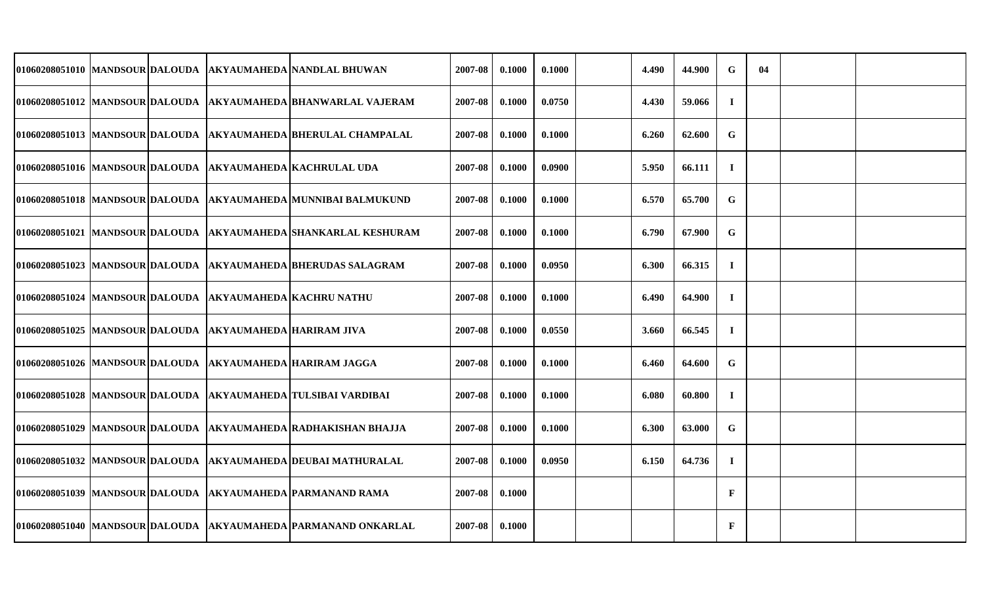|                                 |  |                                                           | 01060208051010  MANDSOUR DALOUDA  AKYAUMAHEDA NANDLAL BHUWAN       | 2007-08 | 0.1000 | 0.1000 | 4.490 | 44.900 | $\mathbf G$  | 04 |  |
|---------------------------------|--|-----------------------------------------------------------|--------------------------------------------------------------------|---------|--------|--------|-------|--------|--------------|----|--|
|                                 |  |                                                           | 01060208051012  MANDSOUR DALOUDA  AKYAUMAHEDA BHANWARLAL VAJERAM   | 2007-08 | 0.1000 | 0.0750 | 4.430 | 59.066 | $\mathbf I$  |    |  |
| 01060208051013 MANDSOUR DALOUDA |  |                                                           | <b>AKYAUMAHEDA BHERULAL CHAMPALAL</b>                              | 2007-08 | 0.1000 | 0.1000 | 6.260 | 62.600 | G            |    |  |
|                                 |  |                                                           | 01060208051016  MANDSOUR DALOUDA  AKYAUMAHEDA  KACHRULAL UDA       | 2007-08 | 0.1000 | 0.0900 | 5.950 | 66.111 | $\mathbf I$  |    |  |
| 01060208051018 MANDSOUR DALOUDA |  |                                                           | AKYAUMAHEDA MUNNIBAI BALMUKUND                                     | 2007-08 | 0.1000 | 0.1000 | 6.570 | 65.700 | G            |    |  |
|                                 |  |                                                           | 01060208051021  MANDSOUR DALOUDA  AKYAUMAHEDA  SHANKARLAL KESHURAM | 2007-08 | 0.1000 | 0.1000 | 6.790 | 67.900 | G            |    |  |
| 01060208051023 MANDSOUR DALOUDA |  |                                                           | <b>AKYAUMAHEDA BHERUDAS SALAGRAM</b>                               | 2007-08 | 0.1000 | 0.0950 | 6.300 | 66.315 | $\bf{I}$     |    |  |
|                                 |  |                                                           | 01060208051024 MANDSOUR DALOUDA AKYAUMAHEDA KACHRU NATHU           | 2007-08 | 0.1000 | 0.1000 | 6.490 | 64.900 | $\bf{I}$     |    |  |
|                                 |  | 01060208051025 MANDSOUR DALOUDA  AKYAUMAHEDA HARIRAM JIVA |                                                                    | 2007-08 | 0.1000 | 0.0550 | 3.660 | 66.545 | $\bf{I}$     |    |  |
|                                 |  |                                                           | 01060208051026  MANDSOUR DALOUDA  AKYAUMAHEDA HARIRAM JAGGA        | 2007-08 | 0.1000 | 0.1000 | 6.460 | 64.600 | $\mathbf G$  |    |  |
|                                 |  |                                                           | 01060208051028 MANDSOUR DALOUDA AKYAUMAHEDA TULSIBAI VARDIBAI      | 2007-08 | 0.1000 | 0.1000 | 6.080 | 60.800 | $\bf{I}$     |    |  |
|                                 |  |                                                           | 01060208051029  MANDSOUR DALOUDA  AKYAUMAHEDA RADHAKISHAN BHAJJA   | 2007-08 | 0.1000 | 0.1000 | 6.300 | 63.000 | $\mathbf G$  |    |  |
|                                 |  |                                                           | 01060208051032 MANDSOUR DALOUDA  AKYAUMAHEDA DEUBAI MATHURALAL     | 2007-08 | 0.1000 | 0.0950 | 6.150 | 64.736 | $\bf{I}$     |    |  |
|                                 |  |                                                           | 01060208051039 MANDSOUR DALOUDA AKYAUMAHEDA PARMANAND RAMA         | 2007-08 | 0.1000 |        |       |        | F            |    |  |
|                                 |  |                                                           | 01060208051040 MANDSOUR DALOUDA AKYAUMAHEDA PARMANAND ONKARLAL     | 2007-08 | 0.1000 |        |       |        | $\mathbf{F}$ |    |  |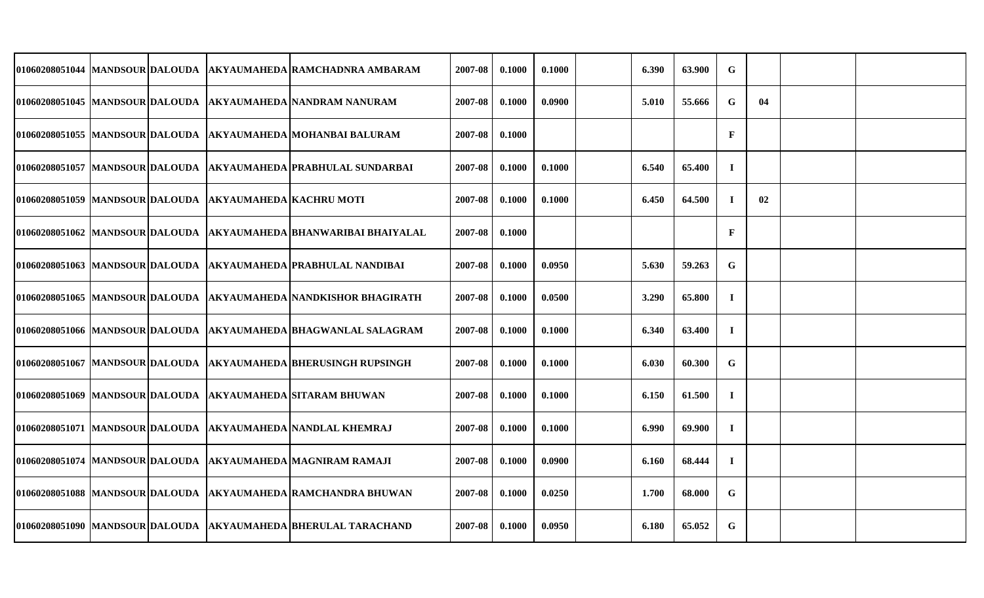|  |                                                         | 01060208051044 MANDSOUR DALOUDA AKYAUMAHEDA RAMCHADNRA AMBARAM      | 2007-08 | 0.1000 | 0.1000 | 6.390 | 63.900 | G            |    |  |
|--|---------------------------------------------------------|---------------------------------------------------------------------|---------|--------|--------|-------|--------|--------------|----|--|
|  |                                                         | 01060208051045 MANDSOUR DALOUDA AKYAUMAHEDA NANDRAM NANURAM         | 2007-08 | 0.1000 | 0.0900 | 5.010 | 55.666 | G            | 04 |  |
|  |                                                         | 01060208051055 MANDSOUR DALOUDA AKYAUMAHEDA MOHANBAI BALURAM        | 2007-08 | 0.1000 |        |       |        | $\mathbf{F}$ |    |  |
|  |                                                         | 01060208051057 MANDSOUR DALOUDA   AKYAUMAHEDA PRABHULAL SUNDARBAI   | 2007-08 | 0.1000 | 0.1000 | 6.540 | 65.400 | $\bf{I}$     |    |  |
|  | 01060208051059 MANDSOUR DALOUDA AKYAUMAHEDA KACHRU MOTI |                                                                     | 2007-08 | 0.1000 | 0.1000 | 6.450 | 64.500 | $\mathbf{I}$ | 02 |  |
|  |                                                         | 01060208051062  MANDSOUR DALOUDA  AKYAUMAHEDA BHANWARIBAI BHAIYALAL | 2007-08 | 0.1000 |        |       |        | $\mathbf{F}$ |    |  |
|  |                                                         | 01060208051063 MANDSOUR DALOUDA  AKYAUMAHEDA PRABHULAL NANDIBAI     | 2007-08 | 0.1000 | 0.0950 | 5.630 | 59.263 | $\mathbf G$  |    |  |
|  |                                                         | 01060208051065 MANDSOUR DALOUDA  AKYAUMAHEDA NANDKISHOR BHAGIRATH   | 2007-08 | 0.1000 | 0.0500 | 3.290 | 65.800 | $\mathbf I$  |    |  |
|  |                                                         | 01060208051066 MANDSOUR DALOUDA  AKYAUMAHEDA BHAGWANLAL SALAGRAM    | 2007-08 | 0.1000 | 0.1000 | 6.340 | 63.400 | $\bf{I}$     |    |  |
|  |                                                         | 01060208051067 MANDSOUR DALOUDA  AKYAUMAHEDA BHERUSINGH RUPSINGH    | 2007-08 | 0.1000 | 0.1000 | 6.030 | 60.300 | G            |    |  |
|  |                                                         | 01060208051069 MANDSOUR DALOUDA  AKYAUMAHEDA SITARAM BHUWAN         | 2007-08 | 0.1000 | 0.1000 | 6.150 | 61.500 | $\bf{I}$     |    |  |
|  |                                                         | 01060208051071 MANDSOUR DALOUDA AKYAUMAHEDA NANDLAL KHEMRAJ         | 2007-08 | 0.1000 | 0.1000 | 6.990 | 69.900 | $\mathbf{I}$ |    |  |
|  |                                                         | 01060208051074 MANDSOUR DALOUDA AKYAUMAHEDA MAGNIRAM RAMAJI         | 2007-08 | 0.1000 | 0.0900 | 6.160 | 68.444 | $\mathbf{I}$ |    |  |
|  |                                                         | 01060208051088 MANDSOUR DALOUDA  AKYAUMAHEDA RAMCHANDRA BHUWAN      | 2007-08 | 0.1000 | 0.0250 | 1.700 | 68.000 | G            |    |  |
|  |                                                         | 01060208051090 MANDSOUR DALOUDA AKYAUMAHEDA BHERULAL TARACHAND      | 2007-08 | 0.1000 | 0.0950 | 6.180 | 65.052 | G            |    |  |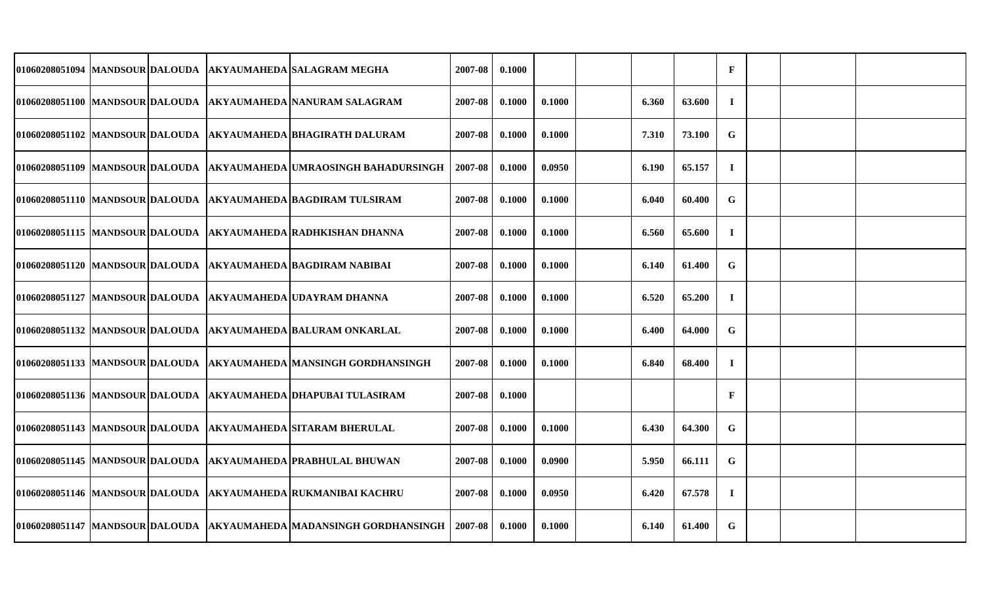|  |  | 01060208051094  MANDSOUR DALOUDA  AKYAUMAHEDA SALAGRAM MEGHA         | 2007-08 | 0.1000 |        |       |        | $\mathbf F$  |  |  |
|--|--|----------------------------------------------------------------------|---------|--------|--------|-------|--------|--------------|--|--|
|  |  | 01060208051100 MANDSOUR DALOUDA  AKYAUMAHEDA NANURAM SALAGRAM        | 2007-08 | 0.1000 | 0.1000 | 6.360 | 63.600 | $\mathbf I$  |  |  |
|  |  | 01060208051102 MANDSOUR DALOUDA  AKYAUMAHEDA  BHAGIRATH DALURAM      | 2007-08 | 0.1000 | 0.1000 | 7.310 | 73.100 | G            |  |  |
|  |  | 01060208051109 MANDSOUR DALOUDA  AKYAUMAHEDA UMRAOSINGH BAHADURSINGH | 2007-08 | 0.1000 | 0.0950 | 6.190 | 65.157 | $\mathbf I$  |  |  |
|  |  | 01060208051110 MANDSOUR DALOUDA AKYAUMAHEDA BAGDIRAM TULSIRAM        | 2007-08 | 0.1000 | 0.1000 | 6.040 | 60.400 | G            |  |  |
|  |  | 01060208051115 MANDSOUR DALOUDA  AKYAUMAHEDA RADHKISHAN DHANNA       | 2007-08 | 0.1000 | 0.1000 | 6.560 | 65.600 | $\bf{I}$     |  |  |
|  |  | 01060208051120 MANDSOUR DALOUDA AKYAUMAHEDA BAGDIRAM NABIBAI         | 2007-08 | 0.1000 | 0.1000 | 6.140 | 61.400 | G            |  |  |
|  |  | 01060208051127 MANDSOUR DALOUDA AKYAUMAHEDA UDAYRAM DHANNA           | 2007-08 | 0.1000 | 0.1000 | 6.520 | 65.200 | $\mathbf I$  |  |  |
|  |  | 01060208051132 MANDSOUR DALOUDA AKYAUMAHEDA BALURAM ONKARLAL         | 2007-08 | 0.1000 | 0.1000 | 6.400 | 64.000 | $\mathbf G$  |  |  |
|  |  | 01060208051133 MANDSOUR DALOUDA AKYAUMAHEDA MANSINGH GORDHANSINGH    | 2007-08 | 0.1000 | 0.1000 | 6.840 | 68.400 | $\mathbf I$  |  |  |
|  |  | 01060208051136 MANDSOUR DALOUDA  AKYAUMAHEDA DHAPUBAI TULASIRAM      | 2007-08 | 0.1000 |        |       |        | F            |  |  |
|  |  | 01060208051143 MANDSOUR DALOUDA  AKYAUMAHEDA SITARAM BHERULAL        | 2007-08 | 0.1000 | 0.1000 | 6.430 | 64.300 | G            |  |  |
|  |  | 01060208051145 MANDSOUR DALOUDA AKYAUMAHEDA PRABHULAL BHUWAN         | 2007-08 | 0.1000 | 0.0900 | 5.950 | 66.111 | $\mathbf G$  |  |  |
|  |  | 01060208051146 MANDSOUR DALOUDA  AKYAUMAHEDA RUKMANIBAI KACHRU       | 2007-08 | 0.1000 | 0.0950 | 6.420 | 67.578 | $\mathbf{I}$ |  |  |
|  |  | 01060208051147 MANDSOUR DALOUDA  AKYAUMAHEDA MADANSINGH GORDHANSINGH | 2007-08 | 0.1000 | 0.1000 | 6.140 | 61.400 | G            |  |  |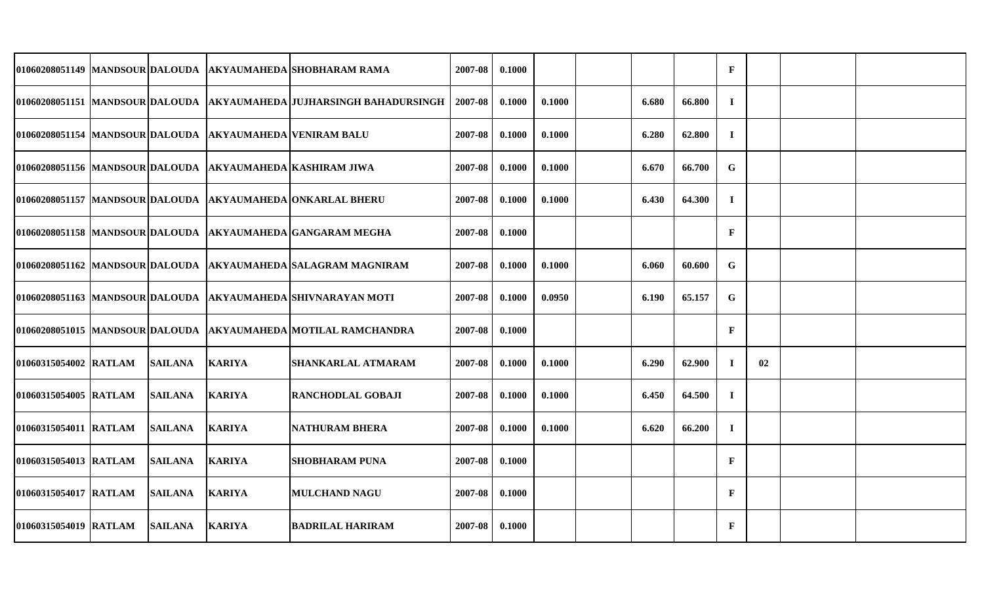|                       |                |                                                            | 01060208051149 MANDSOUR DALOUDA AKYAUMAHEDA SHOBHARAM RAMA            | 2007-08 | 0.1000 |        |       |        | $\mathbf F$  |    |  |
|-----------------------|----------------|------------------------------------------------------------|-----------------------------------------------------------------------|---------|--------|--------|-------|--------|--------------|----|--|
|                       |                |                                                            | 01060208051151 MANDSOUR DALOUDA  AKYAUMAHEDA JUJHARSINGH BAHADURSINGH | 2007-08 | 0.1000 | 0.1000 | 6.680 | 66.800 | $\mathbf I$  |    |  |
|                       |                | 01060208051154  MANDSOUR DALOUDA  AKYAUMAHEDA VENIRAM BALU |                                                                       | 2007-08 | 0.1000 | 0.1000 | 6.280 | 62.800 | $\mathbf I$  |    |  |
|                       |                |                                                            | 01060208051156  MANDSOUR DALOUDA  AKYAUMAHEDA KASHIRAM JIWA           | 2007-08 | 0.1000 | 0.1000 | 6.670 | 66.700 | G            |    |  |
|                       |                |                                                            | 01060208051157  MANDSOUR DALOUDA  AKYAUMAHEDA ONKARLAL BHERU          | 2007-08 | 0.1000 | 0.1000 | 6.430 | 64.300 | $\mathbf I$  |    |  |
|                       |                |                                                            | 01060208051158 MANDSOUR DALOUDA AKYAUMAHEDA GANGARAM MEGHA            | 2007-08 | 0.1000 |        |       |        | $\mathbf{F}$ |    |  |
|                       |                |                                                            | 01060208051162 MANDSOUR DALOUDA AKYAUMAHEDA SALAGRAM MAGNIRAM         | 2007-08 | 0.1000 | 0.1000 | 6.060 | 60.600 | G            |    |  |
|                       |                |                                                            | 01060208051163 MANDSOUR DALOUDA  AKYAUMAHEDA SHIVNARAYAN MOTI         | 2007-08 | 0.1000 | 0.0950 | 6.190 | 65.157 | G            |    |  |
|                       |                |                                                            | 01060208051015 MANDSOUR DALOUDA  AKYAUMAHEDA MOTILAL RAMCHANDRA       | 2007-08 | 0.1000 |        |       |        | $\mathbf{F}$ |    |  |
| 01060315054002 RATLAM | <b>SAILANA</b> | <b>KARIYA</b>                                              | SHANKARLAL ATMARAM                                                    | 2007-08 | 0.1000 | 0.1000 | 6.290 | 62.900 | $\mathbf I$  | 02 |  |
| 01060315054005 RATLAM | <b>SAILANA</b> | <b>KARIYA</b>                                              | <b>RANCHODLAL GOBAJI</b>                                              | 2007-08 | 0.1000 | 0.1000 | 6.450 | 64.500 | $\bf{I}$     |    |  |
| 01060315054011 RATLAM | <b>SAILANA</b> | <b>KARIYA</b>                                              | <b>NATHURAM BHERA</b>                                                 | 2007-08 | 0.1000 | 0.1000 | 6.620 | 66.200 | $\mathbf I$  |    |  |
| 01060315054013 RATLAM | <b>SAILANA</b> | <b>KARIYA</b>                                              | <b>SHOBHARAM PUNA</b>                                                 | 2007-08 | 0.1000 |        |       |        | $\mathbf{F}$ |    |  |
| 01060315054017 RATLAM | <b>SAILANA</b> | <b>KARIYA</b>                                              | <b>MULCHAND NAGU</b>                                                  | 2007-08 | 0.1000 |        |       |        | $\mathbf{F}$ |    |  |
| 01060315054019 RATLAM | <b>SAILANA</b> | <b>KARIYA</b>                                              | <b>BADRILAL HARIRAM</b>                                               | 2007-08 | 0.1000 |        |       |        | $\mathbf{F}$ |    |  |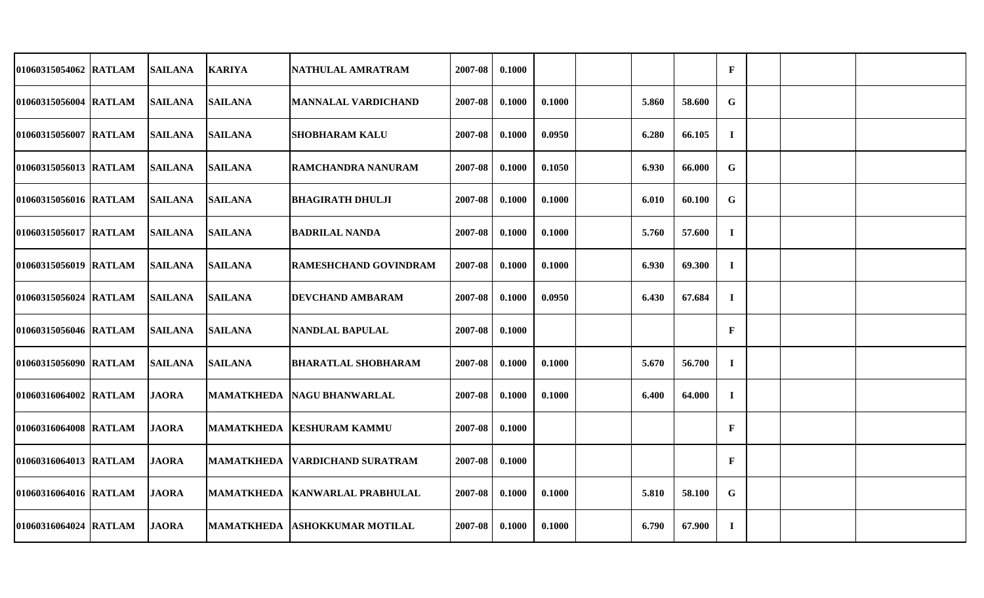| 01060315054062 RATLAM | <b>SAILANA</b> | <b>KARIYA</b>     | NATHULAL AMRATRAM                | 2007-08 | 0.1000 |        |       |        | $\mathbf{F}$ |  |  |
|-----------------------|----------------|-------------------|----------------------------------|---------|--------|--------|-------|--------|--------------|--|--|
| 01060315056004 RATLAM | <b>SAILANA</b> | <b>SAILANA</b>    | <b>MANNALAL VARDICHAND</b>       | 2007-08 | 0.1000 | 0.1000 | 5.860 | 58.600 | G            |  |  |
| 01060315056007 RATLAM | <b>SAILANA</b> | <b>SAILANA</b>    | <b>SHOBHARAM KALU</b>            | 2007-08 | 0.1000 | 0.0950 | 6.280 | 66.105 | $\bf{I}$     |  |  |
| 01060315056013 RATLAM | <b>SAILANA</b> | <b>SAILANA</b>    | RAMCHANDRA NANURAM               | 2007-08 | 0.1000 | 0.1050 | 6.930 | 66.000 | $\mathbf G$  |  |  |
| 01060315056016 RATLAM | <b>SAILANA</b> | <b>SAILANA</b>    | <b>BHAGIRATH DHULJI</b>          | 2007-08 | 0.1000 | 0.1000 | 6.010 | 60.100 | G            |  |  |
| 01060315056017 RATLAM | <b>SAILANA</b> | <b>SAILANA</b>    | <b>BADRILAL NANDA</b>            | 2007-08 | 0.1000 | 0.1000 | 5.760 | 57.600 | $\bf{I}$     |  |  |
| 01060315056019 RATLAM | <b>SAILANA</b> | <b>SAILANA</b>    | <b>RAMESHCHAND GOVINDRAM</b>     | 2007-08 | 0.1000 | 0.1000 | 6.930 | 69.300 | $\bf{I}$     |  |  |
| 01060315056024 RATLAM | <b>SAILANA</b> | <b>SAILANA</b>    | <b>DEVCHAND AMBARAM</b>          | 2007-08 | 0.1000 | 0.0950 | 6.430 | 67.684 | $\mathbf I$  |  |  |
| 01060315056046 RATLAM | <b>SAILANA</b> | <b>SAILANA</b>    | <b>NANDLAL BAPULAL</b>           | 2007-08 | 0.1000 |        |       |        | $\mathbf{F}$ |  |  |
| 01060315056090 RATLAM | <b>SAILANA</b> | <b>SAILANA</b>    | <b>BHARATLAL SHOBHARAM</b>       | 2007-08 | 0.1000 | 0.1000 | 5.670 | 56.700 | $\bf{I}$     |  |  |
| 01060316064002 RATLAM | <b>JAORA</b>   | <b>MAMATKHEDA</b> | <b>INAGU BHANWARLAL</b>          | 2007-08 | 0.1000 | 0.1000 | 6.400 | 64.000 | $\bf{I}$     |  |  |
| 01060316064008 RATLAM | <b>JAORA</b>   | <b>MAMATKHEDA</b> | <b>IKESHURAM KAMMU</b>           | 2007-08 | 0.1000 |        |       |        | $\mathbf{F}$ |  |  |
| 01060316064013 RATLAM | <b>JAORA</b>   | <b>MAMATKHEDA</b> | <b>VARDICHAND SURATRAM</b>       | 2007-08 | 0.1000 |        |       |        | $\mathbf{F}$ |  |  |
| 01060316064016 RATLAM | <b>JAORA</b>   |                   | MAMATKHEDA   KANWARLAL PRABHULAL | 2007-08 | 0.1000 | 0.1000 | 5.810 | 58.100 | G            |  |  |
| 01060316064024 RATLAM | <b>JAORA</b>   |                   | MAMATKHEDA ASHOKKUMAR MOTILAL    | 2007-08 | 0.1000 | 0.1000 | 6.790 | 67.900 | $\bf{I}$     |  |  |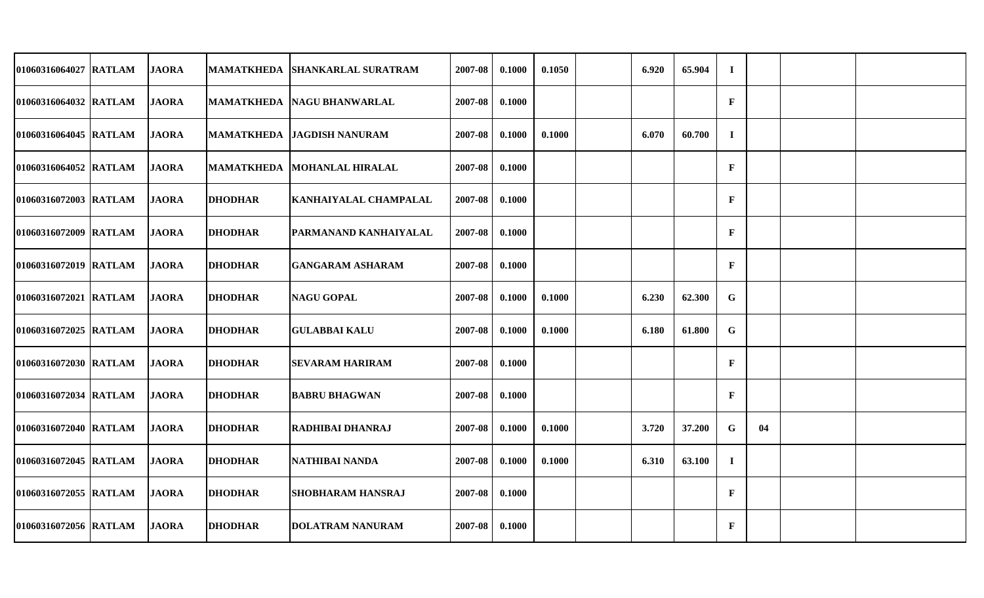| 01060316064027 RATLAM | <b>JAORA</b> | <b>MAMATKHEDA</b> | <b>SHANKARLAL SURATRAM</b>         | 2007-08 | 0.1000 | 0.1050 | 6.920 | 65.904 | $\bf{I}$     |    |  |
|-----------------------|--------------|-------------------|------------------------------------|---------|--------|--------|-------|--------|--------------|----|--|
| 01060316064032 RATLAM | <b>JAORA</b> |                   | MAMATKHEDA   NAGU BHANWARLAL       | 2007-08 | 0.1000 |        |       |        | $\mathbf{F}$ |    |  |
| 01060316064045 RATLAM | <b>JAORA</b> |                   | <b>MAMATKHEDA  JAGDISH NANURAM</b> | 2007-08 | 0.1000 | 0.1000 | 6.070 | 60.700 | $\mathbf{I}$ |    |  |
| 01060316064052 RATLAM | <b>JAORA</b> |                   | MAMATKHEDA MOHANLAL HIRALAL        | 2007-08 | 0.1000 |        |       |        | $\mathbf{F}$ |    |  |
| 01060316072003 RATLAM | <b>JAORA</b> | <b>DHODHAR</b>    | KANHAIYALAL CHAMPALAL              | 2007-08 | 0.1000 |        |       |        | $\mathbf{F}$ |    |  |
| 01060316072009 RATLAM | <b>JAORA</b> | <b>DHODHAR</b>    | <b>PARMANAND KANHAIYALAL</b>       | 2007-08 | 0.1000 |        |       |        | $\mathbf{F}$ |    |  |
| 01060316072019 RATLAM | <b>JAORA</b> | <b>DHODHAR</b>    | <b>GANGARAM ASHARAM</b>            | 2007-08 | 0.1000 |        |       |        | $\mathbf{F}$ |    |  |
| 01060316072021 RATLAM | <b>JAORA</b> | <b>DHODHAR</b>    | <b>NAGU GOPAL</b>                  | 2007-08 | 0.1000 | 0.1000 | 6.230 | 62.300 | G            |    |  |
| 01060316072025 RATLAM | <b>JAORA</b> | <b>DHODHAR</b>    | <b>GULABBAI KALU</b>               | 2007-08 | 0.1000 | 0.1000 | 6.180 | 61.800 | $\mathbf G$  |    |  |
| 01060316072030 RATLAM | <b>JAORA</b> | <b>DHODHAR</b>    | <b>SEVARAM HARIRAM</b>             | 2007-08 | 0.1000 |        |       |        | $\mathbf{F}$ |    |  |
| 01060316072034 RATLAM | <b>JAORA</b> | <b>DHODHAR</b>    | <b>BABRU BHAGWAN</b>               | 2007-08 | 0.1000 |        |       |        | $\mathbf{F}$ |    |  |
| 01060316072040 RATLAM | <b>JAORA</b> | <b>DHODHAR</b>    | <b>RADHIBAI DHANRAJ</b>            | 2007-08 | 0.1000 | 0.1000 | 3.720 | 37.200 | G            | 04 |  |
| 01060316072045 RATLAM | <b>JAORA</b> | <b>DHODHAR</b>    | NATHIBAI NANDA                     | 2007-08 | 0.1000 | 0.1000 | 6.310 | 63.100 | $\bf{I}$     |    |  |
| 01060316072055 RATLAM | <b>JAORA</b> | <b>DHODHAR</b>    | <b>SHOBHARAM HANSRAJ</b>           | 2007-08 | 0.1000 |        |       |        | $\mathbf{F}$ |    |  |
| 01060316072056 RATLAM | <b>JAORA</b> | <b>DHODHAR</b>    | <b>DOLATRAM NANURAM</b>            | 2007-08 | 0.1000 |        |       |        | $\mathbf F$  |    |  |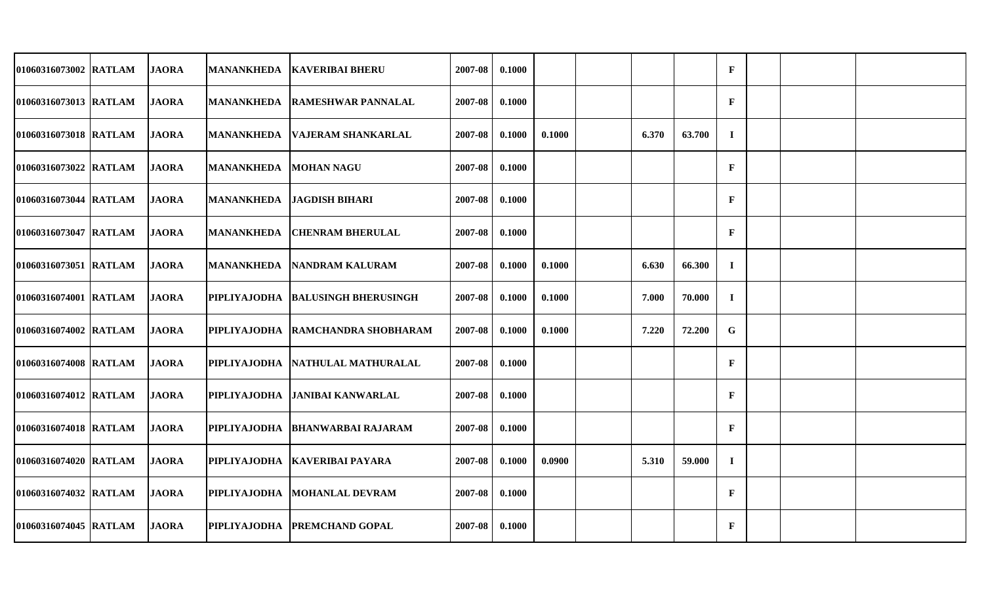| 01060316073002 RATLAM | <b>JAORA</b> | MANANKHEDA            | <b>KAVERIBAI BHERU</b>               | 2007-08 | 0.1000 |        |       |        | $\mathbf{F}$ |  |  |
|-----------------------|--------------|-----------------------|--------------------------------------|---------|--------|--------|-------|--------|--------------|--|--|
| 01060316073013 RATLAM | <b>JAORA</b> |                       | <b>MANANKHEDA RAMESHWAR PANNALAL</b> | 2007-08 | 0.1000 |        |       |        | $\mathbf{F}$ |  |  |
| 01060316073018 RATLAM | <b>JAORA</b> | <b>MANANKHEDA</b>     | <b>VAJERAM SHANKARLAL</b>            | 2007-08 | 0.1000 | 0.1000 | 6.370 | 63.700 | $\mathbf{I}$ |  |  |
| 01060316073022 RATLAM | <b>JAORA</b> | MANANKHEDA MOHAN NAGU |                                      | 2007-08 | 0.1000 |        |       |        | $\mathbf{F}$ |  |  |
| 01060316073044 RATLAM | <b>JAORA</b> |                       | MANANKHEDA   JAGDISH BIHARI          | 2007-08 | 0.1000 |        |       |        | $\mathbf{F}$ |  |  |
| 01060316073047 RATLAM | <b>JAORA</b> | MANANKHEDA            | <b>ICHENRAM BHERULAL</b>             | 2007-08 | 0.1000 |        |       |        | $\mathbf{F}$ |  |  |
| 01060316073051 RATLAM | <b>JAORA</b> | <b>MANANKHEDA</b>     | <b>NANDRAM KALURAM</b>               | 2007-08 | 0.1000 | 0.1000 | 6.630 | 66.300 | $\bf{I}$     |  |  |
| 01060316074001 RATLAM | <b>JAORA</b> |                       | PIPLIYAJODHA  BALUSINGH BHERUSINGH   | 2007-08 | 0.1000 | 0.1000 | 7.000 | 70.000 | $\bf{I}$     |  |  |
| 01060316074002 RATLAM | <b>JAORA</b> |                       | PIPLIYAJODHA RAMCHANDRA SHOBHARAM    | 2007-08 | 0.1000 | 0.1000 | 7.220 | 72.200 | G            |  |  |
| 01060316074008 RATLAM | <b>JAORA</b> |                       | PIPLIYAJODHA NATHULAL MATHURALAL     | 2007-08 | 0.1000 |        |       |        | $\mathbf{F}$ |  |  |
| 01060316074012 RATLAM | <b>JAORA</b> | PIPLIYAJODHA          | <b>JANIBAI KANWARLAL</b>             | 2007-08 | 0.1000 |        |       |        | $\mathbf{F}$ |  |  |
| 01060316074018 RATLAM | <b>JAORA</b> | PIPLIYAJODHA          | <b>BHANWARBAI RAJARAM</b>            | 2007-08 | 0.1000 |        |       |        | $\mathbf{F}$ |  |  |
| 01060316074020 RATLAM | <b>JAORA</b> |                       | PIPLIYAJODHA   KAVERIBAI PAYARA      | 2007-08 | 0.1000 | 0.0900 | 5.310 | 59.000 | $\bf{I}$     |  |  |
| 01060316074032 RATLAM | <b>JAORA</b> | PIPLIYAJODHA          | <b>MOHANLAL DEVRAM</b>               | 2007-08 | 0.1000 |        |       |        | $\mathbf{F}$ |  |  |
| 01060316074045 RATLAM | <b>JAORA</b> |                       | PIPLIYAJODHA PREMCHAND GOPAL         | 2007-08 | 0.1000 |        |       |        | $\mathbf{F}$ |  |  |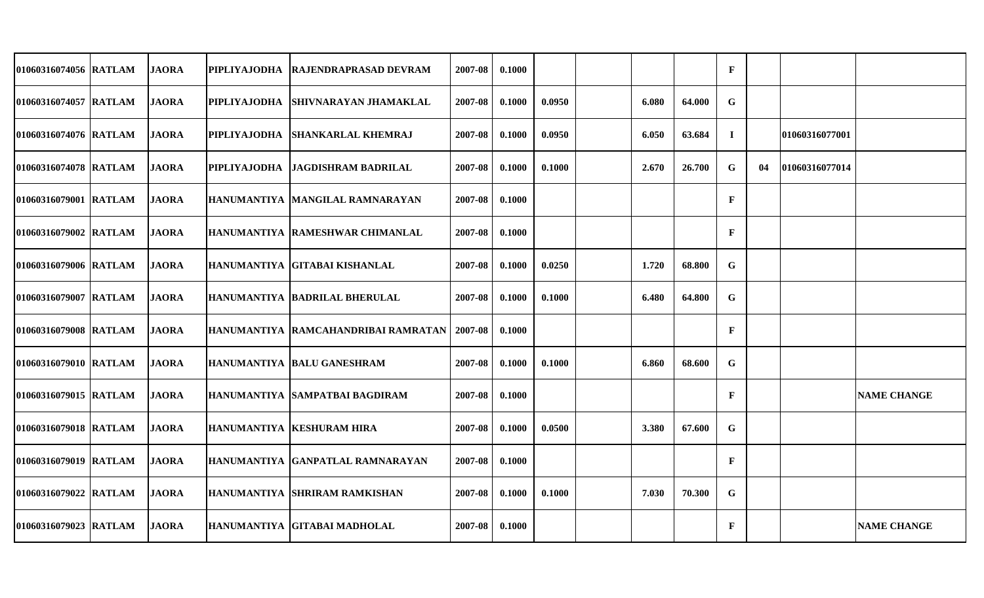| 01060316074056 RATLAM | <b>JAORA</b> | PIPLIYAJODHA        | <b>RAJENDRAPRASAD DEVRAM</b>        | 2007-08 | 0.1000 |        |       |        | $\mathbf F$  |    |                |                    |
|-----------------------|--------------|---------------------|-------------------------------------|---------|--------|--------|-------|--------|--------------|----|----------------|--------------------|
| 01060316074057 RATLAM | <b>JAORA</b> |                     | PIPLIYAJODHA SHIVNARAYAN JHAMAKLAL  | 2007-08 | 0.1000 | 0.0950 | 6.080 | 64.000 | G            |    |                |                    |
| 01060316074076 RATLAM | <b>JAORA</b> | <b>PIPLIYAJODHA</b> | <b>SHANKARLAL KHEMRAJ</b>           | 2007-08 | 0.1000 | 0.0950 | 6.050 | 63.684 | $\mathbf I$  |    | 01060316077001 |                    |
| 01060316074078 RATLAM | <b>JAORA</b> |                     | PIPLIYAJODHA  JAGDISHRAM BADRILAL   | 2007-08 | 0.1000 | 0.1000 | 2.670 | 26.700 | G            | 04 | 01060316077014 |                    |
| 01060316079001 RATLAM | <b>JAORA</b> |                     | HANUMANTIYA MANGILAL RAMNARAYAN     | 2007-08 | 0.1000 |        |       |        | $\mathbf{F}$ |    |                |                    |
| 01060316079002 RATLAM | <b>JAORA</b> |                     | HANUMANTIYA RAMESHWAR CHIMANLAL     | 2007-08 | 0.1000 |        |       |        | $\mathbf{F}$ |    |                |                    |
| 01060316079006 RATLAM | <b>JAORA</b> |                     | HANUMANTIYA GITABAI KISHANLAL       | 2007-08 | 0.1000 | 0.0250 | 1.720 | 68.800 | G            |    |                |                    |
| 01060316079007 RATLAM | <b>JAORA</b> |                     | HANUMANTIYA BADRILAL BHERULAL       | 2007-08 | 0.1000 | 0.1000 | 6.480 | 64.800 | G            |    |                |                    |
| 01060316079008 RATLAM | <b>JAORA</b> |                     | HANUMANTIYA RAMCAHANDRIBAI RAMRATAN | 2007-08 | 0.1000 |        |       |        | $\mathbf{F}$ |    |                |                    |
| 01060316079010 RATLAM | <b>JAORA</b> |                     | HANUMANTIYA BALU GANESHRAM          | 2007-08 | 0.1000 | 0.1000 | 6.860 | 68.600 | G            |    |                |                    |
| 01060316079015 RATLAM | <b>JAORA</b> |                     | HANUMANTIYA SAMPATBAI BAGDIRAM      | 2007-08 | 0.1000 |        |       |        | $\mathbf{F}$ |    |                | <b>NAME CHANGE</b> |
| 01060316079018 RATLAM | <b>JAORA</b> |                     | HANUMANTIYA   KESHURAM HIRA         | 2007-08 | 0.1000 | 0.0500 | 3.380 | 67.600 | G            |    |                |                    |
| 01060316079019 RATLAM | <b>JAORA</b> |                     | HANUMANTIYA GANPATLAL RAMNARAYAN    | 2007-08 | 0.1000 |        |       |        | $\mathbf{F}$ |    |                |                    |
| 01060316079022 RATLAM | <b>JAORA</b> |                     | HANUMANTIYA SHRIRAM RAMKISHAN       | 2007-08 | 0.1000 | 0.1000 | 7.030 | 70.300 | G            |    |                |                    |
| 01060316079023 RATLAM | <b>JAORA</b> |                     | HANUMANTIYA GITABAI MADHOLAL        | 2007-08 | 0.1000 |        |       |        | $\mathbf{F}$ |    |                | <b>NAME CHANGE</b> |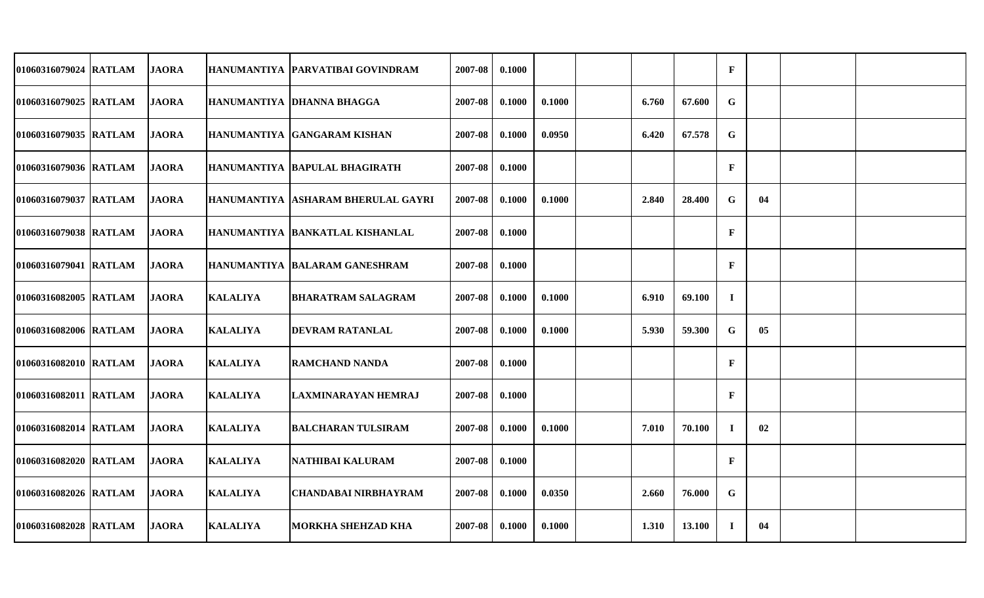| 01060316079024 RATLAM | <b>JAORA</b> |                 | HANUMANTIYA   PARVATIBAI GOVINDRAM | 2007-08 | 0.1000 |        |       |        | $\mathbf F$  |    |  |
|-----------------------|--------------|-----------------|------------------------------------|---------|--------|--------|-------|--------|--------------|----|--|
| 01060316079025 RATLAM | <b>JAORA</b> |                 | HANUMANTIYA DHANNA BHAGGA          | 2007-08 | 0.1000 | 0.1000 | 6.760 | 67.600 | G            |    |  |
| 01060316079035 RATLAM | <b>JAORA</b> |                 | HANUMANTIYA GANGARAM KISHAN        | 2007-08 | 0.1000 | 0.0950 | 6.420 | 67.578 | G            |    |  |
| 01060316079036 RATLAM | <b>JAORA</b> |                 | HANUMANTIYA  BAPULAL BHAGIRATH     | 2007-08 | 0.1000 |        |       |        | $\mathbf{F}$ |    |  |
| 01060316079037 RATLAM | <b>JAORA</b> |                 | HANUMANTIYA ASHARAM BHERULAL GAYRI | 2007-08 | 0.1000 | 0.1000 | 2.840 | 28.400 | G            | 04 |  |
| 01060316079038 RATLAM | <b>JAORA</b> |                 | HANUMANTIYA  BANKATLAL KISHANLAL   | 2007-08 | 0.1000 |        |       |        | $\mathbf{F}$ |    |  |
| 01060316079041 RATLAM | <b>JAORA</b> |                 | HANUMANTIYA BALARAM GANESHRAM      | 2007-08 | 0.1000 |        |       |        | $\mathbf F$  |    |  |
| 01060316082005 RATLAM | <b>JAORA</b> | <b>KALALIYA</b> | BHARATRAM SALAGRAM                 | 2007-08 | 0.1000 | 0.1000 | 6.910 | 69.100 | $\bf{I}$     |    |  |
| 01060316082006 RATLAM | <b>JAORA</b> | <b>KALALIYA</b> | <b>IDEVRAM RATANLAL</b>            | 2007-08 | 0.1000 | 0.1000 | 5.930 | 59.300 | G            | 05 |  |
| 01060316082010 RATLAM | <b>JAORA</b> | <b>KALALIYA</b> | <b>IRAMCHAND NANDA</b>             | 2007-08 | 0.1000 |        |       |        | $\mathbf{F}$ |    |  |
| 01060316082011 RATLAM | <b>JAORA</b> | <b>KALALIYA</b> | LAXMINARAYAN HEMRAJ                | 2007-08 | 0.1000 |        |       |        | $\mathbf{F}$ |    |  |
| 01060316082014 RATLAM | <b>JAORA</b> | <b>KALALIYA</b> | BALCHARAN TULSIRAM                 | 2007-08 | 0.1000 | 0.1000 | 7.010 | 70.100 | $\mathbf{I}$ | 02 |  |
| 01060316082020 RATLAM | <b>JAORA</b> | <b>KALALIYA</b> | NATHIBAI KALURAM                   | 2007-08 | 0.1000 |        |       |        | $\mathbf{F}$ |    |  |
| 01060316082026 RATLAM | <b>JAORA</b> | <b>KALALIYA</b> | <b>CHANDABAI NIRBHAYRAM</b>        | 2007-08 | 0.1000 | 0.0350 | 2.660 | 76.000 | G            |    |  |
| 01060316082028 RATLAM | <b>JAORA</b> | <b>KALALIYA</b> | <b>MORKHA SHEHZAD KHA</b>          | 2007-08 | 0.1000 | 0.1000 | 1.310 | 13.100 | $\bf{I}$     | 04 |  |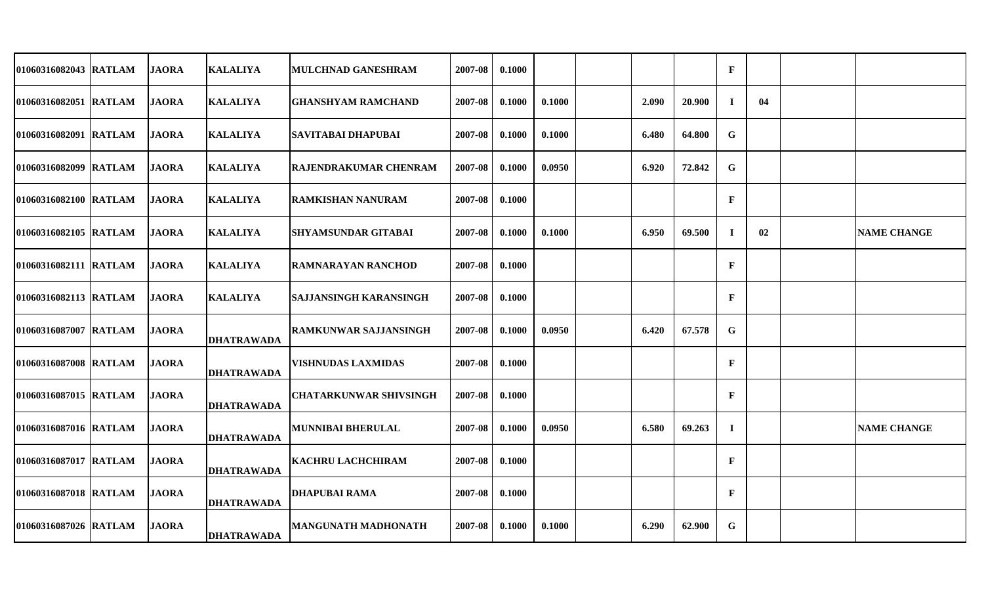| 01060316082043 RATLAM | <b>JAORA</b> | <b>KALALIYA</b>   | <b>MULCHNAD GANESHRAM</b>     | 2007-08 | 0.1000 |        |       |        | $\mathbf F$  |    |                    |
|-----------------------|--------------|-------------------|-------------------------------|---------|--------|--------|-------|--------|--------------|----|--------------------|
| 01060316082051 RATLAM | <b>JAORA</b> | <b>KALALIYA</b>   | <b>GHANSHYAM RAMCHAND</b>     | 2007-08 | 0.1000 | 0.1000 | 2.090 | 20.900 | $\mathbf I$  | 04 |                    |
| 01060316082091 RATLAM | <b>JAORA</b> | <b>KALALIYA</b>   | SAVITABAI DHAPUBAI            | 2007-08 | 0.1000 | 0.1000 | 6.480 | 64.800 | $\mathbf G$  |    |                    |
| 01060316082099 RATLAM | <b>JAORA</b> | <b>KALALIYA</b>   | <b>RAJENDRAKUMAR CHENRAM</b>  | 2007-08 | 0.1000 | 0.0950 | 6.920 | 72.842 | $\mathbf G$  |    |                    |
| 01060316082100 RATLAM | <b>JAORA</b> | <b>KALALIYA</b>   | <b>RAMKISHAN NANURAM</b>      | 2007-08 | 0.1000 |        |       |        | $\mathbf{F}$ |    |                    |
| 01060316082105 RATLAM | <b>JAORA</b> | <b>KALALIYA</b>   | <b>SHYAMSUNDAR GITABAI</b>    | 2007-08 | 0.1000 | 0.1000 | 6.950 | 69.500 | $\mathbf I$  | 02 | <b>NAME CHANGE</b> |
| 01060316082111 RATLAM | <b>JAORA</b> | <b>KALALIYA</b>   | IRAMNARAYAN RANCHOD           | 2007-08 | 0.1000 |        |       |        | $\mathbf{F}$ |    |                    |
| 01060316082113 RATLAM | <b>JAORA</b> | <b>KALALIYA</b>   | <b>SAJJANSINGH KARANSINGH</b> | 2007-08 | 0.1000 |        |       |        | $\mathbf{F}$ |    |                    |
| 01060316087007 RATLAM | <b>JAORA</b> | <b>DHATRAWADA</b> | <b>RAMKUNWAR SAJJANSINGH</b>  | 2007-08 | 0.1000 | 0.0950 | 6.420 | 67.578 | G            |    |                    |
| 01060316087008 RATLAM | <b>JAORA</b> | <b>DHATRAWADA</b> | <b>VISHNUDAS LAXMIDAS</b>     | 2007-08 | 0.1000 |        |       |        | $\mathbf{F}$ |    |                    |
| 01060316087015 RATLAM | <b>JAORA</b> | <b>DHATRAWADA</b> | <b>CHATARKUNWAR SHIVSINGH</b> | 2007-08 | 0.1000 |        |       |        | $\mathbf{F}$ |    |                    |
| 01060316087016 RATLAM | <b>JAORA</b> | <b>DHATRAWADA</b> | <b>MUNNIBAI BHERULAL</b>      | 2007-08 | 0.1000 | 0.0950 | 6.580 | 69.263 | $\mathbf I$  |    | <b>NAME CHANGE</b> |
| 01060316087017 RATLAM | <b>JAORA</b> | <b>DHATRAWADA</b> | <b>KACHRU LACHCHIRAM</b>      | 2007-08 | 0.1000 |        |       |        | $\mathbf{F}$ |    |                    |
| 01060316087018 RATLAM | <b>JAORA</b> | <b>DHATRAWADA</b> | <b>DHAPUBAI RAMA</b>          | 2007-08 | 0.1000 |        |       |        | $\mathbf{F}$ |    |                    |
| 01060316087026 RATLAM | <b>JAORA</b> | <b>DHATRAWADA</b> | <b>MANGUNATH MADHONATH</b>    | 2007-08 | 0.1000 | 0.1000 | 6.290 | 62.900 | G            |    |                    |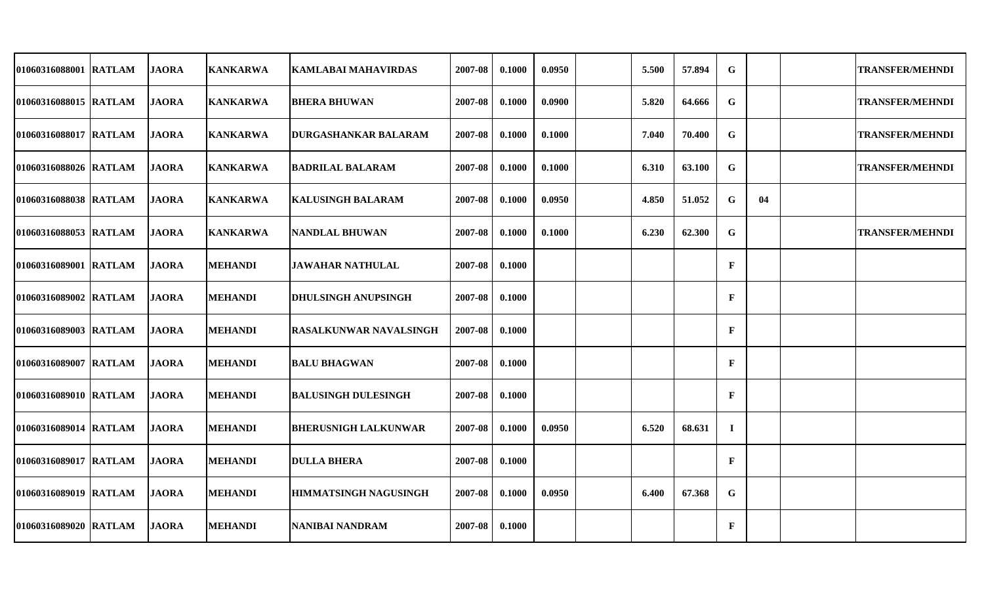| 01060316088001 RATLAM | <b>JAORA</b> | <b>KANKARWA</b> | <b>KAMLABAI MAHAVIRDAS</b>    | 2007-08 | 0.1000 | 0.0950 | 5.500 | 57.894 | G            |    | <b>TRANSFER/MEHNDI</b> |
|-----------------------|--------------|-----------------|-------------------------------|---------|--------|--------|-------|--------|--------------|----|------------------------|
| 01060316088015 RATLAM | <b>JAORA</b> | <b>KANKARWA</b> | <b>BHERA BHUWAN</b>           | 2007-08 | 0.1000 | 0.0900 | 5.820 | 64.666 | G            |    | <b>TRANSFER/MEHNDI</b> |
| 01060316088017 RATLAM | <b>JAORA</b> | <b>KANKARWA</b> | <b>DURGASHANKAR BALARAM</b>   | 2007-08 | 0.1000 | 0.1000 | 7.040 | 70.400 | G            |    | <b>TRANSFER/MEHNDI</b> |
| 01060316088026 RATLAM | <b>JAORA</b> | <b>KANKARWA</b> | <b>BADRILAL BALARAM</b>       | 2007-08 | 0.1000 | 0.1000 | 6.310 | 63.100 | G            |    | <b>TRANSFER/MEHNDI</b> |
| 01060316088038 RATLAM | <b>JAORA</b> | <b>KANKARWA</b> | KALUSINGH BALARAM             | 2007-08 | 0.1000 | 0.0950 | 4.850 | 51.052 | G            | 04 |                        |
| 01060316088053 RATLAM | <b>JAORA</b> | <b>KANKARWA</b> | <b>NANDLAL BHUWAN</b>         | 2007-08 | 0.1000 | 0.1000 | 6.230 | 62.300 | G            |    | <b>TRANSFER/MEHNDI</b> |
| 01060316089001 RATLAM | <b>JAORA</b> | <b>MEHANDI</b>  | <b>JAWAHAR NATHULAL</b>       | 2007-08 | 0.1000 |        |       |        | $\mathbf{F}$ |    |                        |
| 01060316089002 RATLAM | <b>JAORA</b> | <b>MEHANDI</b>  | <b>DHULSINGH ANUPSINGH</b>    | 2007-08 | 0.1000 |        |       |        | $\mathbf F$  |    |                        |
| 01060316089003 RATLAM | <b>JAORA</b> | <b>MEHANDI</b>  | <b>RASALKUNWAR NAVALSINGH</b> | 2007-08 | 0.1000 |        |       |        | $\mathbf F$  |    |                        |
| 01060316089007 RATLAM | <b>JAORA</b> | <b>MEHANDI</b>  | <b>BALU BHAGWAN</b>           | 2007-08 | 0.1000 |        |       |        | $\mathbf F$  |    |                        |
| 01060316089010 RATLAM | <b>JAORA</b> | <b>MEHANDI</b>  | <b>BALUSINGH DULESINGH</b>    | 2007-08 | 0.1000 |        |       |        | $\mathbf{F}$ |    |                        |
| 01060316089014 RATLAM | <b>JAORA</b> | <b>MEHANDI</b>  | <b>BHERUSNIGH LALKUNWAR</b>   | 2007-08 | 0.1000 | 0.0950 | 6.520 | 68.631 | $\bf{I}$     |    |                        |
| 01060316089017 RATLAM | <b>JAORA</b> | <b>MEHANDI</b>  | <b>DULLA BHERA</b>            | 2007-08 | 0.1000 |        |       |        | $\mathbf F$  |    |                        |
| 01060316089019 RATLAM | <b>JAORA</b> | <b>MEHANDI</b>  | <b>HIMMATSINGH NAGUSINGH</b>  | 2007-08 | 0.1000 | 0.0950 | 6.400 | 67.368 | G            |    |                        |
| 01060316089020 RATLAM | <b>JAORA</b> | <b>MEHANDI</b>  | <b>NANIBAI NANDRAM</b>        | 2007-08 | 0.1000 |        |       |        | $\mathbf{F}$ |    |                        |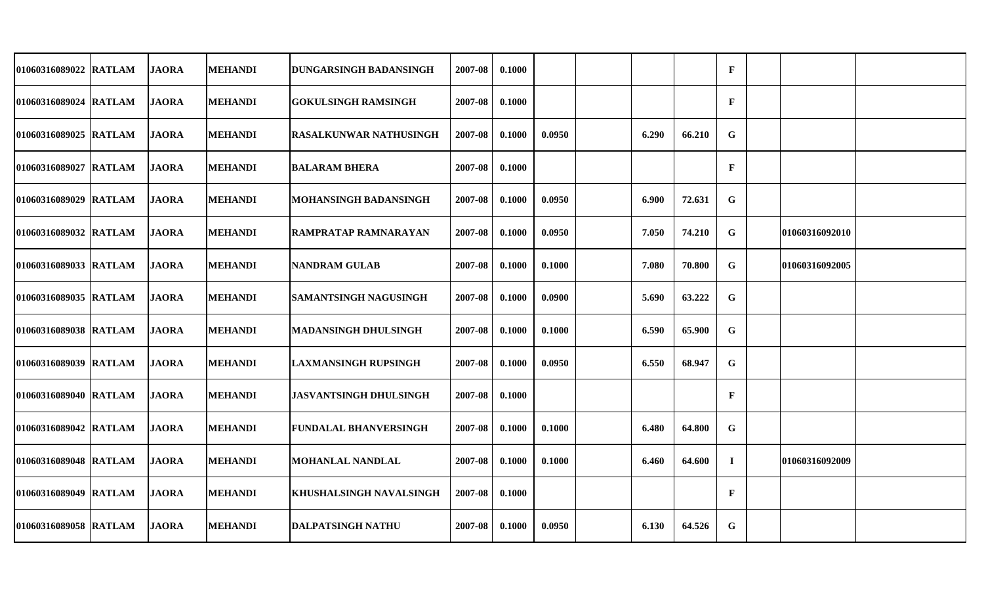| 01060316089022 RATLAM | <b>JAORA</b> | <b>MEHANDI</b> | <b>DUNGARSINGH BADANSINGH</b> | 2007-08 | 0.1000 |        |       |        | $\mathbf{F}$ |                |  |
|-----------------------|--------------|----------------|-------------------------------|---------|--------|--------|-------|--------|--------------|----------------|--|
| 01060316089024 RATLAM | <b>JAORA</b> | <b>MEHANDI</b> | <b>GOKULSINGH RAMSINGH</b>    | 2007-08 | 0.1000 |        |       |        | F            |                |  |
| 01060316089025 RATLAM | <b>JAORA</b> | <b>MEHANDI</b> | <b>RASALKUNWAR NATHUSINGH</b> | 2007-08 | 0.1000 | 0.0950 | 6.290 | 66.210 | G            |                |  |
| 01060316089027 RATLAM | <b>JAORA</b> | <b>MEHANDI</b> | <b>BALARAM BHERA</b>          | 2007-08 | 0.1000 |        |       |        | F            |                |  |
| 01060316089029 RATLAM | <b>JAORA</b> | <b>MEHANDI</b> | MOHANSINGH BADANSINGH         | 2007-08 | 0.1000 | 0.0950 | 6.900 | 72.631 | $\mathbf G$  |                |  |
| 01060316089032 RATLAM | <b>JAORA</b> | <b>MEHANDI</b> | RAMPRATAP RAMNARAYAN          | 2007-08 | 0.1000 | 0.0950 | 7.050 | 74.210 | G            | 01060316092010 |  |
| 01060316089033 RATLAM | <b>JAORA</b> | <b>MEHANDI</b> | <b>NANDRAM GULAB</b>          | 2007-08 | 0.1000 | 0.1000 | 7.080 | 70.800 | G            | 01060316092005 |  |
| 01060316089035 RATLAM | <b>JAORA</b> | <b>MEHANDI</b> | SAMANTSINGH NAGUSINGH         | 2007-08 | 0.1000 | 0.0900 | 5.690 | 63.222 | G            |                |  |
| 01060316089038 RATLAM | <b>JAORA</b> | <b>MEHANDI</b> | <b>MADANSINGH DHULSINGH</b>   | 2007-08 | 0.1000 | 0.1000 | 6.590 | 65.900 | G            |                |  |
| 01060316089039 RATLAM | <b>JAORA</b> | <b>MEHANDI</b> | <b>LAXMANSINGH RUPSINGH</b>   | 2007-08 | 0.1000 | 0.0950 | 6.550 | 68.947 | G            |                |  |
| 01060316089040 RATLAM | <b>JAORA</b> | <b>MEHANDI</b> | <b>JASVANTSINGH DHULSINGH</b> | 2007-08 | 0.1000 |        |       |        | $\mathbf{F}$ |                |  |
| 01060316089042 RATLAM | <b>JAORA</b> | <b>MEHANDI</b> | <b>FUNDALAL BHANVERSINGH</b>  | 2007-08 | 0.1000 | 0.1000 | 6.480 | 64.800 | G            |                |  |
| 01060316089048 RATLAM | <b>JAORA</b> | <b>MEHANDI</b> | <b>MOHANLAL NANDLAL</b>       | 2007-08 | 0.1000 | 0.1000 | 6.460 | 64.600 | $\bf{I}$     | 01060316092009 |  |
| 01060316089049 RATLAM | <b>JAORA</b> | <b>MEHANDI</b> | KHUSHALSINGH NAVALSINGH       | 2007-08 | 0.1000 |        |       |        | F            |                |  |
| 01060316089058 RATLAM | <b>JAORA</b> | <b>MEHANDI</b> | <b>DALPATSINGH NATHU</b>      | 2007-08 | 0.1000 | 0.0950 | 6.130 | 64.526 | G            |                |  |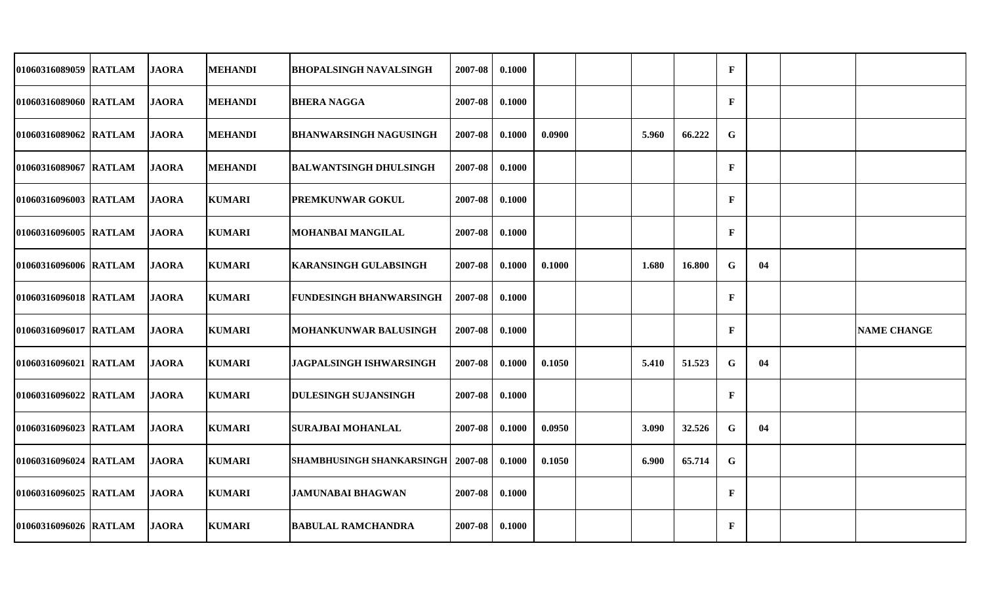| 01060316089059 RATLAM | <b>JAORA</b> | <b>MEHANDI</b> | <b>BHOPALSINGH NAVALSINGH</b>              | 2007-08 | 0.1000 |        |       |        | $\mathbf{F}$ |    |                    |
|-----------------------|--------------|----------------|--------------------------------------------|---------|--------|--------|-------|--------|--------------|----|--------------------|
| 01060316089060 RATLAM | <b>JAORA</b> | <b>MEHANDI</b> | <b>BHERA NAGGA</b>                         | 2007-08 | 0.1000 |        |       |        | $\mathbf{F}$ |    |                    |
| 01060316089062 RATLAM | <b>JAORA</b> | <b>MEHANDI</b> | <b>BHANWARSINGH NAGUSINGH</b>              | 2007-08 | 0.1000 | 0.0900 | 5.960 | 66.222 | G            |    |                    |
| 01060316089067 RATLAM | <b>JAORA</b> | <b>MEHANDI</b> | <b>BALWANTSINGH DHULSINGH</b>              | 2007-08 | 0.1000 |        |       |        | F            |    |                    |
| 01060316096003 RATLAM | <b>JAORA</b> | <b>KUMARI</b>  | <b>PREMKUNWAR GOKUL</b>                    | 2007-08 | 0.1000 |        |       |        | F            |    |                    |
| 01060316096005 RATLAM | <b>JAORA</b> | <b>KUMARI</b>  | MOHANBAI MANGILAL                          | 2007-08 | 0.1000 |        |       |        | $\mathbf{F}$ |    |                    |
| 01060316096006 RATLAM | <b>JAORA</b> | <b>KUMARI</b>  | <b>KARANSINGH GULABSINGH</b>               | 2007-08 | 0.1000 | 0.1000 | 1.680 | 16.800 | G            | 04 |                    |
| 01060316096018 RATLAM | <b>JAORA</b> | <b>KUMARI</b>  | <b>FUNDESINGH BHANWARSINGH</b>             | 2007-08 | 0.1000 |        |       |        | $\mathbf F$  |    |                    |
| 01060316096017 RATLAM | <b>JAORA</b> | <b>KUMARI</b>  | <b>MOHANKUNWAR BALUSINGH</b>               | 2007-08 | 0.1000 |        |       |        | $\mathbf{F}$ |    | <b>NAME CHANGE</b> |
| 01060316096021 RATLAM | <b>JAORA</b> | <b>KUMARI</b>  | <b>JAGPALSINGH ISHWARSINGH</b>             | 2007-08 | 0.1000 | 0.1050 | 5.410 | 51.523 | G            | 04 |                    |
| 01060316096022 RATLAM | <b>JAORA</b> | <b>KUMARI</b>  | <b>DULESINGH SUJANSINGH</b>                | 2007-08 | 0.1000 |        |       |        | $\mathbf{F}$ |    |                    |
| 01060316096023 RATLAM | <b>JAORA</b> | <b>KUMARI</b>  | <b>SURAJBAI MOHANLAL</b>                   | 2007-08 | 0.1000 | 0.0950 | 3.090 | 32.526 | G            | 04 |                    |
| 01060316096024 RATLAM | <b>JAORA</b> | <b>KUMARI</b>  | <b>SHAMBHUSINGH SHANKARSINGH   2007-08</b> |         | 0.1000 | 0.1050 | 6.900 | 65.714 | G            |    |                    |
| 01060316096025 RATLAM | <b>JAORA</b> | <b>KUMARI</b>  | <b>JAMUNABAI BHAGWAN</b>                   | 2007-08 | 0.1000 |        |       |        | $\mathbf{F}$ |    |                    |
| 01060316096026 RATLAM | <b>JAORA</b> | <b>KUMARI</b>  | <b>BABULAL RAMCHANDRA</b>                  | 2007-08 | 0.1000 |        |       |        | $\mathbf{F}$ |    |                    |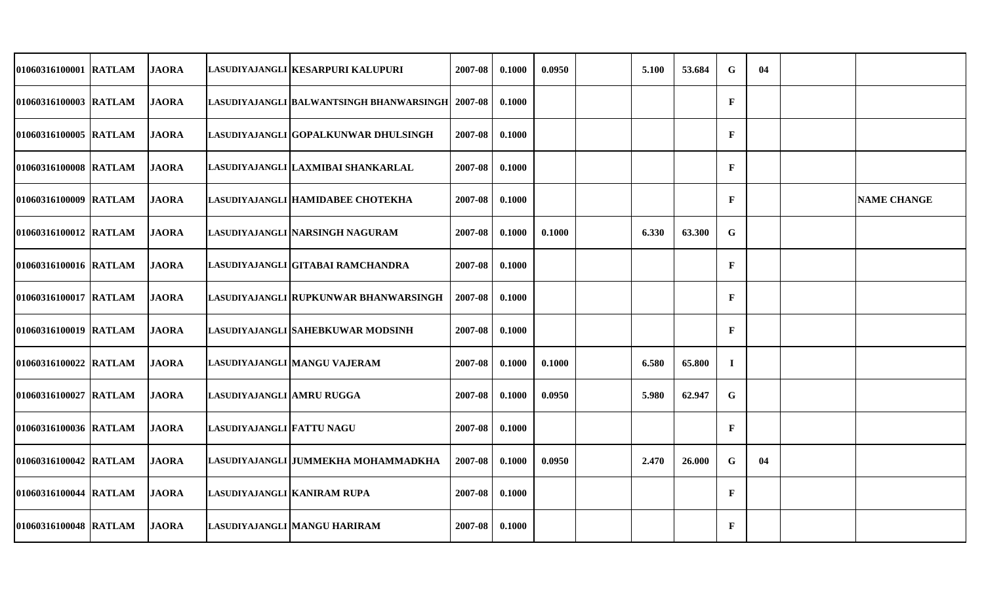| 01060316100001 RATLAM | <b>JAORA</b> |                             | LASUDIYAJANGLI KESARPURI KALUPURI                   | 2007-08 | 0.1000 | 0.0950 | 5.100 | 53.684 | G            | 04 |                    |
|-----------------------|--------------|-----------------------------|-----------------------------------------------------|---------|--------|--------|-------|--------|--------------|----|--------------------|
| 01060316100003 RATLAM | <b>JAORA</b> |                             | LASUDIYAJANGLI  BALWANTSINGH BHANWARSINGH   2007-08 |         | 0.1000 |        |       |        | $\mathbf{F}$ |    |                    |
| 01060316100005 RATLAM | <b>JAORA</b> |                             | LASUDIYAJANGLI IGOPALKUNWAR DHULSINGH               | 2007-08 | 0.1000 |        |       |        | $\mathbf{F}$ |    |                    |
| 01060316100008 RATLAM | <b>JAORA</b> |                             | LASUDIYAJANGLI LAXMIBAI SHANKARLAL                  | 2007-08 | 0.1000 |        |       |        | $\mathbf F$  |    |                    |
| 01060316100009 RATLAM | <b>JAORA</b> |                             | LASUDIYAJANGLI HAMIDABEE CHOTEKHA                   | 2007-08 | 0.1000 |        |       |        | F            |    | <b>NAME CHANGE</b> |
| 01060316100012 RATLAM | <b>JAORA</b> |                             | LASUDIYAJANGLI NARSINGH NAGURAM                     | 2007-08 | 0.1000 | 0.1000 | 6.330 | 63.300 | G            |    |                    |
| 01060316100016 RATLAM | <b>JAORA</b> |                             | LASUDIYAJANGLI GITABAI RAMCHANDRA                   | 2007-08 | 0.1000 |        |       |        | F            |    |                    |
| 01060316100017 RATLAM | <b>JAORA</b> |                             | LASUDIYAJANGLI RUPKUNWAR BHANWARSINGH               | 2007-08 | 0.1000 |        |       |        | $\mathbf{F}$ |    |                    |
| 01060316100019 RATLAM | <b>JAORA</b> |                             | LASUDIYAJANGLI SAHEBKUWAR MODSINH                   | 2007-08 | 0.1000 |        |       |        | F            |    |                    |
| 01060316100022 RATLAM | <b>JAORA</b> |                             | LASUDIYAJANGLI MANGU VAJERAM                        | 2007-08 | 0.1000 | 0.1000 | 6.580 | 65.800 | $\mathbf I$  |    |                    |
| 01060316100027 RATLAM | <b>JAORA</b> | LASUDIYAJANGLI AMRU RUGGA   |                                                     | 2007-08 | 0.1000 | 0.0950 | 5.980 | 62.947 | G            |    |                    |
| 01060316100036 RATLAM | <b>JAORA</b> | LASUDIYAJANGLI FATTU NAGU   |                                                     | 2007-08 | 0.1000 |        |       |        | $\mathbf{F}$ |    |                    |
| 01060316100042 RATLAM | <b>JAORA</b> |                             | LASUDIYAJANGLI JUMMEKHA MOHAMMADKHA                 | 2007-08 | 0.1000 | 0.0950 | 2.470 | 26.000 | $\mathbf G$  | 04 |                    |
| 01060316100044 RATLAM | <b>JAORA</b> | LASUDIYAJANGLI KANIRAM RUPA |                                                     | 2007-08 | 0.1000 |        |       |        | $\mathbf{F}$ |    |                    |
| 01060316100048 RATLAM | <b>JAORA</b> |                             | LASUDIYAJANGLI MANGU HARIRAM                        | 2007-08 | 0.1000 |        |       |        | $\mathbf{F}$ |    |                    |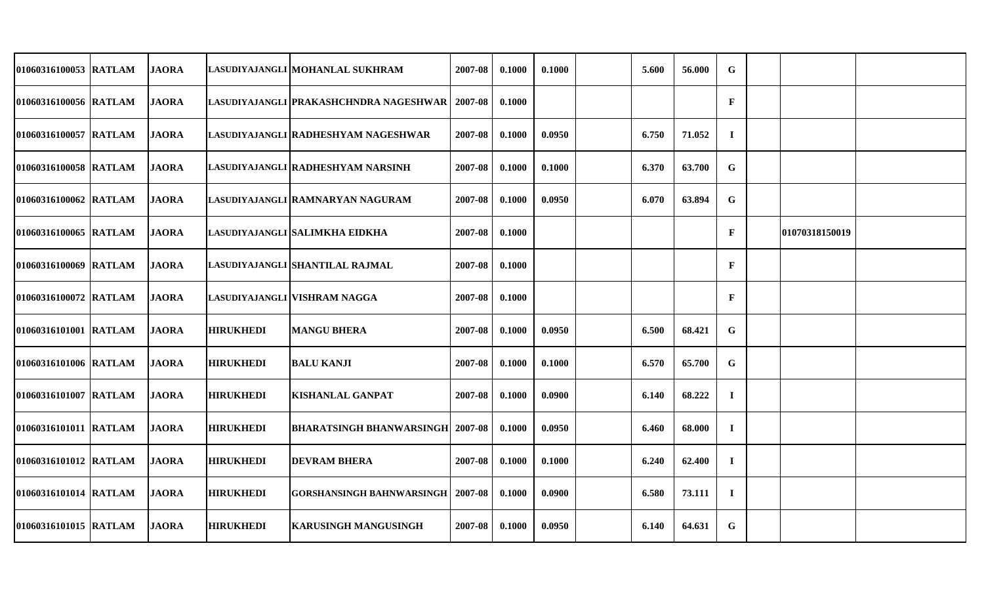| 01060316100053 RATLAM | <b>JAORA</b> |                  | LASUDIYAJANGLI MOHANLAL SUKHRAM           | 2007-08 | 0.1000 | 0.1000 | 5.600 | 56.000 | G            |                       |  |
|-----------------------|--------------|------------------|-------------------------------------------|---------|--------|--------|-------|--------|--------------|-----------------------|--|
| 01060316100056 RATLAM | <b>JAORA</b> |                  | LASUDIYAJANGLI  PRAKASHCHNDRA NAGESHWAR   | 2007-08 | 0.1000 |        |       |        | $\mathbf{F}$ |                       |  |
| 01060316100057 RATLAM | <b>JAORA</b> |                  | LASUDIYAJANGLI RADHESHYAM NAGESHWAR       | 2007-08 | 0.1000 | 0.0950 | 6.750 | 71.052 | $\mathbf I$  |                       |  |
| 01060316100058 RATLAM | <b>JAORA</b> |                  | LASUDIYAJANGLI  RADHESHYAM NARSINH        | 2007-08 | 0.1000 | 0.1000 | 6.370 | 63.700 | G            |                       |  |
| 01060316100062 RATLAM | <b>JAORA</b> |                  | LASUDIYAJANGLI  RAMNARYAN NAGURAM         | 2007-08 | 0.1000 | 0.0950 | 6.070 | 63.894 | G            |                       |  |
| 01060316100065 RATLAM | <b>JAORA</b> |                  | LASUDIYAJANGLI  SALIMKHA EIDKHA           | 2007-08 | 0.1000 |        |       |        | $\mathbf{F}$ | <b>01070318150019</b> |  |
| 01060316100069 RATLAM | <b>JAORA</b> |                  | LASUDIYAJANGLI SHANTILAL RAJMAL           | 2007-08 | 0.1000 |        |       |        | $\mathbf{F}$ |                       |  |
| 01060316100072 RATLAM | <b>JAORA</b> |                  | LASUDIYAJANGLI   VISHRAM NAGGA            | 2007-08 | 0.1000 |        |       |        | $\mathbf{F}$ |                       |  |
| 01060316101001 RATLAM | <b>JAORA</b> | <b>HIRUKHEDI</b> | <b>MANGU BHERA</b>                        | 2007-08 | 0.1000 | 0.0950 | 6.500 | 68.421 | G            |                       |  |
| 01060316101006 RATLAM | <b>JAORA</b> | <b>HIRUKHEDI</b> | <b>BALU KANJI</b>                         | 2007-08 | 0.1000 | 0.1000 | 6.570 | 65.700 | G            |                       |  |
| 01060316101007 RATLAM | <b>JAORA</b> | <b>HIRUKHEDI</b> | <b>KISHANLAL GANPAT</b>                   | 2007-08 | 0.1000 | 0.0900 | 6.140 | 68.222 | $\mathbf I$  |                       |  |
| 01060316101011 RATLAM | <b>JAORA</b> | <b>HIRUKHEDI</b> | <b>BHARATSINGH BHANWARSINGH   2007-08</b> |         | 0.1000 | 0.0950 | 6.460 | 68.000 | $\mathbf I$  |                       |  |
| 01060316101012 RATLAM | <b>JAORA</b> | <b>HIRUKHEDI</b> | <b>DEVRAM BHERA</b>                       | 2007-08 | 0.1000 | 0.1000 | 6.240 | 62.400 | $\mathbf I$  |                       |  |
| 01060316101014 RATLAM | <b>JAORA</b> | <b>HIRUKHEDI</b> | <b>GORSHANSINGH BAHNWARSINGH</b>          | 2007-08 | 0.1000 | 0.0900 | 6.580 | 73.111 | $\mathbf I$  |                       |  |
| 01060316101015 RATLAM | <b>JAORA</b> | <b>HIRUKHEDI</b> | <b>KARUSINGH MANGUSINGH</b>               | 2007-08 | 0.1000 | 0.0950 | 6.140 | 64.631 | G            |                       |  |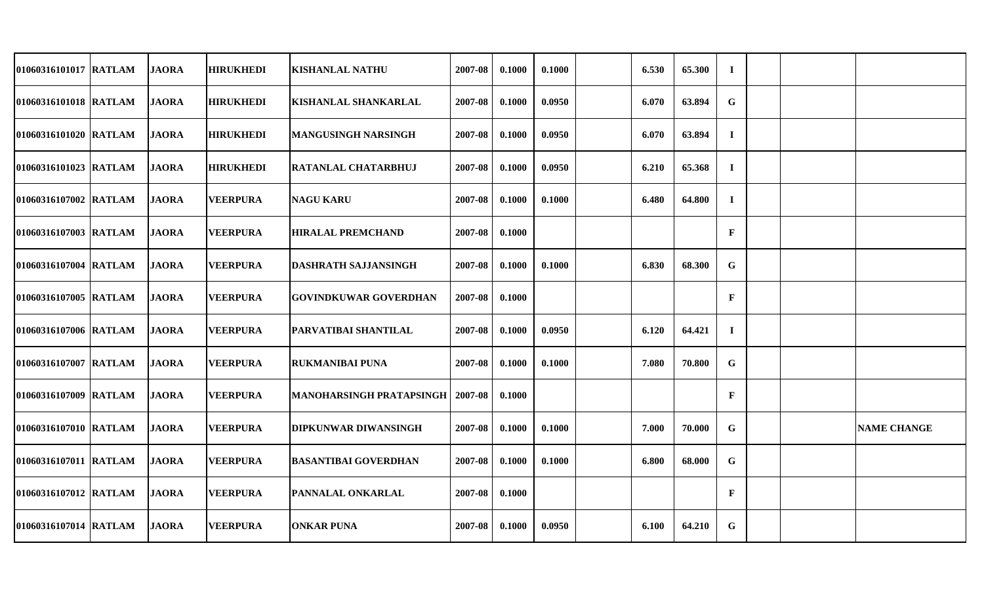| 01060316101017 RATLAM | <b>JAORA</b> | <b>HIRUKHEDI</b> | <b>KISHANLAL NATHU</b>          | 2007-08 | 0.1000 | 0.1000 | 6.530 | 65.300 | $\mathbf I$  |  |                    |
|-----------------------|--------------|------------------|---------------------------------|---------|--------|--------|-------|--------|--------------|--|--------------------|
| 01060316101018 RATLAM | <b>JAORA</b> | <b>HIRUKHEDI</b> | <b>KISHANLAL SHANKARLAL</b>     | 2007-08 | 0.1000 | 0.0950 | 6.070 | 63.894 | $\mathbf G$  |  |                    |
| 01060316101020 RATLAM | <b>JAORA</b> | <b>HIRUKHEDI</b> | <b>MANGUSINGH NARSINGH</b>      | 2007-08 | 0.1000 | 0.0950 | 6.070 | 63.894 | $\mathbf I$  |  |                    |
| 01060316101023 RATLAM | <b>JAORA</b> | <b>HIRUKHEDI</b> | <b>RATANLAL CHATARBHUJ</b>      | 2007-08 | 0.1000 | 0.0950 | 6.210 | 65.368 | $\mathbf I$  |  |                    |
| 01060316107002 RATLAM | <b>JAORA</b> | <b>VEERPURA</b>  | <b>NAGU KARU</b>                | 2007-08 | 0.1000 | 0.1000 | 6.480 | 64.800 | $\mathbf I$  |  |                    |
| 01060316107003 RATLAM | <b>JAORA</b> | <b>VEERPURA</b>  | <b>HIRALAL PREMCHAND</b>        | 2007-08 | 0.1000 |        |       |        | $\mathbf{F}$ |  |                    |
| 01060316107004 RATLAM | <b>JAORA</b> | <b>VEERPURA</b>  | <b>DASHRATH SAJJANSINGH</b>     | 2007-08 | 0.1000 | 0.1000 | 6.830 | 68.300 | $\mathbf G$  |  |                    |
| 01060316107005 RATLAM | <b>JAORA</b> | <b>VEERPURA</b>  | <b>GOVINDKUWAR GOVERDHAN</b>    | 2007-08 | 0.1000 |        |       |        | $\mathbf{F}$ |  |                    |
| 01060316107006 RATLAM | <b>JAORA</b> | <b>VEERPURA</b>  | PARVATIBAI SHANTILAL            | 2007-08 | 0.1000 | 0.0950 | 6.120 | 64.421 | $\bf{I}$     |  |                    |
| 01060316107007 RATLAM | <b>JAORA</b> | <b>VEERPURA</b>  | IRUKMANIBAI PUNA                | 2007-08 | 0.1000 | 0.1000 | 7.080 | 70.800 | G            |  |                    |
| 01060316107009 RATLAM | <b>JAORA</b> | <b>VEERPURA</b>  | <b>MANOHARSINGH PRATAPSINGH</b> | 2007-08 | 0.1000 |        |       |        | $\mathbf{F}$ |  |                    |
| 01060316107010 RATLAM | <b>JAORA</b> | <b>VEERPURA</b>  | <b>DIPKUNWAR DIWANSINGH</b>     | 2007-08 | 0.1000 | 0.1000 | 7.000 | 70.000 | G            |  | <b>NAME CHANGE</b> |
| 01060316107011 RATLAM | <b>JAORA</b> | <b>VEERPURA</b>  | <b>BASANTIBAI GOVERDHAN</b>     | 2007-08 | 0.1000 | 0.1000 | 6.800 | 68.000 | G            |  |                    |
| 01060316107012 RATLAM | <b>JAORA</b> | <b>VEERPURA</b>  | <b>PANNALAL ONKARLAL</b>        | 2007-08 | 0.1000 |        |       |        | $\mathbf{F}$ |  |                    |
| 01060316107014 RATLAM | <b>JAORA</b> | <b>VEERPURA</b>  | <b>ONKAR PUNA</b>               | 2007-08 | 0.1000 | 0.0950 | 6.100 | 64.210 | G            |  |                    |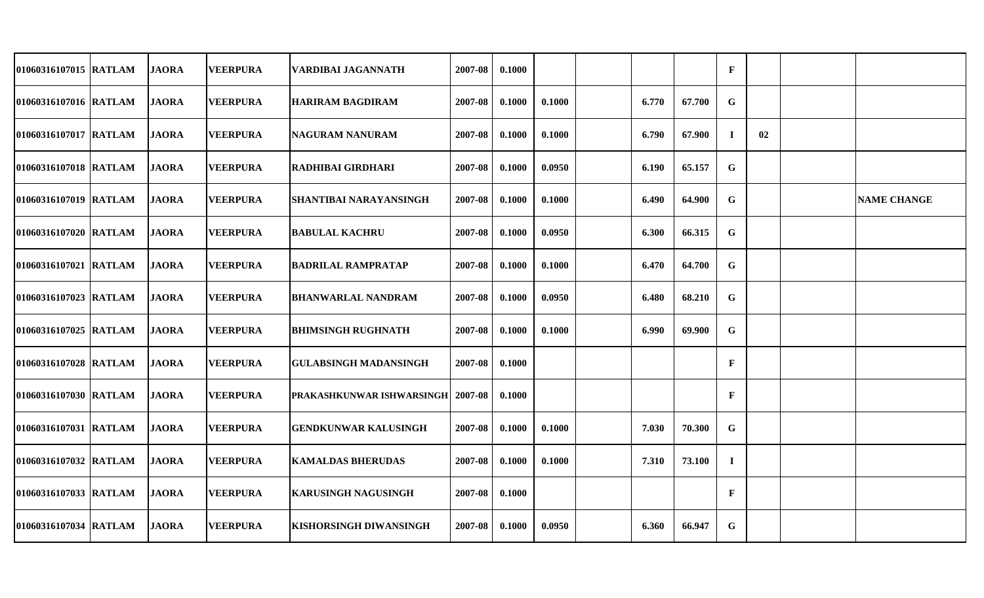| 01060316107015 RATLAM | <b>JAORA</b> | <b>VEERPURA</b> | VARDIBAI JAGANNATH               | 2007-08 | 0.1000 |        |       |        | $\mathbf{F}$ |    |                    |
|-----------------------|--------------|-----------------|----------------------------------|---------|--------|--------|-------|--------|--------------|----|--------------------|
| 01060316107016 RATLAM | <b>JAORA</b> | <b>VEERPURA</b> | <b>HARIRAM BAGDIRAM</b>          | 2007-08 | 0.1000 | 0.1000 | 6.770 | 67.700 | G            |    |                    |
| 01060316107017 RATLAM | <b>JAORA</b> | <b>VEERPURA</b> | NAGURAM NANURAM                  | 2007-08 | 0.1000 | 0.1000 | 6.790 | 67.900 | $\bf{I}$     | 02 |                    |
| 01060316107018 RATLAM | <b>JAORA</b> | <b>VEERPURA</b> | <b>RADHIBAI GIRDHARI</b>         | 2007-08 | 0.1000 | 0.0950 | 6.190 | 65.157 | G            |    |                    |
| 01060316107019 RATLAM | <b>JAORA</b> | <b>VEERPURA</b> | SHANTIBAI NARAYANSINGH           | 2007-08 | 0.1000 | 0.1000 | 6.490 | 64.900 | G            |    | <b>NAME CHANGE</b> |
| 01060316107020 RATLAM | <b>JAORA</b> | <b>VEERPURA</b> | <b>BABULAL KACHRU</b>            | 2007-08 | 0.1000 | 0.0950 | 6.300 | 66.315 | G            |    |                    |
| 01060316107021 RATLAM | <b>JAORA</b> | <b>VEERPURA</b> | <b>BADRILAL RAMPRATAP</b>        | 2007-08 | 0.1000 | 0.1000 | 6.470 | 64.700 | G            |    |                    |
| 01060316107023 RATLAM | <b>JAORA</b> | <b>VEERPURA</b> | <b>BHANWARLAL NANDRAM</b>        | 2007-08 | 0.1000 | 0.0950 | 6.480 | 68.210 | $\mathbf G$  |    |                    |
| 01060316107025 RATLAM | <b>JAORA</b> | <b>VEERPURA</b> | BHIMSINGH RUGHNATH               | 2007-08 | 0.1000 | 0.1000 | 6.990 | 69.900 | ${\bf G}$    |    |                    |
| 01060316107028 RATLAM | <b>JAORA</b> | <b>VEERPURA</b> | <b>GULABSINGH MADANSINGH</b>     | 2007-08 | 0.1000 |        |       |        | $\mathbf{F}$ |    |                    |
| 01060316107030 RATLAM | <b>JAORA</b> | <b>VEERPURA</b> | <b>PRAKASHKUNWAR ISHWARSINGH</b> | 2007-08 | 0.1000 |        |       |        | $\mathbf{F}$ |    |                    |
| 01060316107031 RATLAM | <b>JAORA</b> | <b>VEERPURA</b> | <b>GENDKUNWAR KALUSINGH</b>      | 2007-08 | 0.1000 | 0.1000 | 7.030 | 70.300 | G            |    |                    |
| 01060316107032 RATLAM | <b>JAORA</b> | <b>VEERPURA</b> | <b>KAMALDAS BHERUDAS</b>         | 2007-08 | 0.1000 | 0.1000 | 7.310 | 73.100 | $\mathbf I$  |    |                    |
| 01060316107033 RATLAM | <b>JAORA</b> | <b>VEERPURA</b> | <b>KARUSINGH NAGUSINGH</b>       | 2007-08 | 0.1000 |        |       |        | $\mathbf{F}$ |    |                    |
| 01060316107034 RATLAM | <b>JAORA</b> | <b>VEERPURA</b> | <b>KISHORSINGH DIWANSINGH</b>    | 2007-08 | 0.1000 | 0.0950 | 6.360 | 66.947 | $\mathbf G$  |    |                    |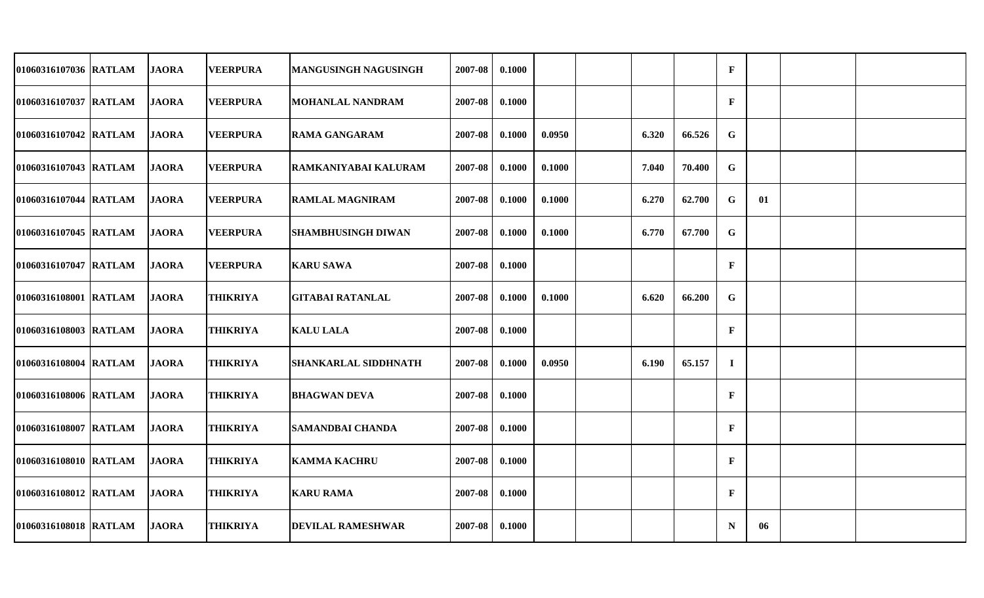| 01060316107036 RATLAM | <b>JAORA</b> | <b>VEERPURA</b> | <b>MANGUSINGH NAGUSINGH</b> | 2007-08 | 0.1000 |        |       |        | $\mathbf{F}$ |    |  |
|-----------------------|--------------|-----------------|-----------------------------|---------|--------|--------|-------|--------|--------------|----|--|
| 01060316107037 RATLAM | <b>JAORA</b> | <b>VEERPURA</b> | <b>MOHANLAL NANDRAM</b>     | 2007-08 | 0.1000 |        |       |        | $\mathbf{F}$ |    |  |
| 01060316107042 RATLAM | <b>JAORA</b> | <b>VEERPURA</b> | <b>RAMA GANGARAM</b>        | 2007-08 | 0.1000 | 0.0950 | 6.320 | 66.526 | G            |    |  |
| 01060316107043 RATLAM | <b>JAORA</b> | <b>VEERPURA</b> | RAMKANIYABAI KALURAM        | 2007-08 | 0.1000 | 0.1000 | 7.040 | 70.400 | G            |    |  |
| 01060316107044 RATLAM | <b>JAORA</b> | <b>VEERPURA</b> | <b>RAMLAL MAGNIRAM</b>      | 2007-08 | 0.1000 | 0.1000 | 6.270 | 62.700 | G            | 01 |  |
| 01060316107045 RATLAM | <b>JAORA</b> | <b>VEERPURA</b> | <b>SHAMBHUSINGH DIWAN</b>   | 2007-08 | 0.1000 | 0.1000 | 6.770 | 67.700 | G            |    |  |
| 01060316107047 RATLAM | <b>JAORA</b> | <b>VEERPURA</b> | <b>KARU SAWA</b>            | 2007-08 | 0.1000 |        |       |        | $\mathbf{F}$ |    |  |
| 01060316108001 RATLAM | <b>JAORA</b> | <b>THIKRIYA</b> | <b>GITABAI RATANLAL</b>     | 2007-08 | 0.1000 | 0.1000 | 6.620 | 66.200 | G            |    |  |
| 01060316108003 RATLAM | <b>JAORA</b> | <b>THIKRIYA</b> | <b>KALU LALA</b>            | 2007-08 | 0.1000 |        |       |        | $\mathbf{F}$ |    |  |
| 01060316108004 RATLAM | <b>JAORA</b> | <b>THIKRIYA</b> | <b>SHANKARLAL SIDDHNATH</b> | 2007-08 | 0.1000 | 0.0950 | 6.190 | 65.157 | $\mathbf{I}$ |    |  |
| 01060316108006 RATLAM | <b>JAORA</b> | <b>THIKRIYA</b> | <b>BHAGWAN DEVA</b>         | 2007-08 | 0.1000 |        |       |        | $\mathbf F$  |    |  |
| 01060316108007 RATLAM | <b>JAORA</b> | <b>THIKRIYA</b> | <b>SAMANDBAI CHANDA</b>     | 2007-08 | 0.1000 |        |       |        | $\mathbf F$  |    |  |
| 01060316108010 RATLAM | <b>JAORA</b> | <b>THIKRIYA</b> | <b>KAMMA KACHRU</b>         | 2007-08 | 0.1000 |        |       |        | $\mathbf{F}$ |    |  |
| 01060316108012 RATLAM | <b>JAORA</b> | <b>THIKRIYA</b> | <b>KARU RAMA</b>            | 2007-08 | 0.1000 |        |       |        | $\mathbf{F}$ |    |  |
| 01060316108018 RATLAM | <b>JAORA</b> | <b>THIKRIYA</b> | <b>DEVILAL RAMESHWAR</b>    | 2007-08 | 0.1000 |        |       |        | $\mathbf N$  | 06 |  |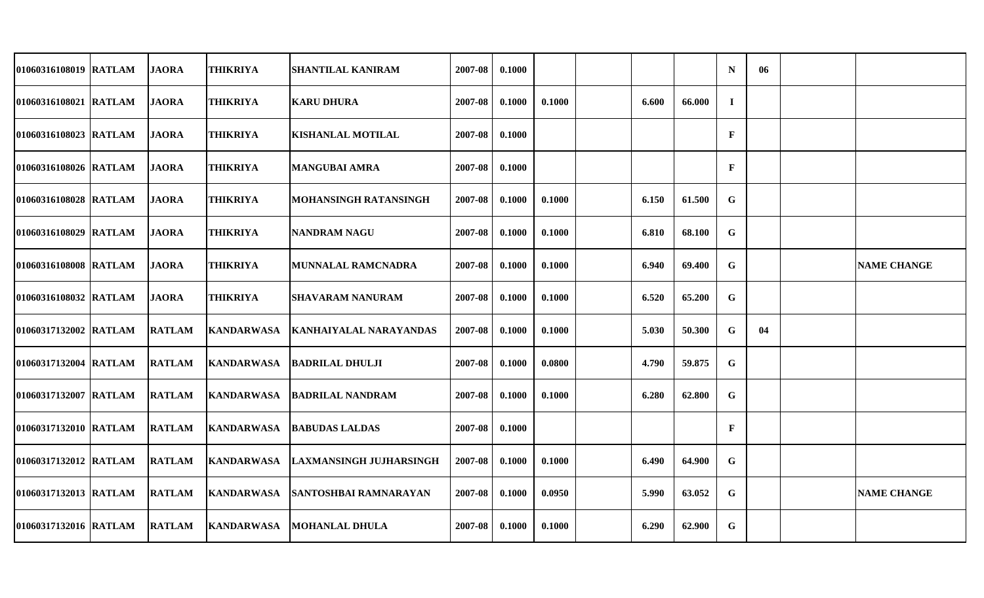| 01060316108019 RATLAM | <b>JAORA</b>  | <b>THIKRIYA</b>   | <b>SHANTILAL KANIRAM</b>       | 2007-08 | 0.1000 |        |       |        | $\mathbf N$  | 06 |                    |
|-----------------------|---------------|-------------------|--------------------------------|---------|--------|--------|-------|--------|--------------|----|--------------------|
| 01060316108021 RATLAM | <b>JAORA</b>  | <b>THIKRIYA</b>   | <b>KARU DHURA</b>              | 2007-08 | 0.1000 | 0.1000 | 6.600 | 66.000 | $\mathbf{I}$ |    |                    |
| 01060316108023 RATLAM | <b>JAORA</b>  | <b>THIKRIYA</b>   | <b>KISHANLAL MOTILAL</b>       | 2007-08 | 0.1000 |        |       |        | $\mathbf{F}$ |    |                    |
| 01060316108026 RATLAM | <b>JAORA</b>  | <b>THIKRIYA</b>   | <b>MANGUBAI AMRA</b>           | 2007-08 | 0.1000 |        |       |        | $\mathbf{F}$ |    |                    |
| 01060316108028 RATLAM | <b>JAORA</b>  | <b>THIKRIYA</b>   | <b>MOHANSINGH RATANSINGH</b>   | 2007-08 | 0.1000 | 0.1000 | 6.150 | 61.500 | G            |    |                    |
| 01060316108029 RATLAM | <b>JAORA</b>  | <b>THIKRIYA</b>   | <b>NANDRAM NAGU</b>            | 2007-08 | 0.1000 | 0.1000 | 6.810 | 68.100 | G            |    |                    |
| 01060316108008 RATLAM | <b>JAORA</b>  | <b>THIKRIYA</b>   | MUNNALAL RAMCNADRA             | 2007-08 | 0.1000 | 0.1000 | 6.940 | 69.400 | G            |    | <b>NAME CHANGE</b> |
| 01060316108032 RATLAM | <b>JAORA</b>  | <b>THIKRIYA</b>   | <b>SHAVARAM NANURAM</b>        | 2007-08 | 0.1000 | 0.1000 | 6.520 | 65.200 | G            |    |                    |
| 01060317132002 RATLAM | <b>RATLAM</b> | <b>KANDARWASA</b> | <b>KANHAIYALAL NARAYANDAS</b>  | 2007-08 | 0.1000 | 0.1000 | 5.030 | 50.300 | G            | 04 |                    |
| 01060317132004 RATLAM | <b>RATLAM</b> | <b>KANDARWASA</b> | <b>BADRILAL DHULJI</b>         | 2007-08 | 0.1000 | 0.0800 | 4.790 | 59.875 | G            |    |                    |
| 01060317132007 RATLAM | <b>RATLAM</b> | KANDARWASA        | <b>BADRILAL NANDRAM</b>        | 2007-08 | 0.1000 | 0.1000 | 6.280 | 62.800 | G            |    |                    |
| 01060317132010 RATLAM | <b>RATLAM</b> | <b>KANDARWASA</b> | <b>BABUDAS LALDAS</b>          | 2007-08 | 0.1000 |        |       |        | $\mathbf{F}$ |    |                    |
| 01060317132012 RATLAM | <b>RATLAM</b> | <b>KANDARWASA</b> | <b>LAXMANSINGH JUJHARSINGH</b> | 2007-08 | 0.1000 | 0.1000 | 6.490 | 64.900 | $\mathbf G$  |    |                    |
| 01060317132013 RATLAM | <b>RATLAM</b> | <b>KANDARWASA</b> | <b>SANTOSHBAI RAMNARAYAN</b>   | 2007-08 | 0.1000 | 0.0950 | 5.990 | 63.052 | G            |    | <b>NAME CHANGE</b> |
| 01060317132016 RATLAM | <b>RATLAM</b> | <b>KANDARWASA</b> | <b>IMOHANLAL DHULA</b>         | 2007-08 | 0.1000 | 0.1000 | 6.290 | 62.900 | G            |    |                    |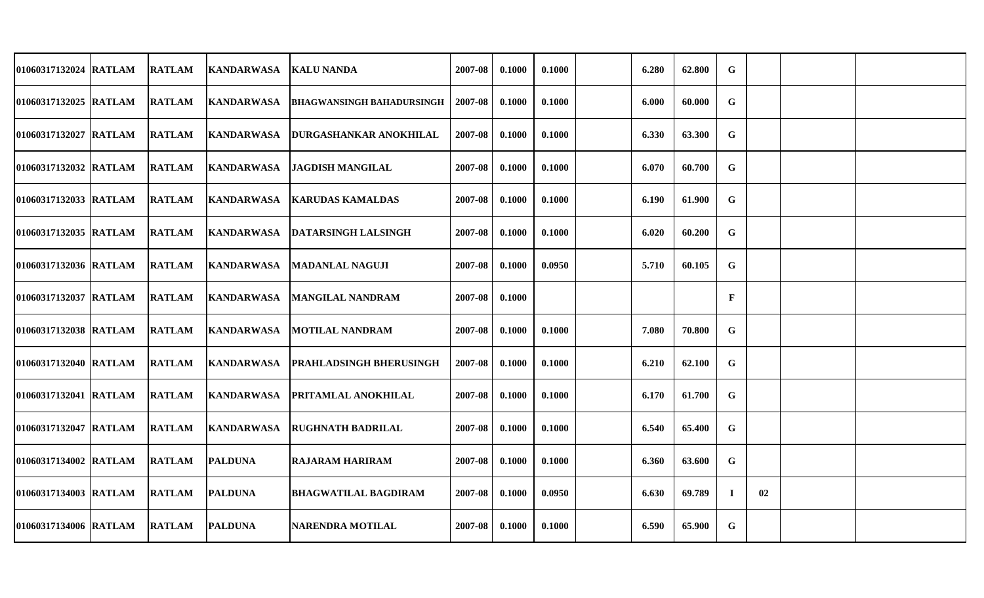| 01060317132024 RATLAM  | <b>RATLAM</b> | <b>KANDARWASA</b>  | <b>KALU NANDA</b>                | 2007-08 | 0.1000 | 0.1000 | 6.280 | 62.800 | $\mathbf G$  |    |  |
|------------------------|---------------|--------------------|----------------------------------|---------|--------|--------|-------|--------|--------------|----|--|
| 01060317132025 RATLAM  | <b>RATLAM</b> | KANDARWASA         | <b>BHAGWANSINGH BAHADURSINGH</b> | 2007-08 | 0.1000 | 0.1000 | 6.000 | 60.000 | $\mathbf G$  |    |  |
| 01060317132027 RATLAM  | <b>RATLAM</b> | <b>KANDARWASA</b>  | <b>DURGASHANKAR ANOKHILAL</b>    | 2007-08 | 0.1000 | 0.1000 | 6.330 | 63.300 | G            |    |  |
| 01060317132032 RATLAM  | <b>RATLAM</b> | <b>KANDARWASA</b>  | <b>JAGDISH MANGILAL</b>          | 2007-08 | 0.1000 | 0.1000 | 6.070 | 60.700 | G            |    |  |
| 01060317132033 RATLAM  | <b>RATLAM</b> | <b>KANDARWASA</b>  | <b>KARUDAS KAMALDAS</b>          | 2007-08 | 0.1000 | 0.1000 | 6.190 | 61.900 | $\mathbf G$  |    |  |
| 01060317132035 IRATLAM | <b>RATLAM</b> |                    | KANDARWASA DATARSINGH LALSINGH   | 2007-08 | 0.1000 | 0.1000 | 6.020 | 60.200 | G            |    |  |
| 01060317132036 RATLAM  | <b>RATLAM</b> | <b>KANDARWASA</b>  | <b>MADANLAL NAGUJI</b>           | 2007-08 | 0.1000 | 0.0950 | 5.710 | 60.105 | G            |    |  |
| 01060317132037 RATLAM  | <b>RATLAM</b> | <b>KANDARWASA</b>  | <b>MANGILAL NANDRAM</b>          | 2007-08 | 0.1000 |        |       |        | $\mathbf{F}$ |    |  |
| 01060317132038 RATLAM  | <b>RATLAM</b> | <b>KANDARWASA</b>  | <b>MOTILAL NANDRAM</b>           | 2007-08 | 0.1000 | 0.1000 | 7.080 | 70.800 | $\mathbf G$  |    |  |
| 01060317132040 RATLAM  | <b>RATLAM</b> | <b>KANDARWASA</b>  | <b>IPRAHLADSINGH BHERUSINGH</b>  | 2007-08 | 0.1000 | 0.1000 | 6.210 | 62.100 | $\mathbf G$  |    |  |
| 01060317132041 RATLAM  | <b>RATLAM</b> | <b>IKANDARWASA</b> | <b>PRITAMLAL ANOKHILAL</b>       | 2007-08 | 0.1000 | 0.1000 | 6.170 | 61.700 | G            |    |  |
| 01060317132047 RATLAM  | <b>RATLAM</b> | <b>KANDARWASA</b>  | <b>RUGHNATH BADRILAL</b>         | 2007-08 | 0.1000 | 0.1000 | 6.540 | 65.400 | G            |    |  |
| 01060317134002 RATLAM  | <b>RATLAM</b> | <b>PALDUNA</b>     | <b>RAJARAM HARIRAM</b>           | 2007-08 | 0.1000 | 0.1000 | 6.360 | 63.600 | G            |    |  |
| 01060317134003 RATLAM  | <b>RATLAM</b> | <b>PALDUNA</b>     | <b>BHAGWATILAL BAGDIRAM</b>      | 2007-08 | 0.1000 | 0.0950 | 6.630 | 69.789 | $\bf I$      | 02 |  |
| 01060317134006 RATLAM  | <b>RATLAM</b> | <b>PALDUNA</b>     | NARENDRA MOTILAL                 | 2007-08 | 0.1000 | 0.1000 | 6.590 | 65.900 | G            |    |  |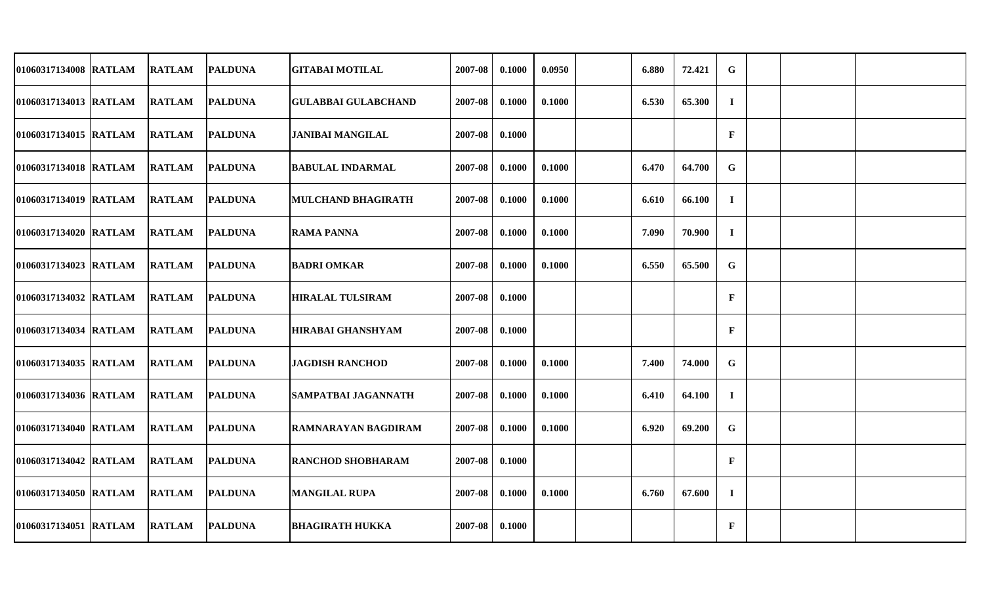| 01060317134008 RATLAM | <b>RATLAM</b> | <b>PALDUNA</b> | <b>GITABAI MOTILAL</b>     | 2007-08 | 0.1000 | 0.0950 | 6.880 | 72.421 | G            |  |  |
|-----------------------|---------------|----------------|----------------------------|---------|--------|--------|-------|--------|--------------|--|--|
| 01060317134013 RATLAM | <b>RATLAM</b> | <b>PALDUNA</b> | <b>GULABBAI GULABCHAND</b> | 2007-08 | 0.1000 | 0.1000 | 6.530 | 65.300 | $\mathbf I$  |  |  |
| 01060317134015 RATLAM | <b>RATLAM</b> | <b>PALDUNA</b> | <b>JANIBAI MANGILAL</b>    | 2007-08 | 0.1000 |        |       |        | $\mathbf{F}$ |  |  |
| 01060317134018 RATLAM | <b>RATLAM</b> | <b>PALDUNA</b> | <b>BABULAL INDARMAL</b>    | 2007-08 | 0.1000 | 0.1000 | 6.470 | 64.700 | $\mathbf G$  |  |  |
| 01060317134019 RATLAM | <b>RATLAM</b> | <b>PALDUNA</b> | <b>MULCHAND BHAGIRATH</b>  | 2007-08 | 0.1000 | 0.1000 | 6.610 | 66.100 | $\bf{I}$     |  |  |
| 01060317134020 RATLAM | <b>RATLAM</b> | <b>PALDUNA</b> | <b>RAMA PANNA</b>          | 2007-08 | 0.1000 | 0.1000 | 7.090 | 70.900 | $\bf{I}$     |  |  |
| 01060317134023 RATLAM | <b>RATLAM</b> | <b>PALDUNA</b> | <b>BADRI OMKAR</b>         | 2007-08 | 0.1000 | 0.1000 | 6.550 | 65.500 | G            |  |  |
| 01060317134032 RATLAM | <b>RATLAM</b> | <b>PALDUNA</b> | <b>HIRALAL TULSIRAM</b>    | 2007-08 | 0.1000 |        |       |        | $\mathbf{F}$ |  |  |
| 01060317134034 RATLAM | <b>RATLAM</b> | <b>PALDUNA</b> | <b>HIRABAI GHANSHYAM</b>   | 2007-08 | 0.1000 |        |       |        | $\mathbf{F}$ |  |  |
| 01060317134035 RATLAM | <b>RATLAM</b> | <b>PALDUNA</b> | <b>JAGDISH RANCHOD</b>     | 2007-08 | 0.1000 | 0.1000 | 7.400 | 74.000 | $\mathbf G$  |  |  |
| 01060317134036 RATLAM | <b>RATLAM</b> | <b>PALDUNA</b> | <b>SAMPATBAI JAGANNATH</b> | 2007-08 | 0.1000 | 0.1000 | 6.410 | 64.100 | $\bf I$      |  |  |
| 01060317134040 RATLAM | <b>RATLAM</b> | <b>PALDUNA</b> | RAMNARAYAN BAGDIRAM        | 2007-08 | 0.1000 | 0.1000 | 6.920 | 69.200 | $\mathbf G$  |  |  |
| 01060317134042 RATLAM | <b>RATLAM</b> | <b>PALDUNA</b> | <b>RANCHOD SHOBHARAM</b>   | 2007-08 | 0.1000 |        |       |        | $\mathbf{F}$ |  |  |
| 01060317134050 RATLAM | <b>RATLAM</b> | <b>PALDUNA</b> | <b>MANGILAL RUPA</b>       | 2007-08 | 0.1000 | 0.1000 | 6.760 | 67.600 | $\bf{I}$     |  |  |
| 01060317134051 RATLAM | <b>RATLAM</b> | <b>PALDUNA</b> | <b>BHAGIRATH HUKKA</b>     | 2007-08 | 0.1000 |        |       |        | $\mathbf F$  |  |  |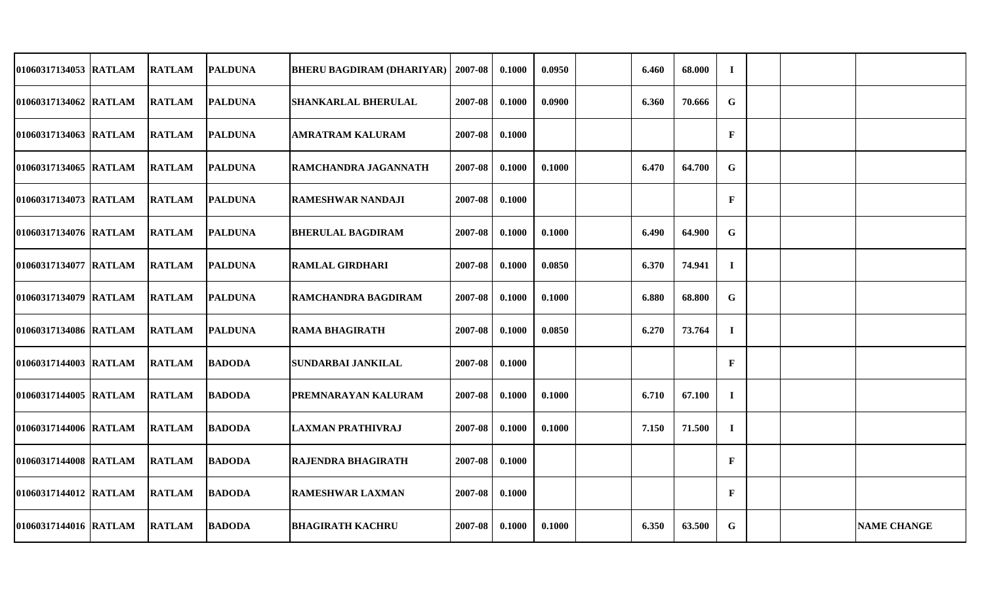| 01060317134053 RATLAM | <b>RATLAM</b> | <b>PALDUNA</b> | <b>BHERU BAGDIRAM (DHARIYAR)</b> | 2007-08 | 0.1000 | 0.0950 | 6.460 | 68.000 | $\bf{I}$     |  |                    |
|-----------------------|---------------|----------------|----------------------------------|---------|--------|--------|-------|--------|--------------|--|--------------------|
| 01060317134062 RATLAM | <b>RATLAM</b> | <b>PALDUNA</b> | <b>SHANKARLAL BHERULAL</b>       | 2007-08 | 0.1000 | 0.0900 | 6.360 | 70.666 | G            |  |                    |
| 01060317134063 RATLAM | <b>RATLAM</b> | <b>PALDUNA</b> | <b>AMRATRAM KALURAM</b>          | 2007-08 | 0.1000 |        |       |        | $\mathbf{F}$ |  |                    |
| 01060317134065 RATLAM | <b>RATLAM</b> | <b>PALDUNA</b> | <b>RAMCHANDRA JAGANNATH</b>      | 2007-08 | 0.1000 | 0.1000 | 6.470 | 64.700 | G            |  |                    |
| 01060317134073 RATLAM | <b>RATLAM</b> | <b>PALDUNA</b> | <b>RAMESHWAR NANDAJI</b>         | 2007-08 | 0.1000 |        |       |        | $\mathbf{F}$ |  |                    |
| 01060317134076 RATLAM | <b>RATLAM</b> | <b>PALDUNA</b> | <b>BHERULAL BAGDIRAM</b>         | 2007-08 | 0.1000 | 0.1000 | 6.490 | 64.900 | $\mathbf G$  |  |                    |
| 01060317134077 RATLAM | <b>RATLAM</b> | <b>PALDUNA</b> | <b>RAMLAL GIRDHARI</b>           | 2007-08 | 0.1000 | 0.0850 | 6.370 | 74.941 | $\bf{I}$     |  |                    |
| 01060317134079 RATLAM | <b>RATLAM</b> | <b>PALDUNA</b> | RAMCHANDRA BAGDIRAM              | 2007-08 | 0.1000 | 0.1000 | 6.880 | 68.800 | $\mathbf G$  |  |                    |
| 01060317134086 RATLAM | <b>RATLAM</b> | <b>PALDUNA</b> | <b>RAMA BHAGIRATH</b>            | 2007-08 | 0.1000 | 0.0850 | 6.270 | 73.764 | $\bf{I}$     |  |                    |
| 01060317144003 RATLAM | <b>RATLAM</b> | <b>BADODA</b>  | <b>SUNDARBAI JANKILAL</b>        | 2007-08 | 0.1000 |        |       |        | $\mathbf{F}$ |  |                    |
| 01060317144005 RATLAM | <b>RATLAM</b> | <b>BADODA</b>  | PREMNARAYAN KALURAM              | 2007-08 | 0.1000 | 0.1000 | 6.710 | 67.100 | $\bf{I}$     |  |                    |
| 01060317144006 RATLAM | <b>RATLAM</b> | <b>BADODA</b>  | <b>LAXMAN PRATHIVRAJ</b>         | 2007-08 | 0.1000 | 0.1000 | 7.150 | 71.500 | $\bf{I}$     |  |                    |
| 01060317144008 RATLAM | <b>RATLAM</b> | <b>BADODA</b>  | <b>RAJENDRA BHAGIRATH</b>        | 2007-08 | 0.1000 |        |       |        | $\mathbf{F}$ |  |                    |
| 01060317144012 RATLAM | <b>RATLAM</b> | <b>BADODA</b>  | <b>RAMESHWAR LAXMAN</b>          | 2007-08 | 0.1000 |        |       |        | $\mathbf{F}$ |  |                    |
| 01060317144016 RATLAM | <b>RATLAM</b> | <b>BADODA</b>  | <b>BHAGIRATH KACHRU</b>          | 2007-08 | 0.1000 | 0.1000 | 6.350 | 63.500 | G            |  | <b>NAME CHANGE</b> |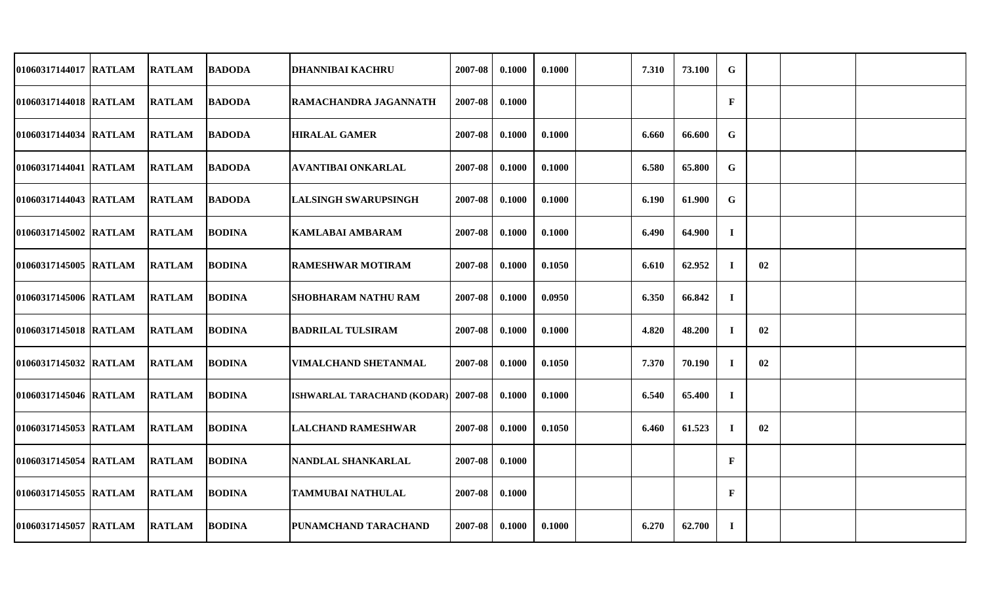| 01060317144017 RATLAM | <b>RATLAM</b> | <b>BADODA</b> | <b>DHANNIBAI KACHRU</b>     | 2007-08 | 0.1000 | 0.1000 | 7.310 | 73.100 | $\mathbf G$  |    |  |
|-----------------------|---------------|---------------|-----------------------------|---------|--------|--------|-------|--------|--------------|----|--|
| 01060317144018 RATLAM | <b>RATLAM</b> | <b>BADODA</b> | RAMACHANDRA JAGANNATH       | 2007-08 | 0.1000 |        |       |        | $\mathbf{F}$ |    |  |
| 01060317144034 RATLAM | <b>RATLAM</b> | <b>BADODA</b> | <b>HIRALAL GAMER</b>        | 2007-08 | 0.1000 | 0.1000 | 6.660 | 66.600 | G            |    |  |
| 01060317144041 RATLAM | <b>RATLAM</b> | <b>BADODA</b> | <b>AVANTIBAI ONKARLAL</b>   | 2007-08 | 0.1000 | 0.1000 | 6.580 | 65.800 | $\mathbf G$  |    |  |
| 01060317144043 RATLAM | <b>RATLAM</b> | <b>BADODA</b> | <b>LALSINGH SWARUPSINGH</b> | 2007-08 | 0.1000 | 0.1000 | 6.190 | 61.900 | $\mathbf G$  |    |  |
| 01060317145002 RATLAM | <b>RATLAM</b> | <b>BODINA</b> | <b>KAMLABAI AMBARAM</b>     | 2007-08 | 0.1000 | 0.1000 | 6.490 | 64.900 | $\mathbf I$  |    |  |
| 01060317145005 RATLAM | <b>RATLAM</b> | <b>BODINA</b> | <b>RAMESHWAR MOTIRAM</b>    | 2007-08 | 0.1000 | 0.1050 | 6.610 | 62.952 | $\bf{I}$     | 02 |  |
| 01060317145006 RATLAM | <b>RATLAM</b> | <b>BODINA</b> | <b>SHOBHARAM NATHU RAM</b>  | 2007-08 | 0.1000 | 0.0950 | 6.350 | 66.842 | $\bf{I}$     |    |  |
| 01060317145018 RATLAM | <b>RATLAM</b> | <b>BODINA</b> | <b>BADRILAL TULSIRAM</b>    | 2007-08 | 0.1000 | 0.1000 | 4.820 | 48.200 | $\bf{I}$     | 02 |  |
| 01060317145032 RATLAM | <b>RATLAM</b> | <b>BODINA</b> | <b>VIMALCHAND SHETANMAL</b> | 2007-08 | 0.1000 | 0.1050 | 7.370 | 70.190 | $\mathbf I$  | 02 |  |
| 01060317145046 RATLAM | <b>RATLAM</b> | <b>BODINA</b> | ISHWARLAL TARACHAND (KODAR) | 2007-08 | 0.1000 | 0.1000 | 6.540 | 65.400 | $\bf{I}$     |    |  |
| 01060317145053 RATLAM | <b>RATLAM</b> | <b>BODINA</b> | <b>LALCHAND RAMESHWAR</b>   | 2007-08 | 0.1000 | 0.1050 | 6.460 | 61.523 | $\mathbf I$  | 02 |  |
| 01060317145054 RATLAM | <b>RATLAM</b> | <b>BODINA</b> | NANDLAL SHANKARLAL          | 2007-08 | 0.1000 |        |       |        | $\mathbf{F}$ |    |  |
| 01060317145055 RATLAM | <b>RATLAM</b> | <b>BODINA</b> | TAMMUBAI NATHULAL           | 2007-08 | 0.1000 |        |       |        | $\mathbf{F}$ |    |  |
| 01060317145057 RATLAM | <b>RATLAM</b> | <b>BODINA</b> | PUNAMCHAND TARACHAND        | 2007-08 | 0.1000 | 0.1000 | 6.270 | 62.700 | $\bf{I}$     |    |  |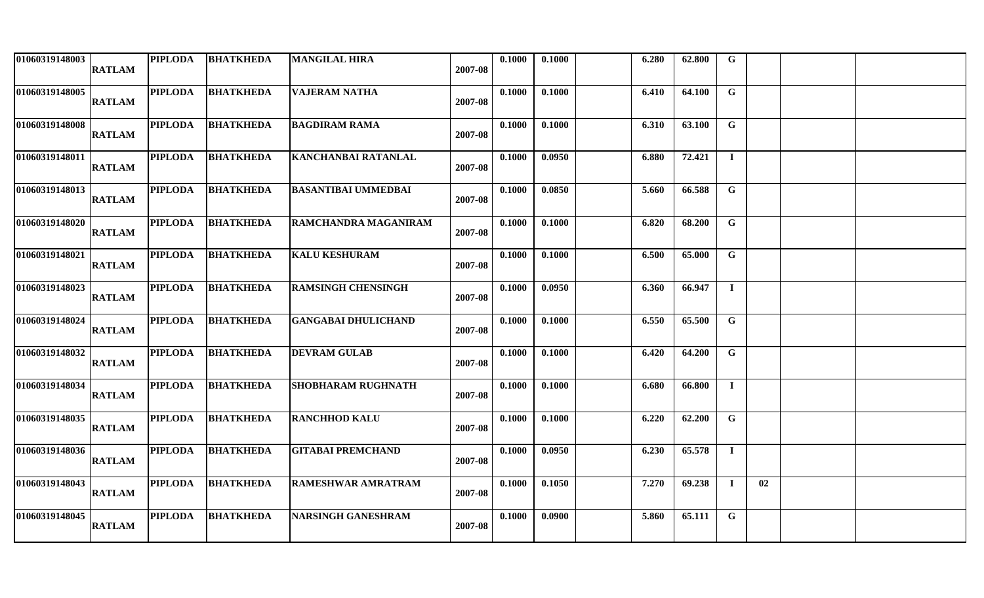| 01060319148003 | <b>RATLAM</b> | <b>PIPLODA</b> | <b>BHATKHEDA</b> | <b>MANGILAL HIRA</b>        | 2007-08 | 0.1000 | 0.1000 | 6.280 | 62.800 | $\mathbf G$  |    |  |
|----------------|---------------|----------------|------------------|-----------------------------|---------|--------|--------|-------|--------|--------------|----|--|
| 01060319148005 | <b>RATLAM</b> | <b>PIPLODA</b> | <b>BHATKHEDA</b> | <b>VAJERAM NATHA</b>        | 2007-08 | 0.1000 | 0.1000 | 6.410 | 64.100 | $\mathbf G$  |    |  |
| 01060319148008 | <b>RATLAM</b> | <b>PIPLODA</b> | <b>BHATKHEDA</b> | <b>BAGDIRAM RAMA</b>        | 2007-08 | 0.1000 | 0.1000 | 6.310 | 63.100 | G            |    |  |
| 01060319148011 | <b>RATLAM</b> | PIPLODA        | <b>BHATKHEDA</b> | <b>KANCHANBAI RATANLAL</b>  | 2007-08 | 0.1000 | 0.0950 | 6.880 | 72.421 | $\mathbf{I}$ |    |  |
| 01060319148013 | <b>RATLAM</b> | PIPLODA        | <b>BHATKHEDA</b> | <b>BASANTIBAI UMMEDBAI</b>  | 2007-08 | 0.1000 | 0.0850 | 5.660 | 66.588 | $\mathbf G$  |    |  |
| 01060319148020 | <b>RATLAM</b> | <b>PIPLODA</b> | <b>BHATKHEDA</b> | <b>RAMCHANDRA MAGANIRAM</b> | 2007-08 | 0.1000 | 0.1000 | 6.820 | 68.200 | $\mathbf G$  |    |  |
| 01060319148021 | <b>RATLAM</b> | <b>PIPLODA</b> | <b>BHATKHEDA</b> | <b>KALU KESHURAM</b>        | 2007-08 | 0.1000 | 0.1000 | 6.500 | 65.000 | $\mathbf G$  |    |  |
| 01060319148023 | <b>RATLAM</b> | <b>PIPLODA</b> | <b>BHATKHEDA</b> | <b>RAMSINGH CHENSINGH</b>   | 2007-08 | 0.1000 | 0.0950 | 6.360 | 66.947 | $\mathbf{I}$ |    |  |
| 01060319148024 | <b>RATLAM</b> | <b>PIPLODA</b> | <b>BHATKHEDA</b> | <b>GANGABAI DHULICHAND</b>  | 2007-08 | 0.1000 | 0.1000 | 6.550 | 65.500 | $\mathbf G$  |    |  |
| 01060319148032 | <b>RATLAM</b> | <b>PIPLODA</b> | <b>BHATKHEDA</b> | <b>DEVRAM GULAB</b>         | 2007-08 | 0.1000 | 0.1000 | 6.420 | 64.200 | $\mathbf G$  |    |  |
| 01060319148034 | <b>RATLAM</b> | <b>PIPLODA</b> | <b>BHATKHEDA</b> | <b>SHOBHARAM RUGHNATH</b>   | 2007-08 | 0.1000 | 0.1000 | 6.680 | 66.800 | $\bf{I}$     |    |  |
| 01060319148035 | <b>RATLAM</b> | <b>PIPLODA</b> | <b>BHATKHEDA</b> | <b>RANCHHOD KALU</b>        | 2007-08 | 0.1000 | 0.1000 | 6.220 | 62.200 | $\mathbf G$  |    |  |
| 01060319148036 | <b>RATLAM</b> | <b>PIPLODA</b> | <b>BHATKHEDA</b> | <b>GITABAI PREMCHAND</b>    | 2007-08 | 0.1000 | 0.0950 | 6.230 | 65.578 | $\mathbf{I}$ |    |  |
| 01060319148043 | <b>RATLAM</b> | <b>PIPLODA</b> | <b>BHATKHEDA</b> | <b>RAMESHWAR AMRATRAM</b>   | 2007-08 | 0.1000 | 0.1050 | 7.270 | 69.238 | $\bf{I}$     | 02 |  |
| 01060319148045 | <b>RATLAM</b> | <b>PIPLODA</b> | <b>BHATKHEDA</b> | <b>NARSINGH GANESHRAM</b>   | 2007-08 | 0.1000 | 0.0900 | 5.860 | 65.111 | $\mathbf G$  |    |  |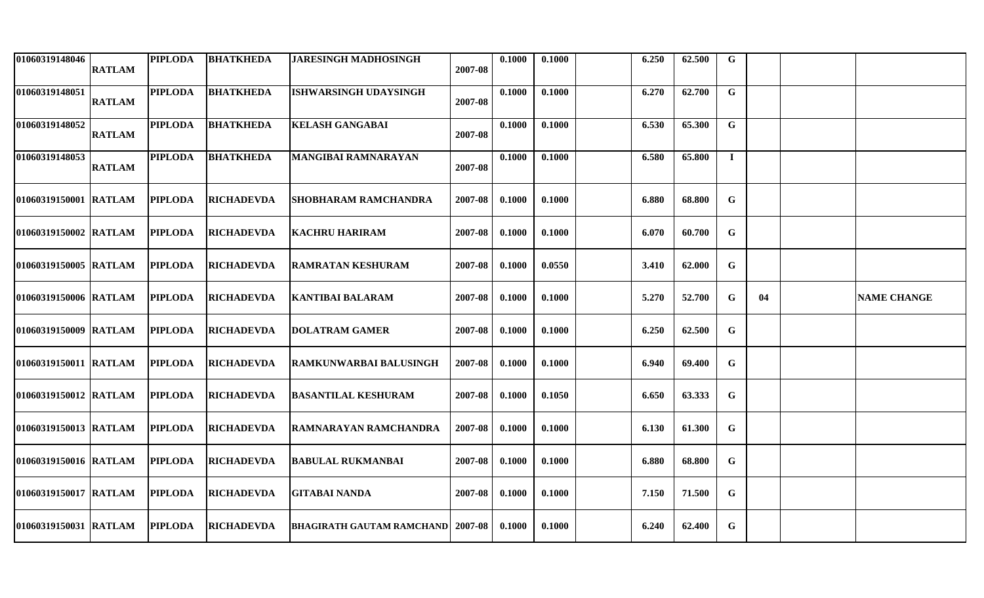| 01060319148046         | <b>RATLAM</b> | <b>PIPLODA</b> | <b>BHATKHEDA</b>  | <b>JARESINGH MADHOSINGH</b>                | 2007-08 | 0.1000 | 0.1000 | 6.250 | 62.500 | G           |    |                    |
|------------------------|---------------|----------------|-------------------|--------------------------------------------|---------|--------|--------|-------|--------|-------------|----|--------------------|
| 01060319148051         | <b>RATLAM</b> | <b>PIPLODA</b> | <b>BHATKHEDA</b>  | <b>ISHWARSINGH UDAYSINGH</b>               | 2007-08 | 0.1000 | 0.1000 | 6.270 | 62.700 | $\mathbf G$ |    |                    |
| 01060319148052         | <b>RATLAM</b> | <b>PIPLODA</b> | <b>BHATKHEDA</b>  | <b>KELASH GANGABAI</b>                     | 2007-08 | 0.1000 | 0.1000 | 6.530 | 65.300 | $\mathbf G$ |    |                    |
| 01060319148053         | <b>RATLAM</b> | <b>PIPLODA</b> | <b>BHATKHEDA</b>  | <b>MANGIBAI RAMNARAYAN</b>                 | 2007-08 | 0.1000 | 0.1000 | 6.580 | 65.800 | $\mathbf I$ |    |                    |
| 01060319150001 RATLAM  |               | <b>PIPLODA</b> | <b>RICHADEVDA</b> | <b>SHOBHARAM RAMCHANDRA</b>                | 2007-08 | 0.1000 | 0.1000 | 6.880 | 68.800 | $\mathbf G$ |    |                    |
| 01060319150002 RATLAM  |               | <b>PIPLODA</b> | <b>RICHADEVDA</b> | <b>KACHRU HARIRAM</b>                      | 2007-08 | 0.1000 | 0.1000 | 6.070 | 60.700 | $\mathbf G$ |    |                    |
| 01060319150005 RATLAM  |               | <b>PIPLODA</b> | <b>RICHADEVDA</b> | IRAMRATAN KESHURAM                         | 2007-08 | 0.1000 | 0.0550 | 3.410 | 62.000 | G           |    |                    |
| 01060319150006 RATLAM  |               | <b>PIPLODA</b> | <b>RICHADEVDA</b> | <b>KANTIBAI BALARAM</b>                    | 2007-08 | 0.1000 | 0.1000 | 5.270 | 52.700 | G           | 04 | <b>NAME CHANGE</b> |
| 01060319150009 RATLAM  |               | <b>PIPLODA</b> | <b>RICHADEVDA</b> | <b>DOLATRAM GAMER</b>                      | 2007-08 | 0.1000 | 0.1000 | 6.250 | 62.500 | $\mathbf G$ |    |                    |
| 01060319150011 RATLAM  |               | <b>PIPLODA</b> | <b>RICHADEVDA</b> | RAMKUNWARBAI BALUSINGH                     | 2007-08 | 0.1000 | 0.1000 | 6.940 | 69.400 | $\mathbf G$ |    |                    |
| 01060319150012 RATLAM  |               | <b>PIPLODA</b> | <b>RICHADEVDA</b> | <b>BASANTILAL KESHURAM</b>                 | 2007-08 | 0.1000 | 0.1050 | 6.650 | 63.333 | G           |    |                    |
| 01060319150013 RATLAM  |               | <b>PIPLODA</b> | <b>RICHADEVDA</b> | RAMNARAYAN RAMCHANDRA                      | 2007-08 | 0.1000 | 0.1000 | 6.130 | 61.300 | G           |    |                    |
| 01060319150016  RATLAM |               | <b>PIPLODA</b> | <b>RICHADEVDA</b> | BABULAL RUKMANBAI                          | 2007-08 | 0.1000 | 0.1000 | 6.880 | 68.800 | G           |    |                    |
| 01060319150017 RATLAM  |               | <b>PIPLODA</b> | <b>RICHADEVDA</b> | <b>GITABAI NANDA</b>                       | 2007-08 | 0.1000 | 0.1000 | 7.150 | 71.500 | G           |    |                    |
| 01060319150031 RATLAM  |               | <b>PIPLODA</b> | <b>RICHADEVDA</b> | <b>BHAGIRATH GAUTAM RAMCHAND   2007-08</b> |         | 0.1000 | 0.1000 | 6.240 | 62.400 | $\mathbf G$ |    |                    |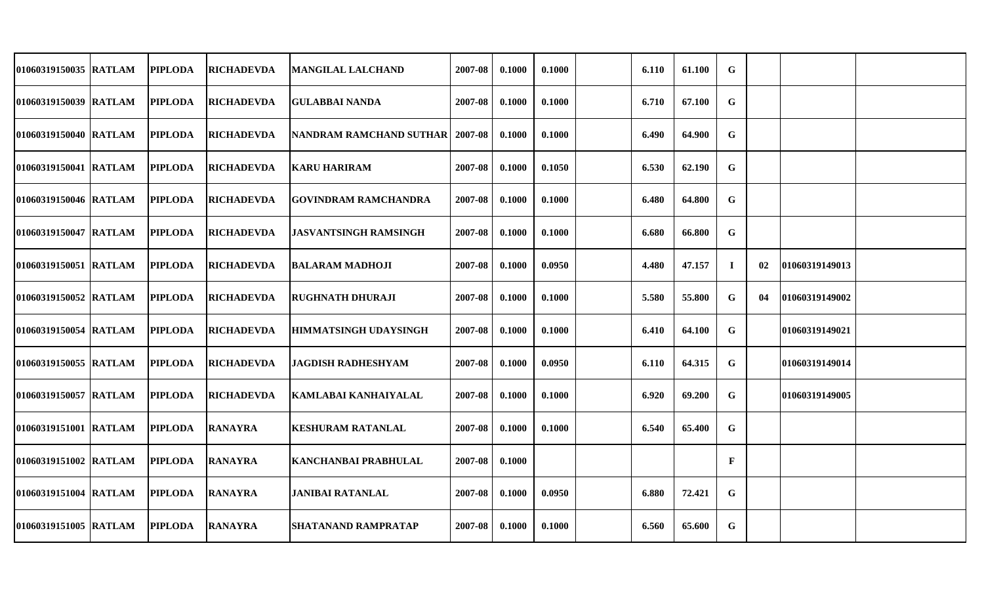| 01060319150035  RATLAM | <b>PIPLODA</b> | <b>RICHADEVDA</b> | MANGILAL LALCHAND                 | 2007-08 | 0.1000 | 0.1000 | 6.110 | 61.100 | G            |    |                |  |
|------------------------|----------------|-------------------|-----------------------------------|---------|--------|--------|-------|--------|--------------|----|----------------|--|
| 01060319150039 RATLAM  | <b>PIPLODA</b> | <b>RICHADEVDA</b> | IGULABBAI NANDA                   | 2007-08 | 0.1000 | 0.1000 | 6.710 | 67.100 | G            |    |                |  |
| 01060319150040 RATLAM  | <b>PIPLODA</b> | <b>RICHADEVDA</b> | NANDRAM RAMCHAND SUTHAR   2007-08 |         | 0.1000 | 0.1000 | 6.490 | 64.900 | G            |    |                |  |
| 01060319150041 RATLAM  | <b>PIPLODA</b> | <b>RICHADEVDA</b> | <b>KARU HARIRAM</b>               | 2007-08 | 0.1000 | 0.1050 | 6.530 | 62.190 | $\mathbf G$  |    |                |  |
| 01060319150046 RATLAM  | <b>PIPLODA</b> | <b>RICHADEVDA</b> | <b>GOVINDRAM RAMCHANDRA</b>       | 2007-08 | 0.1000 | 0.1000 | 6.480 | 64.800 | G            |    |                |  |
| 01060319150047 IRATLAM | <b>PIPLODA</b> | <b>RICHADEVDA</b> | <b>IJASVANTSINGH RAMSINGH</b>     | 2007-08 | 0.1000 | 0.1000 | 6.680 | 66.800 | G            |    |                |  |
| 01060319150051 RATLAM  | <b>PIPLODA</b> | <b>RICHADEVDA</b> | <b>BALARAM MADHOJI</b>            | 2007-08 | 0.1000 | 0.0950 | 4.480 | 47.157 | $\mathbf{I}$ | 02 | 01060319149013 |  |
| 01060319150052 RATLAM  | <b>PIPLODA</b> | <b>RICHADEVDA</b> | <b>RUGHNATH DHURAJI</b>           | 2007-08 | 0.1000 | 0.1000 | 5.580 | 55.800 | G            | 04 | 01060319149002 |  |
| 01060319150054 RATLAM  | <b>PIPLODA</b> | <b>RICHADEVDA</b> | <b>HIMMATSINGH UDAYSINGH</b>      | 2007-08 | 0.1000 | 0.1000 | 6.410 | 64.100 | G            |    | 01060319149021 |  |
| 01060319150055 RATLAM  | <b>PIPLODA</b> | <b>RICHADEVDA</b> | <b>JAGDISH RADHESHYAM</b>         | 2007-08 | 0.1000 | 0.0950 | 6.110 | 64.315 | G            |    | 01060319149014 |  |
| 01060319150057 RATLAM  | <b>PIPLODA</b> | <b>RICHADEVDA</b> | KAMLABAI KANHAIYALAL              | 2007-08 | 0.1000 | 0.1000 | 6.920 | 69.200 | G            |    | 01060319149005 |  |
| 01060319151001 RATLAM  | <b>PIPLODA</b> | <b>RANAYRA</b>    | <b>KESHURAM RATANLAL</b>          | 2007-08 | 0.1000 | 0.1000 | 6.540 | 65.400 | G            |    |                |  |
| 01060319151002 RATLAM  | <b>PIPLODA</b> | <b>RANAYRA</b>    | <b>KANCHANBAI PRABHULAL</b>       | 2007-08 | 0.1000 |        |       |        | $\mathbf{F}$ |    |                |  |
| 01060319151004 RATLAM  | <b>PIPLODA</b> | <b>RANAYRA</b>    | <b>JANIBAI RATANLAL</b>           | 2007-08 | 0.1000 | 0.0950 | 6.880 | 72.421 | G            |    |                |  |
| 01060319151005 RATLAM  | <b>PIPLODA</b> | <b>RANAYRA</b>    | <b>SHATANAND RAMPRATAP</b>        | 2007-08 | 0.1000 | 0.1000 | 6.560 | 65.600 | G            |    |                |  |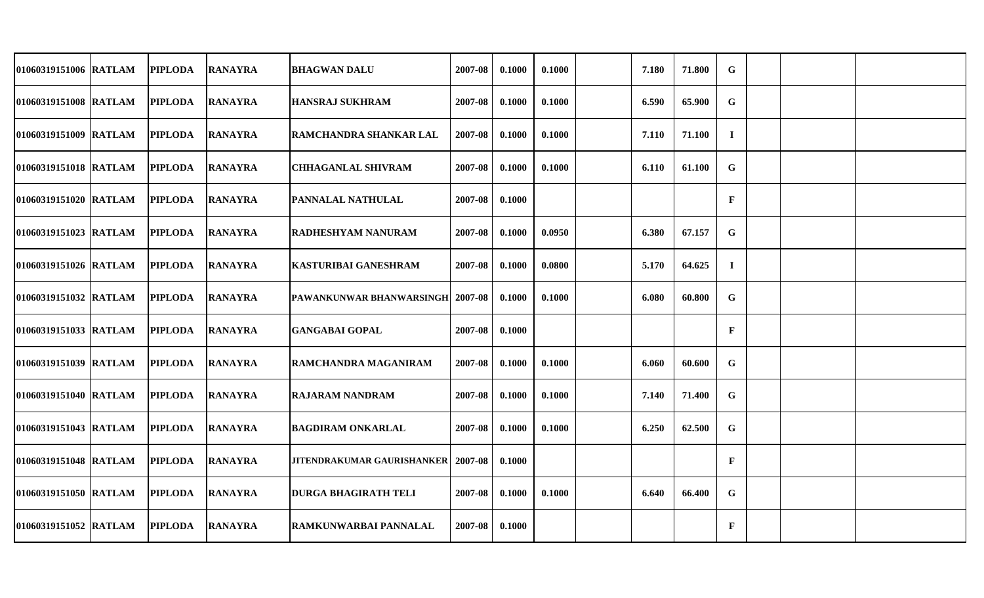| 01060319151006 RATLAM | <b>PIPLODA</b> | <b>RANAYRA</b> | <b>BHAGWAN DALU</b>              | 2007-08 | 0.1000 | 0.1000 | 7.180 | 71.800 | $\mathbf G$  |  |  |
|-----------------------|----------------|----------------|----------------------------------|---------|--------|--------|-------|--------|--------------|--|--|
| 01060319151008 RATLAM | <b>PIPLODA</b> | <b>RANAYRA</b> | <b>HANSRAJ SUKHRAM</b>           | 2007-08 | 0.1000 | 0.1000 | 6.590 | 65.900 | $\mathbf G$  |  |  |
| 01060319151009 RATLAM | <b>PIPLODA</b> | <b>RANAYRA</b> | RAMCHANDRA SHANKAR LAL           | 2007-08 | 0.1000 | 0.1000 | 7.110 | 71.100 | $\mathbf I$  |  |  |
| 01060319151018 RATLAM | <b>PIPLODA</b> | <b>RANAYRA</b> | <b>CHHAGANLAL SHIVRAM</b>        | 2007-08 | 0.1000 | 0.1000 | 6.110 | 61.100 | G            |  |  |
| 01060319151020 RATLAM | <b>PIPLODA</b> | <b>RANAYRA</b> | PANNALAL NATHULAL                | 2007-08 | 0.1000 |        |       |        | $\mathbf{F}$ |  |  |
| 01060319151023 RATLAM | <b>PIPLODA</b> | <b>RANAYRA</b> | RADHESHYAM NANURAM               | 2007-08 | 0.1000 | 0.0950 | 6.380 | 67.157 | $\mathbf G$  |  |  |
| 01060319151026 RATLAM | <b>PIPLODA</b> | <b>RANAYRA</b> | <b>KASTURIBAI GANESHRAM</b>      | 2007-08 | 0.1000 | 0.0800 | 5.170 | 64.625 | $\bf{I}$     |  |  |
| 01060319151032 RATLAM | <b>PIPLODA</b> | <b>RANAYRA</b> | PAWANKUNWAR BHANWARSINGH 2007-08 |         | 0.1000 | 0.1000 | 6.080 | 60.800 | $\mathbf G$  |  |  |
| 01060319151033 RATLAM | <b>PIPLODA</b> | <b>RANAYRA</b> | <b>GANGABAI GOPAL</b>            | 2007-08 | 0.1000 |        |       |        | $\mathbf{F}$ |  |  |
| 01060319151039 RATLAM | <b>PIPLODA</b> | <b>RANAYRA</b> | RAMCHANDRA MAGANIRAM             | 2007-08 | 0.1000 | 0.1000 | 6.060 | 60.600 | $\mathbf G$  |  |  |
| 01060319151040 RATLAM | <b>PIPLODA</b> | <b>RANAYRA</b> | <b>RAJARAM NANDRAM</b>           | 2007-08 | 0.1000 | 0.1000 | 7.140 | 71.400 | $\mathbf G$  |  |  |
| 01060319151043 RATLAM | <b>PIPLODA</b> | <b>RANAYRA</b> | BAGDIRAM ONKARLAL                | 2007-08 | 0.1000 | 0.1000 | 6.250 | 62.500 | G            |  |  |
| 01060319151048 RATLAM | <b>PIPLODA</b> | <b>RANAYRA</b> | JITENDRAKUMAR GAURISHANKER       | 2007-08 | 0.1000 |        |       |        | $\mathbf{F}$ |  |  |
| 01060319151050 RATLAM | <b>PIPLODA</b> | <b>RANAYRA</b> | <b>DURGA BHAGIRATH TELI</b>      | 2007-08 | 0.1000 | 0.1000 | 6.640 | 66.400 | G            |  |  |
| 01060319151052 RATLAM | <b>PIPLODA</b> | <b>RANAYRA</b> | RAMKUNWARBAI PANNALAL            | 2007-08 | 0.1000 |        |       |        | $\mathbf{F}$ |  |  |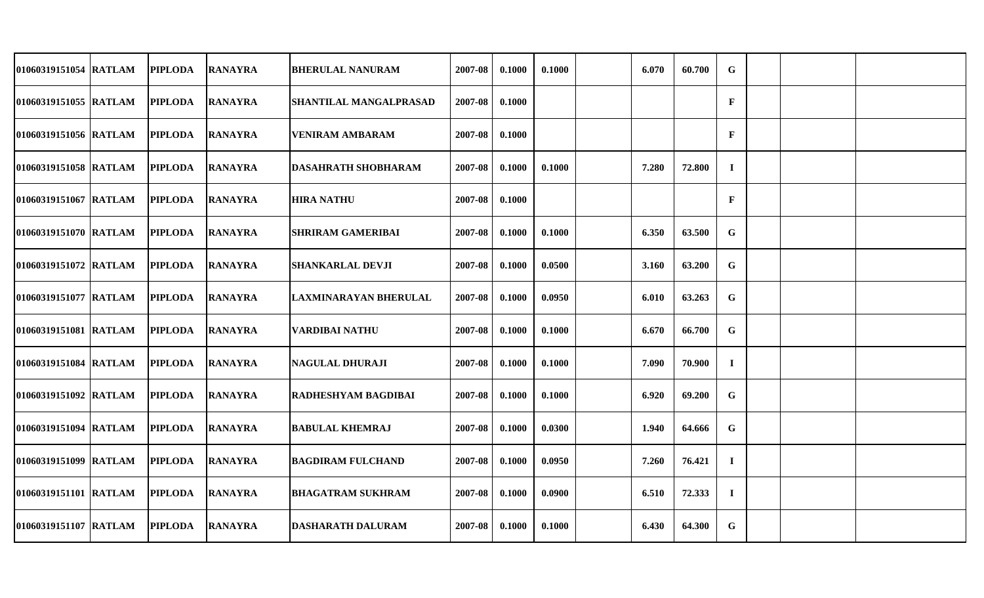| 01060319151054 RATLAM  | <b>PIPLODA</b> | <b>RANAYRA</b> | <b>BHERULAL NANURAM</b>       | 2007-08 | 0.1000 | 0.1000 | 6.070 | 60.700 | $\mathbf G$  |  |  |
|------------------------|----------------|----------------|-------------------------------|---------|--------|--------|-------|--------|--------------|--|--|
| 01060319151055 RATLAM  | <b>PIPLODA</b> | <b>RANAYRA</b> | <b>SHANTILAL MANGALPRASAD</b> | 2007-08 | 0.1000 |        |       |        | $\mathbf{F}$ |  |  |
| 01060319151056 RATLAM  | <b>PIPLODA</b> | <b>RANAYRA</b> | <b>VENIRAM AMBARAM</b>        | 2007-08 | 0.1000 |        |       |        | $\mathbf{F}$ |  |  |
| 01060319151058 IRATLAM | <b>PIPLODA</b> | <b>RANAYRA</b> | <b>DASAHRATH SHOBHARAM</b>    | 2007-08 | 0.1000 | 0.1000 | 7.280 | 72.800 | $\bf{I}$     |  |  |
| 01060319151067 RATLAM  | <b>PIPLODA</b> | <b>RANAYRA</b> | <b>HIRA NATHU</b>             | 2007-08 | 0.1000 |        |       |        | $\mathbf{F}$ |  |  |
| 01060319151070 RATLAM  | <b>PIPLODA</b> | <b>RANAYRA</b> | <b>SHRIRAM GAMERIBAI</b>      | 2007-08 | 0.1000 | 0.1000 | 6.350 | 63.500 | $\mathbf G$  |  |  |
| 01060319151072 RATLAM  | <b>PIPLODA</b> | <b>RANAYRA</b> | <b>SHANKARLAL DEVJI</b>       | 2007-08 | 0.1000 | 0.0500 | 3.160 | 63.200 | G            |  |  |
| 01060319151077 RATLAM  | <b>PIPLODA</b> | <b>RANAYRA</b> | LAXMINARAYAN BHERULAL         | 2007-08 | 0.1000 | 0.0950 | 6.010 | 63.263 | G            |  |  |
| 01060319151081 RATLAM  | <b>PIPLODA</b> | <b>RANAYRA</b> | <b>VARDIBAI NATHU</b>         | 2007-08 | 0.1000 | 0.1000 | 6.670 | 66.700 | $\mathbf G$  |  |  |
| 01060319151084 RATLAM  | <b>PIPLODA</b> | <b>RANAYRA</b> | <b>NAGULAL DHURAJI</b>        | 2007-08 | 0.1000 | 0.1000 | 7.090 | 70.900 | $\mathbf I$  |  |  |
| 01060319151092 RATLAM  | <b>PIPLODA</b> | <b>RANAYRA</b> | RADHESHYAM BAGDIBAI           | 2007-08 | 0.1000 | 0.1000 | 6.920 | 69.200 | G            |  |  |
| 01060319151094 RATLAM  | <b>PIPLODA</b> | <b>RANAYRA</b> | <b>BABULAL KHEMRAJ</b>        | 2007-08 | 0.1000 | 0.0300 | 1.940 | 64.666 | $\mathbf G$  |  |  |
| 01060319151099 RATLAM  | <b>PIPLODA</b> | <b>RANAYRA</b> | <b>BAGDIRAM FULCHAND</b>      | 2007-08 | 0.1000 | 0.0950 | 7.260 | 76.421 | $\bf I$      |  |  |
| 01060319151101 RATLAM  | <b>PIPLODA</b> | <b>RANAYRA</b> | <b>BHAGATRAM SUKHRAM</b>      | 2007-08 | 0.1000 | 0.0900 | 6.510 | 72.333 | $\bf{I}$     |  |  |
| 01060319151107 RATLAM  | <b>PIPLODA</b> | <b>RANAYRA</b> | <b>DASHARATH DALURAM</b>      | 2007-08 | 0.1000 | 0.1000 | 6.430 | 64.300 | $\mathbf G$  |  |  |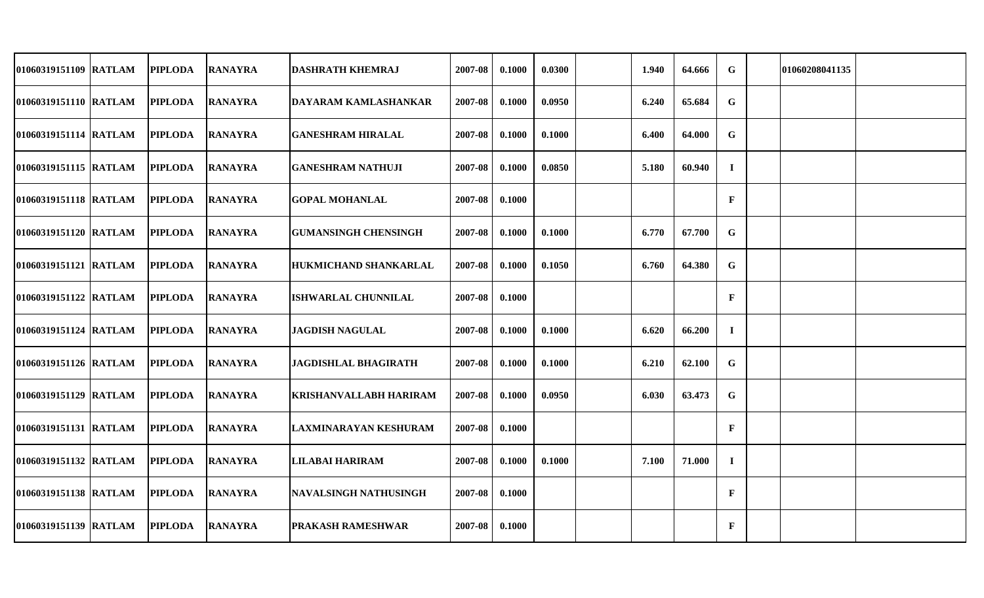| 01060319151109 RATLAM | <b>PIPLODA</b> | <b>RANAYRA</b> | <b>DASHRATH KHEMRAJ</b>       | 2007-08 | 0.1000 | 0.0300 | 1.940 | 64.666 | G            | 01060208041135 |  |
|-----------------------|----------------|----------------|-------------------------------|---------|--------|--------|-------|--------|--------------|----------------|--|
| 01060319151110 RATLAM | <b>PIPLODA</b> | <b>RANAYRA</b> | DAYARAM KAMLASHANKAR          | 2007-08 | 0.1000 | 0.0950 | 6.240 | 65.684 | $\mathbf G$  |                |  |
| 01060319151114 RATLAM | <b>PIPLODA</b> | <b>RANAYRA</b> | <b>GANESHRAM HIRALAL</b>      | 2007-08 | 0.1000 | 0.1000 | 6.400 | 64.000 | G            |                |  |
| 01060319151115 RATLAM | <b>PIPLODA</b> | <b>RANAYRA</b> | <b>GANESHRAM NATHUJI</b>      | 2007-08 | 0.1000 | 0.0850 | 5.180 | 60.940 | $\mathbf{I}$ |                |  |
| 01060319151118 RATLAM | <b>PIPLODA</b> | <b>RANAYRA</b> | <b>GOPAL MOHANLAL</b>         | 2007-08 | 0.1000 |        |       |        | $\mathbf{F}$ |                |  |
| 01060319151120 RATLAM | <b>PIPLODA</b> | <b>RANAYRA</b> | <b>GUMANSINGH CHENSINGH</b>   | 2007-08 | 0.1000 | 0.1000 | 6.770 | 67.700 | $\mathbf G$  |                |  |
| 01060319151121 RATLAM | <b>PIPLODA</b> | <b>RANAYRA</b> | <b>HUKMICHAND SHANKARLAL</b>  | 2007-08 | 0.1000 | 0.1050 | 6.760 | 64.380 | G            |                |  |
| 01060319151122 RATLAM | <b>PIPLODA</b> | <b>RANAYRA</b> | <b>ISHWARLAL CHUNNILAL</b>    | 2007-08 | 0.1000 |        |       |        | $\mathbf{F}$ |                |  |
| 01060319151124 RATLAM | <b>PIPLODA</b> | <b>RANAYRA</b> | <b>JAGDISH NAGULAL</b>        | 2007-08 | 0.1000 | 0.1000 | 6.620 | 66.200 | $\bf{I}$     |                |  |
| 01060319151126 RATLAM | <b>PIPLODA</b> | <b>RANAYRA</b> | <b>JAGDISHLAL BHAGIRATH</b>   | 2007-08 | 0.1000 | 0.1000 | 6.210 | 62.100 | $\mathbf G$  |                |  |
| 01060319151129 RATLAM | <b>PIPLODA</b> | <b>RANAYRA</b> | <b>KRISHANVALLABH HARIRAM</b> | 2007-08 | 0.1000 | 0.0950 | 6.030 | 63.473 | $\mathbf G$  |                |  |
| 01060319151131 RATLAM | <b>PIPLODA</b> | <b>RANAYRA</b> | <b>LAXMINARAYAN KESHURAM</b>  | 2007-08 | 0.1000 |        |       |        | $\mathbf{F}$ |                |  |
| 01060319151132 RATLAM | <b>PIPLODA</b> | <b>RANAYRA</b> | <b>LILABAI HARIRAM</b>        | 2007-08 | 0.1000 | 0.1000 | 7.100 | 71.000 | $\bf{I}$     |                |  |
| 01060319151138 RATLAM | <b>PIPLODA</b> | <b>RANAYRA</b> | <b>NAVALSINGH NATHUSINGH</b>  | 2007-08 | 0.1000 |        |       |        | $\mathbf{F}$ |                |  |
| 01060319151139 RATLAM | <b>PIPLODA</b> | <b>RANAYRA</b> | <b>PRAKASH RAMESHWAR</b>      | 2007-08 | 0.1000 |        |       |        | $\mathbf{F}$ |                |  |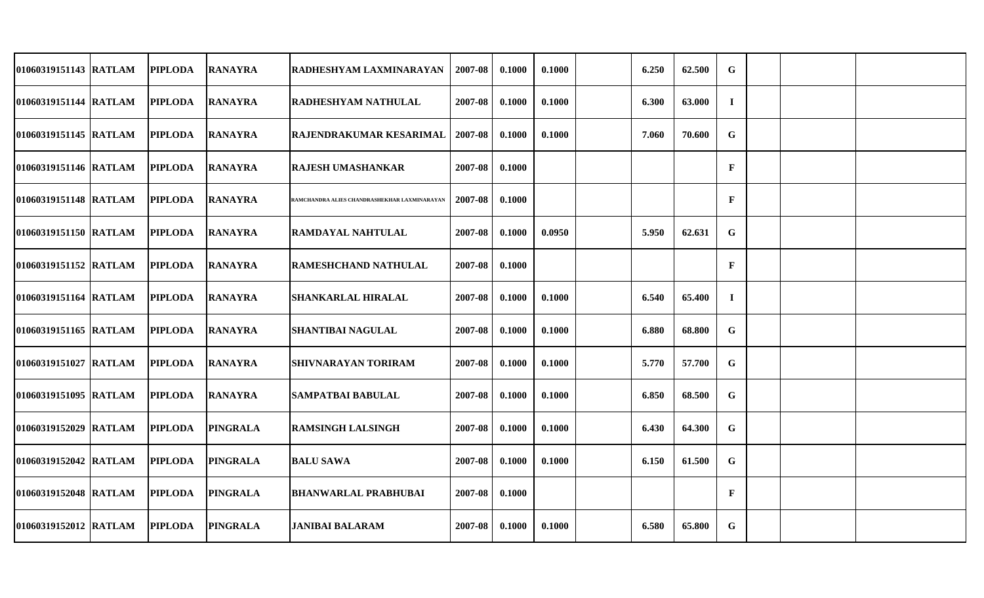| 01060319151143 RATLAM | <b>PIPLODA</b> | <b>RANAYRA</b>  | RADHESHYAM LAXMINARAYAN                      | 2007-08 | 0.1000 | 0.1000 | 6.250 | 62.500 | G            |  |  |
|-----------------------|----------------|-----------------|----------------------------------------------|---------|--------|--------|-------|--------|--------------|--|--|
| 01060319151144 RATLAM | <b>PIPLODA</b> | <b>RANAYRA</b>  | <b>RADHESHYAM NATHULAL</b>                   | 2007-08 | 0.1000 | 0.1000 | 6.300 | 63.000 | $\mathbf{I}$ |  |  |
| 01060319151145 RATLAM | <b>PIPLODA</b> | <b>RANAYRA</b>  | <b>RAJENDRAKUMAR KESARIMAL</b>               | 2007-08 | 0.1000 | 0.1000 | 7.060 | 70.600 | $\mathbf G$  |  |  |
| 01060319151146 RATLAM | <b>PIPLODA</b> | <b>RANAYRA</b>  | <b>RAJESH UMASHANKAR</b>                     | 2007-08 | 0.1000 |        |       |        | $\mathbf{F}$ |  |  |
| 01060319151148 RATLAM | <b>PIPLODA</b> | <b>RANAYRA</b>  | RAMCHANDRA ALIES CHANDRASHEKHAR LAXMINARAYAN | 2007-08 | 0.1000 |        |       |        | $\mathbf{F}$ |  |  |
| 01060319151150 RATLAM | <b>PIPLODA</b> | <b>RANAYRA</b>  | <b>RAMDAYAL NAHTULAL</b>                     | 2007-08 | 0.1000 | 0.0950 | 5.950 | 62.631 | G            |  |  |
| 01060319151152 RATLAM | <b>PIPLODA</b> | <b>RANAYRA</b>  | <b>RAMESHCHAND NATHULAL</b>                  | 2007-08 | 0.1000 |        |       |        | $\mathbf{F}$ |  |  |
| 01060319151164 RATLAM | <b>PIPLODA</b> | <b>RANAYRA</b>  | <b>SHANKARLAL HIRALAL</b>                    | 2007-08 | 0.1000 | 0.1000 | 6.540 | 65.400 | $\bf{I}$     |  |  |
| 01060319151165 RATLAM | <b>PIPLODA</b> | <b>RANAYRA</b>  | <b>SHANTIBAI NAGULAL</b>                     | 2007-08 | 0.1000 | 0.1000 | 6.880 | 68.800 | $\mathbf G$  |  |  |
| 01060319151027 RATLAM | <b>PIPLODA</b> | <b>RANAYRA</b>  | <b>SHIVNARAYAN TORIRAM</b>                   | 2007-08 | 0.1000 | 0.1000 | 5.770 | 57.700 | G            |  |  |
| 01060319151095 RATLAM | <b>PIPLODA</b> | <b>RANAYRA</b>  | <b>SAMPATBAI BABULAL</b>                     | 2007-08 | 0.1000 | 0.1000 | 6.850 | 68.500 | G            |  |  |
| 01060319152029 RATLAM | <b>PIPLODA</b> | <b>PINGRALA</b> | <b>RAMSINGH LALSINGH</b>                     | 2007-08 | 0.1000 | 0.1000 | 6.430 | 64.300 | G            |  |  |
| 01060319152042 RATLAM | <b>PIPLODA</b> | <b>PINGRALA</b> | <b>BALU SAWA</b>                             | 2007-08 | 0.1000 | 0.1000 | 6.150 | 61.500 | $\mathbf G$  |  |  |
| 01060319152048 RATLAM | <b>PIPLODA</b> | <b>PINGRALA</b> | <b>BHANWARLAL PRABHUBAI</b>                  | 2007-08 | 0.1000 |        |       |        | $\mathbf{F}$ |  |  |
| 01060319152012 RATLAM | <b>PIPLODA</b> | <b>PINGRALA</b> | <b>JANIBAI BALARAM</b>                       | 2007-08 | 0.1000 | 0.1000 | 6.580 | 65.800 | G            |  |  |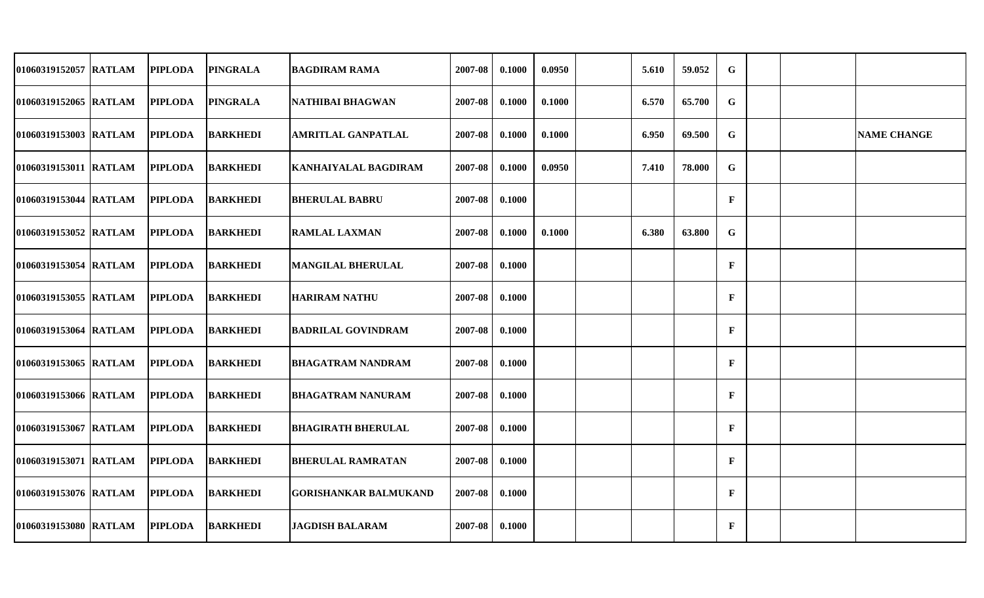| 01060319152057 RATLAM | <b>PIPLODA</b> | <b>PINGRALA</b> | <b>BAGDIRAM RAMA</b>         | 2007-08 | 0.1000 | 0.0950 | 5.610 | 59.052 | $\mathbf G$  |  |                    |
|-----------------------|----------------|-----------------|------------------------------|---------|--------|--------|-------|--------|--------------|--|--------------------|
| 01060319152065 RATLAM | <b>PIPLODA</b> | <b>PINGRALA</b> | NATHIBAI BHAGWAN             | 2007-08 | 0.1000 | 0.1000 | 6.570 | 65.700 | $\mathbf G$  |  |                    |
| 01060319153003 RATLAM | <b>PIPLODA</b> | <b>BARKHEDI</b> | <b>AMRITLAL GANPATLAL</b>    | 2007-08 | 0.1000 | 0.1000 | 6.950 | 69.500 | $\mathbf G$  |  | <b>NAME CHANGE</b> |
| 01060319153011 RATLAM | <b>PIPLODA</b> | <b>BARKHEDI</b> | <b>KANHAIYALAL BAGDIRAM</b>  | 2007-08 | 0.1000 | 0.0950 | 7.410 | 78.000 | G            |  |                    |
| 01060319153044 RATLAM | <b>PIPLODA</b> | <b>BARKHEDI</b> | <b>BHERULAL BABRU</b>        | 2007-08 | 0.1000 |        |       |        | $\mathbf{F}$ |  |                    |
| 01060319153052 RATLAM | <b>PIPLODA</b> | <b>BARKHEDI</b> | <b>RAMLAL LAXMAN</b>         | 2007-08 | 0.1000 | 0.1000 | 6.380 | 63.800 | G            |  |                    |
| 01060319153054 RATLAM | <b>PIPLODA</b> | <b>BARKHEDI</b> | <b>MANGILAL BHERULAL</b>     | 2007-08 | 0.1000 |        |       |        | $\mathbf{F}$ |  |                    |
| 01060319153055 RATLAM | <b>PIPLODA</b> | <b>BARKHEDI</b> | <b>HARIRAM NATHU</b>         | 2007-08 | 0.1000 |        |       |        | $\mathbf{F}$ |  |                    |
| 01060319153064 RATLAM | <b>PIPLODA</b> | <b>BARKHEDI</b> | <b>BADRILAL GOVINDRAM</b>    | 2007-08 | 0.1000 |        |       |        | $\mathbf{F}$ |  |                    |
| 01060319153065 RATLAM | <b>PIPLODA</b> | <b>BARKHEDI</b> | <b>BHAGATRAM NANDRAM</b>     | 2007-08 | 0.1000 |        |       |        | $\mathbf{F}$ |  |                    |
| 01060319153066 RATLAM | <b>PIPLODA</b> | <b>BARKHEDI</b> | IBHAGATRAM NANURAM           | 2007-08 | 0.1000 |        |       |        | $\mathbf{F}$ |  |                    |
| 01060319153067 RATLAM | <b>PIPLODA</b> | <b>BARKHEDI</b> | <b>BHAGIRATH BHERULAL</b>    | 2007-08 | 0.1000 |        |       |        | $\mathbf{F}$ |  |                    |
| 01060319153071 RATLAM | <b>PIPLODA</b> | <b>BARKHEDI</b> | <b>BHERULAL RAMRATAN</b>     | 2007-08 | 0.1000 |        |       |        | $\mathbf{F}$ |  |                    |
| 01060319153076 RATLAM | <b>PIPLODA</b> | <b>BARKHEDI</b> | <b>GORISHANKAR BALMUKAND</b> | 2007-08 | 0.1000 |        |       |        | $\mathbf{F}$ |  |                    |
| 01060319153080 RATLAM | <b>PIPLODA</b> | <b>BARKHEDI</b> | <b>JAGDISH BALARAM</b>       | 2007-08 | 0.1000 |        |       |        | $\mathbf{F}$ |  |                    |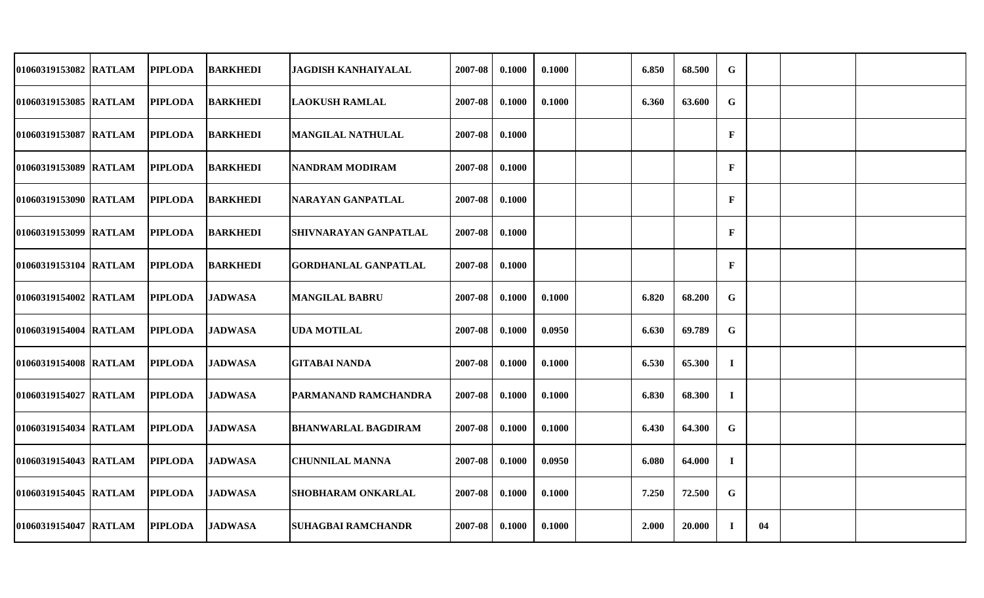| 01060319153082 RATLAM | <b>PIPLODA</b> | <b>BARKHEDI</b> | <b>JAGDISH KANHAIYALAL</b>   | 2007-08 | 0.1000 | 0.1000 | 6.850 | 68.500 | G            |    |  |
|-----------------------|----------------|-----------------|------------------------------|---------|--------|--------|-------|--------|--------------|----|--|
| 01060319153085 RATLAM | <b>PIPLODA</b> | <b>BARKHEDI</b> | <b>LAOKUSH RAMLAL</b>        | 2007-08 | 0.1000 | 0.1000 | 6.360 | 63.600 | G            |    |  |
| 01060319153087 RATLAM | <b>PIPLODA</b> | <b>BARKHEDI</b> | MANGILAL NATHULAL            | 2007-08 | 0.1000 |        |       |        | $\mathbf{F}$ |    |  |
| 01060319153089 RATLAM | <b>PIPLODA</b> | <b>BARKHEDI</b> | <b>NANDRAM MODIRAM</b>       | 2007-08 | 0.1000 |        |       |        | $\mathbf F$  |    |  |
| 01060319153090 RATLAM | <b>PIPLODA</b> | <b>BARKHEDI</b> | NARAYAN GANPATLAL            | 2007-08 | 0.1000 |        |       |        | $\mathbf{F}$ |    |  |
| 01060319153099 RATLAM | <b>PIPLODA</b> | <b>BARKHEDI</b> | <b>SHIVNARAYAN GANPATLAL</b> | 2007-08 | 0.1000 |        |       |        | $\mathbf{F}$ |    |  |
| 01060319153104 RATLAM | <b>PIPLODA</b> | <b>BARKHEDI</b> | <b>GORDHANLAL GANPATLAL</b>  | 2007-08 | 0.1000 |        |       |        | $\mathbf{F}$ |    |  |
| 01060319154002 RATLAM | <b>PIPLODA</b> | <b>JADWASA</b>  | <b>MANGILAL BABRU</b>        | 2007-08 | 0.1000 | 0.1000 | 6.820 | 68.200 | G            |    |  |
| 01060319154004 RATLAM | <b>PIPLODA</b> | <b>JADWASA</b>  | <b>UDA MOTILAL</b>           | 2007-08 | 0.1000 | 0.0950 | 6.630 | 69.789 | G            |    |  |
| 01060319154008 RATLAM | <b>PIPLODA</b> | <b>JADWASA</b>  | <b>GITABAI NANDA</b>         | 2007-08 | 0.1000 | 0.1000 | 6.530 | 65.300 | $\mathbf{I}$ |    |  |
| 01060319154027 RATLAM | <b>PIPLODA</b> | <b>JADWASA</b>  | <b>PARMANAND RAMCHANDRA</b>  | 2007-08 | 0.1000 | 0.1000 | 6.830 | 68.300 | $\bf{I}$     |    |  |
| 01060319154034 RATLAM | <b>PIPLODA</b> | <b>JADWASA</b>  | <b>BHANWARLAL BAGDIRAM</b>   | 2007-08 | 0.1000 | 0.1000 | 6.430 | 64.300 | G            |    |  |
| 01060319154043 RATLAM | <b>PIPLODA</b> | <b>JADWASA</b>  | <b>CHUNNILAL MANNA</b>       | 2007-08 | 0.1000 | 0.0950 | 6.080 | 64.000 | $\bf{I}$     |    |  |
| 01060319154045 RATLAM | <b>PIPLODA</b> | <b>JADWASA</b>  | <b>SHOBHARAM ONKARLAL</b>    | 2007-08 | 0.1000 | 0.1000 | 7.250 | 72.500 | G            |    |  |
| 01060319154047 RATLAM | <b>PIPLODA</b> | <b>JADWASA</b>  | <b>SUHAGBAI RAMCHANDR</b>    | 2007-08 | 0.1000 | 0.1000 | 2.000 | 20.000 | Ι.           | 04 |  |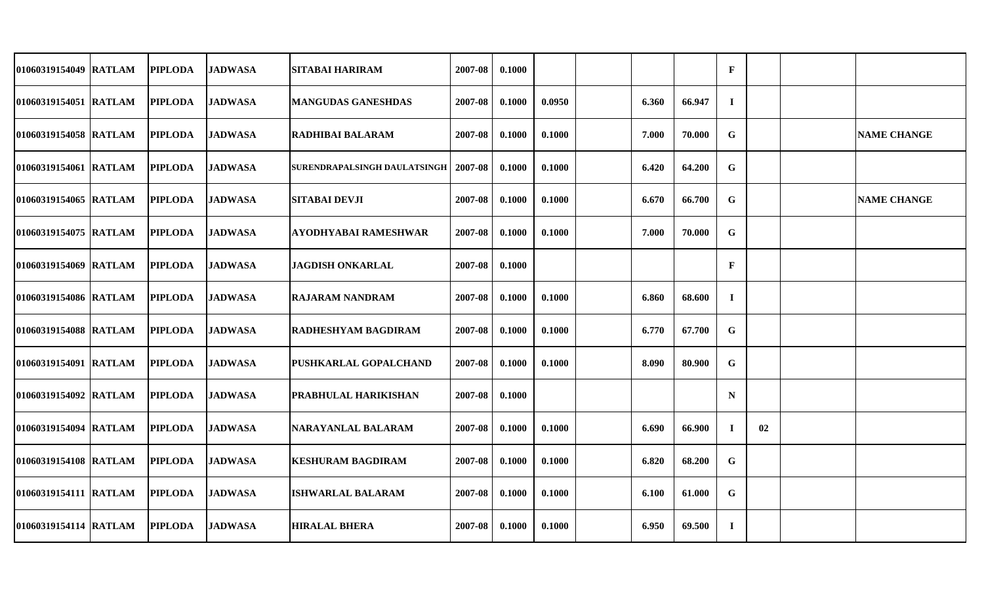| 01060319154049 RATLAM  | <b>PIPLODA</b> | <b>JADWASA</b> | <b>SITABAI HARIRAM</b>       | 2007-08 | 0.1000 |        |       |        | $\mathbf{F}$ |    |                    |
|------------------------|----------------|----------------|------------------------------|---------|--------|--------|-------|--------|--------------|----|--------------------|
| 01060319154051 RATLAM  | <b>PIPLODA</b> | <b>JADWASA</b> | <b>MANGUDAS GANESHDAS</b>    | 2007-08 | 0.1000 | 0.0950 | 6.360 | 66.947 | $\mathbf I$  |    |                    |
| 01060319154058 RATLAM  | <b>PIPLODA</b> | <b>JADWASA</b> | IRADHIBAI BALARAM            | 2007-08 | 0.1000 | 0.1000 | 7.000 | 70.000 | G            |    | <b>NAME CHANGE</b> |
| 01060319154061 RATLAM  | <b>PIPLODA</b> | <b>JADWASA</b> | SURENDRAPALSINGH DAULATSINGH | 2007-08 | 0.1000 | 0.1000 | 6.420 | 64.200 | G            |    |                    |
| 01060319154065 RATLAM  | <b>PIPLODA</b> | <b>JADWASA</b> | <b>SITABAI DEVJI</b>         | 2007-08 | 0.1000 | 0.1000 | 6.670 | 66.700 | G            |    | <b>NAME CHANGE</b> |
| 01060319154075 RATLAM  | <b>PIPLODA</b> | <b>JADWASA</b> | <b>AYODHYABAI RAMESHWAR</b>  | 2007-08 | 0.1000 | 0.1000 | 7.000 | 70.000 | G            |    |                    |
| 01060319154069 RATLAM  | <b>PIPLODA</b> | <b>JADWASA</b> | <b>JAGDISH ONKARLAL</b>      | 2007-08 | 0.1000 |        |       |        | $\mathbf{F}$ |    |                    |
| 01060319154086 RATLAM  | <b>PIPLODA</b> | <b>JADWASA</b> | <b>RAJARAM NANDRAM</b>       | 2007-08 | 0.1000 | 0.1000 | 6.860 | 68.600 | $\bf{I}$     |    |                    |
| 01060319154088 RATLAM  | <b>PIPLODA</b> | <b>JADWASA</b> | RADHESHYAM BAGDIRAM          | 2007-08 | 0.1000 | 0.1000 | 6.770 | 67.700 | $\mathbf G$  |    |                    |
| 01060319154091 RATLAM  | <b>PIPLODA</b> | <b>JADWASA</b> | <b>PUSHKARLAL GOPALCHAND</b> | 2007-08 | 0.1000 | 0.1000 | 8.090 | 80.900 | G            |    |                    |
| 01060319154092 RATLAM  | <b>PIPLODA</b> | <b>JADWASA</b> | PRABHULAL HARIKISHAN         | 2007-08 | 0.1000 |        |       |        | $\mathbf N$  |    |                    |
| 01060319154094 IRATLAM | <b>PIPLODA</b> | <b>JADWASA</b> | NARAYANLAL BALARAM           | 2007-08 | 0.1000 | 0.1000 | 6.690 | 66.900 | $\bf{I}$     | 02 |                    |
| 01060319154108 RATLAM  | <b>PIPLODA</b> | <b>JADWASA</b> | <b>KESHURAM BAGDIRAM</b>     | 2007-08 | 0.1000 | 0.1000 | 6.820 | 68.200 | $\mathbf G$  |    |                    |
| 01060319154111 RATLAM  | <b>PIPLODA</b> | <b>JADWASA</b> | <b>ISHWARLAL BALARAM</b>     | 2007-08 | 0.1000 | 0.1000 | 6.100 | 61.000 | G            |    |                    |
| 01060319154114 RATLAM  | <b>PIPLODA</b> | <b>JADWASA</b> | <b>HIRALAL BHERA</b>         | 2007-08 | 0.1000 | 0.1000 | 6.950 | 69.500 | $\mathbf I$  |    |                    |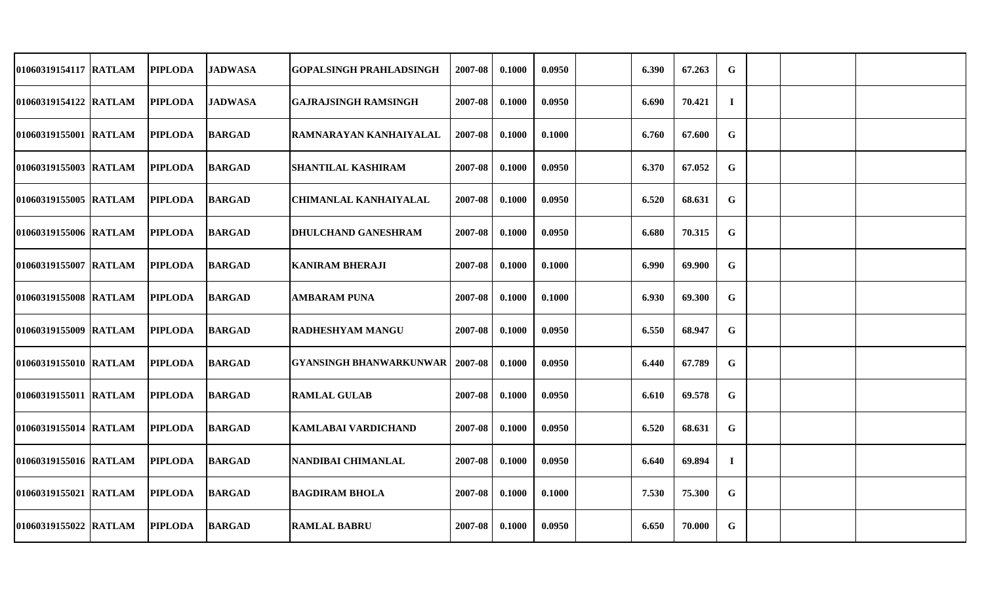| 01060319154117 RATLAM | <b>PIPLODA</b> | <b>JADWASA</b> | GOPALSINGH PRAHLADSINGH                  | 2007-08 | 0.1000 | 0.0950 | 6.390 | 67.263 | G        |  |  |
|-----------------------|----------------|----------------|------------------------------------------|---------|--------|--------|-------|--------|----------|--|--|
| 01060319154122 RATLAM | <b>PIPLODA</b> | <b>JADWASA</b> | <b>GAJRAJSINGH RAMSINGH</b>              | 2007-08 | 0.1000 | 0.0950 | 6.690 | 70.421 | $\bf{I}$ |  |  |
| 01060319155001 RATLAM | <b>PIPLODA</b> | <b>BARGAD</b>  | RAMNARAYAN KANHAIYALAL                   | 2007-08 | 0.1000 | 0.1000 | 6.760 | 67.600 | G        |  |  |
| 01060319155003 RATLAM | <b>PIPLODA</b> | <b>BARGAD</b>  | <b>SHANTILAL KASHIRAM</b>                | 2007-08 | 0.1000 | 0.0950 | 6.370 | 67.052 | G        |  |  |
| 01060319155005 RATLAM | <b>PIPLODA</b> | <b>BARGAD</b>  | <b>CHIMANLAL KANHAIYALAL</b>             | 2007-08 | 0.1000 | 0.0950 | 6.520 | 68.631 | G        |  |  |
| 01060319155006 RATLAM | <b>PIPLODA</b> | <b>BARGAD</b>  | <b>DHULCHAND GANESHRAM</b>               | 2007-08 | 0.1000 | 0.0950 | 6.680 | 70.315 | G        |  |  |
| 01060319155007 RATLAM | <b>PIPLODA</b> | <b>BARGAD</b>  | <b>KANIRAM BHERAJI</b>                   | 2007-08 | 0.1000 | 0.1000 | 6.990 | 69.900 | G        |  |  |
| 01060319155008 RATLAM | <b>PIPLODA</b> | <b>BARGAD</b>  | <b>AMBARAM PUNA</b>                      | 2007-08 | 0.1000 | 0.1000 | 6.930 | 69.300 | G        |  |  |
| 01060319155009 RATLAM | <b>PIPLODA</b> | <b>BARGAD</b>  | <b>RADHESHYAM MANGU</b>                  | 2007-08 | 0.1000 | 0.0950 | 6.550 | 68.947 | G        |  |  |
| 01060319155010 RATLAM | <b>PIPLODA</b> | <b>BARGAD</b>  | <b>GYANSINGH BHANWARKUNWAR   2007-08</b> |         | 0.1000 | 0.0950 | 6.440 | 67.789 | G        |  |  |
| 01060319155011 RATLAM | <b>PIPLODA</b> | <b>BARGAD</b>  | <b>RAMLAL GULAB</b>                      | 2007-08 | 0.1000 | 0.0950 | 6.610 | 69.578 | G        |  |  |
| 01060319155014 RATLAM | <b>PIPLODA</b> | <b>BARGAD</b>  | KAMLABAI VARDICHAND                      | 2007-08 | 0.1000 | 0.0950 | 6.520 | 68.631 | G        |  |  |
| 01060319155016 RATLAM | <b>PIPLODA</b> | <b>BARGAD</b>  | NANDIBAI CHIMANLAL                       | 2007-08 | 0.1000 | 0.0950 | 6.640 | 69.894 | Т.       |  |  |
| 01060319155021 RATLAM | <b>PIPLODA</b> | <b>BARGAD</b>  | <b>BAGDIRAM BHOLA</b>                    | 2007-08 | 0.1000 | 0.1000 | 7.530 | 75.300 | G        |  |  |
| 01060319155022 RATLAM | <b>PIPLODA</b> | <b>BARGAD</b>  | <b>RAMLAL BABRU</b>                      | 2007-08 | 0.1000 | 0.0950 | 6.650 | 70.000 | G        |  |  |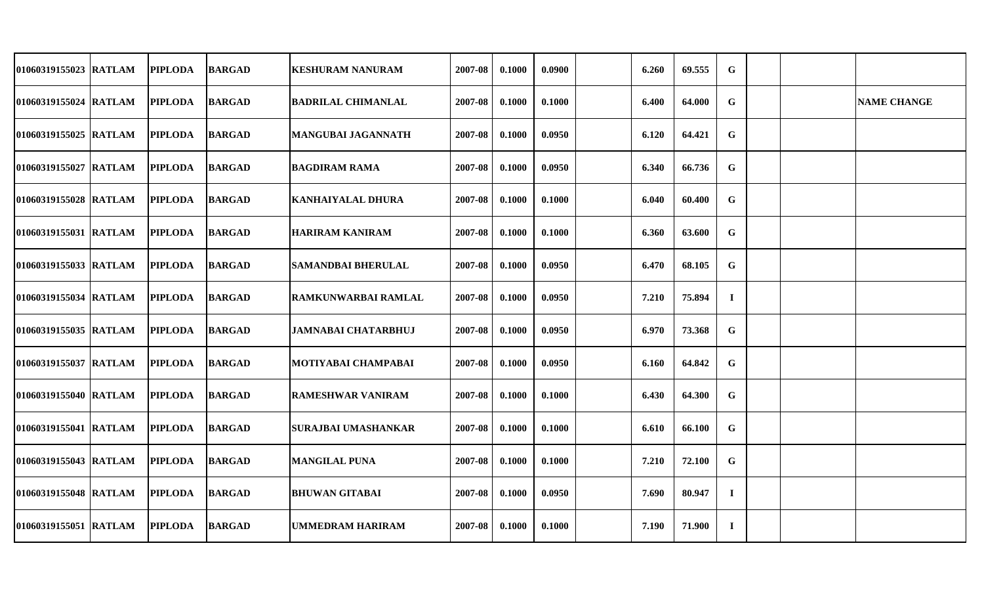| 01060319155023 RATLAM | <b>PIPLODA</b> | <b>BARGAD</b> | <b>KESHURAM NANURAM</b>    | 2007-08 | 0.1000 | 0.0900 | 6.260 | 69.555 | G        |  |                    |
|-----------------------|----------------|---------------|----------------------------|---------|--------|--------|-------|--------|----------|--|--------------------|
| 01060319155024 RATLAM | <b>PIPLODA</b> | <b>BARGAD</b> | <b>BADRILAL CHIMANLAL</b>  | 2007-08 | 0.1000 | 0.1000 | 6.400 | 64.000 | G        |  | <b>NAME CHANGE</b> |
| 01060319155025 RATLAM | <b>PIPLODA</b> | <b>BARGAD</b> | <b>MANGUBAI JAGANNATH</b>  | 2007-08 | 0.1000 | 0.0950 | 6.120 | 64.421 | G        |  |                    |
| 01060319155027 RATLAM | <b>PIPLODA</b> | <b>BARGAD</b> | <b>BAGDIRAM RAMA</b>       | 2007-08 | 0.1000 | 0.0950 | 6.340 | 66.736 | G        |  |                    |
| 01060319155028 RATLAM | <b>PIPLODA</b> | <b>BARGAD</b> | <b>KANHAIYALAL DHURA</b>   | 2007-08 | 0.1000 | 0.1000 | 6.040 | 60.400 | G        |  |                    |
| 01060319155031 RATLAM | <b>PIPLODA</b> | <b>BARGAD</b> | <b>HARIRAM KANIRAM</b>     | 2007-08 | 0.1000 | 0.1000 | 6.360 | 63.600 | G        |  |                    |
| 01060319155033 RATLAM | <b>PIPLODA</b> | <b>BARGAD</b> | <b>SAMANDBAI BHERULAL</b>  | 2007-08 | 0.1000 | 0.0950 | 6.470 | 68.105 | G        |  |                    |
| 01060319155034 RATLAM | <b>PIPLODA</b> | <b>BARGAD</b> | RAMKUNWARBAI RAMLAL        | 2007-08 | 0.1000 | 0.0950 | 7.210 | 75.894 | $\bf{I}$ |  |                    |
| 01060319155035 RATLAM | <b>PIPLODA</b> | <b>BARGAD</b> | <b>JAMNABAI CHATARBHUJ</b> | 2007-08 | 0.1000 | 0.0950 | 6.970 | 73.368 | G        |  |                    |
| 01060319155037 RATLAM | <b>PIPLODA</b> | <b>BARGAD</b> | MOTIYABAI CHAMPABAI        | 2007-08 | 0.1000 | 0.0950 | 6.160 | 64.842 | G        |  |                    |
| 01060319155040 RATLAM | <b>PIPLODA</b> | <b>BARGAD</b> | <b>RAMESHWAR VANIRAM</b>   | 2007-08 | 0.1000 | 0.1000 | 6.430 | 64.300 | G        |  |                    |
| 01060319155041 RATLAM | <b>PIPLODA</b> | <b>BARGAD</b> | <b>SURAJBAI UMASHANKAR</b> | 2007-08 | 0.1000 | 0.1000 | 6.610 | 66.100 | G        |  |                    |
| 01060319155043 RATLAM | <b>PIPLODA</b> | <b>BARGAD</b> | <b>MANGILAL PUNA</b>       | 2007-08 | 0.1000 | 0.1000 | 7.210 | 72.100 | G        |  |                    |
| 01060319155048 RATLAM | <b>PIPLODA</b> | <b>BARGAD</b> | <b>BHUWAN GITABAI</b>      | 2007-08 | 0.1000 | 0.0950 | 7.690 | 80.947 | $\bf{I}$ |  |                    |
| 01060319155051 RATLAM | <b>PIPLODA</b> | <b>BARGAD</b> | <b>UMMEDRAM HARIRAM</b>    | 2007-08 | 0.1000 | 0.1000 | 7.190 | 71.900 | Т.       |  |                    |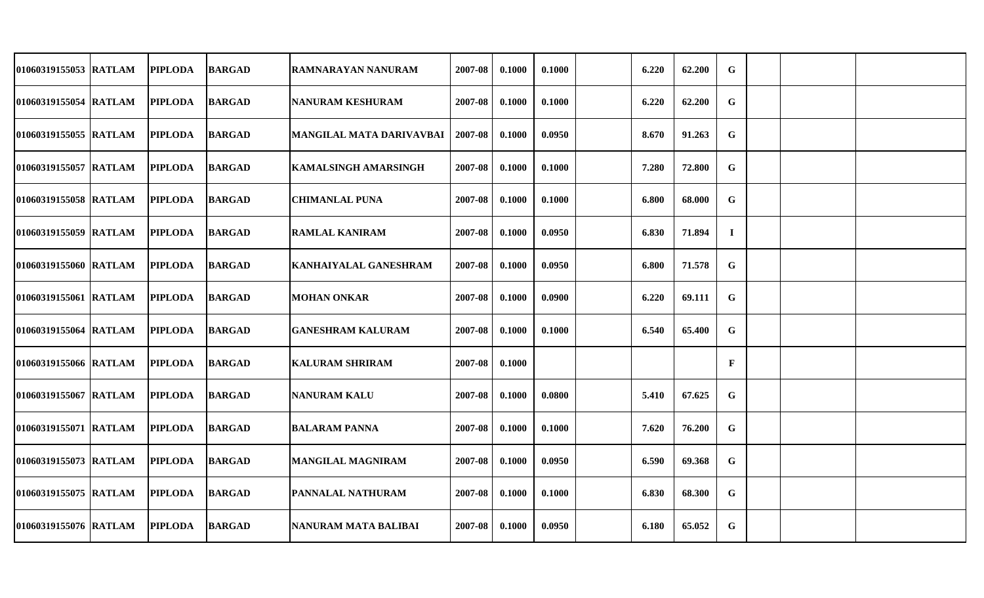| 01060319155053 RATLAM | <b>PIPLODA</b> | <b>BARGAD</b> | RAMNARAYAN NANURAM                 | 2007-08 | 0.1000 | 0.1000 | 6.220 | 62.200 | G            |  |  |
|-----------------------|----------------|---------------|------------------------------------|---------|--------|--------|-------|--------|--------------|--|--|
| 01060319155054 RATLAM | <b>PIPLODA</b> | <b>BARGAD</b> | <b>NANURAM KESHURAM</b>            | 2007-08 | 0.1000 | 0.1000 | 6.220 | 62.200 | G            |  |  |
| 01060319155055 RATLAM | <b>PIPLODA</b> | <b>BARGAD</b> | MANGILAL MATA DARIVAVBAI   2007-08 |         | 0.1000 | 0.0950 | 8.670 | 91.263 | G            |  |  |
| 01060319155057 RATLAM | <b>PIPLODA</b> | <b>BARGAD</b> | <b>KAMALSINGH AMARSINGH</b>        | 2007-08 | 0.1000 | 0.1000 | 7.280 | 72.800 | G            |  |  |
| 01060319155058 RATLAM | <b>PIPLODA</b> | <b>BARGAD</b> | <b>CHIMANLAL PUNA</b>              | 2007-08 | 0.1000 | 0.1000 | 6.800 | 68.000 | G            |  |  |
| 01060319155059 RATLAM | <b>PIPLODA</b> | <b>BARGAD</b> | <b>RAMLAL KANIRAM</b>              | 2007-08 | 0.1000 | 0.0950 | 6.830 | 71.894 | $\bf{I}$     |  |  |
| 01060319155060 RATLAM | <b>PIPLODA</b> | <b>BARGAD</b> | <b>KANHAIYALAL GANESHRAM</b>       | 2007-08 | 0.1000 | 0.0950 | 6.800 | 71.578 | G            |  |  |
| 01060319155061 RATLAM | <b>PIPLODA</b> | <b>BARGAD</b> | <b>MOHAN ONKAR</b>                 | 2007-08 | 0.1000 | 0.0900 | 6.220 | 69.111 | G            |  |  |
| 01060319155064 RATLAM | <b>PIPLODA</b> | <b>BARGAD</b> | <b>GANESHRAM KALURAM</b>           | 2007-08 | 0.1000 | 0.1000 | 6.540 | 65.400 | G            |  |  |
| 01060319155066 RATLAM | <b>PIPLODA</b> | <b>BARGAD</b> | <b>KALURAM SHRIRAM</b>             | 2007-08 | 0.1000 |        |       |        | $\mathbf{F}$ |  |  |
| 01060319155067 RATLAM | <b>PIPLODA</b> | <b>BARGAD</b> | <b>NANURAM KALU</b>                | 2007-08 | 0.1000 | 0.0800 | 5.410 | 67.625 | G            |  |  |
| 01060319155071 RATLAM | <b>PIPLODA</b> | <b>BARGAD</b> | <b>BALARAM PANNA</b>               | 2007-08 | 0.1000 | 0.1000 | 7.620 | 76.200 | G            |  |  |
| 01060319155073 RATLAM | <b>PIPLODA</b> | <b>BARGAD</b> | <b>MANGILAL MAGNIRAM</b>           | 2007-08 | 0.1000 | 0.0950 | 6.590 | 69.368 | G            |  |  |
| 01060319155075 RATLAM | <b>PIPLODA</b> | <b>BARGAD</b> | <b>PANNALAL NATHURAM</b>           | 2007-08 | 0.1000 | 0.1000 | 6.830 | 68.300 | G            |  |  |
| 01060319155076 RATLAM | <b>PIPLODA</b> | <b>BARGAD</b> | NANURAM MATA BALIBAI               | 2007-08 | 0.1000 | 0.0950 | 6.180 | 65.052 | G            |  |  |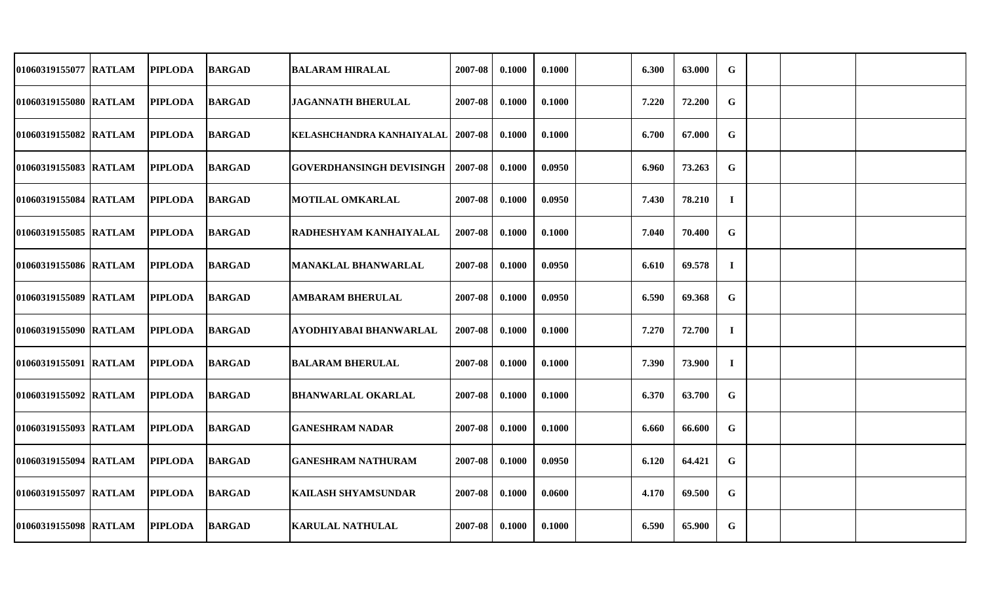| 01060319155077 RATLAM | <b>PIPLODA</b> | <b>BARGAD</b> | <b>BALARAM HIRALAL</b>              | 2007-08 | 0.1000 | 0.1000 | 6.300 | 63.000 | G        |  |  |
|-----------------------|----------------|---------------|-------------------------------------|---------|--------|--------|-------|--------|----------|--|--|
| 01060319155080 RATLAM | <b>PIPLODA</b> | <b>BARGAD</b> | <b>JAGANNATH BHERULAL</b>           | 2007-08 | 0.1000 | 0.1000 | 7.220 | 72.200 | G        |  |  |
| 01060319155082 RATLAM | <b>PIPLODA</b> | <b>BARGAD</b> | KELASHCHANDRA KANHAIYALAL   2007-08 |         | 0.1000 | 0.1000 | 6.700 | 67.000 | G        |  |  |
| 01060319155083 RATLAM | <b>PIPLODA</b> | <b>BARGAD</b> | GOVERDHANSINGH DEVISINGH   2007-08  |         | 0.1000 | 0.0950 | 6.960 | 73.263 | G        |  |  |
| 01060319155084 RATLAM | <b>PIPLODA</b> | <b>BARGAD</b> | <b>MOTILAL OMKARLAL</b>             | 2007-08 | 0.1000 | 0.0950 | 7.430 | 78.210 | $\bf{I}$ |  |  |
| 01060319155085 RATLAM | <b>PIPLODA</b> | <b>BARGAD</b> | RADHESHYAM KANHAIYALAL              | 2007-08 | 0.1000 | 0.1000 | 7.040 | 70.400 | G        |  |  |
| 01060319155086 RATLAM | <b>PIPLODA</b> | <b>BARGAD</b> | <b>MANAKLAL BHANWARLAL</b>          | 2007-08 | 0.1000 | 0.0950 | 6.610 | 69.578 | $\bf{I}$ |  |  |
| 01060319155089 RATLAM | <b>PIPLODA</b> | <b>BARGAD</b> | <b>AMBARAM BHERULAL</b>             | 2007-08 | 0.1000 | 0.0950 | 6.590 | 69.368 | G        |  |  |
| 01060319155090 RATLAM | <b>PIPLODA</b> | <b>BARGAD</b> | AYODHIYABAI BHANWARLAL              | 2007-08 | 0.1000 | 0.1000 | 7.270 | 72.700 | $\bf{I}$ |  |  |
| 01060319155091 RATLAM | <b>PIPLODA</b> | <b>BARGAD</b> | <b>BALARAM BHERULAL</b>             | 2007-08 | 0.1000 | 0.1000 | 7.390 | 73.900 | $\bf{I}$ |  |  |
| 01060319155092 RATLAM | <b>PIPLODA</b> | <b>BARGAD</b> | <b>BHANWARLAL OKARLAL</b>           | 2007-08 | 0.1000 | 0.1000 | 6.370 | 63.700 | G        |  |  |
| 01060319155093 RATLAM | <b>PIPLODA</b> | <b>BARGAD</b> | <b>GANESHRAM NADAR</b>              | 2007-08 | 0.1000 | 0.1000 | 6.660 | 66.600 | G        |  |  |
| 01060319155094 RATLAM | <b>PIPLODA</b> | <b>BARGAD</b> | <b>GANESHRAM NATHURAM</b>           | 2007-08 | 0.1000 | 0.0950 | 6.120 | 64.421 | G        |  |  |
| 01060319155097 RATLAM | <b>PIPLODA</b> | <b>BARGAD</b> | <b>KAILASH SHYAMSUNDAR</b>          | 2007-08 | 0.1000 | 0.0600 | 4.170 | 69.500 | G        |  |  |
| 01060319155098 RATLAM | <b>PIPLODA</b> | <b>BARGAD</b> | <b>KARULAL NATHULAL</b>             | 2007-08 | 0.1000 | 0.1000 | 6.590 | 65.900 | G        |  |  |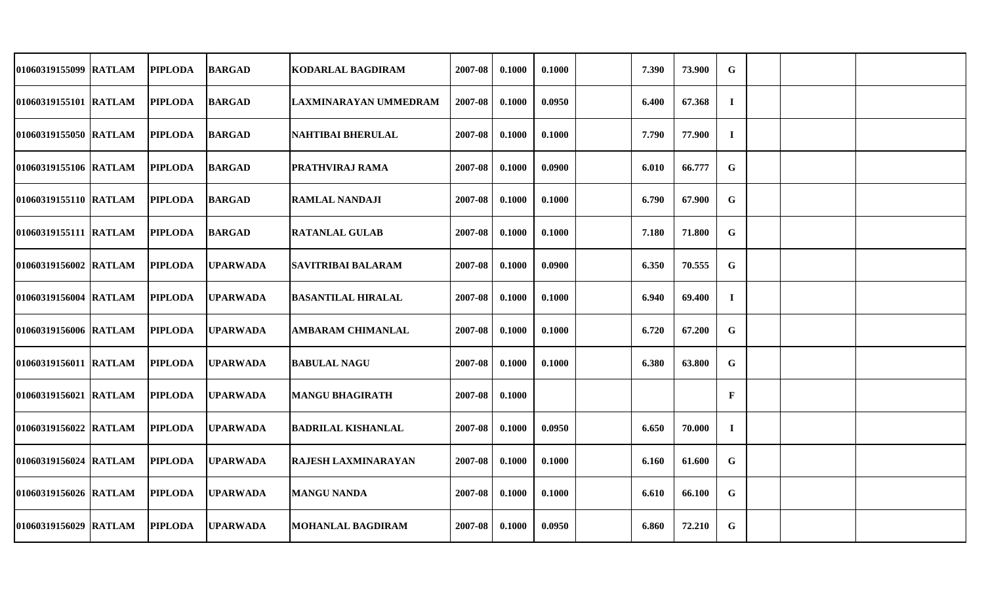| 01060319155099 RATLAM | <b>PIPLODA</b> | <b>BARGAD</b>   | KODARLAL BAGDIRAM          | 2007-08 | 0.1000 | 0.1000 | 7.390 | 73.900 | $\mathbf G$  |  |  |
|-----------------------|----------------|-----------------|----------------------------|---------|--------|--------|-------|--------|--------------|--|--|
| 01060319155101 RATLAM | <b>PIPLODA</b> | <b>BARGAD</b>   | LAXMINARAYAN UMMEDRAM      | 2007-08 | 0.1000 | 0.0950 | 6.400 | 67.368 | $\bf{I}$     |  |  |
| 01060319155050 RATLAM | <b>PIPLODA</b> | <b>BARGAD</b>   | <b>NAHTIBAI BHERULAL</b>   | 2007-08 | 0.1000 | 0.1000 | 7.790 | 77.900 | $\mathbf I$  |  |  |
| 01060319155106 RATLAM | <b>PIPLODA</b> | <b>BARGAD</b>   | PRATHVIRAJ RAMA            | 2007-08 | 0.1000 | 0.0900 | 6.010 | 66.777 | $\mathbf G$  |  |  |
| 01060319155110 RATLAM | <b>PIPLODA</b> | <b>BARGAD</b>   | <b>RAMLAL NANDAJI</b>      | 2007-08 | 0.1000 | 0.1000 | 6.790 | 67.900 | $\mathbf G$  |  |  |
| 01060319155111 RATLAM | <b>PIPLODA</b> | <b>BARGAD</b>   | <b>RATANLAL GULAB</b>      | 2007-08 | 0.1000 | 0.1000 | 7.180 | 71.800 | $\mathbf G$  |  |  |
| 01060319156002 RATLAM | <b>PIPLODA</b> | <b>UPARWADA</b> | <b>SAVITRIBAI BALARAM</b>  | 2007-08 | 0.1000 | 0.0900 | 6.350 | 70.555 | $\mathbf G$  |  |  |
| 01060319156004 RATLAM | <b>PIPLODA</b> | <b>UPARWADA</b> | <b>BASANTILAL HIRALAL</b>  | 2007-08 | 0.1000 | 0.1000 | 6.940 | 69.400 | $\bf{I}$     |  |  |
| 01060319156006 RATLAM | <b>PIPLODA</b> | <b>UPARWADA</b> | <b>AMBARAM CHIMANLAL</b>   | 2007-08 | 0.1000 | 0.1000 | 6.720 | 67.200 | G            |  |  |
| 01060319156011 RATLAM | <b>PIPLODA</b> | <b>UPARWADA</b> | <b>BABULAL NAGU</b>        | 2007-08 | 0.1000 | 0.1000 | 6.380 | 63.800 | G            |  |  |
| 01060319156021 RATLAM | <b>PIPLODA</b> | <b>UPARWADA</b> | MANGU BHAGIRATH            | 2007-08 | 0.1000 |        |       |        | $\mathbf{F}$ |  |  |
| 01060319156022 RATLAM | <b>PIPLODA</b> | <b>UPARWADA</b> | <b>BADRILAL KISHANLAL</b>  | 2007-08 | 0.1000 | 0.0950 | 6.650 | 70.000 | $\bf{I}$     |  |  |
| 01060319156024 RATLAM | <b>PIPLODA</b> | <b>UPARWADA</b> | <b>RAJESH LAXMINARAYAN</b> | 2007-08 | 0.1000 | 0.1000 | 6.160 | 61.600 | G            |  |  |
| 01060319156026 RATLAM | <b>PIPLODA</b> | <b>UPARWADA</b> | <b>MANGU NANDA</b>         | 2007-08 | 0.1000 | 0.1000 | 6.610 | 66.100 | G            |  |  |
| 01060319156029 RATLAM | <b>PIPLODA</b> | <b>UPARWADA</b> | <b>MOHANLAL BAGDIRAM</b>   | 2007-08 | 0.1000 | 0.0950 | 6.860 | 72.210 | G            |  |  |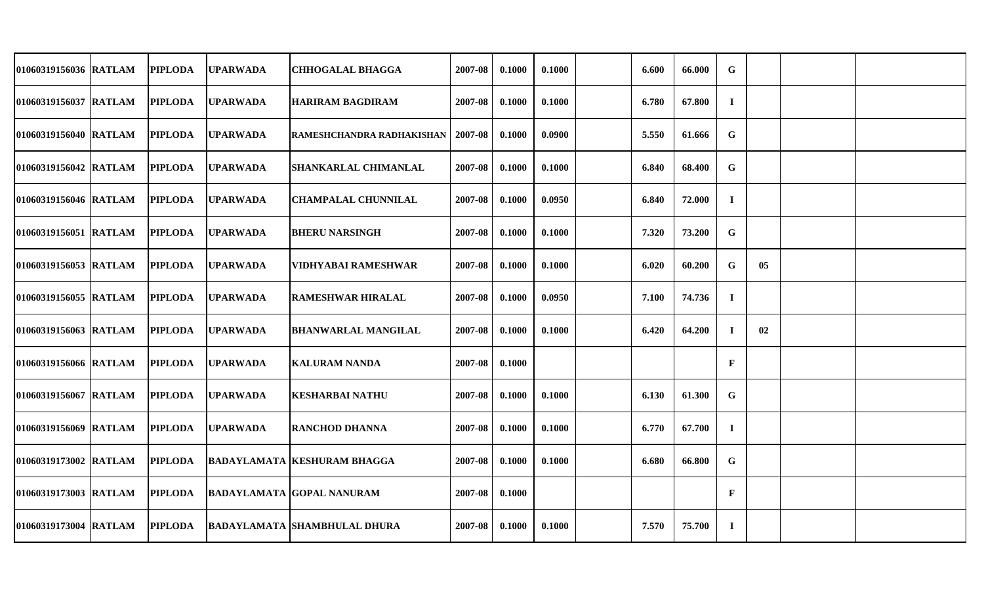| 01060319156036 RATLAM | <b>PIPLODA</b> | <b>UPARWADA</b>  | <b>CHHOGALAL BHAGGA</b>             | 2007-08 | 0.1000 | 0.1000 | 6.600 | 66.000 | $\mathbf G$  |    |  |
|-----------------------|----------------|------------------|-------------------------------------|---------|--------|--------|-------|--------|--------------|----|--|
| 01060319156037 RATLAM | <b>PIPLODA</b> | <b>UPARWADA</b>  | <b>HARIRAM BAGDIRAM</b>             | 2007-08 | 0.1000 | 0.1000 | 6.780 | 67.800 | $\bf{I}$     |    |  |
| 01060319156040 RATLAM | <b>PIPLODA</b> | <b>UPARWADA</b>  | RAMESHCHANDRA RADHAKISHAN           | 2007-08 | 0.1000 | 0.0900 | 5.550 | 61.666 | G            |    |  |
| 01060319156042 RATLAM | <b>PIPLODA</b> | <b>UPARWADA</b>  | <b>SHANKARLAL CHIMANLAL</b>         | 2007-08 | 0.1000 | 0.1000 | 6.840 | 68.400 | $\mathbf G$  |    |  |
| 01060319156046 RATLAM | <b>PIPLODA</b> | <b>UPARWADA</b>  | <b>CHAMPALAL CHUNNILAL</b>          | 2007-08 | 0.1000 | 0.0950 | 6.840 | 72.000 | $\bf{I}$     |    |  |
| 01060319156051 RATLAM | <b>PIPLODA</b> | <b>UPARWADA</b>  | <b>BHERU NARSINGH</b>               | 2007-08 | 0.1000 | 0.1000 | 7.320 | 73.200 | $\mathbf G$  |    |  |
| 01060319156053 RATLAM | <b>PIPLODA</b> | <b>UPARWADA</b>  | <b>VIDHYABAI RAMESHWAR</b>          | 2007-08 | 0.1000 | 0.1000 | 6.020 | 60.200 | $\mathbf G$  | 05 |  |
| 01060319156055 RATLAM | <b>PIPLODA</b> | <b>UPARWADA</b>  | <b>RAMESHWAR HIRALAL</b>            | 2007-08 | 0.1000 | 0.0950 | 7.100 | 74.736 | $\bf{I}$     |    |  |
| 01060319156063 RATLAM | <b>PIPLODA</b> | <b>UPARWADA</b>  | <b>BHANWARLAL MANGILAL</b>          | 2007-08 | 0.1000 | 0.1000 | 6.420 | 64.200 | $\bf{I}$     | 02 |  |
| 01060319156066 RATLAM | <b>PIPLODA</b> | <b>UPARWADA</b>  | <b>KALURAM NANDA</b>                | 2007-08 | 0.1000 |        |       |        | $\mathbf{F}$ |    |  |
| 01060319156067 RATLAM | <b>PIPLODA</b> | <b>IUPARWADA</b> | <b>KESHARBAI NATHU</b>              | 2007-08 | 0.1000 | 0.1000 | 6.130 | 61.300 | $\mathbf G$  |    |  |
| 01060319156069 RATLAM | <b>PIPLODA</b> | <b>UPARWADA</b>  | <b>RANCHOD DHANNA</b>               | 2007-08 | 0.1000 | 0.1000 | 6.770 | 67.700 | $\bf{I}$     |    |  |
| 01060319173002 RATLAM | <b>PIPLODA</b> |                  | <b>BADAYLAMATA KESHURAM BHAGGA</b>  | 2007-08 | 0.1000 | 0.1000 | 6.680 | 66.800 | G            |    |  |
| 01060319173003 RATLAM | <b>PIPLODA</b> |                  | <b>BADAYLAMATA GOPAL NANURAM</b>    | 2007-08 | 0.1000 |        |       |        | $\mathbf{F}$ |    |  |
| 01060319173004 RATLAM | <b>PIPLODA</b> |                  | <b>BADAYLAMATA SHAMBHULAL DHURA</b> | 2007-08 | 0.1000 | 0.1000 | 7.570 | 75.700 | $\bf{I}$     |    |  |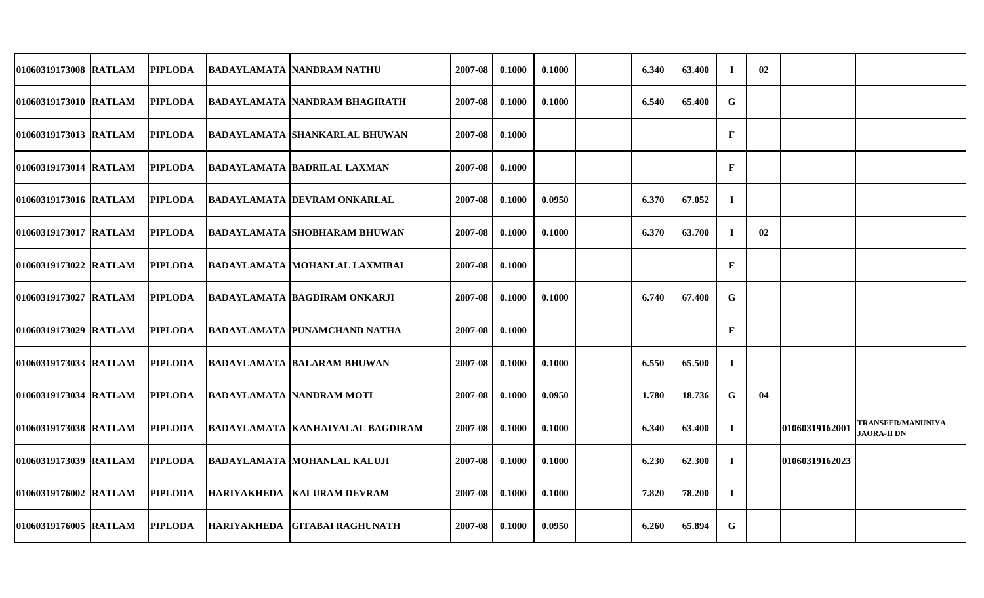| 01060319173008 RATLAM | <b>PIPLODA</b> | <b>BADAYLAMATA NANDRAM NATHU</b>     | 2007-08 | 0.1000 | 0.1000 | 6.340 | 63.400 | $\mathbf I$  | 02 |                       |                                                |
|-----------------------|----------------|--------------------------------------|---------|--------|--------|-------|--------|--------------|----|-----------------------|------------------------------------------------|
| 01060319173010 RATLAM | <b>PIPLODA</b> | BADAYLAMATA NANDRAM BHAGIRATH        | 2007-08 | 0.1000 | 0.1000 | 6.540 | 65.400 | $\mathbf G$  |    |                       |                                                |
| 01060319173013 RATLAM | <b>PIPLODA</b> | <b>BADAYLAMATA SHANKARLAL BHUWAN</b> | 2007-08 | 0.1000 |        |       |        | $\mathbf{F}$ |    |                       |                                                |
| 01060319173014 RATLAM | <b>PIPLODA</b> | <b>BADAYLAMATA BADRILAL LAXMAN</b>   | 2007-08 | 0.1000 |        |       |        | $\mathbf{F}$ |    |                       |                                                |
| 01060319173016 RATLAM | <b>PIPLODA</b> | <b>BADAYLAMATA DEVRAM ONKARLAL</b>   | 2007-08 | 0.1000 | 0.0950 | 6.370 | 67.052 | $\bf{I}$     |    |                       |                                                |
| 01060319173017 RATLAM | <b>PIPLODA</b> | <b>BADAYLAMATA SHOBHARAM BHUWAN</b>  | 2007-08 | 0.1000 | 0.1000 | 6.370 | 63.700 | $\bf I$      | 02 |                       |                                                |
| 01060319173022 RATLAM | <b>PIPLODA</b> | BADAYLAMATA MOHANLAL LAXMIBAI        | 2007-08 | 0.1000 |        |       |        | $\mathbf{F}$ |    |                       |                                                |
| 01060319173027 RATLAM | <b>PIPLODA</b> | <b>BADAYLAMATA BAGDIRAM ONKARJI</b>  | 2007-08 | 0.1000 | 0.1000 | 6.740 | 67.400 | G            |    |                       |                                                |
| 01060319173029 RATLAM | <b>PIPLODA</b> | <b>BADAYLAMATA PUNAMCHAND NATHA</b>  | 2007-08 | 0.1000 |        |       |        | $\mathbf{F}$ |    |                       |                                                |
| 01060319173033 RATLAM | <b>PIPLODA</b> | <b>BADAYLAMATA BALARAM BHUWAN</b>    | 2007-08 | 0.1000 | 0.1000 | 6.550 | 65.500 | $\bf{I}$     |    |                       |                                                |
| 01060319173034 RATLAM | <b>PIPLODA</b> | <b>BADAYLAMATA NANDRAM MOTI</b>      | 2007-08 | 0.1000 | 0.0950 | 1.780 | 18.736 | G            | 04 |                       |                                                |
| 01060319173038 RATLAM | <b>PIPLODA</b> | BADAYLAMATA KANHAIYALAL BAGDIRAM     | 2007-08 | 0.1000 | 0.1000 | 6.340 | 63.400 | $\bf I$      |    | 01060319162001        | <b>TRANSFER/MANUNIYA</b><br><b>JAORA-II DN</b> |
| 01060319173039 RATLAM | <b>PIPLODA</b> | <b>BADAYLAMATA MOHANLAL KALUJI</b>   | 2007-08 | 0.1000 | 0.1000 | 6.230 | 62.300 | $\bf{I}$     |    | <b>01060319162023</b> |                                                |
| 01060319176002 RATLAM | <b>PIPLODA</b> | HARIYAKHEDA KALURAM DEVRAM           | 2007-08 | 0.1000 | 0.1000 | 7.820 | 78.200 | $\bf{I}$     |    |                       |                                                |
| 01060319176005 RATLAM | <b>PIPLODA</b> | HARIYAKHEDA GITABAI RAGHUNATH        | 2007-08 | 0.1000 | 0.0950 | 6.260 | 65.894 | G            |    |                       |                                                |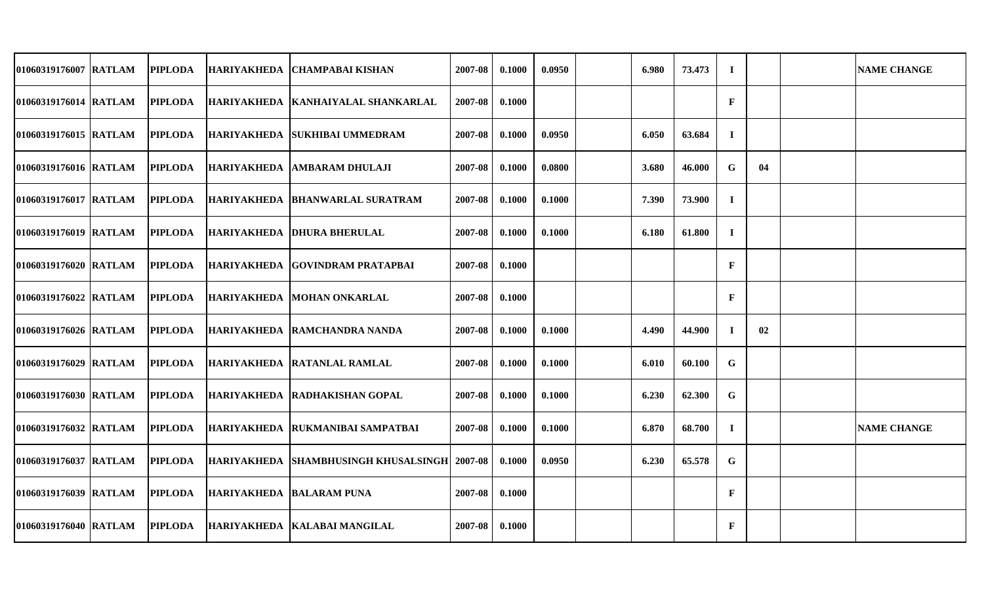| 01060319176007 RATLAM | <b>PIPLODA</b> | HARIYAKHEDA   CHAMPABAI KISHAN               | 2007-08 | 0.1000 | 0.0950 | 6.980 | 73.473 | $\bf{I}$     |    | <b>NAME CHANGE</b> |
|-----------------------|----------------|----------------------------------------------|---------|--------|--------|-------|--------|--------------|----|--------------------|
| 01060319176014 RATLAM | <b>PIPLODA</b> | HARIYAKHEDA  KANHAIYALAL SHANKARLAL          | 2007-08 | 0.1000 |        |       |        | $\mathbf{F}$ |    |                    |
| 01060319176015 RATLAM | <b>PIPLODA</b> | HARIYAKHEDA   SUKHIBAI UMMEDRAM              | 2007-08 | 0.1000 | 0.0950 | 6.050 | 63.684 | $\bf{I}$     |    |                    |
| 01060319176016 RATLAM | <b>PIPLODA</b> | HARIYAKHEDA AMBARAM DHULAJI                  | 2007-08 | 0.1000 | 0.0800 | 3.680 | 46.000 | G            | 04 |                    |
| 01060319176017 RATLAM | <b>PIPLODA</b> | HARIYAKHEDA  BHANWARLAL SURATRAM             | 2007-08 | 0.1000 | 0.1000 | 7.390 | 73.900 | $\bf{I}$     |    |                    |
| 01060319176019 RATLAM | <b>PIPLODA</b> | HARIYAKHEDA DHURA BHERULAL                   | 2007-08 | 0.1000 | 0.1000 | 6.180 | 61.800 | $\bf{I}$     |    |                    |
| 01060319176020 RATLAM | <b>PIPLODA</b> | IHARIYAKHEDA  GOVINDRAM PRATAPBAI            | 2007-08 | 0.1000 |        |       |        | F            |    |                    |
| 01060319176022 RATLAM | <b>PIPLODA</b> | HARIYAKHEDA MOHAN ONKARLAL                   | 2007-08 | 0.1000 |        |       |        | $\mathbf{F}$ |    |                    |
| 01060319176026 RATLAM | <b>PIPLODA</b> | HARIYAKHEDA RAMCHANDRA NANDA                 | 2007-08 | 0.1000 | 0.1000 | 4.490 | 44.900 | $\bf{I}$     | 02 |                    |
| 01060319176029 RATLAM | <b>PIPLODA</b> | HARIYAKHEDA   RATANLAL RAMLAL                | 2007-08 | 0.1000 | 0.1000 | 6.010 | 60.100 | G            |    |                    |
| 01060319176030 RATLAM | <b>PIPLODA</b> | HARIYAKHEDA RADHAKISHAN GOPAL                | 2007-08 | 0.1000 | 0.1000 | 6.230 | 62.300 | G            |    |                    |
| 01060319176032 RATLAM | <b>PIPLODA</b> | HARIYAKHEDA RUKMANIBAI SAMPATBAI             | 2007-08 | 0.1000 | 0.1000 | 6.870 | 68.700 | $\bf{I}$     |    | <b>NAME CHANGE</b> |
| 01060319176037 RATLAM | <b>PIPLODA</b> | HARIYAKHEDA SHAMBHUSINGH KHUSALSINGH 2007-08 |         | 0.1000 | 0.0950 | 6.230 | 65.578 | G            |    |                    |
| 01060319176039 RATLAM | <b>PIPLODA</b> | HARIYAKHEDA BALARAM PUNA                     | 2007-08 | 0.1000 |        |       |        | $\mathbf{F}$ |    |                    |
| 01060319176040 RATLAM | <b>PIPLODA</b> | HARIYAKHEDA   KALABAI MANGILAL               | 2007-08 | 0.1000 |        |       |        | $\mathbf{F}$ |    |                    |